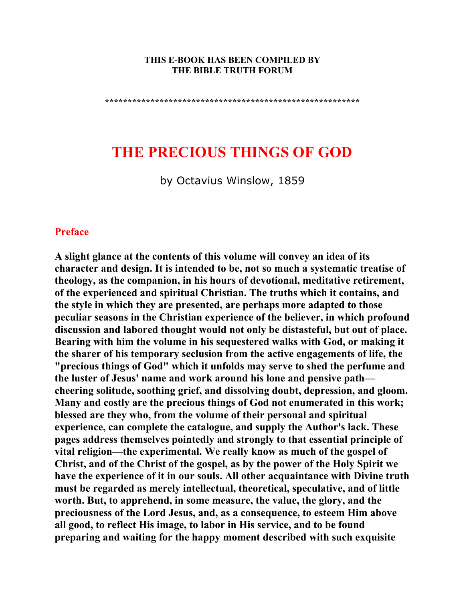#### **THIS E-BOOK HAS BEEN COMPILED BY THE BIBLE TRUTH FORUM**

**\*\*\*\*\*\*\*\*\*\*\*\*\*\*\*\*\*\*\*\*\*\*\*\*\*\*\*\*\*\*\*\*\*\*\*\*\*\*\*\*\*\*\*\*\*\*\*\*\*\*\*\*\*\*\*\*** 

# **THE PRECIOUS THINGS OF GOD**

by Octavius Winslow, 1859

#### **Preface**

**A slight glance at the contents of this volume will convey an idea of its character and design. It is intended to be, not so much a systematic treatise of theology, as the companion, in his hours of devotional, meditative retirement, of the experienced and spiritual Christian. The truths which it contains, and the style in which they are presented, are perhaps more adapted to those peculiar seasons in the Christian experience of the believer, in which profound discussion and labored thought would not only be distasteful, but out of place. Bearing with him the volume in his sequestered walks with God, or making it the sharer of his temporary seclusion from the active engagements of life, the "precious things of God" which it unfolds may serve to shed the perfume and the luster of Jesus' name and work around his lone and pensive path cheering solitude, soothing grief, and dissolving doubt, depression, and gloom. Many and costly are the precious things of God not enumerated in this work; blessed are they who, from the volume of their personal and spiritual experience, can complete the catalogue, and supply the Author's lack. These pages address themselves pointedly and strongly to that essential principle of vital religion—the experimental. We really know as much of the gospel of Christ, and of the Christ of the gospel, as by the power of the Holy Spirit we have the experience of it in our souls. All other acquaintance with Divine truth must be regarded as merely intellectual, theoretical, speculative, and of little worth. But, to apprehend, in some measure, the value, the glory, and the preciousness of the Lord Jesus, and, as a consequence, to esteem Him above all good, to reflect His image, to labor in His service, and to be found preparing and waiting for the happy moment described with such exquisite**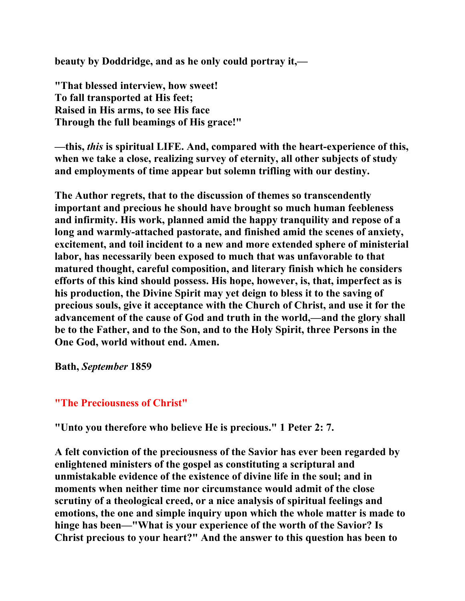**beauty by Doddridge, and as he only could portray it,—** 

**"That blessed interview, how sweet! To fall transported at His feet; Raised in His arms, to see His face Through the full beamings of His grace!"** 

**—this,** *this* **is spiritual LIFE. And, compared with the heart-experience of this, when we take a close, realizing survey of eternity, all other subjects of study and employments of time appear but solemn trifling with our destiny.** 

**The Author regrets, that to the discussion of themes so transcendently important and precious he should have brought so much human feebleness and infirmity. His work, planned amid the happy tranquility and repose of a long and warmly-attached pastorate, and finished amid the scenes of anxiety, excitement, and toil incident to a new and more extended sphere of ministerial labor, has necessarily been exposed to much that was unfavorable to that matured thought, careful composition, and literary finish which he considers efforts of this kind should possess. His hope, however, is, that, imperfect as is his production, the Divine Spirit may yet deign to bless it to the saving of precious souls, give it acceptance with the Church of Christ, and use it for the advancement of the cause of God and truth in the world,—and the glory shall be to the Father, and to the Son, and to the Holy Spirit, three Persons in the One God, world without end. Amen.** 

**Bath,** *September* **1859** 

# **"The Preciousness of Christ"**

**"Unto you therefore who believe He is precious." 1 Peter 2: 7.** 

**A felt conviction of the preciousness of the Savior has ever been regarded by enlightened ministers of the gospel as constituting a scriptural and unmistakable evidence of the existence of divine life in the soul; and in moments when neither time nor circumstance would admit of the close scrutiny of a theological creed, or a nice analysis of spiritual feelings and emotions, the one and simple inquiry upon which the whole matter is made to hinge has been—"What is your experience of the worth of the Savior? Is Christ precious to your heart?" And the answer to this question has been to**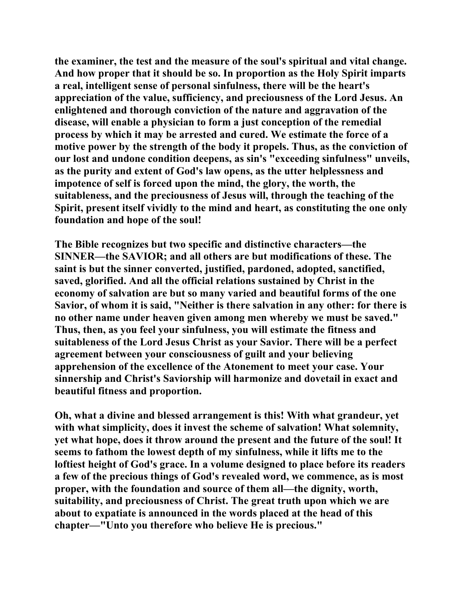**the examiner, the test and the measure of the soul's spiritual and vital change. And how proper that it should be so. In proportion as the Holy Spirit imparts a real, intelligent sense of personal sinfulness, there will be the heart's appreciation of the value, sufficiency, and preciousness of the Lord Jesus. An enlightened and thorough conviction of the nature and aggravation of the disease, will enable a physician to form a just conception of the remedial process by which it may be arrested and cured. We estimate the force of a motive power by the strength of the body it propels. Thus, as the conviction of our lost and undone condition deepens, as sin's "exceeding sinfulness" unveils, as the purity and extent of God's law opens, as the utter helplessness and impotence of self is forced upon the mind, the glory, the worth, the suitableness, and the preciousness of Jesus will, through the teaching of the Spirit, present itself vividly to the mind and heart, as constituting the one only foundation and hope of the soul!** 

**The Bible recognizes but two specific and distinctive characters—the SINNER—the SAVIOR; and all others are but modifications of these. The saint is but the sinner converted, justified, pardoned, adopted, sanctified, saved, glorified. And all the official relations sustained by Christ in the economy of salvation are but so many varied and beautiful forms of the one Savior, of whom it is said, "Neither is there salvation in any other: for there is no other name under heaven given among men whereby we must be saved." Thus, then, as you feel your sinfulness, you will estimate the fitness and suitableness of the Lord Jesus Christ as your Savior. There will be a perfect agreement between your consciousness of guilt and your believing apprehension of the excellence of the Atonement to meet your case. Your sinnership and Christ's Saviorship will harmonize and dovetail in exact and beautiful fitness and proportion.** 

**Oh, what a divine and blessed arrangement is this! With what grandeur, yet with what simplicity, does it invest the scheme of salvation! What solemnity, yet what hope, does it throw around the present and the future of the soul! It seems to fathom the lowest depth of my sinfulness, while it lifts me to the loftiest height of God's grace. In a volume designed to place before its readers a few of the precious things of God's revealed word, we commence, as is most proper, with the foundation and source of them all—the dignity, worth, suitability, and preciousness of Christ. The great truth upon which we are about to expatiate is announced in the words placed at the head of this chapter—"Unto you therefore who believe He is precious."**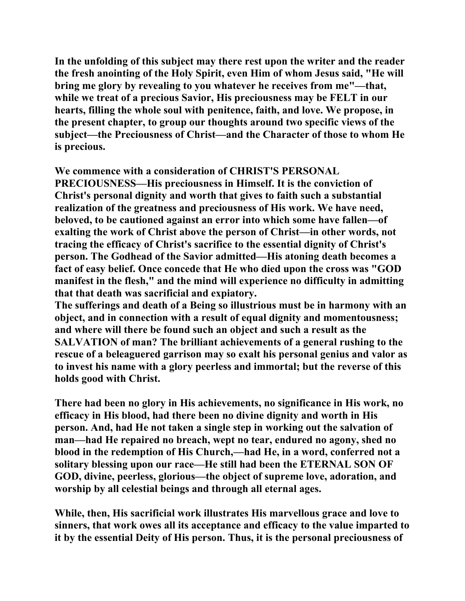**In the unfolding of this subject may there rest upon the writer and the reader the fresh anointing of the Holy Spirit, even Him of whom Jesus said, "He will bring me glory by revealing to you whatever he receives from me"—that, while we treat of a precious Savior, His preciousness may be FELT in our hearts, filling the whole soul with penitence, faith, and love. We propose, in the present chapter, to group our thoughts around two specific views of the subject—the Preciousness of Christ—and the Character of those to whom He is precious.** 

### **We commence with a consideration of CHRIST'S PERSONAL**

**PRECIOUSNESS—His preciousness in Himself. It is the conviction of Christ's personal dignity and worth that gives to faith such a substantial realization of the greatness and preciousness of His work. We have need, beloved, to be cautioned against an error into which some have fallen—of exalting the work of Christ above the person of Christ—in other words, not tracing the efficacy of Christ's sacrifice to the essential dignity of Christ's person. The Godhead of the Savior admitted—His atoning death becomes a fact of easy belief. Once concede that He who died upon the cross was "GOD manifest in the flesh," and the mind will experience no difficulty in admitting that that death was sacrificial and expiatory.** 

**The sufferings and death of a Being so illustrious must be in harmony with an object, and in connection with a result of equal dignity and momentousness; and where will there be found such an object and such a result as the SALVATION of man? The brilliant achievements of a general rushing to the rescue of a beleaguered garrison may so exalt his personal genius and valor as to invest his name with a glory peerless and immortal; but the reverse of this holds good with Christ.** 

**There had been no glory in His achievements, no significance in His work, no efficacy in His blood, had there been no divine dignity and worth in His person. And, had He not taken a single step in working out the salvation of man—had He repaired no breach, wept no tear, endured no agony, shed no blood in the redemption of His Church,—had He, in a word, conferred not a solitary blessing upon our race—He still had been the ETERNAL SON OF GOD, divine, peerless, glorious—the object of supreme love, adoration, and worship by all celestial beings and through all eternal ages.** 

**While, then, His sacrificial work illustrates His marvellous grace and love to sinners, that work owes all its acceptance and efficacy to the value imparted to it by the essential Deity of His person. Thus, it is the personal preciousness of**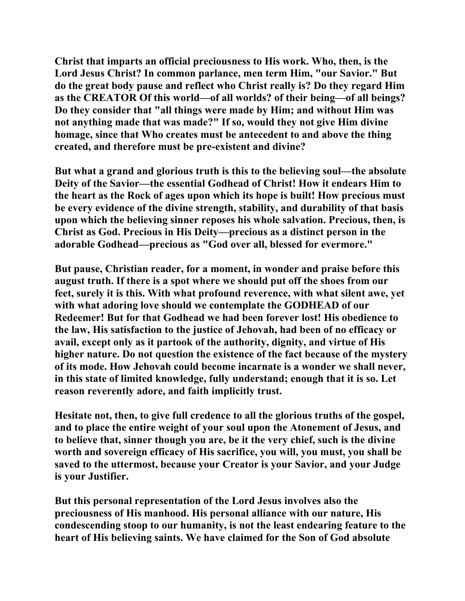**Christ that imparts an official preciousness to His work. Who, then, is the Lord Jesus Christ? In common parlance, men term Him, "our Savior." But do the great body pause and reflect who Christ really is? Do they regard Him as the CREATOR Of this world—of all worlds? of their being—of all beings? Do they consider that "all things were made by Him; and without Him was not anything made that was made?" If so, would they not give Him divine homage, since that Who creates must be antecedent to and above the thing created, and therefore must be pre-existent and divine?** 

**But what a grand and glorious truth is this to the believing soul—the absolute Deity of the Savior—the essential Godhead of Christ! How it endears Him to the heart as the Rock of ages upon which its hope is built! How precious must be every evidence of the divine strength, stability, and durability of that basis upon which the believing sinner reposes his whole salvation. Precious, then, is Christ as God. Precious in His Deity—precious as a distinct person in the adorable Godhead—precious as "God over all, blessed for evermore."** 

**But pause, Christian reader, for a moment, in wonder and praise before this august truth. If there is a spot where we should put off the shoes from our feet, surely it is this. With what profound reverence, with what silent awe, yet with what adoring love should we contemplate the GODHEAD of our Redeemer! But for that Godhead we had been forever lost! His obedience to the law, His satisfaction to the justice of Jehovah, had been of no efficacy or avail, except only as it partook of the authority, dignity, and virtue of His higher nature. Do not question the existence of the fact because of the mystery of its mode. How Jehovah could become incarnate is a wonder we shall never, in this state of limited knowledge, fully understand; enough that it is so. Let reason reverently adore, and faith implicitly trust.** 

**Hesitate not, then, to give full credence to all the glorious truths of the gospel, and to place the entire weight of your soul upon the Atonement of Jesus, and to believe that, sinner though you are, be it the very chief, such is the divine worth and sovereign efficacy of His sacrifice, you will, you must, you shall be saved to the uttermost, because your Creator is your Savior, and your Judge is your Justifier.** 

**But this personal representation of the Lord Jesus involves also the preciousness of His manhood. His personal alliance with our nature, His condescending stoop to our humanity, is not the least endearing feature to the heart of His believing saints. We have claimed for the Son of God absolute**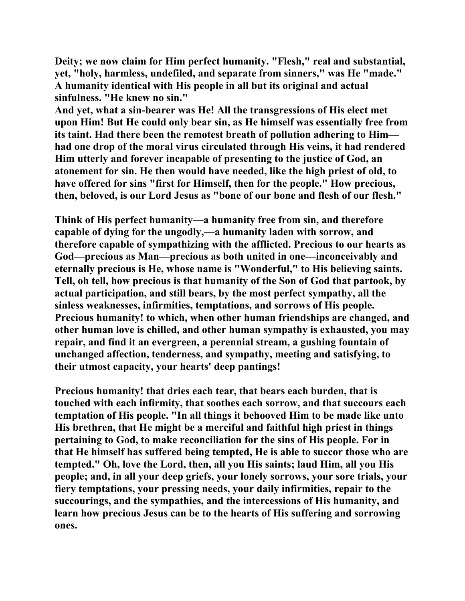**Deity; we now claim for Him perfect humanity. "Flesh," real and substantial, yet, "holy, harmless, undefiled, and separate from sinners," was He "made." A humanity identical with His people in all but its original and actual sinfulness. "He knew no sin."** 

**And yet, what a sin-bearer was He! All the transgressions of His elect met upon Him! But He could only bear sin, as He himself was essentially free from its taint. Had there been the remotest breath of pollution adhering to Him had one drop of the moral virus circulated through His veins, it had rendered Him utterly and forever incapable of presenting to the justice of God, an atonement for sin. He then would have needed, like the high priest of old, to have offered for sins "first for Himself, then for the people." How precious, then, beloved, is our Lord Jesus as "bone of our bone and flesh of our flesh."** 

**Think of His perfect humanity—a humanity free from sin, and therefore capable of dying for the ungodly,—a humanity laden with sorrow, and therefore capable of sympathizing with the afflicted. Precious to our hearts as God—precious as Man—precious as both united in one—inconceivably and eternally precious is He, whose name is "Wonderful," to His believing saints. Tell, oh tell, how precious is that humanity of the Son of God that partook, by actual participation, and still bears, by the most perfect sympathy, all the sinless weaknesses, infirmities, temptations, and sorrows of His people. Precious humanity! to which, when other human friendships are changed, and other human love is chilled, and other human sympathy is exhausted, you may repair, and find it an evergreen, a perennial stream, a gushing fountain of unchanged affection, tenderness, and sympathy, meeting and satisfying, to their utmost capacity, your hearts' deep pantings!** 

**Precious humanity! that dries each tear, that bears each burden, that is touched with each infirmity, that soothes each sorrow, and that succours each temptation of His people. "In all things it behooved Him to be made like unto His brethren, that He might be a merciful and faithful high priest in things pertaining to God, to make reconciliation for the sins of His people. For in that He himself has suffered being tempted, He is able to succor those who are tempted." Oh, love the Lord, then, all you His saints; laud Him, all you His people; and, in all your deep griefs, your lonely sorrows, your sore trials, your fiery temptations, your pressing needs, your daily infirmities, repair to the succourings, and the sympathies, and the intercessions of His humanity, and learn how precious Jesus can be to the hearts of His suffering and sorrowing ones.**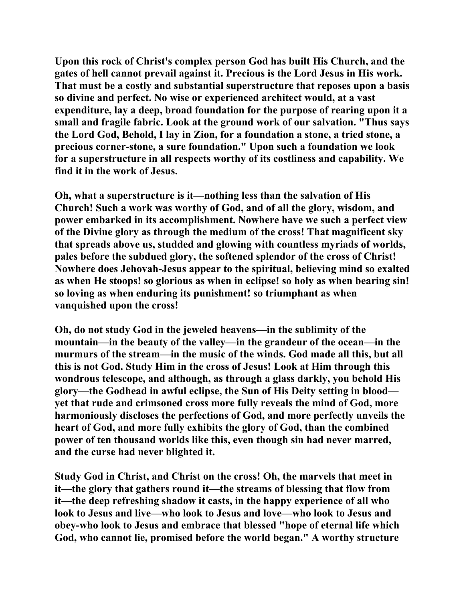**Upon this rock of Christ's complex person God has built His Church, and the gates of hell cannot prevail against it. Precious is the Lord Jesus in His work. That must be a costly and substantial superstructure that reposes upon a basis so divine and perfect. No wise or experienced architect would, at a vast expenditure, lay a deep, broad foundation for the purpose of rearing upon it a small and fragile fabric. Look at the ground work of our salvation. "Thus says the Lord God, Behold, I lay in Zion, for a foundation a stone, a tried stone, a precious corner-stone, a sure foundation." Upon such a foundation we look for a superstructure in all respects worthy of its costliness and capability. We find it in the work of Jesus.** 

**Oh, what a superstructure is it—nothing less than the salvation of His Church! Such a work was worthy of God, and of all the glory, wisdom, and power embarked in its accomplishment. Nowhere have we such a perfect view of the Divine glory as through the medium of the cross! That magnificent sky that spreads above us, studded and glowing with countless myriads of worlds, pales before the subdued glory, the softened splendor of the cross of Christ! Nowhere does Jehovah-Jesus appear to the spiritual, believing mind so exalted as when He stoops! so glorious as when in eclipse! so holy as when bearing sin! so loving as when enduring its punishment! so triumphant as when vanquished upon the cross!** 

**Oh, do not study God in the jeweled heavens—in the sublimity of the mountain—in the beauty of the valley—in the grandeur of the ocean—in the murmurs of the stream—in the music of the winds. God made all this, but all this is not God. Study Him in the cross of Jesus! Look at Him through this wondrous telescope, and although, as through a glass darkly, you behold His glory—the Godhead in awful eclipse, the Sun of His Deity setting in blood yet that rude and crimsoned cross more fully reveals the mind of God, more harmoniously discloses the perfections of God, and more perfectly unveils the heart of God, and more fully exhibits the glory of God, than the combined power of ten thousand worlds like this, even though sin had never marred, and the curse had never blighted it.** 

**Study God in Christ, and Christ on the cross! Oh, the marvels that meet in it—the glory that gathers round it—the streams of blessing that flow from it—the deep refreshing shadow it casts, in the happy experience of all who look to Jesus and live—who look to Jesus and love—who look to Jesus and obey-who look to Jesus and embrace that blessed "hope of eternal life which God, who cannot lie, promised before the world began." A worthy structure**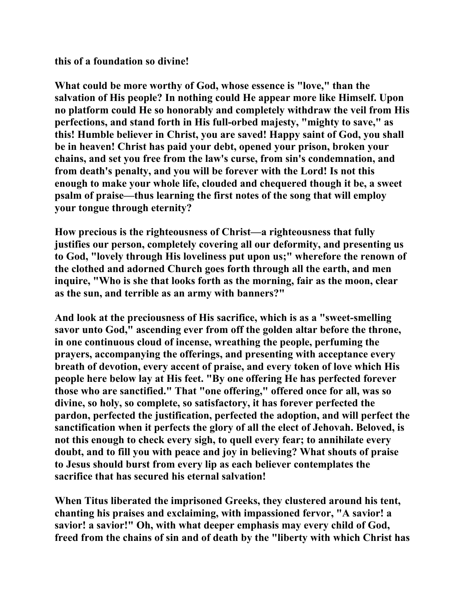**this of a foundation so divine!** 

**What could be more worthy of God, whose essence is "love," than the salvation of His people? In nothing could He appear more like Himself. Upon no platform could He so honorably and completely withdraw the veil from His perfections, and stand forth in His full-orbed majesty, "mighty to save," as this! Humble believer in Christ, you are saved! Happy saint of God, you shall be in heaven! Christ has paid your debt, opened your prison, broken your chains, and set you free from the law's curse, from sin's condemnation, and from death's penalty, and you will be forever with the Lord! Is not this enough to make your whole life, clouded and chequered though it be, a sweet psalm of praise—thus learning the first notes of the song that will employ your tongue through eternity?** 

**How precious is the righteousness of Christ—a righteousness that fully justifies our person, completely covering all our deformity, and presenting us to God, "lovely through His loveliness put upon us;" wherefore the renown of the clothed and adorned Church goes forth through all the earth, and men inquire, "Who is she that looks forth as the morning, fair as the moon, clear as the sun, and terrible as an army with banners?"** 

**And look at the preciousness of His sacrifice, which is as a "sweet-smelling savor unto God," ascending ever from off the golden altar before the throne, in one continuous cloud of incense, wreathing the people, perfuming the prayers, accompanying the offerings, and presenting with acceptance every breath of devotion, every accent of praise, and every token of love which His people here below lay at His feet. "By one offering He has perfected forever those who are sanctified." That "one offering," offered once for all, was so divine, so holy, so complete, so satisfactory, it has forever perfected the pardon, perfected the justification, perfected the adoption, and will perfect the sanctification when it perfects the glory of all the elect of Jehovah. Beloved, is not this enough to check every sigh, to quell every fear; to annihilate every doubt, and to fill you with peace and joy in believing? What shouts of praise to Jesus should burst from every lip as each believer contemplates the sacrifice that has secured his eternal salvation!** 

**When Titus liberated the imprisoned Greeks, they clustered around his tent, chanting his praises and exclaiming, with impassioned fervor, "A savior! a savior! a savior!" Oh, with what deeper emphasis may every child of God, freed from the chains of sin and of death by the "liberty with which Christ has**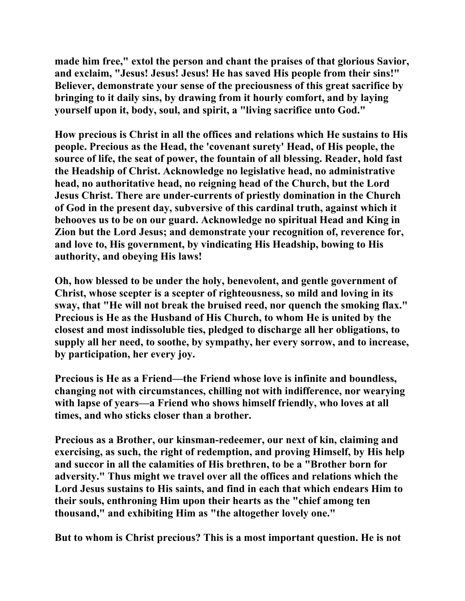**made him free," extol the person and chant the praises of that glorious Savior, and exclaim, "Jesus! Jesus! Jesus! He has saved His people from their sins!" Believer, demonstrate your sense of the preciousness of this great sacrifice by bringing to it daily sins, by drawing from it hourly comfort, and by laying yourself upon it, body, soul, and spirit, a "living sacrifice unto God."** 

**How precious is Christ in all the offices and relations which He sustains to His people. Precious as the Head, the 'covenant surety' Head, of His people, the source of life, the seat of power, the fountain of all blessing. Reader, hold fast the Headship of Christ. Acknowledge no legislative head, no administrative head, no authoritative head, no reigning head of the Church, but the Lord Jesus Christ. There are under-currents of priestly domination in the Church of God in the present day, subversive of this cardinal truth, against which it behooves us to be on our guard. Acknowledge no spiritual Head and King in Zion but the Lord Jesus; and demonstrate your recognition of, reverence for, and love to, His government, by vindicating His Headship, bowing to His authority, and obeying His laws!** 

**Oh, how blessed to be under the holy, benevolent, and gentle government of Christ, whose scepter is a scepter of righteousness, so mild and loving in its sway, that "He will not break the bruised reed, nor quench the smoking flax." Precious is He as the Husband of His Church, to whom He is united by the closest and most indissoluble ties, pledged to discharge all her obligations, to supply all her need, to soothe, by sympathy, her every sorrow, and to increase, by participation, her every joy.** 

**Precious is He as a Friend—the Friend whose love is infinite and boundless, changing not with circumstances, chilling not with indifference, nor wearying with lapse of years—a Friend who shows himself friendly, who loves at all times, and who sticks closer than a brother.** 

**Precious as a Brother, our kinsman-redeemer, our next of kin, claiming and exercising, as such, the right of redemption, and proving Himself, by His help and succor in all the calamities of His brethren, to be a "Brother born for adversity." Thus might we travel over all the offices and relations which the Lord Jesus sustains to His saints, and find in each that which endears Him to their souls, enthroning Him upon their hearts as the "chief among ten thousand," and exhibiting Him as "the altogether lovely one."** 

**But to whom is Christ precious? This is a most important question. He is not**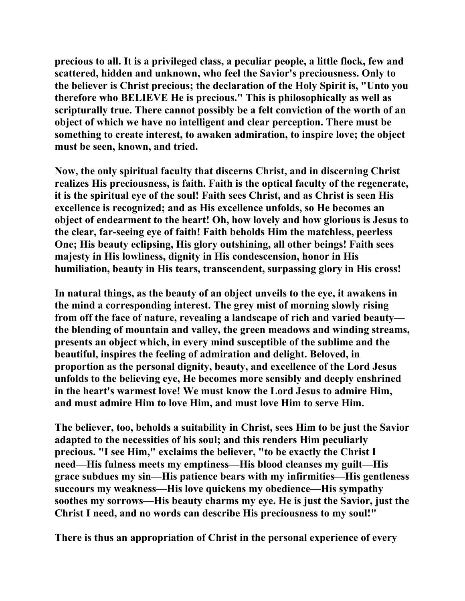**precious to all. It is a privileged class, a peculiar people, a little flock, few and scattered, hidden and unknown, who feel the Savior's preciousness. Only to the believer is Christ precious; the declaration of the Holy Spirit is, "Unto you therefore who BELIEVE He is precious." This is philosophically as well as scripturally true. There cannot possibly be a felt conviction of the worth of an object of which we have no intelligent and clear perception. There must be something to create interest, to awaken admiration, to inspire love; the object must be seen, known, and tried.** 

**Now, the only spiritual faculty that discerns Christ, and in discerning Christ realizes His preciousness, is faith. Faith is the optical faculty of the regenerate, it is the spiritual eye of the soul! Faith sees Christ, and as Christ is seen His excellence is recognized; and as His excellence unfolds, so He becomes an object of endearment to the heart! Oh, how lovely and how glorious is Jesus to the clear, far-seeing eye of faith! Faith beholds Him the matchless, peerless One; His beauty eclipsing, His glory outshining, all other beings! Faith sees majesty in His lowliness, dignity in His condescension, honor in His humiliation, beauty in His tears, transcendent, surpassing glory in His cross!** 

**In natural things, as the beauty of an object unveils to the eye, it awakens in the mind a corresponding interest. The grey mist of morning slowly rising from off the face of nature, revealing a landscape of rich and varied beauty the blending of mountain and valley, the green meadows and winding streams, presents an object which, in every mind susceptible of the sublime and the beautiful, inspires the feeling of admiration and delight. Beloved, in proportion as the personal dignity, beauty, and excellence of the Lord Jesus unfolds to the believing eye, He becomes more sensibly and deeply enshrined in the heart's warmest love! We must know the Lord Jesus to admire Him, and must admire Him to love Him, and must love Him to serve Him.** 

**The believer, too, beholds a suitability in Christ, sees Him to be just the Savior adapted to the necessities of his soul; and this renders Him peculiarly precious. "I see Him," exclaims the believer, "to be exactly the Christ I need—His fulness meets my emptiness—His blood cleanses my guilt—His grace subdues my sin—His patience bears with my infirmities—His gentleness succours my weakness—His love quickens my obedience—His sympathy soothes my sorrows—His beauty charms my eye. He is just the Savior, just the Christ I need, and no words can describe His preciousness to my soul!"** 

**There is thus an appropriation of Christ in the personal experience of every**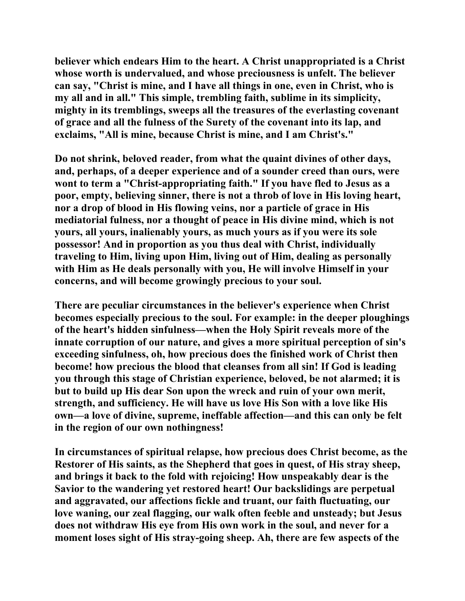**believer which endears Him to the heart. A Christ unappropriated is a Christ whose worth is undervalued, and whose preciousness is unfelt. The believer can say, "Christ is mine, and I have all things in one, even in Christ, who is my all and in all." This simple, trembling faith, sublime in its simplicity, mighty in its tremblings, sweeps all the treasures of the everlasting covenant of grace and all the fulness of the Surety of the covenant into its lap, and exclaims, "All is mine, because Christ is mine, and I am Christ's."** 

**Do not shrink, beloved reader, from what the quaint divines of other days, and, perhaps, of a deeper experience and of a sounder creed than ours, were wont to term a "Christ-appropriating faith." If you have fled to Jesus as a poor, empty, believing sinner, there is not a throb of love in His loving heart, nor a drop of blood in His flowing veins, nor a particle of grace in His mediatorial fulness, nor a thought of peace in His divine mind, which is not yours, all yours, inalienably yours, as much yours as if you were its sole possessor! And in proportion as you thus deal with Christ, individually traveling to Him, living upon Him, living out of Him, dealing as personally with Him as He deals personally with you, He will involve Himself in your concerns, and will become growingly precious to your soul.** 

**There are peculiar circumstances in the believer's experience when Christ becomes especially precious to the soul. For example: in the deeper ploughings of the heart's hidden sinfulness—when the Holy Spirit reveals more of the innate corruption of our nature, and gives a more spiritual perception of sin's exceeding sinfulness, oh, how precious does the finished work of Christ then become! how precious the blood that cleanses from all sin! If God is leading you through this stage of Christian experience, beloved, be not alarmed; it is but to build up His dear Son upon the wreck and ruin of your own merit, strength, and sufficiency. He will have us love His Son with a love like His own—a love of divine, supreme, ineffable affection—and this can only be felt in the region of our own nothingness!** 

**In circumstances of spiritual relapse, how precious does Christ become, as the Restorer of His saints, as the Shepherd that goes in quest, of His stray sheep, and brings it back to the fold with rejoicing! How unspeakably dear is the Savior to the wandering yet restored heart! Our backslidings are perpetual and aggravated, our affections fickle and truant, our faith fluctuating, our love waning, our zeal flagging, our walk often feeble and unsteady; but Jesus does not withdraw His eye from His own work in the soul, and never for a moment loses sight of His stray-going sheep. Ah, there are few aspects of the**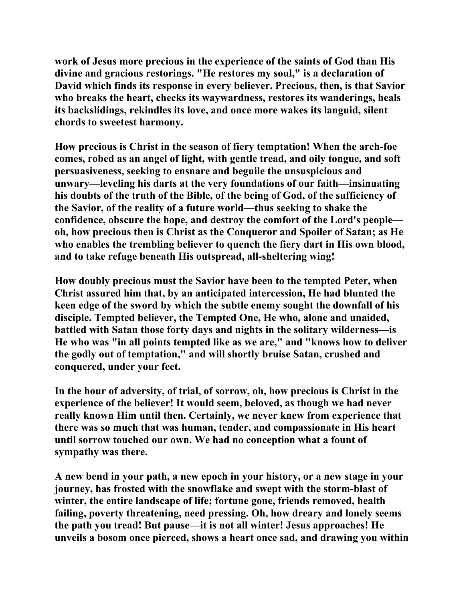**work of Jesus more precious in the experience of the saints of God than His divine and gracious restorings. "He restores my soul," is a declaration of David which finds its response in every believer. Precious, then, is that Savior who breaks the heart, checks its waywardness, restores its wanderings, heals its backslidings, rekindles its love, and once more wakes its languid, silent chords to sweetest harmony.** 

**How precious is Christ in the season of fiery temptation! When the arch-foe comes, robed as an angel of light, with gentle tread, and oily tongue, and soft persuasiveness, seeking to ensnare and beguile the unsuspicious and unwary—leveling his darts at the very foundations of our faith—insinuating his doubts of the truth of the Bible, of the being of God, of the sufficiency of the Savior, of the reality of a future world—thus seeking to shake the confidence, obscure the hope, and destroy the comfort of the Lord's people oh, how precious then is Christ as the Conqueror and Spoiler of Satan; as He who enables the trembling believer to quench the fiery dart in His own blood, and to take refuge beneath His outspread, all-sheltering wing!** 

**How doubly precious must the Savior have been to the tempted Peter, when Christ assured him that, by an anticipated intercession, He had blunted the keen edge of the sword by which the subtle enemy sought the downfall of his disciple. Tempted believer, the Tempted One, He who, alone and unaided, battled with Satan those forty days and nights in the solitary wilderness—is He who was "in all points tempted like as we are," and "knows how to deliver the godly out of temptation," and will shortly bruise Satan, crushed and conquered, under your feet.** 

**In the hour of adversity, of trial, of sorrow, oh, how precious is Christ in the experience of the believer! It would seem, beloved, as though we had never really known Him until then. Certainly, we never knew from experience that there was so much that was human, tender, and compassionate in His heart until sorrow touched our own. We had no conception what a fount of sympathy was there.** 

**A new bend in your path, a new epoch in your history, or a new stage in your journey, has frosted with the snowflake and swept with the storm-blast of winter, the entire landscape of life; fortune gone, friends removed, health failing, poverty threatening, need pressing. Oh, how dreary and lonely seems the path you tread! But pause—it is not all winter! Jesus approaches! He unveils a bosom once pierced, shows a heart once sad, and drawing you within**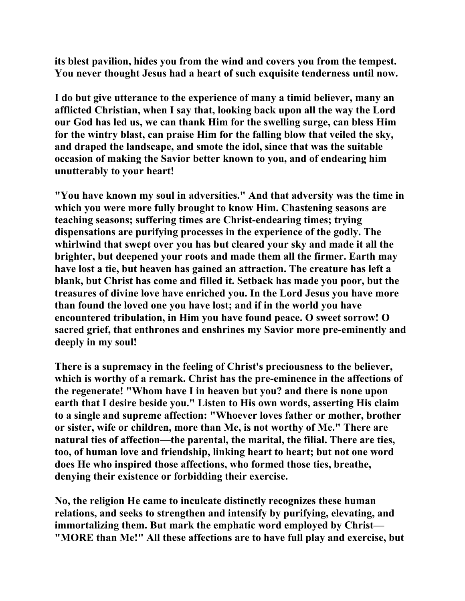**its blest pavilion, hides you from the wind and covers you from the tempest. You never thought Jesus had a heart of such exquisite tenderness until now.** 

**I do but give utterance to the experience of many a timid believer, many an afflicted Christian, when I say that, looking back upon all the way the Lord our God has led us, we can thank Him for the swelling surge, can bless Him for the wintry blast, can praise Him for the falling blow that veiled the sky, and draped the landscape, and smote the idol, since that was the suitable occasion of making the Savior better known to you, and of endearing him unutterably to your heart!** 

**"You have known my soul in adversities." And that adversity was the time in which you were more fully brought to know Him. Chastening seasons are teaching seasons; suffering times are Christ-endearing times; trying dispensations are purifying processes in the experience of the godly. The whirlwind that swept over you has but cleared your sky and made it all the brighter, but deepened your roots and made them all the firmer. Earth may have lost a tie, but heaven has gained an attraction. The creature has left a blank, but Christ has come and filled it. Setback has made you poor, but the treasures of divine love have enriched you. In the Lord Jesus you have more than found the loved one you have lost; and if in the world you have encountered tribulation, in Him you have found peace. O sweet sorrow! O sacred grief, that enthrones and enshrines my Savior more pre-eminently and deeply in my soul!** 

**There is a supremacy in the feeling of Christ's preciousness to the believer, which is worthy of a remark. Christ has the pre-eminence in the affections of the regenerate! "Whom have I in heaven but you? and there is none upon earth that I desire beside you." Listen to His own words, asserting His claim to a single and supreme affection: "Whoever loves father or mother, brother or sister, wife or children, more than Me, is not worthy of Me." There are natural ties of affection—the parental, the marital, the filial. There are ties, too, of human love and friendship, linking heart to heart; but not one word does He who inspired those affections, who formed those ties, breathe, denying their existence or forbidding their exercise.** 

**No, the religion He came to inculcate distinctly recognizes these human relations, and seeks to strengthen and intensify by purifying, elevating, and immortalizing them. But mark the emphatic word employed by Christ— "MORE than Me!" All these affections are to have full play and exercise, but**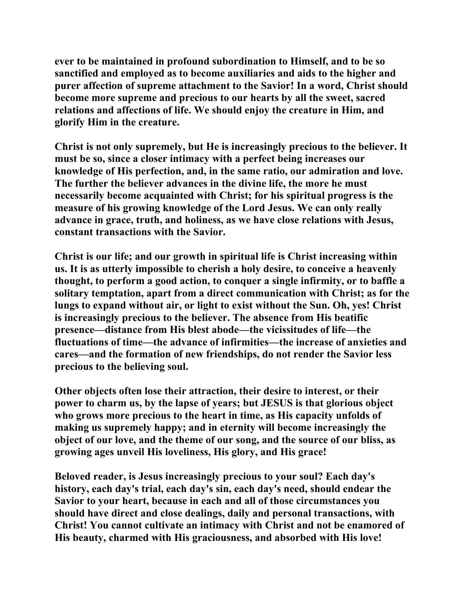**ever to be maintained in profound subordination to Himself, and to be so sanctified and employed as to become auxiliaries and aids to the higher and purer affection of supreme attachment to the Savior! In a word, Christ should become more supreme and precious to our hearts by all the sweet, sacred relations and affections of life. We should enjoy the creature in Him, and glorify Him in the creature.** 

**Christ is not only supremely, but He is increasingly precious to the believer. It must be so, since a closer intimacy with a perfect being increases our knowledge of His perfection, and, in the same ratio, our admiration and love. The further the believer advances in the divine life, the more he must necessarily become acquainted with Christ; for his spiritual progress is the measure of his growing knowledge of the Lord Jesus. We can only really advance in grace, truth, and holiness, as we have close relations with Jesus, constant transactions with the Savior.** 

**Christ is our life; and our growth in spiritual life is Christ increasing within us. It is as utterly impossible to cherish a holy desire, to conceive a heavenly thought, to perform a good action, to conquer a single infirmity, or to baffle a solitary temptation, apart from a direct communication with Christ; as for the lungs to expand without air, or light to exist without the Sun. Oh, yes! Christ is increasingly precious to the believer. The absence from His beatific presence—distance from His blest abode—the vicissitudes of life—the fluctuations of time—the advance of infirmities—the increase of anxieties and cares—and the formation of new friendships, do not render the Savior less precious to the believing soul.** 

**Other objects often lose their attraction, their desire to interest, or their power to charm us, by the lapse of years; but JESUS is that glorious object who grows more precious to the heart in time, as His capacity unfolds of making us supremely happy; and in eternity will become increasingly the object of our love, and the theme of our song, and the source of our bliss, as growing ages unveil His loveliness, His glory, and His grace!** 

**Beloved reader, is Jesus increasingly precious to your soul? Each day's history, each day's trial, each day's sin, each day's need, should endear the Savior to your heart, because in each and all of those circumstances you should have direct and close dealings, daily and personal transactions, with Christ! You cannot cultivate an intimacy with Christ and not be enamored of His beauty, charmed with His graciousness, and absorbed with His love!**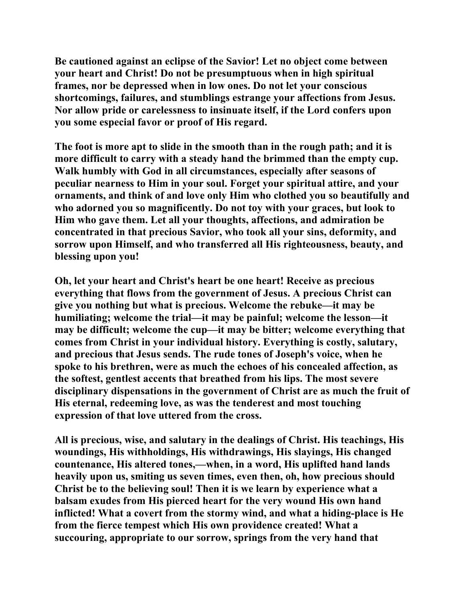**Be cautioned against an eclipse of the Savior! Let no object come between your heart and Christ! Do not be presumptuous when in high spiritual frames, nor be depressed when in low ones. Do not let your conscious shortcomings, failures, and stumblings estrange your affections from Jesus. Nor allow pride or carelessness to insinuate itself, if the Lord confers upon you some especial favor or proof of His regard.** 

**The foot is more apt to slide in the smooth than in the rough path; and it is more difficult to carry with a steady hand the brimmed than the empty cup. Walk humbly with God in all circumstances, especially after seasons of peculiar nearness to Him in your soul. Forget your spiritual attire, and your ornaments, and think of and love only Him who clothed you so beautifully and who adorned you so magnificently. Do not toy with your graces, but look to Him who gave them. Let all your thoughts, affections, and admiration be concentrated in that precious Savior, who took all your sins, deformity, and sorrow upon Himself, and who transferred all His righteousness, beauty, and blessing upon you!** 

**Oh, let your heart and Christ's heart be one heart! Receive as precious everything that flows from the government of Jesus. A precious Christ can give you nothing but what is precious. Welcome the rebuke—it may be humiliating; welcome the trial—it may be painful; welcome the lesson—it may be difficult; welcome the cup—it may be bitter; welcome everything that comes from Christ in your individual history. Everything is costly, salutary, and precious that Jesus sends. The rude tones of Joseph's voice, when he spoke to his brethren, were as much the echoes of his concealed affection, as the softest, gentlest accents that breathed from his lips. The most severe disciplinary dispensations in the government of Christ are as much the fruit of His eternal, redeeming love, as was the tenderest and most touching expression of that love uttered from the cross.** 

**All is precious, wise, and salutary in the dealings of Christ. His teachings, His woundings, His withholdings, His withdrawings, His slayings, His changed countenance, His altered tones,—when, in a word, His uplifted hand lands heavily upon us, smiting us seven times, even then, oh, how precious should Christ be to the believing soul! Then it is we learn by experience what a balsam exudes from His pierced heart for the very wound His own hand inflicted! What a covert from the stormy wind, and what a hiding-place is He from the fierce tempest which His own providence created! What a succouring, appropriate to our sorrow, springs from the very hand that**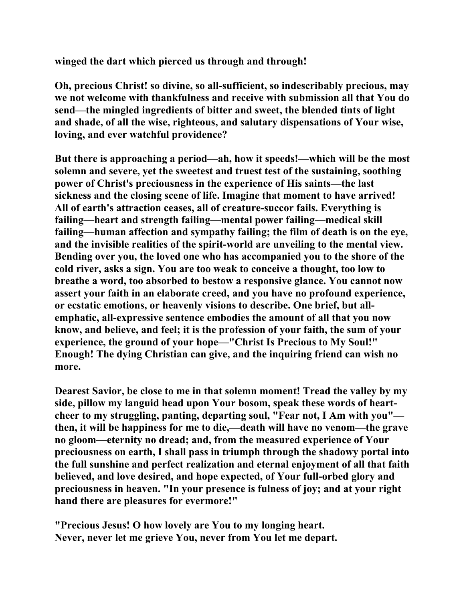**winged the dart which pierced us through and through!** 

**Oh, precious Christ! so divine, so all-sufficient, so indescribably precious, may we not welcome with thankfulness and receive with submission all that You do send—the mingled ingredients of bitter and sweet, the blended tints of light and shade, of all the wise, righteous, and salutary dispensations of Your wise, loving, and ever watchful providence?** 

**But there is approaching a period—ah, how it speeds!—which will be the most solemn and severe, yet the sweetest and truest test of the sustaining, soothing power of Christ's preciousness in the experience of His saints—the last sickness and the closing scene of life. Imagine that moment to have arrived! All of earth's attraction ceases, all of creature-succor fails. Everything is failing—heart and strength failing—mental power failing—medical skill failing—human affection and sympathy failing; the film of death is on the eye, and the invisible realities of the spirit-world are unveiling to the mental view. Bending over you, the loved one who has accompanied you to the shore of the cold river, asks a sign. You are too weak to conceive a thought, too low to breathe a word, too absorbed to bestow a responsive glance. You cannot now assert your faith in an elaborate creed, and you have no profound experience, or ecstatic emotions, or heavenly visions to describe. One brief, but allemphatic, all-expressive sentence embodies the amount of all that you now know, and believe, and feel; it is the profession of your faith, the sum of your experience, the ground of your hope—"Christ Is Precious to My Soul!" Enough! The dying Christian can give, and the inquiring friend can wish no more.** 

**Dearest Savior, be close to me in that solemn moment! Tread the valley by my side, pillow my languid head upon Your bosom, speak these words of heartcheer to my struggling, panting, departing soul, "Fear not, I Am with you" then, it will be happiness for me to die,—death will have no venom—the grave no gloom—eternity no dread; and, from the measured experience of Your preciousness on earth, I shall pass in triumph through the shadowy portal into the full sunshine and perfect realization and eternal enjoyment of all that faith believed, and love desired, and hope expected, of Your full-orbed glory and preciousness in heaven. "In your presence is fulness of joy; and at your right hand there are pleasures for evermore!"** 

**"Precious Jesus! O how lovely are You to my longing heart. Never, never let me grieve You, never from You let me depart.**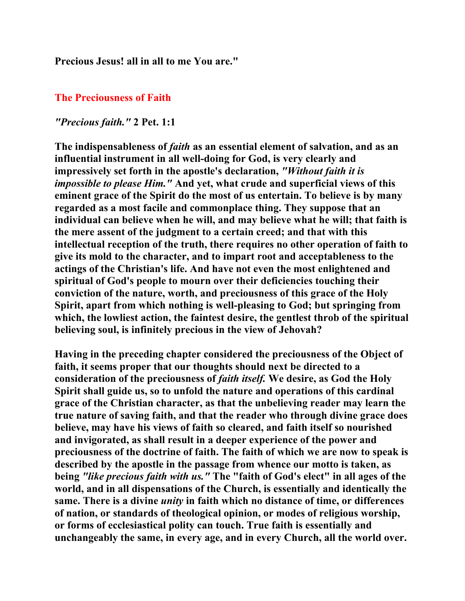**Precious Jesus! all in all to me You are."** 

#### **The Preciousness of Faith**

# *"Precious faith."* **2 Pet. 1:1**

**The indispensableness of** *faith* **as an essential element of salvation, and as an influential instrument in all well-doing for God, is very clearly and impressively set forth in the apostle's declaration,** *"Without faith it is impossible to please Him."* **And yet, what crude and superficial views of this eminent grace of the Spirit do the most of us entertain. To believe is by many regarded as a most facile and commonplace thing. They suppose that an individual can believe when he will, and may believe what he will; that faith is the mere assent of the judgment to a certain creed; and that with this intellectual reception of the truth, there requires no other operation of faith to give its mold to the character, and to impart root and acceptableness to the actings of the Christian's life. And have not even the most enlightened and spiritual of God's people to mourn over their deficiencies touching their conviction of the nature, worth, and preciousness of this grace of the Holy Spirit, apart from which nothing is well-pleasing to God; but springing from which, the lowliest action, the faintest desire, the gentlest throb of the spiritual believing soul, is infinitely precious in the view of Jehovah?** 

**Having in the preceding chapter considered the preciousness of the Object of faith, it seems proper that our thoughts should next be directed to a consideration of the preciousness of** *faith itself.* **We desire, as God the Holy Spirit shall guide us, so to unfold the nature and operations of this cardinal grace of the Christian character, as that the unbelieving reader may learn the true nature of saving faith, and that the reader who through divine grace does believe, may have his views of faith so cleared, and faith itself so nourished and invigorated, as shall result in a deeper experience of the power and preciousness of the doctrine of faith. The faith of which we are now to speak is described by the apostle in the passage from whence our motto is taken, as being** *"like precious faith with us."* **The "faith of God's elect" in all ages of the world, and in all dispensations of the Church, is essentially and identically the same. There is a divine** *unity* **in faith which no distance of time, or differences of nation, or standards of theological opinion, or modes of religious worship, or forms of ecclesiastical polity can touch. True faith is essentially and unchangeably the same, in every age, and in every Church, all the world over.**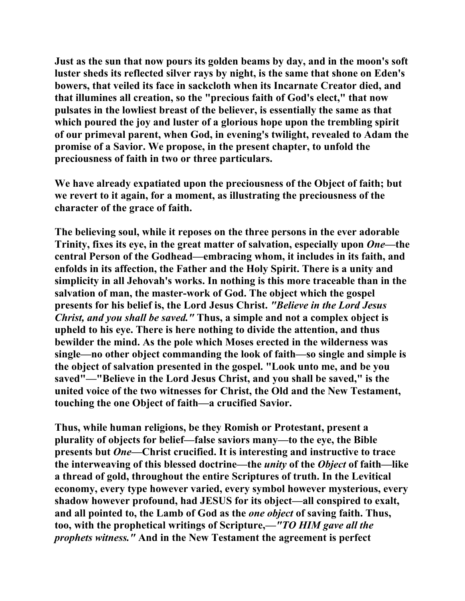**Just as the sun that now pours its golden beams by day, and in the moon's soft luster sheds its reflected silver rays by night, is the same that shone on Eden's bowers, that veiled its face in sackcloth when its Incarnate Creator died, and that illumines all creation, so the "precious faith of God's elect," that now pulsates in the lowliest breast of the believer, is essentially the same as that which poured the joy and luster of a glorious hope upon the trembling spirit of our primeval parent, when God, in evening's twilight, revealed to Adam the promise of a Savior. We propose, in the present chapter, to unfold the preciousness of faith in two or three particulars.** 

**We have already expatiated upon the preciousness of the Object of faith; but we revert to it again, for a moment, as illustrating the preciousness of the character of the grace of faith.** 

**The believing soul, while it reposes on the three persons in the ever adorable Trinity, fixes its eye, in the great matter of salvation, especially upon** *One***—the central Person of the Godhead—embracing whom, it includes in its faith, and enfolds in its affection, the Father and the Holy Spirit. There is a unity and simplicity in all Jehovah's works. In nothing is this more traceable than in the salvation of man, the master-work of God. The object which the gospel presents for his belief is, the Lord Jesus Christ.** *"Believe in the Lord Jesus Christ, and you shall be saved."* **Thus, a simple and not a complex object is upheld to his eye. There is here nothing to divide the attention, and thus bewilder the mind. As the pole which Moses erected in the wilderness was single—no other object commanding the look of faith—so single and simple is the object of salvation presented in the gospel. "Look unto me, and be you saved"—"Believe in the Lord Jesus Christ, and you shall be saved," is the united voice of the two witnesses for Christ, the Old and the New Testament, touching the one Object of faith—a crucified Savior.** 

**Thus, while human religions, be they Romish or Protestant, present a plurality of objects for belief—false saviors many—to the eye, the Bible presents but** *One***—Christ crucified. It is interesting and instructive to trace the interweaving of this blessed doctrine—the** *unity* **of the** *Object* **of faith—like a thread of gold, throughout the entire Scriptures of truth. In the Levitical economy, every type however varied, every symbol however mysterious, every shadow however profound, had JESUS for its object—all conspired to exalt, and all pointed to, the Lamb of God as the** *one object* **of saving faith. Thus, too, with the prophetical writings of Scripture,—***"TO HIM gave all the prophets witness."* **And in the New Testament the agreement is perfect**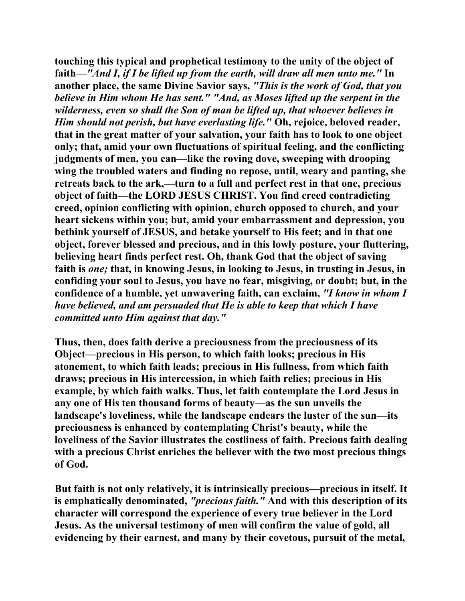**touching this typical and prophetical testimony to the unity of the object of faith—***"And I, if I be lifted up from the earth, will draw all men unto me."* **In another place, the same Divine Savior says,** *"This is the work of God, that you believe in Him whom He has sent." "And, as Moses lifted up the serpent in the wilderness, even so shall the Son of man be lifted up, that whoever believes in Him should not perish, but have everlasting life."* **Oh, rejoice, beloved reader, that in the great matter of your salvation, your faith has to look to one object only; that, amid your own fluctuations of spiritual feeling, and the conflicting judgments of men, you can—like the roving dove, sweeping with drooping wing the troubled waters and finding no repose, until, weary and panting, she retreats back to the ark,—turn to a full and perfect rest in that one, precious object of faith—the LORD JESUS CHRIST. You find creed contradicting creed, opinion conflicting with opinion, church opposed to church, and your heart sickens within you; but, amid your embarrassment and depression, you bethink yourself of JESUS, and betake yourself to His feet; and in that one object, forever blessed and precious, and in this lowly posture, your fluttering, believing heart finds perfect rest. Oh, thank God that the object of saving faith is** *one;* **that, in knowing Jesus, in looking to Jesus, in trusting in Jesus, in confiding your soul to Jesus, you have no fear, misgiving, or doubt; but, in the confidence of a humble, yet unwavering faith, can exclaim,** *"I know in whom I have believed, and am persuaded that He is able to keep that which I have committed unto Him against that day."* 

**Thus, then, does faith derive a preciousness from the preciousness of its Object—precious in His person, to which faith looks; precious in His atonement, to which faith leads; precious in His fullness, from which faith draws; precious in His intercession, in which faith relies; precious in His example, by which faith walks. Thus, let faith contemplate the Lord Jesus in any one of His ten thousand forms of beauty—as the sun unveils the landscape's loveliness, while the landscape endears the luster of the sun—its preciousness is enhanced by contemplating Christ's beauty, while the loveliness of the Savior illustrates the costliness of faith. Precious faith dealing with a precious Christ enriches the believer with the two most precious things of God.** 

**But faith is not only relatively, it is intrinsically precious—precious in itself. It is emphatically denominated,** *"precious faith."* **And with this description of its character will correspond the experience of every true believer in the Lord Jesus. As the universal testimony of men will confirm the value of gold, all evidencing by their earnest, and many by their covetous, pursuit of the metal,**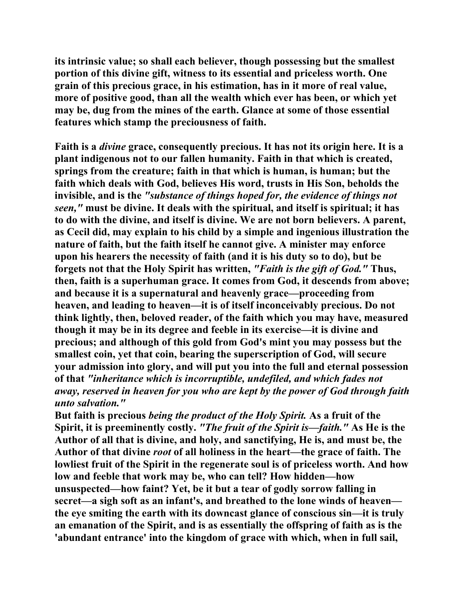**its intrinsic value; so shall each believer, though possessing but the smallest portion of this divine gift, witness to its essential and priceless worth. One grain of this precious grace, in his estimation, has in it more of real value, more of positive good, than all the wealth which ever has been, or which yet may be, dug from the mines of the earth. Glance at some of those essential features which stamp the preciousness of faith.** 

**Faith is a** *divine* **grace, consequently precious. It has not its origin here. It is a plant indigenous not to our fallen humanity. Faith in that which is created, springs from the creature; faith in that which is human, is human; but the faith which deals with God, believes His word, trusts in His Son, beholds the invisible, and is the** *"substance of things hoped for, the evidence of things not seen,"* **must be divine. It deals with the spiritual, and itself is spiritual; it has to do with the divine, and itself is divine. We are not born believers. A parent, as Cecil did, may explain to his child by a simple and ingenious illustration the nature of faith, but the faith itself he cannot give. A minister may enforce upon his hearers the necessity of faith (and it is his duty so to do), but be forgets not that the Holy Spirit has written,** *"Faith is the gift of God."* **Thus, then, faith is a superhuman grace. It comes from God, it descends from above; and because it is a supernatural and heavenly grace—proceeding from heaven, and leading to heaven—it is of itself inconceivably precious. Do not think lightly, then, beloved reader, of the faith which you may have, measured though it may be in its degree and feeble in its exercise—it is divine and precious; and although of this gold from God's mint you may possess but the smallest coin, yet that coin, bearing the superscription of God, will secure your admission into glory, and will put you into the full and eternal possession of that** *"inheritance which is incorruptible, undefiled, and which fades not away, reserved in heaven for you who are kept by the power of God through faith unto salvation."* 

**But faith is precious** *being the product of the Holy Spirit.* **As a fruit of the Spirit, it is preeminently costly.** *"The fruit of the Spirit is—faith."* **As He is the Author of all that is divine, and holy, and sanctifying, He is, and must be, the Author of that divine** *root* **of all holiness in the heart—the grace of faith. The lowliest fruit of the Spirit in the regenerate soul is of priceless worth. And how low and feeble that work may be, who can tell? How hidden—how unsuspected—how faint? Yet, be it but a tear of godly sorrow falling in secret—a sigh soft as an infant's, and breathed to the lone winds of heaven the eye smiting the earth with its downcast glance of conscious sin—it is truly an emanation of the Spirit, and is as essentially the offspring of faith as is the 'abundant entrance' into the kingdom of grace with which, when in full sail,**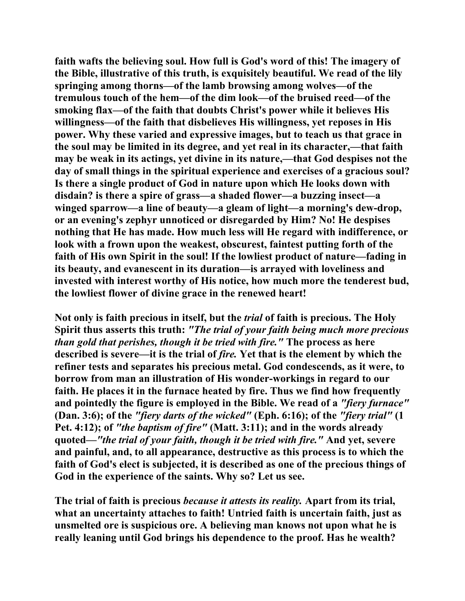**faith wafts the believing soul. How full is God's word of this! The imagery of the Bible, illustrative of this truth, is exquisitely beautiful. We read of the lily springing among thorns—of the lamb browsing among wolves—of the tremulous touch of the hem—of the dim look—of the bruised reed—of the smoking flax—of the faith that doubts Christ's power while it believes His willingness—of the faith that disbelieves His willingness, yet reposes in His power. Why these varied and expressive images, but to teach us that grace in the soul may be limited in its degree, and yet real in its character,—that faith may be weak in its actings, yet divine in its nature,—that God despises not the day of small things in the spiritual experience and exercises of a gracious soul? Is there a single product of God in nature upon which He looks down with disdain? is there a spire of grass—a shaded flower—a buzzing insect—a winged sparrow—a line of beauty—a gleam of light—a morning's dew-drop, or an evening's zephyr unnoticed or disregarded by Him? No! He despises nothing that He has made. How much less will He regard with indifference, or look with a frown upon the weakest, obscurest, faintest putting forth of the faith of His own Spirit in the soul! If the lowliest product of nature—fading in its beauty, and evanescent in its duration—is arrayed with loveliness and invested with interest worthy of His notice, how much more the tenderest bud, the lowliest flower of divine grace in the renewed heart!** 

**Not only is faith precious in itself, but the** *trial* **of faith is precious. The Holy Spirit thus asserts this truth:** *"The trial of your faith being much more precious than gold that perishes, though it be tried with fire."* **The process as here described is severe—it is the trial of** *fire.* **Yet that is the element by which the refiner tests and separates his precious metal. God condescends, as it were, to borrow from man an illustration of His wonder-workings in regard to our faith. He places it in the furnace heated by fire. Thus we find how frequently and pointedly the figure is employed in the Bible. We read of a** *"fiery furnace"*  **(Dan. 3:6); of the** *"fiery darts of the wicked"* **(Eph. 6:16); of the** *"fiery trial"* **(1 Pet. 4:12); of** *"the baptism of fire"* **(Matt. 3:11); and in the words already quoted—***"the trial of your faith, though it be tried with fire."* **And yet, severe and painful, and, to all appearance, destructive as this process is to which the faith of God's elect is subjected, it is described as one of the precious things of God in the experience of the saints. Why so? Let us see.** 

**The trial of faith is precious** *because it attests its reality.* **Apart from its trial, what an uncertainty attaches to faith! Untried faith is uncertain faith, just as unsmelted ore is suspicious ore. A believing man knows not upon what he is really leaning until God brings his dependence to the proof. Has he wealth?**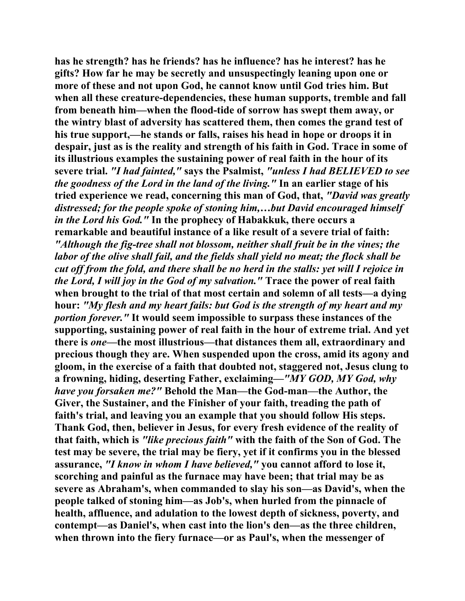**has he strength? has he friends? has he influence? has he interest? has he gifts? How far he may be secretly and unsuspectingly leaning upon one or more of these and not upon God, he cannot know until God tries him. But when all these creature-dependencies, these human supports, tremble and fall from beneath him—when the flood-tide of sorrow has swept them away, or the wintry blast of adversity has scattered them, then comes the grand test of his true support,—he stands or falls, raises his head in hope or droops it in despair, just as is the reality and strength of his faith in God. Trace in some of its illustrious examples the sustaining power of real faith in the hour of its severe trial.** *"I had fainted,"* **says the Psalmist,** *"unless I had BELIEVED to see the goodness of the Lord in the land of the living."* **In an earlier stage of his tried experience we read, concerning this man of God, that,** *"David was greatly distressed; for the people spoke of stoning him,…but David encouraged himself in the Lord his God."* **In the prophecy of Habakkuk, there occurs a remarkable and beautiful instance of a like result of a severe trial of faith:**  *"Although the fig-tree shall not blossom, neither shall fruit be in the vines; the labor of the olive shall fail, and the fields shall yield no meat; the flock shall be cut off from the fold, and there shall be no herd in the stalls: yet will I rejoice in the Lord, I will joy in the God of my salvation."* **Trace the power of real faith when brought to the trial of that most certain and solemn of all tests—a dying hour:** *"My flesh and my heart fails: but God is the strength of my heart and my portion forever."* **It would seem impossible to surpass these instances of the supporting, sustaining power of real faith in the hour of extreme trial. And yet there is** *one***—the most illustrious—that distances them all, extraordinary and precious though they are. When suspended upon the cross, amid its agony and gloom, in the exercise of a faith that doubted not, staggered not, Jesus clung to a frowning, hiding, deserting Father, exclaiming—***"MY GOD, MY God, why have you forsaken me?"* **Behold the Man—the God-man—the Author, the Giver, the Sustainer, and the Finisher of your faith, treading the path of faith's trial, and leaving you an example that you should follow His steps. Thank God, then, believer in Jesus, for every fresh evidence of the reality of that faith, which is** *"like precious faith"* **with the faith of the Son of God. The test may be severe, the trial may be fiery, yet if it confirms you in the blessed assurance,** *"I know in whom I have believed,"* **you cannot afford to lose it, scorching and painful as the furnace may have been; that trial may be as severe as Abraham's, when commanded to slay his son—as David's, when the people talked of stoning him—as Job's, when hurled from the pinnacle of health, affluence, and adulation to the lowest depth of sickness, poverty, and contempt—as Daniel's, when cast into the lion's den—as the three children, when thrown into the fiery furnace—or as Paul's, when the messenger of**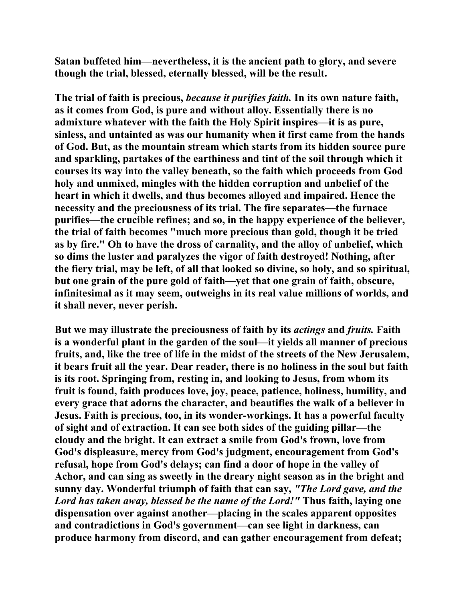**Satan buffeted him—nevertheless, it is the ancient path to glory, and severe though the trial, blessed, eternally blessed, will be the result.** 

**The trial of faith is precious,** *because it purifies faith.* **In its own nature faith, as it comes from God, is pure and without alloy. Essentially there is no admixture whatever with the faith the Holy Spirit inspires—it is as pure, sinless, and untainted as was our humanity when it first came from the hands of God. But, as the mountain stream which starts from its hidden source pure and sparkling, partakes of the earthiness and tint of the soil through which it courses its way into the valley beneath, so the faith which proceeds from God holy and unmixed, mingles with the hidden corruption and unbelief of the heart in which it dwells, and thus becomes alloyed and impaired. Hence the necessity and the preciousness of its trial. The fire separates—the furnace purifies—the crucible refines; and so, in the happy experience of the believer, the trial of faith becomes "much more precious than gold, though it be tried as by fire." Oh to have the dross of carnality, and the alloy of unbelief, which so dims the luster and paralyzes the vigor of faith destroyed! Nothing, after the fiery trial, may be left, of all that looked so divine, so holy, and so spiritual, but one grain of the pure gold of faith—yet that one grain of faith, obscure, infinitesimal as it may seem, outweighs in its real value millions of worlds, and it shall never, never perish.** 

**But we may illustrate the preciousness of faith by its** *actings* **and** *fruits.* **Faith is a wonderful plant in the garden of the soul—it yields all manner of precious fruits, and, like the tree of life in the midst of the streets of the New Jerusalem, it bears fruit all the year. Dear reader, there is no holiness in the soul but faith is its root. Springing from, resting in, and looking to Jesus, from whom its fruit is found, faith produces love, joy, peace, patience, holiness, humility, and every grace that adorns the character, and beautifies the walk of a believer in Jesus. Faith is precious, too, in its wonder-workings. It has a powerful faculty of sight and of extraction. It can see both sides of the guiding pillar—the cloudy and the bright. It can extract a smile from God's frown, love from God's displeasure, mercy from God's judgment, encouragement from God's refusal, hope from God's delays; can find a door of hope in the valley of Achor, and can sing as sweetly in the dreary night season as in the bright and sunny day. Wonderful triumph of faith that can say,** *"The Lord gave, and the Lord has taken away, blessed be the name of the Lord!"* **Thus faith, laying one dispensation over against another—placing in the scales apparent opposites and contradictions in God's government—can see light in darkness, can produce harmony from discord, and can gather encouragement from defeat;**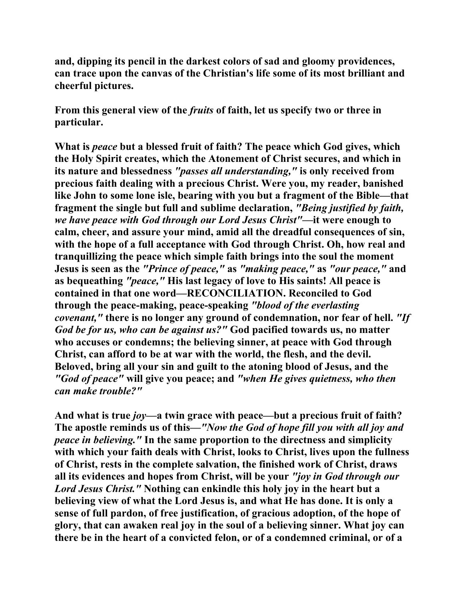**and, dipping its pencil in the darkest colors of sad and gloomy providences, can trace upon the canvas of the Christian's life some of its most brilliant and cheerful pictures.** 

**From this general view of the** *fruits* **of faith, let us specify two or three in particular.** 

**What is** *peace* **but a blessed fruit of faith? The peace which God gives, which the Holy Spirit creates, which the Atonement of Christ secures, and which in its nature and blessedness** *"passes all understanding,"* **is only received from precious faith dealing with a precious Christ. Were you, my reader, banished like John to some lone isle, bearing with you but a fragment of the Bible—that fragment the single but full and sublime declaration,** *"Being justified by faith, we have peace with God through our Lord Jesus Christ"***—it were enough to calm, cheer, and assure your mind, amid all the dreadful consequences of sin, with the hope of a full acceptance with God through Christ. Oh, how real and tranquillizing the peace which simple faith brings into the soul the moment Jesus is seen as the** *"Prince of peace,"* **as** *"making peace,"* **as** *"our peace,"* **and as bequeathing** *"peace,"* **His last legacy of love to His saints! All peace is contained in that one word—RECONCILIATION. Reconciled to God through the peace-making, peace-speaking** *"blood of the everlasting covenant,"* **there is no longer any ground of condemnation, nor fear of hell.** *"If God be for us, who can be against us?"* **God pacified towards us, no matter who accuses or condemns; the believing sinner, at peace with God through Christ, can afford to be at war with the world, the flesh, and the devil. Beloved, bring all your sin and guilt to the atoning blood of Jesus, and the**  *"God of peace"* **will give you peace; and** *"when He gives quietness, who then can make trouble?"* 

**And what is true** *joy***—a twin grace with peace—but a precious fruit of faith? The apostle reminds us of this—***"Now the God of hope fill you with all joy and peace in believing."* **In the same proportion to the directness and simplicity with which your faith deals with Christ, looks to Christ, lives upon the fullness of Christ, rests in the complete salvation, the finished work of Christ, draws all its evidences and hopes from Christ, will be your** *"joy in God through our Lord Jesus Christ."* **Nothing can enkindle this holy joy in the heart but a believing view of what the Lord Jesus is, and what He has done. It is only a sense of full pardon, of free justification, of gracious adoption, of the hope of glory, that can awaken real joy in the soul of a believing sinner. What joy can there be in the heart of a convicted felon, or of a condemned criminal, or of a**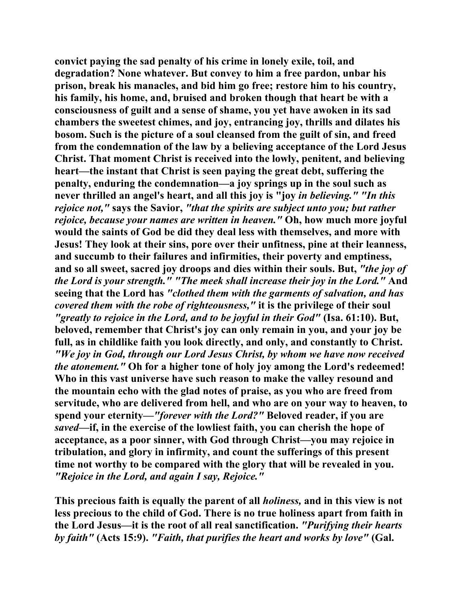**convict paying the sad penalty of his crime in lonely exile, toil, and degradation? None whatever. But convey to him a free pardon, unbar his prison, break his manacles, and bid him go free; restore him to his country, his family, his home, and, bruised and broken though that heart be with a consciousness of guilt and a sense of shame, you yet have awoken in its sad chambers the sweetest chimes, and joy, entrancing joy, thrills and dilates his bosom. Such is the picture of a soul cleansed from the guilt of sin, and freed from the condemnation of the law by a believing acceptance of the Lord Jesus Christ. That moment Christ is received into the lowly, penitent, and believing heart—the instant that Christ is seen paying the great debt, suffering the penalty, enduring the condemnation—a joy springs up in the soul such as never thrilled an angel's heart, and all this joy is "joy** *in believing." "In this rejoice not,"* **says the Savior,** *"that the spirits are subject unto you; but rather rejoice, because your names are written in heaven."* **Oh, how much more joyful would the saints of God be did they deal less with themselves, and more with Jesus! They look at their sins, pore over their unfitness, pine at their leanness, and succumb to their failures and infirmities, their poverty and emptiness, and so all sweet, sacred joy droops and dies within their souls. But,** *"the joy of the Lord is your strength." "The meek shall increase their joy in the Lord."* **And seeing that the Lord has** *"clothed them with the garments of salvation, and has covered them with the robe of righteousness,"* **it is the privilege of their soul**  *"greatly to rejoice in the Lord, and to be joyful in their God"* **(Isa. 61:10). But, beloved, remember that Christ's joy can only remain in you, and your joy be full, as in childlike faith you look directly, and only, and constantly to Christ.**  *"We joy in God, through our Lord Jesus Christ, by whom we have now received the atonement."* **Oh for a higher tone of holy joy among the Lord's redeemed! Who in this vast universe have such reason to make the valley resound and the mountain echo with the glad notes of praise, as you who are freed from servitude, who are delivered from hell, and who are on your way to heaven, to spend your eternity—***"forever with the Lord?"* **Beloved reader, if you are**  *saved***—if, in the exercise of the lowliest faith, you can cherish the hope of acceptance, as a poor sinner, with God through Christ—you may rejoice in tribulation, and glory in infirmity, and count the sufferings of this present time not worthy to be compared with the glory that will be revealed in you.** *"Rejoice in the Lord, and again I say, Rejoice."* 

**This precious faith is equally the parent of all** *holiness,* **and in this view is not less precious to the child of God. There is no true holiness apart from faith in the Lord Jesus—it is the root of all real sanctification.** *"Purifying their hearts by faith"* **(Acts 15:9).** *"Faith, that purifies the heart and works by love"* **(Gal.**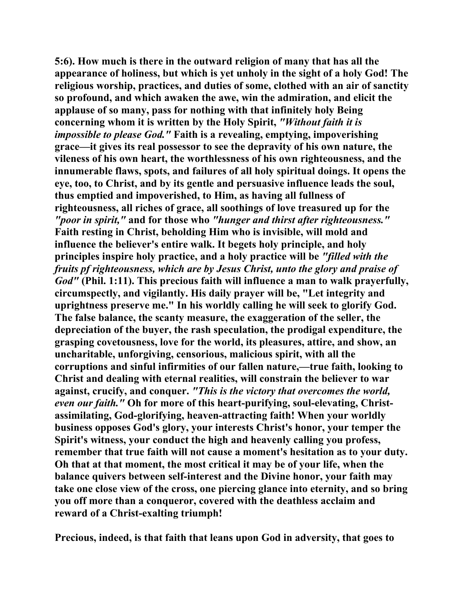**5:6). How much is there in the outward religion of many that has all the appearance of holiness, but which is yet unholy in the sight of a holy God! The religious worship, practices, and duties of some, clothed with an air of sanctity so profound, and which awaken the awe, win the admiration, and elicit the applause of so many, pass for nothing with that infinitely holy Being concerning whom it is written by the Holy Spirit,** *"Without faith it is impossible to please God."* **Faith is a revealing, emptying, impoverishing grace—it gives its real possessor to see the depravity of his own nature, the vileness of his own heart, the worthlessness of his own righteousness, and the innumerable flaws, spots, and failures of all holy spiritual doings. It opens the eye, too, to Christ, and by its gentle and persuasive influence leads the soul, thus emptied and impoverished, to Him, as having all fullness of righteousness, all riches of grace, all soothings of love treasured up for the**  *"poor in spirit,"* **and for those who** *"hunger and thirst after righteousness."* **Faith resting in Christ, beholding Him who is invisible, will mold and influence the believer's entire walk. It begets holy principle, and holy principles inspire holy practice, and a holy practice will be** *"filled with the fruits pf righteousness, which are by Jesus Christ, unto the glory and praise of God"* **(Phil. 1:11). This precious faith will influence a man to walk prayerfully, circumspectly, and vigilantly. His daily prayer will be, "Let integrity and uprightness preserve me." In his worldly calling he will seek to glorify God. The false balance, the scanty measure, the exaggeration of the seller, the depreciation of the buyer, the rash speculation, the prodigal expenditure, the grasping covetousness, love for the world, its pleasures, attire, and show, an uncharitable, unforgiving, censorious, malicious spirit, with all the corruptions and sinful infirmities of our fallen nature,—true faith, looking to Christ and dealing with eternal realities, will constrain the believer to war against, crucify, and conquer.** *"This is the victory that overcomes the world, even our faith."* **Oh for more of this heart-purifying, soul-elevating, Christassimilating, God-glorifying, heaven-attracting faith! When your worldly business opposes God's glory, your interests Christ's honor, your temper the Spirit's witness, your conduct the high and heavenly calling you profess, remember that true faith will not cause a moment's hesitation as to your duty. Oh that at that moment, the most critical it may be of your life, when the balance quivers between self-interest and the Divine honor, your faith may take one close view of the cross, one piercing glance into eternity, and so bring you off more than a conqueror, covered with the deathless acclaim and reward of a Christ-exalting triumph!** 

**Precious, indeed, is that faith that leans upon God in adversity, that goes to**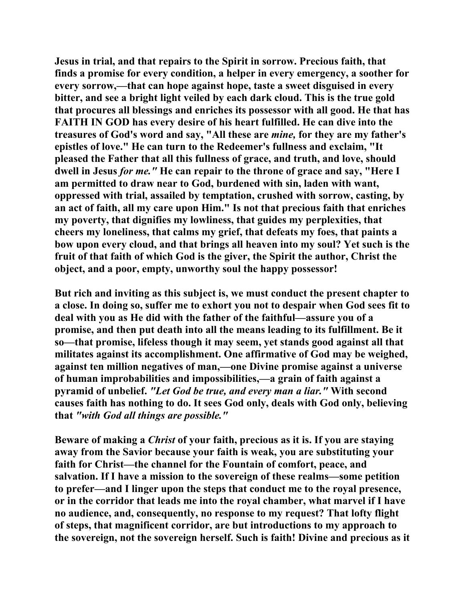**Jesus in trial, and that repairs to the Spirit in sorrow. Precious faith, that finds a promise for every condition, a helper in every emergency, a soother for every sorrow,—that can hope against hope, taste a sweet disguised in every bitter, and see a bright light veiled by each dark cloud. This is the true gold that procures all blessings and enriches its possessor with all good. He that has FAITH IN GOD has every desire of his heart fulfilled. He can dive into the treasures of God's word and say, "All these are** *mine,* **for they are my father's epistles of love." He can turn to the Redeemer's fullness and exclaim, "It pleased the Father that all this fullness of grace, and truth, and love, should dwell in Jesus** *for me."* **He can repair to the throne of grace and say, "Here I am permitted to draw near to God, burdened with sin, laden with want, oppressed with trial, assailed by temptation, crushed with sorrow, casting, by an act of faith, all my care upon Him." Is not that precious faith that enriches my poverty, that dignifies my lowliness, that guides my perplexities, that cheers my loneliness, that calms my grief, that defeats my foes, that paints a bow upon every cloud, and that brings all heaven into my soul? Yet such is the fruit of that faith of which God is the giver, the Spirit the author, Christ the object, and a poor, empty, unworthy soul the happy possessor!** 

**But rich and inviting as this subject is, we must conduct the present chapter to a close. In doing so, suffer me to exhort you not to despair when God sees fit to deal with you as He did with the father of the faithful—assure you of a promise, and then put death into all the means leading to its fulfillment. Be it so—that promise, lifeless though it may seem, yet stands good against all that militates against its accomplishment. One affirmative of God may be weighed, against ten million negatives of man,—one Divine promise against a universe of human improbabilities and impossibilities,—a grain of faith against a pyramid of unbelief.** *"Let God be true, and every man a liar."* **With second causes faith has nothing to do. It sees God only, deals with God only, believing that** *"with God all things are possible."* 

**Beware of making a** *Christ* **of your faith, precious as it is. If you are staying away from the Savior because your faith is weak, you are substituting your faith for Christ—the channel for the Fountain of comfort, peace, and salvation. If I have a mission to the sovereign of these realms—some petition to prefer—and I linger upon the steps that conduct me to the royal presence, or in the corridor that leads me into the royal chamber, what marvel if I have no audience, and, consequently, no response to my request? That lofty flight of steps, that magnificent corridor, are but introductions to my approach to the sovereign, not the sovereign herself. Such is faith! Divine and precious as it**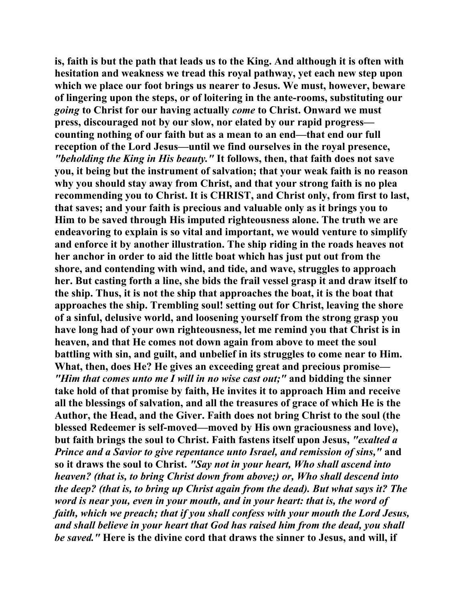**is, faith is but the path that leads us to the King. And although it is often with hesitation and weakness we tread this royal pathway, yet each new step upon which we place our foot brings us nearer to Jesus. We must, however, beware of lingering upon the steps, or of loitering in the ante-rooms, substituting our**  *going* **to Christ for our having actually** *come* **to Christ. Onward we must press, discouraged not by our slow, nor elated by our rapid progress counting nothing of our faith but as a mean to an end—that end our full reception of the Lord Jesus—until we find ourselves in the royal presence,**  *"beholding the King in His beauty."* **It follows, then, that faith does not save you, it being but the instrument of salvation; that your weak faith is no reason why you should stay away from Christ, and that your strong faith is no plea recommending you to Christ. It is CHRIST, and Christ only, from first to last, that saves; and your faith is precious and valuable only as it brings you to Him to be saved through His imputed righteousness alone. The truth we are endeavoring to explain is so vital and important, we would venture to simplify and enforce it by another illustration. The ship riding in the roads heaves not her anchor in order to aid the little boat which has just put out from the shore, and contending with wind, and tide, and wave, struggles to approach her. But casting forth a line, she bids the frail vessel grasp it and draw itself to the ship. Thus, it is not the ship that approaches the boat, it is the boat that approaches the ship. Trembling soul! setting out for Christ, leaving the shore of a sinful, delusive world, and loosening yourself from the strong grasp you have long had of your own righteousness, let me remind you that Christ is in heaven, and that He comes not down again from above to meet the soul battling with sin, and guilt, and unbelief in its struggles to come near to Him. What, then, does He? He gives an exceeding great and precious promise—** *"Him that comes unto me I will in no wise cast out;"* **and bidding the sinner take hold of that promise by faith, He invites it to approach Him and receive all the blessings of salvation, and all the treasures of grace of which He is the Author, the Head, and the Giver. Faith does not bring Christ to the soul (the blessed Redeemer is self-moved—moved by His own graciousness and love), but faith brings the soul to Christ. Faith fastens itself upon Jesus,** *"exalted a Prince and a Savior to give repentance unto Israel, and remission of sins,"* **and so it draws the soul to Christ.** *"Say not in your heart, Who shall ascend into heaven? (that is, to bring Christ down from above;) or, Who shall descend into the deep? (that is, to bring up Christ again from the dead). But what says it? The word is near you, even in your mouth, and in your heart: that is, the word of faith, which we preach; that if you shall confess with your mouth the Lord Jesus, and shall believe in your heart that God has raised him from the dead, you shall be saved."* **Here is the divine cord that draws the sinner to Jesus, and will, if**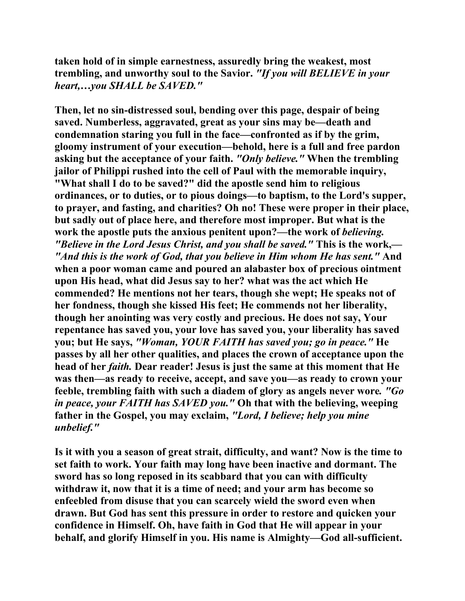**taken hold of in simple earnestness, assuredly bring the weakest, most trembling, and unworthy soul to the Savior.** *"If you will BELIEVE in your heart,…you SHALL be SAVED."* 

**Then, let no sin-distressed soul, bending over this page, despair of being saved. Numberless, aggravated, great as your sins may be—death and condemnation staring you full in the face—confronted as if by the grim, gloomy instrument of your execution—behold, here is a full and free pardon asking but the acceptance of your faith.** *"Only believe."* **When the trembling jailor of Philippi rushed into the cell of Paul with the memorable inquiry, "What shall I do to be saved?" did the apostle send him to religious ordinances, or to duties, or to pious doings—to baptism, to the Lord's supper, to prayer, and fasting, and charities? Oh no! These were proper in their place, but sadly out of place here, and therefore most improper. But what is the**  work the apostle puts the anxious penitent upon?—the work of *believing*. *"Believe in the Lord Jesus Christ, and you shall be saved."* **This is the work,—** *"And this is the work of God, that you believe in Him whom He has sent."* **And when a poor woman came and poured an alabaster box of precious ointment upon His head, what did Jesus say to her? what was the act which He commended? He mentions not her tears, though she wept; He speaks not of her fondness, though she kissed His feet; He commends not her liberality, though her anointing was very costly and precious. He does not say, Your repentance has saved you, your love has saved you, your liberality has saved you; but He says,** *"Woman, YOUR FAITH has saved you; go in peace."* **He passes by all her other qualities, and places the crown of acceptance upon the head of her** *faith.* **Dear reader! Jesus is just the same at this moment that He was then—as ready to receive, accept, and save you—as ready to crown your feeble, trembling faith with such a diadem of glory as angels never wore***. "Go in peace, your FAITH has SAVED you."* **Oh that with the believing, weeping father in the Gospel, you may exclaim,** *"Lord, I believe; help you mine unbelief."* 

**Is it with you a season of great strait, difficulty, and want? Now is the time to set faith to work. Your faith may long have been inactive and dormant. The sword has so long reposed in its scabbard that you can with difficulty withdraw it, now that it is a time of need; and your arm has become so enfeebled from disuse that you can scarcely wield the sword even when drawn. But God has sent this pressure in order to restore and quicken your confidence in Himself. Oh, have faith in God that He will appear in your behalf, and glorify Himself in you. His name is Almighty—God all-sufficient.**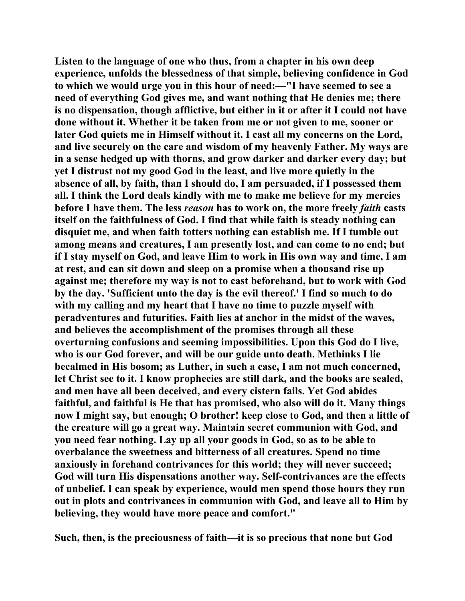**Listen to the language of one who thus, from a chapter in his own deep experience, unfolds the blessedness of that simple, believing confidence in God to which we would urge you in this hour of need:—"I have seemed to see a need of everything God gives me, and want nothing that He denies me; there is no dispensation, though afflictive, but either in it or after it I could not have done without it. Whether it be taken from me or not given to me, sooner or later God quiets me in Himself without it. I cast all my concerns on the Lord, and live securely on the care and wisdom of my heavenly Father. My ways are in a sense hedged up with thorns, and grow darker and darker every day; but yet I distrust not my good God in the least, and live more quietly in the absence of all, by faith, than I should do, I am persuaded, if I possessed them all. I think the Lord deals kindly with me to make me believe for my mercies before I have them. The less** *reason* **has to work on, the more freely** *faith* **casts itself on the faithfulness of God. I find that while faith is steady nothing can disquiet me, and when faith totters nothing can establish me. If I tumble out among means and creatures, I am presently lost, and can come to no end; but if I stay myself on God, and leave Him to work in His own way and time, I am at rest, and can sit down and sleep on a promise when a thousand rise up against me; therefore my way is not to cast beforehand, but to work with God by the day. 'Sufficient unto the day is the evil thereof.' I find so much to do with my calling and my heart that I have no time to puzzle myself with peradventures and futurities. Faith lies at anchor in the midst of the waves, and believes the accomplishment of the promises through all these overturning confusions and seeming impossibilities. Upon this God do I live, who is our God forever, and will be our guide unto death. Methinks I lie becalmed in His bosom; as Luther, in such a case, I am not much concerned, let Christ see to it. I know prophecies are still dark, and the books are sealed, and men have all been deceived, and every cistern fails. Yet God abides faithful, and faithful is He that has promised, who also will do it. Many things now I might say, but enough; O brother! keep close to God, and then a little of the creature will go a great way. Maintain secret communion with God, and you need fear nothing. Lay up all your goods in God, so as to be able to overbalance the sweetness and bitterness of all creatures. Spend no time anxiously in forehand contrivances for this world; they will never succeed; God will turn His dispensations another way. Self-contrivances are the effects of unbelief. I can speak by experience, would men spend those hours they run out in plots and contrivances in communion with God, and leave all to Him by believing, they would have more peace and comfort."** 

**Such, then, is the preciousness of faith—it is so precious that none but God**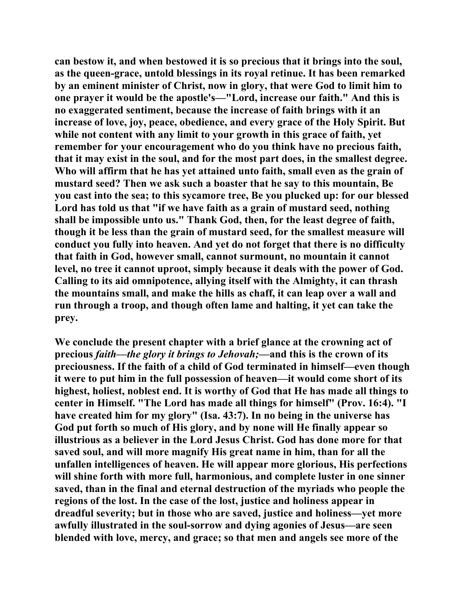**can bestow it, and when bestowed it is so precious that it brings into the soul, as the queen-grace, untold blessings in its royal retinue. It has been remarked by an eminent minister of Christ, now in glory, that were God to limit him to one prayer it would be the apostle's—"Lord, increase our faith." And this is no exaggerated sentiment, because the increase of faith brings with it an increase of love, joy, peace, obedience, and every grace of the Holy Spirit. But while not content with any limit to your growth in this grace of faith, yet remember for your encouragement who do you think have no precious faith, that it may exist in the soul, and for the most part does, in the smallest degree. Who will affirm that he has yet attained unto faith, small even as the grain of mustard seed? Then we ask such a boaster that he say to this mountain, Be you cast into the sea; to this sycamore tree, Be you plucked up: for our blessed Lord has told us that "if we have faith as a grain of mustard seed, nothing shall be impossible unto us." Thank God, then, for the least degree of faith, though it be less than the grain of mustard seed, for the smallest measure will conduct you fully into heaven. And yet do not forget that there is no difficulty that faith in God, however small, cannot surmount, no mountain it cannot level, no tree it cannot uproot, simply because it deals with the power of God. Calling to its aid omnipotence, allying itself with the Almighty, it can thrash the mountains small, and make the hills as chaff, it can leap over a wall and run through a troop, and though often lame and halting, it yet can take the prey.** 

**We conclude the present chapter with a brief glance at the crowning act of precious** *faith—the glory it brings to Jehovah;***—and this is the crown of its preciousness. If the faith of a child of God terminated in himself—even though it were to put him in the full possession of heaven—it would come short of its highest, holiest, noblest end. It is worthy of God that He has made all things to center in Himself. "The Lord has made all things for himself" (Prov. 16:4). "I have created him for my glory" (Isa. 43:7). In no being in the universe has God put forth so much of His glory, and by none will He finally appear so illustrious as a believer in the Lord Jesus Christ. God has done more for that saved soul, and will more magnify His great name in him, than for all the unfallen intelligences of heaven. He will appear more glorious, His perfections will shine forth with more full, harmonious, and complete luster in one sinner saved, than in the final and eternal destruction of the myriads who people the regions of the lost. In the case of the lost, justice and holiness appear in dreadful severity; but in those who are saved, justice and holiness—yet more awfully illustrated in the soul-sorrow and dying agonies of Jesus—are seen blended with love, mercy, and grace; so that men and angels see more of the**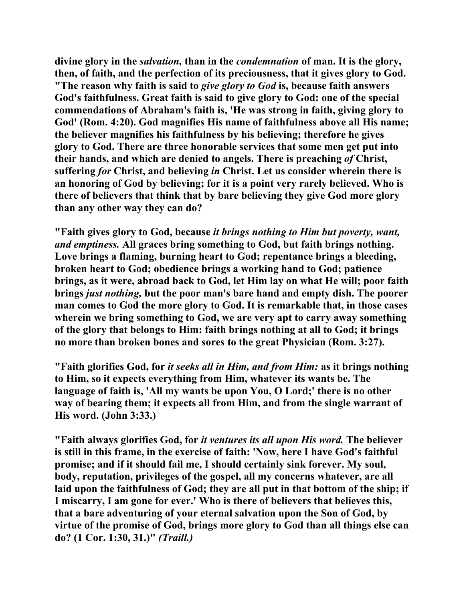**divine glory in the** *salvation,* **than in the** *condemnation* **of man. It is the glory, then, of faith, and the perfection of its preciousness, that it gives glory to God. "The reason why faith is said to** *give glory to God* **is, because faith answers God's faithfulness. Great faith is said to give glory to God: one of the special commendations of Abraham's faith is, 'He was strong in faith, giving glory to God' (Rom. 4:20). God magnifies His name of faithfulness above all His name; the believer magnifies his faithfulness by his believing; therefore he gives glory to God. There are three honorable services that some men get put into their hands, and which are denied to angels. There is preaching** *of* **Christ, suffering** *for* **Christ, and believing** *in* **Christ. Let us consider wherein there is an honoring of God by believing; for it is a point very rarely believed. Who is there of believers that think that by bare believing they give God more glory than any other way they can do?** 

**"Faith gives glory to God, because** *it brings nothing to Him but poverty, want, and emptiness.* **All graces bring something to God, but faith brings nothing. Love brings a flaming, burning heart to God; repentance brings a bleeding, broken heart to God; obedience brings a working hand to God; patience brings, as it were, abroad back to God, let Him lay on what He will; poor faith brings** *just nothing,* **but the poor man's bare hand and empty dish. The poorer man comes to God the more glory to God. It is remarkable that, in those cases wherein we bring something to God, we are very apt to carry away something of the glory that belongs to Him: faith brings nothing at all to God; it brings no more than broken bones and sores to the great Physician (Rom. 3:27).** 

**"Faith glorifies God, for** *it seeks all in Him, and from Him:* **as it brings nothing to Him, so it expects everything from Him, whatever its wants be. The language of faith is, 'All my wants be upon You, O Lord;' there is no other way of bearing them; it expects all from Him, and from the single warrant of His word. (John 3:33.)** 

**"Faith always glorifies God, for** *it ventures its all upon His word.* **The believer is still in this frame, in the exercise of faith: 'Now, here I have God's faithful promise; and if it should fail me, I should certainly sink forever. My soul, body, reputation, privileges of the gospel, all my concerns whatever, are all laid upon the faithfulness of God; they are all put in that bottom of the ship; if I miscarry, I am gone for ever.' Who is there of believers that believes this, that a bare adventuring of your eternal salvation upon the Son of God, by virtue of the promise of God, brings more glory to God than all things else can do? (1 Cor. 1:30, 31.)"** *(Traill.)*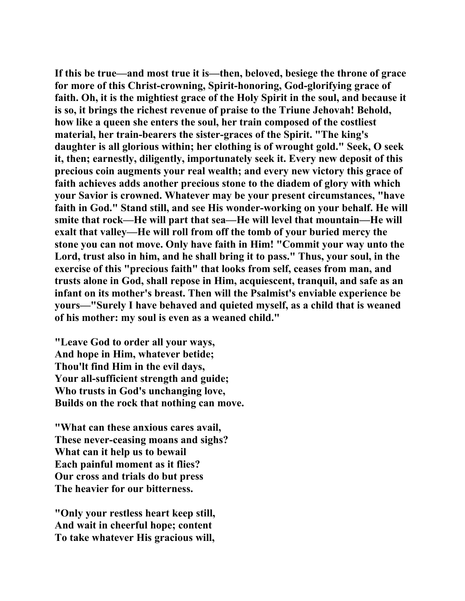**If this be true—and most true it is—then, beloved, besiege the throne of grace for more of this Christ-crowning, Spirit-honoring, God-glorifying grace of faith. Oh, it is the mightiest grace of the Holy Spirit in the soul, and because it is so, it brings the richest revenue of praise to the Triune Jehovah! Behold, how like a queen she enters the soul, her train composed of the costliest material, her train-bearers the sister-graces of the Spirit. "The king's daughter is all glorious within; her clothing is of wrought gold." Seek, O seek it, then; earnestly, diligently, importunately seek it. Every new deposit of this precious coin augments your real wealth; and every new victory this grace of faith achieves adds another precious stone to the diadem of glory with which your Savior is crowned. Whatever may be your present circumstances, "have faith in God." Stand still, and see His wonder-working on your behalf. He will smite that rock—He will part that sea—He will level that mountain—He will exalt that valley—He will roll from off the tomb of your buried mercy the stone you can not move. Only have faith in Him! "Commit your way unto the Lord, trust also in him, and he shall bring it to pass." Thus, your soul, in the exercise of this "precious faith" that looks from self, ceases from man, and trusts alone in God, shall repose in Him, acquiescent, tranquil, and safe as an infant on its mother's breast. Then will the Psalmist's enviable experience be yours—"Surely I have behaved and quieted myself, as a child that is weaned of his mother: my soul is even as a weaned child."** 

**"Leave God to order all your ways, And hope in Him, whatever betide; Thou'lt find Him in the evil days, Your all-sufficient strength and guide; Who trusts in God's unchanging love, Builds on the rock that nothing can move.** 

**"What can these anxious cares avail, These never-ceasing moans and sighs? What can it help us to bewail Each painful moment as it flies? Our cross and trials do but press The heavier for our bitterness.** 

**"Only your restless heart keep still, And wait in cheerful hope; content To take whatever His gracious will,**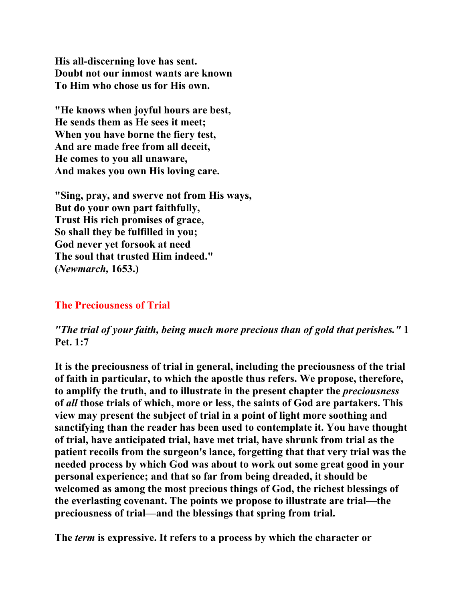**His all-discerning love has sent. Doubt not our inmost wants are known To Him who chose us for His own.** 

**"He knows when joyful hours are best, He sends them as He sees it meet; When you have borne the fiery test, And are made free from all deceit, He comes to you all unaware, And makes you own His loving care.** 

**"Sing, pray, and swerve not from His ways, But do your own part faithfully, Trust His rich promises of grace, So shall they be fulfilled in you; God never yet forsook at need The soul that trusted Him indeed." (***Newmarch,* **1653.)** 

# **The Preciousness of Trial**

# *"The trial of your faith, being much more precious than of gold that perishes."* **1 Pet. 1:7**

**It is the preciousness of trial in general, including the preciousness of the trial of faith in particular, to which the apostle thus refers. We propose, therefore, to amplify the truth, and to illustrate in the present chapter the** *preciousness*  **of** *all* **those trials of which, more or less, the saints of God are partakers. This view may present the subject of trial in a point of light more soothing and sanctifying than the reader has been used to contemplate it. You have thought of trial, have anticipated trial, have met trial, have shrunk from trial as the patient recoils from the surgeon's lance, forgetting that that very trial was the needed process by which God was about to work out some great good in your personal experience; and that so far from being dreaded, it should be welcomed as among the most precious things of God, the richest blessings of the everlasting covenant. The points we propose to illustrate are trial—the preciousness of trial—and the blessings that spring from trial.** 

**The** *term* **is expressive. It refers to a process by which the character or**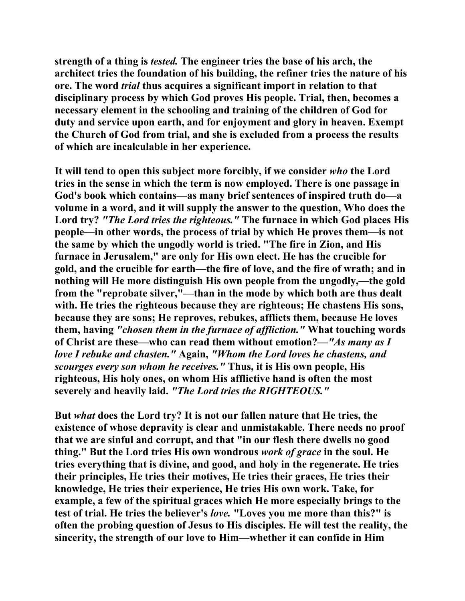**strength of a thing is** *tested.* **The engineer tries the base of his arch, the architect tries the foundation of his building, the refiner tries the nature of his ore. The word** *trial* **thus acquires a significant import in relation to that disciplinary process by which God proves His people. Trial, then, becomes a necessary element in the schooling and training of the children of God for duty and service upon earth, and for enjoyment and glory in heaven. Exempt the Church of God from trial, and she is excluded from a process the results of which are incalculable in her experience.** 

**It will tend to open this subject more forcibly, if we consider** *who* **the Lord tries in the sense in which the term is now employed. There is one passage in God's book which contains—as many brief sentences of inspired truth do—a volume in a word, and it will supply the answer to the question, Who does the Lord try?** *"The Lord tries the righteous."* **The furnace in which God places His people—in other words, the process of trial by which He proves them—is not the same by which the ungodly world is tried. "The fire in Zion, and His furnace in Jerusalem," are only for His own elect. He has the crucible for gold, and the crucible for earth—the fire of love, and the fire of wrath; and in nothing will He more distinguish His own people from the ungodly,—the gold from the "reprobate silver,"—than in the mode by which both are thus dealt with. He tries the righteous because they are righteous; He chastens His sons, because they are sons; He reproves, rebukes, afflicts them, because He loves them, having** *"chosen them in the furnace of affliction."* **What touching words of Christ are these—who can read them without emotion?—***"As many as I love I rebuke and chasten."* **Again,** *"Whom the Lord loves he chastens, and scourges every son whom he receives."* **Thus, it is His own people, His righteous, His holy ones, on whom His afflictive hand is often the most severely and heavily laid.** *"The Lord tries the RIGHTEOUS."* 

**But** *what* **does the Lord try? It is not our fallen nature that He tries, the existence of whose depravity is clear and unmistakable. There needs no proof that we are sinful and corrupt, and that "in our flesh there dwells no good thing." But the Lord tries His own wondrous** *work of grace* **in the soul. He tries everything that is divine, and good, and holy in the regenerate. He tries their principles, He tries their motives, He tries their graces, He tries their knowledge, He tries their experience, He tries His own work. Take, for example, a few of the spiritual graces which He more especially brings to the test of trial. He tries the believer's** *love.* **"Loves you me more than this?" is often the probing question of Jesus to His disciples. He will test the reality, the sincerity, the strength of our love to Him—whether it can confide in Him**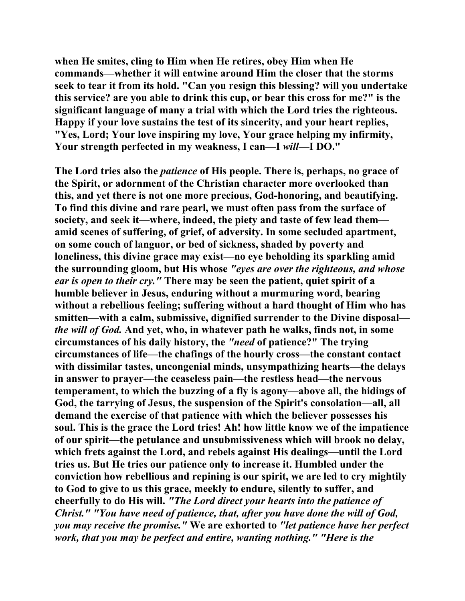**when He smites, cling to Him when He retires, obey Him when He commands—whether it will entwine around Him the closer that the storms seek to tear it from its hold. "Can you resign this blessing? will you undertake this service? are you able to drink this cup, or bear this cross for me?" is the significant language of many a trial with which the Lord tries the righteous. Happy if your love sustains the test of its sincerity, and your heart replies, "Yes, Lord; Your love inspiring my love, Your grace helping my infirmity, Your strength perfected in my weakness, I can—I** *will***—I DO."** 

**The Lord tries also the** *patience* **of His people. There is, perhaps, no grace of the Spirit, or adornment of the Christian character more overlooked than this, and yet there is not one more precious, God-honoring, and beautifying. To find this divine and rare pearl, we must often pass from the surface of society, and seek it—where, indeed, the piety and taste of few lead them amid scenes of suffering, of grief, of adversity. In some secluded apartment, on some couch of languor, or bed of sickness, shaded by poverty and loneliness, this divine grace may exist—no eye beholding its sparkling amid the surrounding gloom, but His whose** *"eyes are over the righteous, and whose ear is open to their cry."* **There may be seen the patient, quiet spirit of a humble believer in Jesus, enduring without a murmuring word, bearing without a rebellious feeling; suffering without a hard thought of Him who has smitten—with a calm, submissive, dignified surrender to the Divine disposal** *the will of God.* **And yet, who, in whatever path he walks, finds not, in some circumstances of his daily history, the** *"need* **of patience?" The trying circumstances of life—the chafings of the hourly cross—the constant contact with dissimilar tastes, uncongenial minds, unsympathizing hearts—the delays in answer to prayer—the ceaseless pain—the restless head—the nervous temperament, to which the buzzing of a fly is agony—above all, the hidings of God, the tarrying of Jesus, the suspension of the Spirit's consolation—all, all demand the exercise of that patience with which the believer possesses his soul. This is the grace the Lord tries! Ah! how little know we of the impatience of our spirit—the petulance and unsubmissiveness which will brook no delay, which frets against the Lord, and rebels against His dealings—until the Lord tries us. But He tries our patience only to increase it. Humbled under the conviction how rebellious and repining is our spirit, we are led to cry mightily to God to give to us this grace, meekly to endure, silently to suffer, and cheerfully to do His will.** *"The Lord direct your hearts into the patience of Christ." "You have need of patience, that, after you have done the will of God, you may receive the promise."* **We are exhorted to** *"let patience have her perfect work, that you may be perfect and entire, wanting nothing." "Here is the*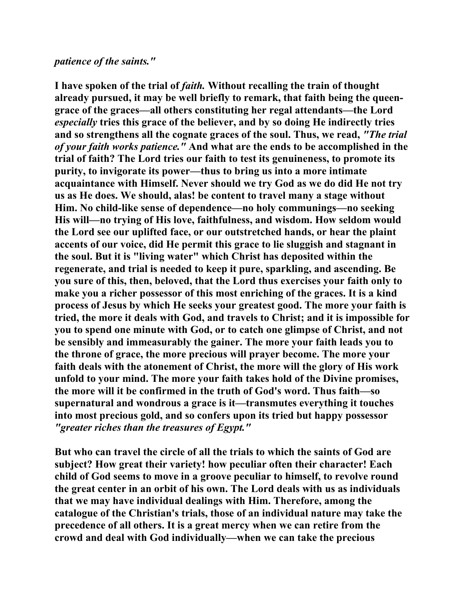## *patience of the saints."*

**I have spoken of the trial of** *faith.* **Without recalling the train of thought already pursued, it may be well briefly to remark, that faith being the queengrace of the graces—all others constituting her regal attendants—the Lord**  *especially* **tries this grace of the believer, and by so doing He indirectly tries and so strengthens all the cognate graces of the soul. Thus, we read,** *"The trial of your faith works patience."* **And what are the ends to be accomplished in the trial of faith? The Lord tries our faith to test its genuineness, to promote its purity, to invigorate its power—thus to bring us into a more intimate acquaintance with Himself. Never should we try God as we do did He not try us as He does. We should, alas! be content to travel many a stage without Him. No child-like sense of dependence—no holy communings—no seeking His will—no trying of His love, faithfulness, and wisdom. How seldom would the Lord see our uplifted face, or our outstretched hands, or hear the plaint accents of our voice, did He permit this grace to lie sluggish and stagnant in the soul. But it is "living water" which Christ has deposited within the regenerate, and trial is needed to keep it pure, sparkling, and ascending. Be you sure of this, then, beloved, that the Lord thus exercises your faith only to make you a richer possessor of this most enriching of the graces. It is a kind process of Jesus by which He seeks your greatest good. The more your faith is tried, the more it deals with God, and travels to Christ; and it is impossible for you to spend one minute with God, or to catch one glimpse of Christ, and not be sensibly and immeasurably the gainer. The more your faith leads you to the throne of grace, the more precious will prayer become. The more your faith deals with the atonement of Christ, the more will the glory of His work unfold to your mind. The more your faith takes hold of the Divine promises, the more will it be confirmed in the truth of God's word. Thus faith—so supernatural and wondrous a grace is it—transmutes everything it touches into most precious gold, and so confers upon its tried but happy possessor**  *"greater riches than the treasures of Egypt."* 

**But who can travel the circle of all the trials to which the saints of God are subject? How great their variety! how peculiar often their character! Each child of God seems to move in a groove peculiar to himself, to revolve round the great center in an orbit of his own. The Lord deals with us as individuals that we may have individual dealings with Him. Therefore, among the catalogue of the Christian's trials, those of an individual nature may take the precedence of all others. It is a great mercy when we can retire from the crowd and deal with God individually—when we can take the precious**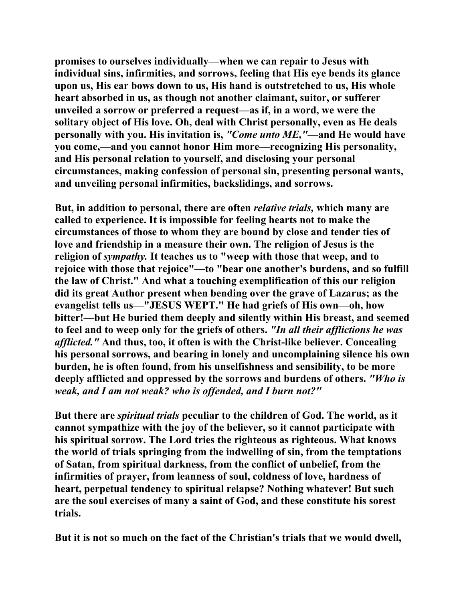**promises to ourselves individually—when we can repair to Jesus with individual sins, infirmities, and sorrows, feeling that His eye bends its glance upon us, His ear bows down to us, His hand is outstretched to us, His whole heart absorbed in us, as though not another claimant, suitor, or sufferer unveiled a sorrow or preferred a request—as if, in a word, we were the solitary object of His love. Oh, deal with Christ personally, even as He deals personally with you. His invitation is,** *"Come unto ME,"***—and He would have you come,—and you cannot honor Him more—recognizing His personality, and His personal relation to yourself, and disclosing your personal circumstances, making confession of personal sin, presenting personal wants, and unveiling personal infirmities, backslidings, and sorrows.** 

**But, in addition to personal, there are often** *relative trials,* **which many are called to experience. It is impossible for feeling hearts not to make the circumstances of those to whom they are bound by close and tender ties of love and friendship in a measure their own. The religion of Jesus is the religion of** *sympathy.* **It teaches us to "weep with those that weep, and to rejoice with those that rejoice"—to "bear one another's burdens, and so fulfill the law of Christ." And what a touching exemplification of this our religion did its great Author present when bending over the grave of Lazarus; as the evangelist tells us—"JESUS WEPT." He had griefs of His own—oh, how bitter!—but He buried them deeply and silently within His breast, and seemed to feel and to weep only for the griefs of others.** *"In all their afflictions he was afflicted."* **And thus, too, it often is with the Christ-like believer. Concealing his personal sorrows, and bearing in lonely and uncomplaining silence his own burden, he is often found, from his unselfishness and sensibility, to be more deeply afflicted and oppressed by the sorrows and burdens of others.** *"Who is weak, and I am not weak? who is offended, and I burn not?"* 

**But there are** *spiritual trials* **peculiar to the children of God. The world, as it cannot sympathize with the joy of the believer, so it cannot participate with his spiritual sorrow. The Lord tries the righteous as righteous. What knows the world of trials springing from the indwelling of sin, from the temptations of Satan, from spiritual darkness, from the conflict of unbelief, from the infirmities of prayer, from leanness of soul, coldness of love, hardness of heart, perpetual tendency to spiritual relapse? Nothing whatever! But such are the soul exercises of many a saint of God, and these constitute his sorest trials.** 

**But it is not so much on the fact of the Christian's trials that we would dwell,**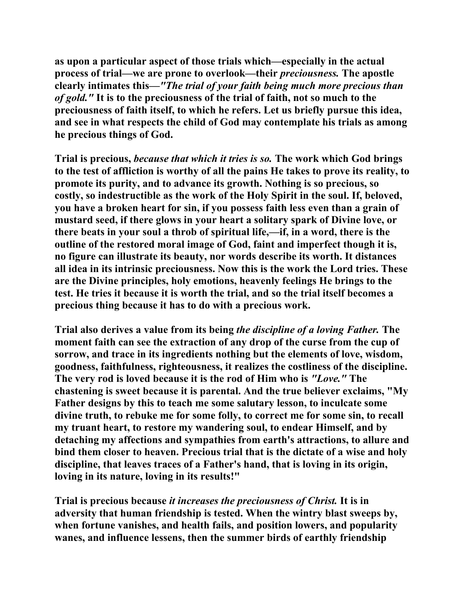**as upon a particular aspect of those trials which—especially in the actual process of trial—we are prone to overlook—their** *preciousness.* **The apostle clearly intimates this—***"The trial of your faith being much more precious than of gold."* **It is to the preciousness of the trial of faith, not so much to the preciousness of faith itself, to which he refers. Let us briefly pursue this idea, and see in what respects the child of God may contemplate his trials as among he precious things of God.** 

**Trial is precious,** *because that which it tries is so.* **The work which God brings to the test of affliction is worthy of all the pains He takes to prove its reality, to promote its purity, and to advance its growth. Nothing is so precious, so costly, so indestructible as the work of the Holy Spirit in the soul. If, beloved, you have a broken heart for sin, if you possess faith less even than a grain of mustard seed, if there glows in your heart a solitary spark of Divine love, or there beats in your soul a throb of spiritual life,—if, in a word, there is the outline of the restored moral image of God, faint and imperfect though it is, no figure can illustrate its beauty, nor words describe its worth. It distances all idea in its intrinsic preciousness. Now this is the work the Lord tries. These are the Divine principles, holy emotions, heavenly feelings He brings to the test. He tries it because it is worth the trial, and so the trial itself becomes a precious thing because it has to do with a precious work.** 

**Trial also derives a value from its being** *the discipline of a loving Father.* **The moment faith can see the extraction of any drop of the curse from the cup of sorrow, and trace in its ingredients nothing but the elements of love, wisdom, goodness, faithfulness, righteousness, it realizes the costliness of the discipline. The very rod is loved because it is the rod of Him who is** *"Love."* **The chastening is sweet because it is parental. And the true believer exclaims, "My Father designs by this to teach me some salutary lesson, to inculcate some divine truth, to rebuke me for some folly, to correct me for some sin, to recall my truant heart, to restore my wandering soul, to endear Himself, and by detaching my affections and sympathies from earth's attractions, to allure and bind them closer to heaven. Precious trial that is the dictate of a wise and holy discipline, that leaves traces of a Father's hand, that is loving in its origin, loving in its nature, loving in its results!"** 

**Trial is precious because** *it increases the preciousness of Christ.* **It is in adversity that human friendship is tested. When the wintry blast sweeps by, when fortune vanishes, and health fails, and position lowers, and popularity wanes, and influence lessens, then the summer birds of earthly friendship**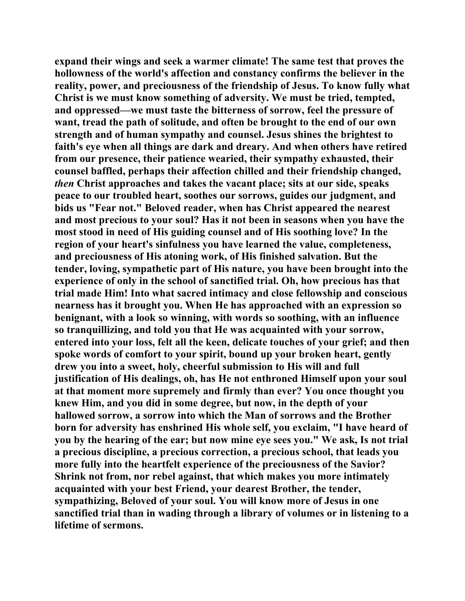**expand their wings and seek a warmer climate! The same test that proves the hollowness of the world's affection and constancy confirms the believer in the reality, power, and preciousness of the friendship of Jesus. To know fully what Christ is we must know something of adversity. We must be tried, tempted, and oppressed—we must taste the bitterness of sorrow, feel the pressure of want, tread the path of solitude, and often be brought to the end of our own strength and of human sympathy and counsel. Jesus shines the brightest to faith's eye when all things are dark and dreary. And when others have retired from our presence, their patience wearied, their sympathy exhausted, their counsel baffled, perhaps their affection chilled and their friendship changed,**  *then* **Christ approaches and takes the vacant place; sits at our side, speaks peace to our troubled heart, soothes our sorrows, guides our judgment, and bids us "Fear not." Beloved reader, when has Christ appeared the nearest and most precious to your soul? Has it not been in seasons when you have the most stood in need of His guiding counsel and of His soothing love? In the region of your heart's sinfulness you have learned the value, completeness, and preciousness of His atoning work, of His finished salvation. But the tender, loving, sympathetic part of His nature, you have been brought into the experience of only in the school of sanctified trial. Oh, how precious has that trial made Him! Into what sacred intimacy and close fellowship and conscious nearness has it brought you. When He has approached with an expression so benignant, with a look so winning, with words so soothing, with an influence so tranquillizing, and told you that He was acquainted with your sorrow, entered into your loss, felt all the keen, delicate touches of your grief; and then spoke words of comfort to your spirit, bound up your broken heart, gently drew you into a sweet, holy, cheerful submission to His will and full justification of His dealings, oh, has He not enthroned Himself upon your soul at that moment more supremely and firmly than ever? You once thought you knew Him, and you did in some degree, but now, in the depth of your hallowed sorrow, a sorrow into which the Man of sorrows and the Brother born for adversity has enshrined His whole self, you exclaim, "I have heard of you by the hearing of the ear; but now mine eye sees you." We ask, Is not trial a precious discipline, a precious correction, a precious school, that leads you more fully into the heartfelt experience of the preciousness of the Savior? Shrink not from, nor rebel against, that which makes you more intimately acquainted with your best Friend, your dearest Brother, the tender, sympathizing, Beloved of your soul. You will know more of Jesus in one sanctified trial than in wading through a library of volumes or in listening to a lifetime of sermons.**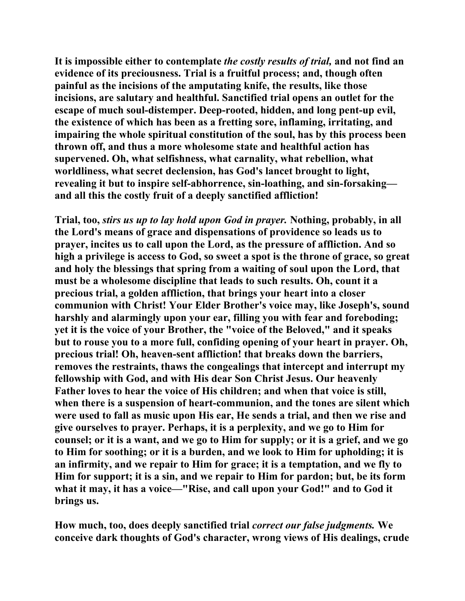**It is impossible either to contemplate** *the costly results of trial,* **and not find an evidence of its preciousness. Trial is a fruitful process; and, though often painful as the incisions of the amputating knife, the results, like those incisions, are salutary and healthful. Sanctified trial opens an outlet for the escape of much soul-distemper. Deep-rooted, hidden, and long pent-up evil, the existence of which has been as a fretting sore, inflaming, irritating, and impairing the whole spiritual constitution of the soul, has by this process been thrown off, and thus a more wholesome state and healthful action has supervened. Oh, what selfishness, what carnality, what rebellion, what worldliness, what secret declension, has God's lancet brought to light, revealing it but to inspire self-abhorrence, sin-loathing, and sin-forsaking and all this the costly fruit of a deeply sanctified affliction!** 

**Trial, too,** *stirs us up to lay hold upon God in prayer.* **Nothing, probably, in all the Lord's means of grace and dispensations of providence so leads us to prayer, incites us to call upon the Lord, as the pressure of affliction. And so high a privilege is access to God, so sweet a spot is the throne of grace, so great and holy the blessings that spring from a waiting of soul upon the Lord, that must be a wholesome discipline that leads to such results. Oh, count it a precious trial, a golden affliction, that brings your heart into a closer communion with Christ! Your Elder Brother's voice may, like Joseph's, sound harshly and alarmingly upon your ear, filling you with fear and foreboding; yet it is the voice of your Brother, the "voice of the Beloved," and it speaks but to rouse you to a more full, confiding opening of your heart in prayer. Oh, precious trial! Oh, heaven-sent affliction! that breaks down the barriers, removes the restraints, thaws the congealings that intercept and interrupt my fellowship with God, and with His dear Son Christ Jesus. Our heavenly Father loves to hear the voice of His children; and when that voice is still, when there is a suspension of heart-communion, and the tones are silent which were used to fall as music upon His ear, He sends a trial, and then we rise and give ourselves to prayer. Perhaps, it is a perplexity, and we go to Him for counsel; or it is a want, and we go to Him for supply; or it is a grief, and we go to Him for soothing; or it is a burden, and we look to Him for upholding; it is an infirmity, and we repair to Him for grace; it is a temptation, and we fly to Him for support; it is a sin, and we repair to Him for pardon; but, be its form what it may, it has a voice—"Rise, and call upon your God!" and to God it brings us.** 

**How much, too, does deeply sanctified trial** *correct our false judgments.* **We conceive dark thoughts of God's character, wrong views of His dealings, crude**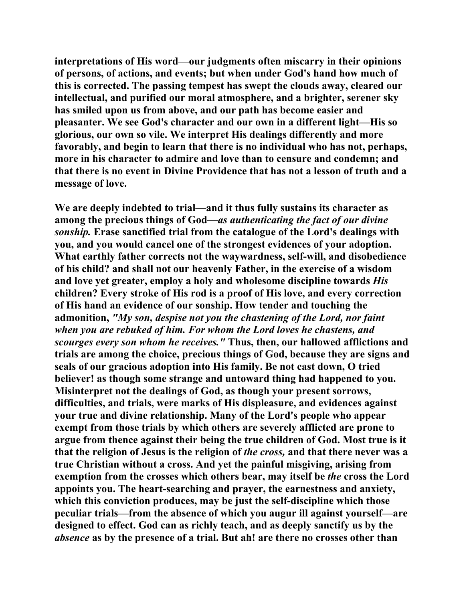**interpretations of His word—our judgments often miscarry in their opinions of persons, of actions, and events; but when under God's hand how much of this is corrected. The passing tempest has swept the clouds away, cleared our intellectual, and purified our moral atmosphere, and a brighter, serener sky has smiled upon us from above, and our path has become easier and pleasanter. We see God's character and our own in a different light—His so glorious, our own so vile. We interpret His dealings differently and more favorably, and begin to learn that there is no individual who has not, perhaps, more in his character to admire and love than to censure and condemn; and that there is no event in Divine Providence that has not a lesson of truth and a message of love.** 

**We are deeply indebted to trial—and it thus fully sustains its character as among the precious things of God—***as authenticating the fact of our divine sonship.* **Erase sanctified trial from the catalogue of the Lord's dealings with you, and you would cancel one of the strongest evidences of your adoption. What earthly father corrects not the waywardness, self-will, and disobedience of his child? and shall not our heavenly Father, in the exercise of a wisdom and love yet greater, employ a holy and wholesome discipline towards** *His*  **children? Every stroke of His rod is a proof of His love, and every correction of His hand an evidence of our sonship. How tender and touching the admonition,** *"My son, despise not you the chastening of the Lord, nor faint when you are rebuked of him. For whom the Lord loves he chastens, and scourges every son whom he receives."* **Thus, then, our hallowed afflictions and trials are among the choice, precious things of God, because they are signs and seals of our gracious adoption into His family. Be not cast down, O tried believer! as though some strange and untoward thing had happened to you. Misinterpret not the dealings of God, as though your present sorrows, difficulties, and trials, were marks of His displeasure, and evidences against your true and divine relationship. Many of the Lord's people who appear exempt from those trials by which others are severely afflicted are prone to argue from thence against their being the true children of God. Most true is it that the religion of Jesus is the religion of** *the cross,* **and that there never was a true Christian without a cross. And yet the painful misgiving, arising from exemption from the crosses which others bear, may itself be** *the* **cross the Lord appoints you. The heart-searching and prayer, the earnestness and anxiety, which this conviction produces, may be just the self-discipline which those peculiar trials—from the absence of which you augur ill against yourself—are designed to effect. God can as richly teach, and as deeply sanctify us by the**  *absence* **as by the presence of a trial. But ah! are there no crosses other than**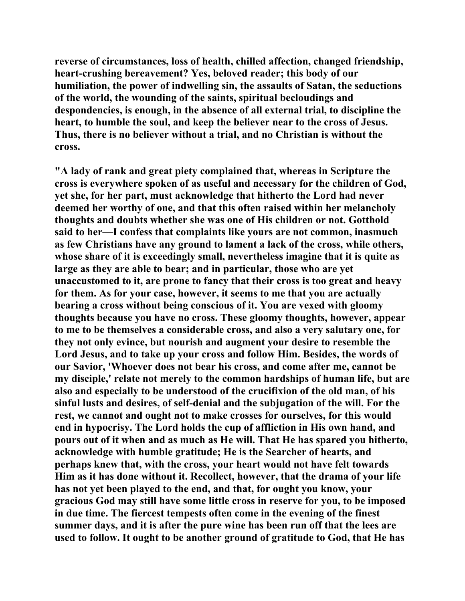**reverse of circumstances, loss of health, chilled affection, changed friendship, heart-crushing bereavement? Yes, beloved reader; this body of our humiliation, the power of indwelling sin, the assaults of Satan, the seductions of the world, the wounding of the saints, spiritual becloudings and despondencies, is enough, in the absence of all external trial, to discipline the heart, to humble the soul, and keep the believer near to the cross of Jesus. Thus, there is no believer without a trial, and no Christian is without the cross.** 

**"A lady of rank and great piety complained that, whereas in Scripture the cross is everywhere spoken of as useful and necessary for the children of God, yet she, for her part, must acknowledge that hitherto the Lord had never deemed her worthy of one, and that this often raised within her melancholy thoughts and doubts whether she was one of His children or not. Gotthold said to her—I confess that complaints like yours are not common, inasmuch as few Christians have any ground to lament a lack of the cross, while others, whose share of it is exceedingly small, nevertheless imagine that it is quite as large as they are able to bear; and in particular, those who are yet unaccustomed to it, are prone to fancy that their cross is too great and heavy for them. As for your case, however, it seems to me that you are actually bearing a cross without being conscious of it. You are vexed with gloomy thoughts because you have no cross. These gloomy thoughts, however, appear to me to be themselves a considerable cross, and also a very salutary one, for they not only evince, but nourish and augment your desire to resemble the Lord Jesus, and to take up your cross and follow Him. Besides, the words of our Savior, 'Whoever does not bear his cross, and come after me, cannot be my disciple,' relate not merely to the common hardships of human life, but are also and especially to be understood of the crucifixion of the old man, of his sinful lusts and desires, of self-denial and the subjugation of the will. For the rest, we cannot and ought not to make crosses for ourselves, for this would end in hypocrisy. The Lord holds the cup of affliction in His own hand, and pours out of it when and as much as He will. That He has spared you hitherto, acknowledge with humble gratitude; He is the Searcher of hearts, and perhaps knew that, with the cross, your heart would not have felt towards Him as it has done without it. Recollect, however, that the drama of your life has not yet been played to the end, and that, for ought you know, your gracious God may still have some little cross in reserve for you, to be imposed in due time. The fiercest tempests often come in the evening of the finest summer days, and it is after the pure wine has been run off that the lees are used to follow. It ought to be another ground of gratitude to God, that He has**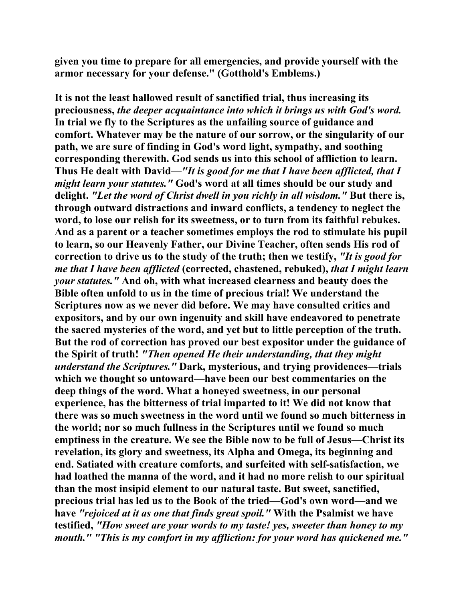**given you time to prepare for all emergencies, and provide yourself with the armor necessary for your defense." (Gotthold's Emblems.)** 

**It is not the least hallowed result of sanctified trial, thus increasing its preciousness,** *the deeper acquaintance into which it brings us with God's word.*  **In trial we fly to the Scriptures as the unfailing source of guidance and comfort. Whatever may be the nature of our sorrow, or the singularity of our path, we are sure of finding in God's word light, sympathy, and soothing corresponding therewith. God sends us into this school of affliction to learn. Thus He dealt with David—***"It is good for me that I have been afflicted, that I might learn your statutes."* **God's word at all times should be our study and delight.** *"Let the word of Christ dwell in you richly in all wisdom."* **But there is, through outward distractions and inward conflicts, a tendency to neglect the word, to lose our relish for its sweetness, or to turn from its faithful rebukes. And as a parent or a teacher sometimes employs the rod to stimulate his pupil to learn, so our Heavenly Father, our Divine Teacher, often sends His rod of correction to drive us to the study of the truth; then we testify,** *"It is good for me that I have been afflicted* **(corrected, chastened, rebuked),** *that I might learn your statutes."* **And oh, with what increased clearness and beauty does the Bible often unfold to us in the time of precious trial! We understand the Scriptures now as we never did before. We may have consulted critics and expositors, and by our own ingenuity and skill have endeavored to penetrate the sacred mysteries of the word, and yet but to little perception of the truth. But the rod of correction has proved our best expositor under the guidance of the Spirit of truth!** *"Then opened He their understanding, that they might understand the Scriptures."* **Dark, mysterious, and trying providences—trials which we thought so untoward—have been our best commentaries on the deep things of the word. What a honeyed sweetness, in our personal experience, has the bitterness of trial imparted to it! We did not know that there was so much sweetness in the word until we found so much bitterness in the world; nor so much fullness in the Scriptures until we found so much emptiness in the creature. We see the Bible now to be full of Jesus—Christ its revelation, its glory and sweetness, its Alpha and Omega, its beginning and end. Satiated with creature comforts, and surfeited with self-satisfaction, we had loathed the manna of the word, and it had no more relish to our spiritual than the most insipid element to our natural taste. But sweet, sanctified, precious trial has led us to the Book of the tried—God's own word—and we have** *"rejoiced at it as one that finds great spoil."* **With the Psalmist we have testified,** *"How sweet are your words to my taste! yes, sweeter than honey to my mouth." "This is my comfort in my affliction: for your word has quickened me."*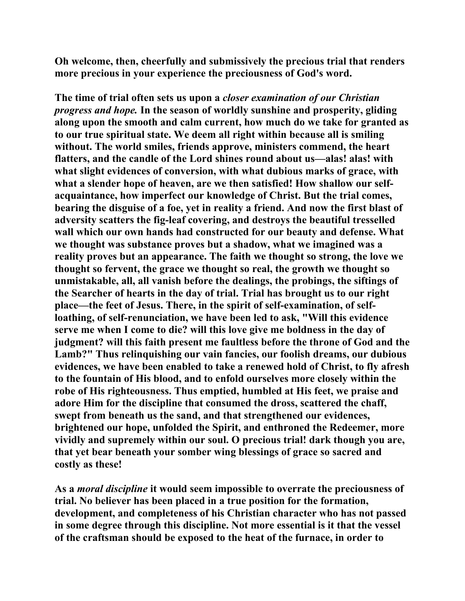**Oh welcome, then, cheerfully and submissively the precious trial that renders more precious in your experience the preciousness of God's word.** 

**The time of trial often sets us upon a** *closer examination of our Christian progress and hope.* **In the season of worldly sunshine and prosperity, gliding along upon the smooth and calm current, how much do we take for granted as to our true spiritual state. We deem all right within because all is smiling without. The world smiles, friends approve, ministers commend, the heart flatters, and the candle of the Lord shines round about us—alas! alas! with what slight evidences of conversion, with what dubious marks of grace, with what a slender hope of heaven, are we then satisfied! How shallow our selfacquaintance, how imperfect our knowledge of Christ. But the trial comes, bearing the disguise of a foe, yet in reality a friend. And now the first blast of adversity scatters the fig-leaf covering, and destroys the beautiful tresselled wall which our own hands had constructed for our beauty and defense. What we thought was substance proves but a shadow, what we imagined was a reality proves but an appearance. The faith we thought so strong, the love we thought so fervent, the grace we thought so real, the growth we thought so unmistakable, all, all vanish before the dealings, the probings, the siftings of the Searcher of hearts in the day of trial. Trial has brought us to our right place—the feet of Jesus. There, in the spirit of self-examination, of selfloathing, of self-renunciation, we have been led to ask, "Will this evidence serve me when I come to die? will this love give me boldness in the day of judgment? will this faith present me faultless before the throne of God and the Lamb?" Thus relinquishing our vain fancies, our foolish dreams, our dubious evidences, we have been enabled to take a renewed hold of Christ, to fly afresh to the fountain of His blood, and to enfold ourselves more closely within the robe of His righteousness. Thus emptied, humbled at His feet, we praise and adore Him for the discipline that consumed the dross, scattered the chaff, swept from beneath us the sand, and that strengthened our evidences, brightened our hope, unfolded the Spirit, and enthroned the Redeemer, more vividly and supremely within our soul. O precious trial! dark though you are, that yet bear beneath your somber wing blessings of grace so sacred and costly as these!** 

**As a** *moral discipline* **it would seem impossible to overrate the preciousness of trial. No believer has been placed in a true position for the formation, development, and completeness of his Christian character who has not passed in some degree through this discipline. Not more essential is it that the vessel of the craftsman should be exposed to the heat of the furnace, in order to**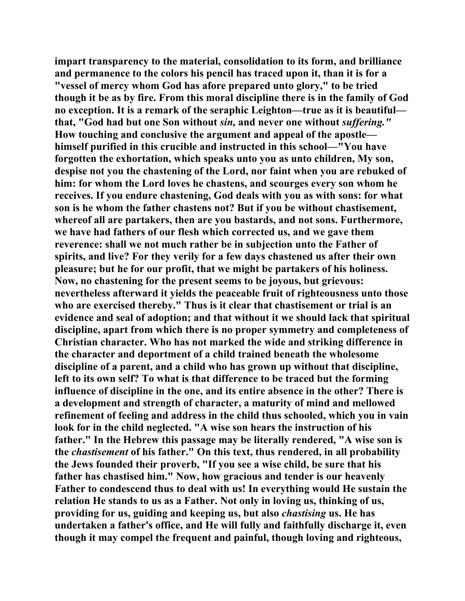**impart transparency to the material, consolidation to its form, and brilliance and permanence to the colors his pencil has traced upon it, than it is for a "vessel of mercy whom God has afore prepared unto glory," to be tried though it be as by fire. From this moral discipline there is in the family of God no exception. It is a remark of the seraphic Leighton—true as it is beautiful that, "God had but one Son without** *sin,* **and never one without** *suffering."* **How touching and conclusive the argument and appeal of the apostle himself purified in this crucible and instructed in this school—"You have forgotten the exhortation, which speaks unto you as unto children, My son, despise not you the chastening of the Lord, nor faint when you are rebuked of him: for whom the Lord loves he chastens, and scourges every son whom he receives. If you endure chastening, God deals with you as with sons: for what son is he whom the father chastens not? But if you be without chastisement, whereof all are partakers, then are you bastards, and not sons. Furthermore, we have had fathers of our flesh which corrected us, and we gave them reverence: shall we not much rather be in subjection unto the Father of spirits, and live? For they verily for a few days chastened us after their own pleasure; but he for our profit, that we might be partakers of his holiness. Now, no chastening for the present seems to be joyous, but grievous: nevertheless afterward it yields the peaceable fruit of righteousness unto those who are exercised thereby." Thus is it clear that chastisement or trial is an evidence and seal of adoption; and that without it we should lack that spiritual discipline, apart from which there is no proper symmetry and completeness of Christian character. Who has not marked the wide and striking difference in the character and deportment of a child trained beneath the wholesome discipline of a parent, and a child who has grown up without that discipline, left to its own self? To what is that difference to be traced but the forming influence of discipline in the one, and its entire absence in the other? There is a development and strength of character, a maturity of mind and mellowed refinement of feeling and address in the child thus schooled, which you in vain look for in the child neglected. "A wise son hears the instruction of his father." In the Hebrew this passage may be literally rendered, "A wise son is the** *chastisement* **of his father." On this text, thus rendered, in all probability the Jews founded their proverb, "If you see a wise child, be sure that his father has chastised him." Now, how gracious and tender is our heavenly Father to condescend thus to deal with us! In everything would He sustain the relation He stands to us as a Father. Not only in loving us, thinking of us, providing for us, guiding and keeping us, but also** *chastising* **us. He has undertaken a father's office, and He will fully and faithfully discharge it, even though it may compel the frequent and painful, though loving and righteous,**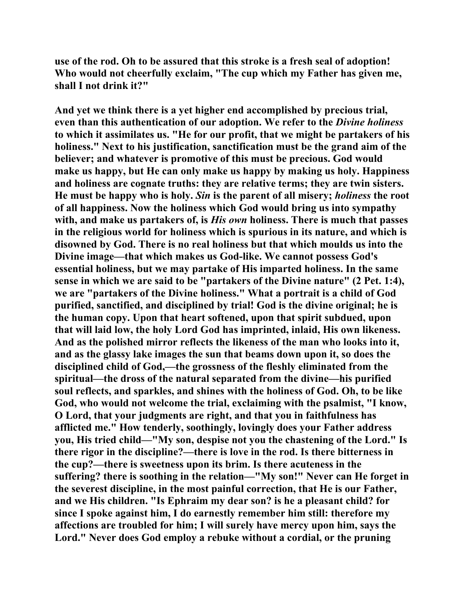**use of the rod. Oh to be assured that this stroke is a fresh seal of adoption! Who would not cheerfully exclaim, "The cup which my Father has given me, shall I not drink it?"** 

**And yet we think there is a yet higher end accomplished by precious trial, even than this authentication of our adoption. We refer to the** *Divine holiness*  **to which it assimilates us. "He for our profit, that we might be partakers of his holiness." Next to his justification, sanctification must be the grand aim of the believer; and whatever is promotive of this must be precious. God would make us happy, but He can only make us happy by making us holy. Happiness and holiness are cognate truths: they are relative terms; they are twin sisters. He must be happy who is holy.** *Sin* **is the parent of all misery;** *holiness* **the root of all happiness. Now the holiness which God would bring us into sympathy with, and make us partakers of, is** *His own* **holiness. There is much that passes in the religious world for holiness which is spurious in its nature, and which is disowned by God. There is no real holiness but that which moulds us into the Divine image—that which makes us God-like. We cannot possess God's essential holiness, but we may partake of His imparted holiness. In the same sense in which we are said to be "partakers of the Divine nature" (2 Pet. 1:4), we are "partakers of the Divine holiness." What a portrait is a child of God purified, sanctified, and disciplined by trial! God is the divine original; he is the human copy. Upon that heart softened, upon that spirit subdued, upon that will laid low, the holy Lord God has imprinted, inlaid, His own likeness. And as the polished mirror reflects the likeness of the man who looks into it, and as the glassy lake images the sun that beams down upon it, so does the disciplined child of God,—the grossness of the fleshly eliminated from the spiritual—the dross of the natural separated from the divine—his purified soul reflects, and sparkles, and shines with the holiness of God. Oh, to be like God, who would not welcome the trial, exclaiming with the psalmist, "I know, O Lord, that your judgments are right, and that you in faithfulness has afflicted me." How tenderly, soothingly, lovingly does your Father address you, His tried child—"My son, despise not you the chastening of the Lord." Is there rigor in the discipline?—there is love in the rod. Is there bitterness in the cup?—there is sweetness upon its brim. Is there acuteness in the suffering? there is soothing in the relation—"My son!" Never can He forget in the severest discipline, in the most painful correction, that He is our Father, and we His children. "Is Ephraim my dear son? is he a pleasant child? for since I spoke against him, I do earnestly remember him still: therefore my affections are troubled for him; I will surely have mercy upon him, says the Lord." Never does God employ a rebuke without a cordial, or the pruning**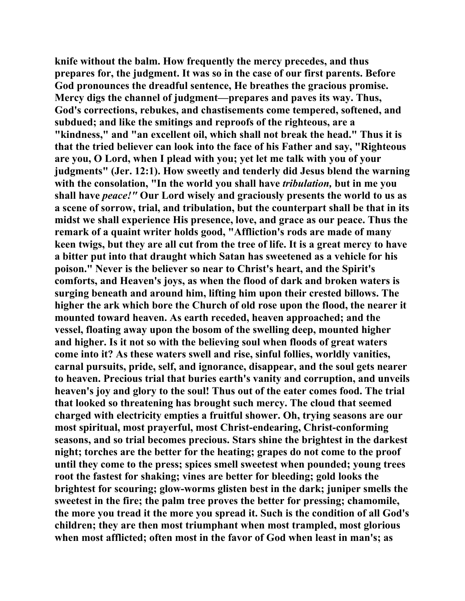**knife without the balm. How frequently the mercy precedes, and thus prepares for, the judgment. It was so in the case of our first parents. Before God pronounces the dreadful sentence, He breathes the gracious promise. Mercy digs the channel of judgment—prepares and paves its way. Thus, God's corrections, rebukes, and chastisements come tempered, softened, and subdued; and like the smitings and reproofs of the righteous, are a "kindness," and "an excellent oil, which shall not break the head." Thus it is that the tried believer can look into the face of his Father and say, "Righteous are you, O Lord, when I plead with you; yet let me talk with you of your judgments" (Jer. 12:1). How sweetly and tenderly did Jesus blend the warning with the consolation, "In the world you shall have** *tribulation,* **but in me you shall have** *peace!"* **Our Lord wisely and graciously presents the world to us as a scene of sorrow, trial, and tribulation, but the counterpart shall be that in its midst we shall experience His presence, love, and grace as our peace. Thus the remark of a quaint writer holds good, "Affliction's rods are made of many keen twigs, but they are all cut from the tree of life. It is a great mercy to have a bitter put into that draught which Satan has sweetened as a vehicle for his poison." Never is the believer so near to Christ's heart, and the Spirit's comforts, and Heaven's joys, as when the flood of dark and broken waters is surging beneath and around him, lifting him upon their crested billows. The higher the ark which bore the Church of old rose upon the flood, the nearer it mounted toward heaven. As earth receded, heaven approached; and the vessel, floating away upon the bosom of the swelling deep, mounted higher and higher. Is it not so with the believing soul when floods of great waters come into it? As these waters swell and rise, sinful follies, worldly vanities, carnal pursuits, pride, self, and ignorance, disappear, and the soul gets nearer to heaven. Precious trial that buries earth's vanity and corruption, and unveils heaven's joy and glory to the soul! Thus out of the eater comes food. The trial that looked so threatening has brought such mercy. The cloud that seemed charged with electricity empties a fruitful shower. Oh, trying seasons are our most spiritual, most prayerful, most Christ-endearing, Christ-conforming seasons, and so trial becomes precious. Stars shine the brightest in the darkest night; torches are the better for the heating; grapes do not come to the proof until they come to the press; spices smell sweetest when pounded; young trees root the fastest for shaking; vines are better for bleeding; gold looks the brightest for scouring; glow-worms glisten best in the dark; juniper smells the sweetest in the fire; the palm tree proves the better for pressing; chamomile, the more you tread it the more you spread it. Such is the condition of all God's children; they are then most triumphant when most trampled, most glorious when most afflicted; often most in the favor of God when least in man's; as**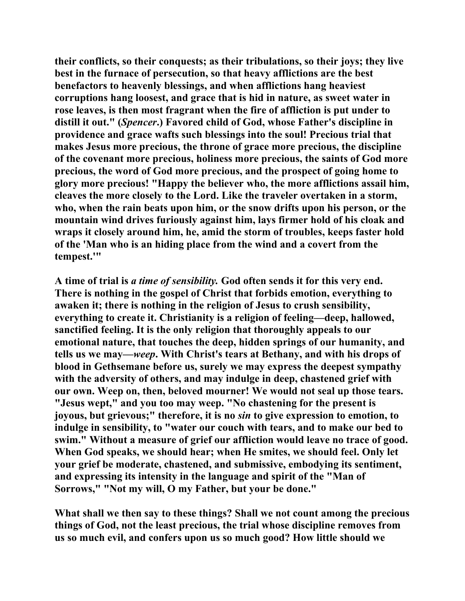**their conflicts, so their conquests; as their tribulations, so their joys; they live best in the furnace of persecution, so that heavy afflictions are the best benefactors to heavenly blessings, and when afflictions hang heaviest corruptions hang loosest, and grace that is hid in nature, as sweet water in rose leaves, is then most fragrant when the fire of affliction is put under to distill it out." (***Spencer***.) Favored child of God, whose Father's discipline in providence and grace wafts such blessings into the soul! Precious trial that makes Jesus more precious, the throne of grace more precious, the discipline of the covenant more precious, holiness more precious, the saints of God more precious, the word of God more precious, and the prospect of going home to glory more precious! "Happy the believer who, the more afflictions assail him, cleaves the more closely to the Lord. Like the traveler overtaken in a storm, who, when the rain beats upon him, or the snow drifts upon his person, or the mountain wind drives furiously against him, lays firmer hold of his cloak and wraps it closely around him, he, amid the storm of troubles, keeps faster hold of the 'Man who is an hiding place from the wind and a covert from the tempest.'"** 

**A time of trial is** *a time of sensibility.* **God often sends it for this very end. There is nothing in the gospel of Christ that forbids emotion, everything to awaken it; there is nothing in the religion of Jesus to crush sensibility, everything to create it. Christianity is a religion of feeling—deep, hallowed, sanctified feeling. It is the only religion that thoroughly appeals to our emotional nature, that touches the deep, hidden springs of our humanity, and tells us we may—***weep***. With Christ's tears at Bethany, and with his drops of blood in Gethsemane before us, surely we may express the deepest sympathy with the adversity of others, and may indulge in deep, chastened grief with our own. Weep on, then, beloved mourner! We would not seal up those tears. "Jesus wept," and you too may weep. "No chastening for the present is joyous, but grievous;" therefore, it is no** *sin* **to give expression to emotion, to indulge in sensibility, to "water our couch with tears, and to make our bed to swim." Without a measure of grief our affliction would leave no trace of good. When God speaks, we should hear; when He smites, we should feel. Only let your grief be moderate, chastened, and submissive, embodying its sentiment, and expressing its intensity in the language and spirit of the "Man of Sorrows," "Not my will, O my Father, but your be done."** 

**What shall we then say to these things? Shall we not count among the precious things of God, not the least precious, the trial whose discipline removes from us so much evil, and confers upon us so much good? How little should we**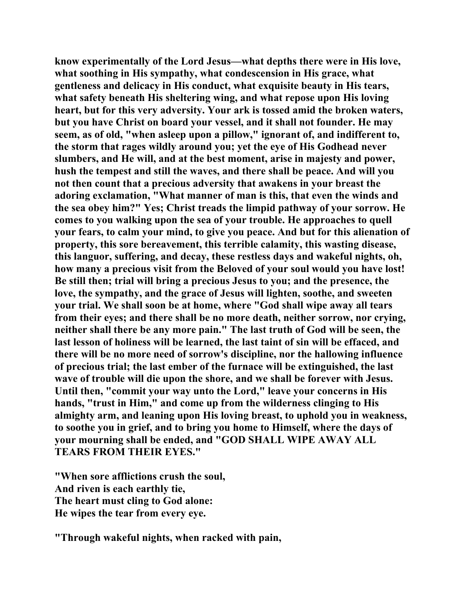**know experimentally of the Lord Jesus—what depths there were in His love, what soothing in His sympathy, what condescension in His grace, what gentleness and delicacy in His conduct, what exquisite beauty in His tears, what safety beneath His sheltering wing, and what repose upon His loving heart, but for this very adversity. Your ark is tossed amid the broken waters, but you have Christ on board your vessel, and it shall not founder. He may seem, as of old, "when asleep upon a pillow," ignorant of, and indifferent to, the storm that rages wildly around you; yet the eye of His Godhead never slumbers, and He will, and at the best moment, arise in majesty and power, hush the tempest and still the waves, and there shall be peace. And will you not then count that a precious adversity that awakens in your breast the adoring exclamation, "What manner of man is this, that even the winds and the sea obey him?" Yes; Christ treads the limpid pathway of your sorrow. He comes to you walking upon the sea of your trouble. He approaches to quell your fears, to calm your mind, to give you peace. And but for this alienation of property, this sore bereavement, this terrible calamity, this wasting disease, this languor, suffering, and decay, these restless days and wakeful nights, oh, how many a precious visit from the Beloved of your soul would you have lost! Be still then; trial will bring a precious Jesus to you; and the presence, the love, the sympathy, and the grace of Jesus will lighten, soothe, and sweeten your trial. We shall soon be at home, where "God shall wipe away all tears from their eyes; and there shall be no more death, neither sorrow, nor crying, neither shall there be any more pain." The last truth of God will be seen, the last lesson of holiness will be learned, the last taint of sin will be effaced, and there will be no more need of sorrow's discipline, nor the hallowing influence of precious trial; the last ember of the furnace will be extinguished, the last wave of trouble will die upon the shore, and we shall be forever with Jesus. Until then, "commit your way unto the Lord," leave your concerns in His hands, "trust in Him," and come up from the wilderness clinging to His almighty arm, and leaning upon His loving breast, to uphold you in weakness, to soothe you in grief, and to bring you home to Himself, where the days of your mourning shall be ended, and "GOD SHALL WIPE AWAY ALL TEARS FROM THEIR EYES."** 

**"When sore afflictions crush the soul, And riven is each earthly tie, The heart must cling to God alone: He wipes the tear from every eye.** 

**"Through wakeful nights, when racked with pain,**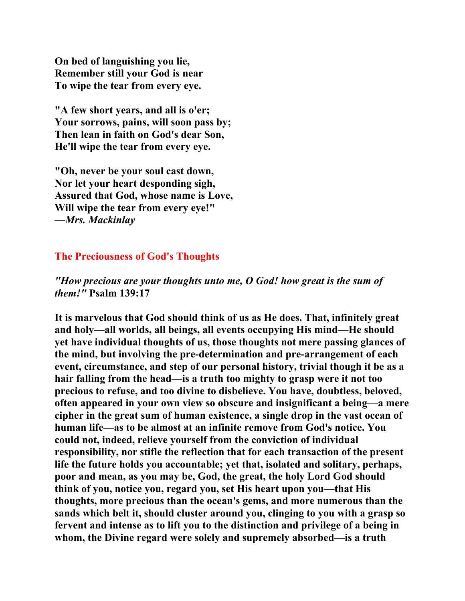**On bed of languishing you lie, Remember still your God is near To wipe the tear from every eye.** 

**"A few short years, and all is o'er; Your sorrows, pains, will soon pass by; Then lean in faith on God's dear Son, He'll wipe the tear from every eye.** 

**"Oh, never be your soul cast down, Nor let your heart desponding sigh, Assured that God, whose name is Love, Will wipe the tear from every eye!" —***Mrs. Mackinlay* 

### **The Preciousness of God's Thoughts**

*"How precious are your thoughts unto me, O God! how great is the sum of them!"* **Psalm 139:17** 

**It is marvelous that God should think of us as He does. That, infinitely great and holy—all worlds, all beings, all events occupying His mind—He should yet have individual thoughts of us, those thoughts not mere passing glances of the mind, but involving the pre-determination and pre-arrangement of each event, circumstance, and step of our personal history, trivial though it be as a hair falling from the head—is a truth too mighty to grasp were it not too precious to refuse, and too divine to disbelieve. You have, doubtless, beloved, often appeared in your own view so obscure and insignificant a being—a mere cipher in the great sum of human existence, a single drop in the vast ocean of human life—as to be almost at an infinite remove from God's notice. You could not, indeed, relieve yourself from the conviction of individual responsibility, nor stifle the reflection that for each transaction of the present life the future holds you accountable; yet that, isolated and solitary, perhaps, poor and mean, as you may be, God, the great, the holy Lord God should think of you, notice you, regard you, set His heart upon you—that His thoughts, more precious than the ocean's gems, and more numerous than the sands which belt it, should cluster around you, clinging to you with a grasp so fervent and intense as to lift you to the distinction and privilege of a being in whom, the Divine regard were solely and supremely absorbed—is a truth**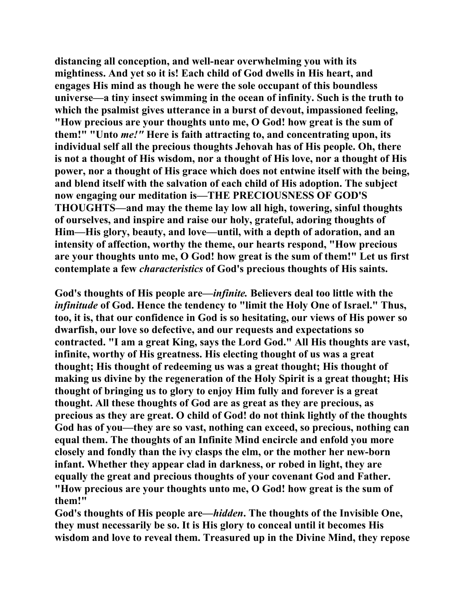**distancing all conception, and well-near overwhelming you with its mightiness. And yet so it is! Each child of God dwells in His heart, and engages His mind as though he were the sole occupant of this boundless universe—a tiny insect swimming in the ocean of infinity. Such is the truth to which the psalmist gives utterance in a burst of devout, impassioned feeling, "How precious are your thoughts unto me, O God! how great is the sum of them!" "Unto** *me!"* **Here is faith attracting to, and concentrating upon, its individual self all the precious thoughts Jehovah has of His people. Oh, there is not a thought of His wisdom, nor a thought of His love, nor a thought of His power, nor a thought of His grace which does not entwine itself with the being, and blend itself with the salvation of each child of His adoption. The subject now engaging our meditation is—THE PRECIOUSNESS OF GOD'S THOUGHTS—and may the theme lay low all high, towering, sinful thoughts of ourselves, and inspire and raise our holy, grateful, adoring thoughts of Him—His glory, beauty, and love—until, with a depth of adoration, and an intensity of affection, worthy the theme, our hearts respond, "How precious are your thoughts unto me, O God! how great is the sum of them!" Let us first contemplate a few** *characteristics* **of God's precious thoughts of His saints.** 

**God's thoughts of His people are—***infinite.* **Believers deal too little with the**  *infinitude* **of God. Hence the tendency to "limit the Holy One of Israel." Thus, too, it is, that our confidence in God is so hesitating, our views of His power so dwarfish, our love so defective, and our requests and expectations so contracted. "I am a great King, says the Lord God." All His thoughts are vast, infinite, worthy of His greatness. His electing thought of us was a great thought; His thought of redeeming us was a great thought; His thought of making us divine by the regeneration of the Holy Spirit is a great thought; His thought of bringing us to glory to enjoy Him fully and forever is a great thought. All these thoughts of God are as great as they are precious, as precious as they are great. O child of God! do not think lightly of the thoughts God has of you—they are so vast, nothing can exceed, so precious, nothing can equal them. The thoughts of an Infinite Mind encircle and enfold you more closely and fondly than the ivy clasps the elm, or the mother her new-born infant. Whether they appear clad in darkness, or robed in light, they are equally the great and precious thoughts of your covenant God and Father. "How precious are your thoughts unto me, O God! how great is the sum of them!"** 

**God's thoughts of His people are—***hidden***. The thoughts of the Invisible One, they must necessarily be so. It is His glory to conceal until it becomes His wisdom and love to reveal them. Treasured up in the Divine Mind, they repose**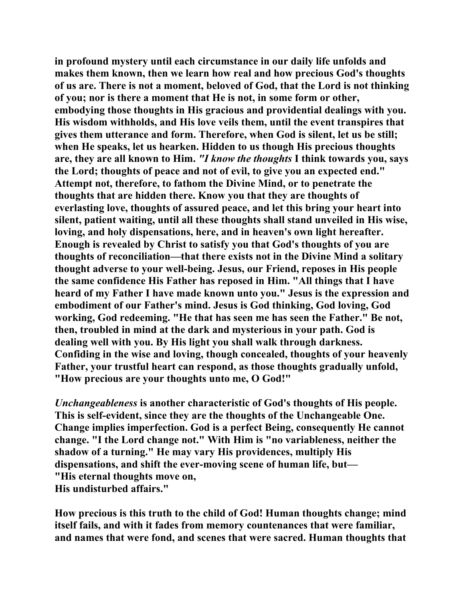**in profound mystery until each circumstance in our daily life unfolds and makes them known, then we learn how real and how precious God's thoughts of us are. There is not a moment, beloved of God, that the Lord is not thinking of you; nor is there a moment that He is not, in some form or other, embodying those thoughts in His gracious and providential dealings with you. His wisdom withholds, and His love veils them, until the event transpires that gives them utterance and form. Therefore, when God is silent, let us be still; when He speaks, let us hearken. Hidden to us though His precious thoughts are, they are all known to Him.** *"I know the thoughts* **I think towards you, says the Lord; thoughts of peace and not of evil, to give you an expected end." Attempt not, therefore, to fathom the Divine Mind, or to penetrate the thoughts that are hidden there. Know you that they are thoughts of everlasting love, thoughts of assured peace, and let this bring your heart into silent, patient waiting, until all these thoughts shall stand unveiled in His wise, loving, and holy dispensations, here, and in heaven's own light hereafter. Enough is revealed by Christ to satisfy you that God's thoughts of you are thoughts of reconciliation—that there exists not in the Divine Mind a solitary thought adverse to your well-being. Jesus, our Friend, reposes in His people the same confidence His Father has reposed in Him. "All things that I have heard of my Father I have made known unto you." Jesus is the expression and embodiment of our Father's mind. Jesus is God thinking, God loving, God working, God redeeming. "He that has seen me has seen the Father." Be not, then, troubled in mind at the dark and mysterious in your path. God is dealing well with you. By His light you shall walk through darkness. Confiding in the wise and loving, though concealed, thoughts of your heavenly Father, your trustful heart can respond, as those thoughts gradually unfold, "How precious are your thoughts unto me, O God!"** 

*Unchangeableness* **is another characteristic of God's thoughts of His people. This is self-evident, since they are the thoughts of the Unchangeable One. Change implies imperfection. God is a perfect Being, consequently He cannot change. "I the Lord change not." With Him is "no variableness, neither the shadow of a turning." He may vary His providences, multiply His dispensations, and shift the ever-moving scene of human life, but— "His eternal thoughts move on, His undisturbed affairs."** 

**How precious is this truth to the child of God! Human thoughts change; mind itself fails, and with it fades from memory countenances that were familiar, and names that were fond, and scenes that were sacred. Human thoughts that**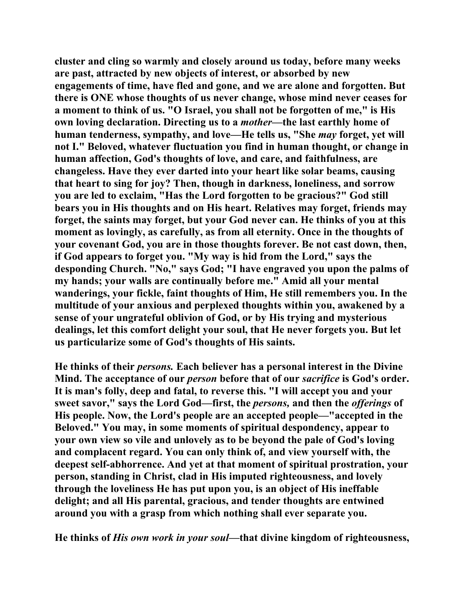**cluster and cling so warmly and closely around us today, before many weeks are past, attracted by new objects of interest, or absorbed by new engagements of time, have fled and gone, and we are alone and forgotten. But there is ONE whose thoughts of us never change, whose mind never ceases for a moment to think of us. "O Israel, you shall not be forgotten of me," is His own loving declaration. Directing us to a** *mother***—the last earthly home of human tenderness, sympathy, and love—He tells us, "She** *may* **forget, yet will not I." Beloved, whatever fluctuation you find in human thought, or change in human affection, God's thoughts of love, and care, and faithfulness, are changeless. Have they ever darted into your heart like solar beams, causing that heart to sing for joy? Then, though in darkness, loneliness, and sorrow you are led to exclaim, "Has the Lord forgotten to be gracious?" God still bears you in His thoughts and on His heart. Relatives may forget, friends may forget, the saints may forget, but your God never can. He thinks of you at this moment as lovingly, as carefully, as from all eternity. Once in the thoughts of your covenant God, you are in those thoughts forever. Be not cast down, then, if God appears to forget you. "My way is hid from the Lord," says the desponding Church. "No," says God; "I have engraved you upon the palms of my hands; your walls are continually before me." Amid all your mental wanderings, your fickle, faint thoughts of Him, He still remembers you. In the multitude of your anxious and perplexed thoughts within you, awakened by a sense of your ungrateful oblivion of God, or by His trying and mysterious dealings, let this comfort delight your soul, that He never forgets you. But let us particularize some of God's thoughts of His saints.** 

**He thinks of their** *persons.* **Each believer has a personal interest in the Divine Mind. The acceptance of our** *person* **before that of our** *sacrifice* **is God's order. It is man's folly, deep and fatal, to reverse this. "I will accept you and your sweet savor," says the Lord God—first, the** *persons,* **and then the** *offerings* **of His people. Now, the Lord's people are an accepted people—"accepted in the Beloved." You may, in some moments of spiritual despondency, appear to your own view so vile and unlovely as to be beyond the pale of God's loving and complacent regard. You can only think of, and view yourself with, the deepest self-abhorrence. And yet at that moment of spiritual prostration, your person, standing in Christ, clad in His imputed righteousness, and lovely through the loveliness He has put upon you, is an object of His ineffable delight; and all His parental, gracious, and tender thoughts are entwined around you with a grasp from which nothing shall ever separate you.** 

**He thinks of** *His own work in your soul***—that divine kingdom of righteousness,**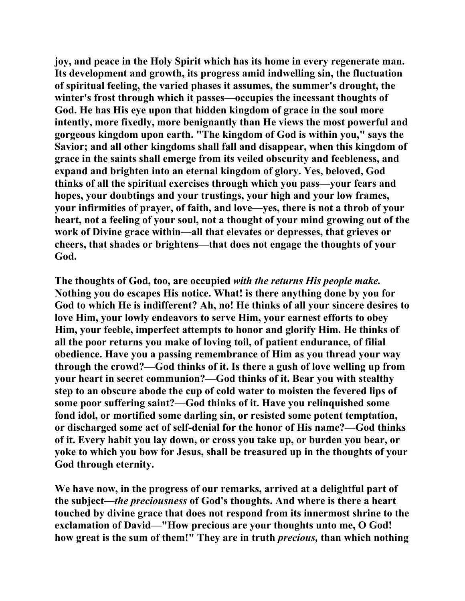**joy, and peace in the Holy Spirit which has its home in every regenerate man. Its development and growth, its progress amid indwelling sin, the fluctuation of spiritual feeling, the varied phases it assumes, the summer's drought, the winter's frost through which it passes—occupies the incessant thoughts of God. He has His eye upon that hidden kingdom of grace in the soul more intently, more fixedly, more benignantly than He views the most powerful and gorgeous kingdom upon earth. "The kingdom of God is within you," says the Savior; and all other kingdoms shall fall and disappear, when this kingdom of grace in the saints shall emerge from its veiled obscurity and feebleness, and expand and brighten into an eternal kingdom of glory. Yes, beloved, God thinks of all the spiritual exercises through which you pass—your fears and hopes, your doubtings and your trustings, your high and your low frames, your infirmities of prayer, of faith, and love—yes, there is not a throb of your heart, not a feeling of your soul, not a thought of your mind growing out of the work of Divine grace within—all that elevates or depresses, that grieves or cheers, that shades or brightens—that does not engage the thoughts of your God.** 

**The thoughts of God, too, are occupied** *with the returns His people make.*  **Nothing you do escapes His notice. What! is there anything done by you for God to which He is indifferent? Ah, no! He thinks of all your sincere desires to love Him, your lowly endeavors to serve Him, your earnest efforts to obey Him, your feeble, imperfect attempts to honor and glorify Him. He thinks of all the poor returns you make of loving toil, of patient endurance, of filial obedience. Have you a passing remembrance of Him as you thread your way through the crowd?—God thinks of it. Is there a gush of love welling up from your heart in secret communion?—God thinks of it. Bear you with stealthy step to an obscure abode the cup of cold water to moisten the fevered lips of some poor suffering saint?—God thinks of it. Have you relinquished some fond idol, or mortified some darling sin, or resisted some potent temptation, or discharged some act of self-denial for the honor of His name?—God thinks of it. Every habit you lay down, or cross you take up, or burden you bear, or yoke to which you bow for Jesus, shall be treasured up in the thoughts of your God through eternity.** 

**We have now, in the progress of our remarks, arrived at a delightful part of the subject—***the preciousness* **of God's thoughts. And where is there a heart touched by divine grace that does not respond from its innermost shrine to the exclamation of David—"How precious are your thoughts unto me, O God! how great is the sum of them!" They are in truth** *precious,* **than which nothing**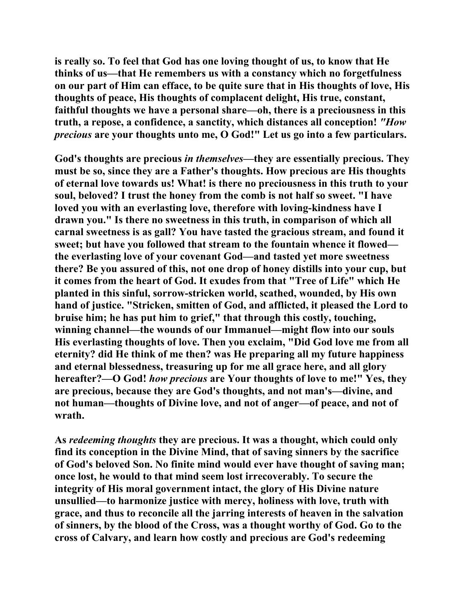**is really so. To feel that God has one loving thought of us, to know that He thinks of us—that He remembers us with a constancy which no forgetfulness on our part of Him can efface, to be quite sure that in His thoughts of love, His thoughts of peace, His thoughts of complacent delight, His true, constant, faithful thoughts we have a personal share—oh, there is a preciousness in this truth, a repose, a confidence, a sanctity, which distances all conception!** *"How precious* **are your thoughts unto me, O God!" Let us go into a few particulars.** 

**God's thoughts are precious** *in themselves***—they are essentially precious. They must be so, since they are a Father's thoughts. How precious are His thoughts of eternal love towards us! What! is there no preciousness in this truth to your soul, beloved? I trust the honey from the comb is not half so sweet. "I have loved you with an everlasting love, therefore with loving-kindness have I drawn you." Is there no sweetness in this truth, in comparison of which all carnal sweetness is as gall? You have tasted the gracious stream, and found it sweet; but have you followed that stream to the fountain whence it flowed the everlasting love of your covenant God—and tasted yet more sweetness there? Be you assured of this, not one drop of honey distills into your cup, but it comes from the heart of God. It exudes from that "Tree of Life" which He planted in this sinful, sorrow-stricken world, scathed, wounded, by His own hand of justice. "Stricken, smitten of God, and afflicted, it pleased the Lord to bruise him; he has put him to grief," that through this costly, touching, winning channel—the wounds of our Immanuel—might flow into our souls His everlasting thoughts of love. Then you exclaim, "Did God love me from all eternity? did He think of me then? was He preparing all my future happiness and eternal blessedness, treasuring up for me all grace here, and all glory hereafter?—O God!** *how precious* **are Your thoughts of love to me!" Yes, they are precious, because they are God's thoughts, and not man's—divine, and not human—thoughts of Divine love, and not of anger—of peace, and not of wrath.** 

**As** *redeeming thoughts* **they are precious. It was a thought, which could only find its conception in the Divine Mind, that of saving sinners by the sacrifice of God's beloved Son. No finite mind would ever have thought of saving man; once lost, he would to that mind seem lost irrecoverably. To secure the integrity of His moral government intact, the glory of His Divine nature unsullied—to harmonize justice with mercy, holiness with love, truth with grace, and thus to reconcile all the jarring interests of heaven in the salvation of sinners, by the blood of the Cross, was a thought worthy of God. Go to the cross of Calvary, and learn how costly and precious are God's redeeming**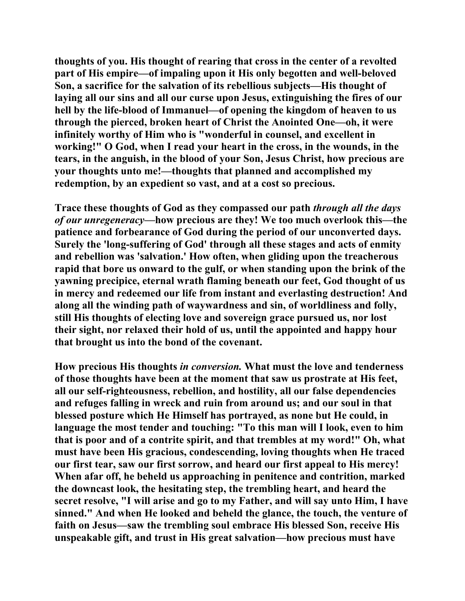**thoughts of you. His thought of rearing that cross in the center of a revolted part of His empire—of impaling upon it His only begotten and well-beloved Son, a sacrifice for the salvation of its rebellious subjects—His thought of laying all our sins and all our curse upon Jesus, extinguishing the fires of our hell by the life-blood of Immanuel—of opening the kingdom of heaven to us through the pierced, broken heart of Christ the Anointed One—oh, it were infinitely worthy of Him who is "wonderful in counsel, and excellent in working!" O God, when I read your heart in the cross, in the wounds, in the tears, in the anguish, in the blood of your Son, Jesus Christ, how precious are your thoughts unto me!—thoughts that planned and accomplished my redemption, by an expedient so vast, and at a cost so precious.** 

**Trace these thoughts of God as they compassed our path** *through all the days of our unregeneracy***—how precious are they! We too much overlook this—the patience and forbearance of God during the period of our unconverted days. Surely the 'long-suffering of God' through all these stages and acts of enmity and rebellion was 'salvation.' How often, when gliding upon the treacherous rapid that bore us onward to the gulf, or when standing upon the brink of the yawning precipice, eternal wrath flaming beneath our feet, God thought of us in mercy and redeemed our life from instant and everlasting destruction! And along all the winding path of waywardness and sin, of worldliness and folly, still His thoughts of electing love and sovereign grace pursued us, nor lost their sight, nor relaxed their hold of us, until the appointed and happy hour that brought us into the bond of the covenant.** 

**How precious His thoughts** *in conversion.* **What must the love and tenderness of those thoughts have been at the moment that saw us prostrate at His feet, all our self-righteousness, rebellion, and hostility, all our false dependencies and refuges falling in wreck and ruin from around us; and our soul in that blessed posture which He Himself has portrayed, as none but He could, in language the most tender and touching: "To this man will I look, even to him that is poor and of a contrite spirit, and that trembles at my word!" Oh, what must have been His gracious, condescending, loving thoughts when He traced our first tear, saw our first sorrow, and heard our first appeal to His mercy! When afar off, he beheld us approaching in penitence and contrition, marked the downcast look, the hesitating step, the trembling heart, and heard the secret resolve, "I will arise and go to my Father, and will say unto Him, I have sinned." And when He looked and beheld the glance, the touch, the venture of faith on Jesus—saw the trembling soul embrace His blessed Son, receive His unspeakable gift, and trust in His great salvation—how precious must have**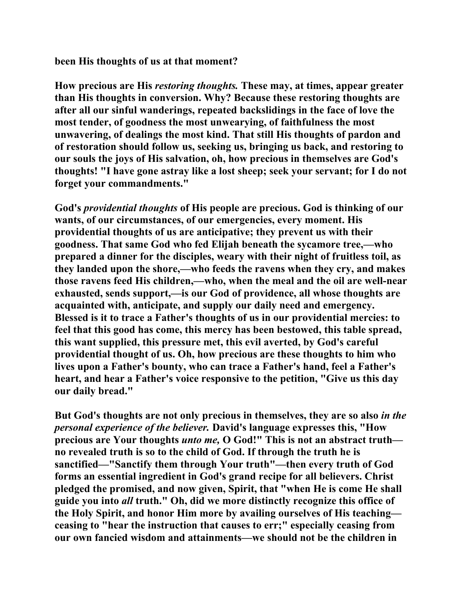**been His thoughts of us at that moment?** 

**How precious are His** *restoring thoughts.* **These may, at times, appear greater than His thoughts in conversion. Why? Because these restoring thoughts are after all our sinful wanderings, repeated backslidings in the face of love the most tender, of goodness the most unwearying, of faithfulness the most unwavering, of dealings the most kind. That still His thoughts of pardon and of restoration should follow us, seeking us, bringing us back, and restoring to our souls the joys of His salvation, oh, how precious in themselves are God's thoughts! "I have gone astray like a lost sheep; seek your servant; for I do not forget your commandments."** 

**God's** *providential thoughts* **of His people are precious. God is thinking of our wants, of our circumstances, of our emergencies, every moment. His providential thoughts of us are anticipative; they prevent us with their goodness. That same God who fed Elijah beneath the sycamore tree,—who prepared a dinner for the disciples, weary with their night of fruitless toil, as they landed upon the shore,—who feeds the ravens when they cry, and makes those ravens feed His children,—who, when the meal and the oil are well-near exhausted, sends support,—is our God of providence, all whose thoughts are acquainted with, anticipate, and supply our daily need and emergency. Blessed is it to trace a Father's thoughts of us in our providential mercies: to feel that this good has come, this mercy has been bestowed, this table spread, this want supplied, this pressure met, this evil averted, by God's careful providential thought of us. Oh, how precious are these thoughts to him who lives upon a Father's bounty, who can trace a Father's hand, feel a Father's heart, and hear a Father's voice responsive to the petition, "Give us this day our daily bread."** 

**But God's thoughts are not only precious in themselves, they are so also** *in the personal experience of the believer.* **David's language expresses this, "How precious are Your thoughts** *unto me,* **O God!" This is not an abstract truth no revealed truth is so to the child of God. If through the truth he is sanctified—"Sanctify them through Your truth"—then every truth of God forms an essential ingredient in God's grand recipe for all believers. Christ pledged the promised, and now given, Spirit, that "when He is come He shall guide you into** *all* **truth." Oh, did we more distinctly recognize this office of the Holy Spirit, and honor Him more by availing ourselves of His teaching ceasing to "hear the instruction that causes to err;" especially ceasing from our own fancied wisdom and attainments—we should not be the children in**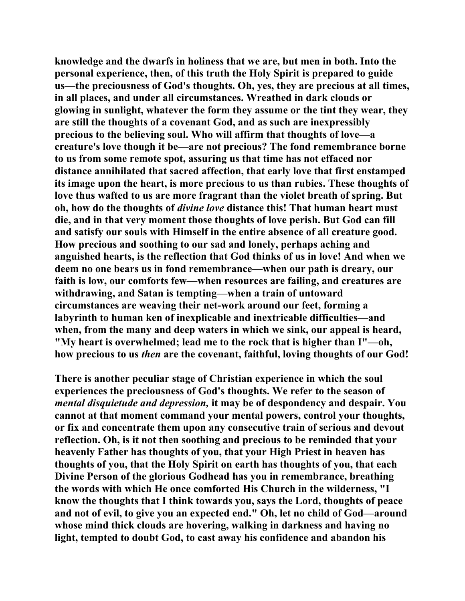**knowledge and the dwarfs in holiness that we are, but men in both. Into the personal experience, then, of this truth the Holy Spirit is prepared to guide us—the preciousness of God's thoughts. Oh, yes, they are precious at all times, in all places, and under all circumstances. Wreathed in dark clouds or glowing in sunlight, whatever the form they assume or the tint they wear, they are still the thoughts of a covenant God, and as such are inexpressibly precious to the believing soul. Who will affirm that thoughts of love—a creature's love though it be—are not precious? The fond remembrance borne to us from some remote spot, assuring us that time has not effaced nor distance annihilated that sacred affection, that early love that first enstamped its image upon the heart, is more precious to us than rubies. These thoughts of love thus wafted to us are more fragrant than the violet breath of spring. But oh, how do the thoughts of** *divine love* **distance this! That human heart must die, and in that very moment those thoughts of love perish. But God can fill and satisfy our souls with Himself in the entire absence of all creature good. How precious and soothing to our sad and lonely, perhaps aching and anguished hearts, is the reflection that God thinks of us in love! And when we deem no one bears us in fond remembrance—when our path is dreary, our faith is low, our comforts few—when resources are failing, and creatures are withdrawing, and Satan is tempting—when a train of untoward circumstances are weaving their net-work around our feet, forming a labyrinth to human ken of inexplicable and inextricable difficulties—and when, from the many and deep waters in which we sink, our appeal is heard, "My heart is overwhelmed; lead me to the rock that is higher than I"—oh, how precious to us** *then* **are the covenant, faithful, loving thoughts of our God!** 

**There is another peculiar stage of Christian experience in which the soul experiences the preciousness of God's thoughts. We refer to the season of**  *mental disquietude and depression,* **it may be of despondency and despair. You cannot at that moment command your mental powers, control your thoughts, or fix and concentrate them upon any consecutive train of serious and devout reflection. Oh, is it not then soothing and precious to be reminded that your heavenly Father has thoughts of you, that your High Priest in heaven has thoughts of you, that the Holy Spirit on earth has thoughts of you, that each Divine Person of the glorious Godhead has you in remembrance, breathing the words with which He once comforted His Church in the wilderness, "I know the thoughts that I think towards you, says the Lord, thoughts of peace and not of evil, to give you an expected end." Oh, let no child of God—around whose mind thick clouds are hovering, walking in darkness and having no light, tempted to doubt God, to cast away his confidence and abandon his**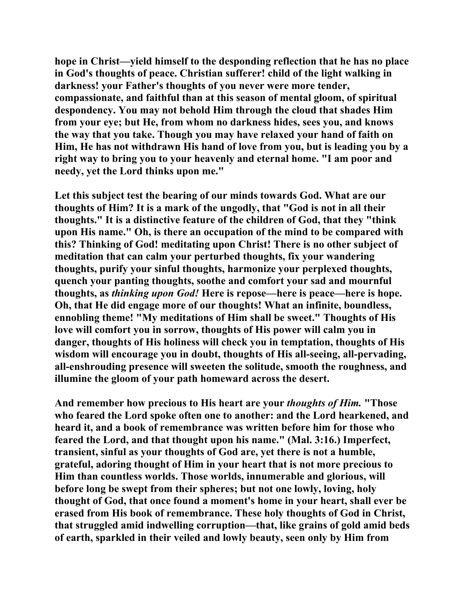**hope in Christ—yield himself to the desponding reflection that he has no place in God's thoughts of peace. Christian sufferer! child of the light walking in darkness! your Father's thoughts of you never were more tender, compassionate, and faithful than at this season of mental gloom, of spiritual despondency. You may not behold Him through the cloud that shades Him from your eye; but He, from whom no darkness hides, sees you, and knows the way that you take. Though you may have relaxed your hand of faith on Him, He has not withdrawn His hand of love from you, but is leading you by a right way to bring you to your heavenly and eternal home. "I am poor and needy, yet the Lord thinks upon me."** 

**Let this subject test the bearing of our minds towards God. What are our thoughts of Him? It is a mark of the ungodly, that "God is not in all their thoughts." It is a distinctive feature of the children of God, that they "think upon His name." Oh, is there an occupation of the mind to be compared with this? Thinking of God! meditating upon Christ! There is no other subject of meditation that can calm your perturbed thoughts, fix your wandering thoughts, purify your sinful thoughts, harmonize your perplexed thoughts, quench your panting thoughts, soothe and comfort your sad and mournful thoughts, as** *thinking upon God!* **Here is repose—here is peace—here is hope. Oh, that He did engage more of our thoughts! What an infinite, boundless, ennobling theme! "My meditations of Him shall be sweet." Thoughts of His love will comfort you in sorrow, thoughts of His power will calm you in danger, thoughts of His holiness will check you in temptation, thoughts of His wisdom will encourage you in doubt, thoughts of His all-seeing, all-pervading, all-enshrouding presence will sweeten the solitude, smooth the roughness, and illumine the gloom of your path homeward across the desert.** 

**And remember how precious to His heart are your** *thoughts of Him.* **"Those who feared the Lord spoke often one to another: and the Lord hearkened, and heard it, and a book of remembrance was written before him for those who feared the Lord, and that thought upon his name." (Mal. 3:16.) Imperfect, transient, sinful as your thoughts of God are, yet there is not a humble, grateful, adoring thought of Him in your heart that is not more precious to Him than countless worlds. Those worlds, innumerable and glorious, will before long be swept from their spheres; but not one lowly, loving, holy thought of God, that once found a moment's home in your heart, shall ever be erased from His book of remembrance. These holy thoughts of God in Christ, that struggled amid indwelling corruption—that, like grains of gold amid beds of earth, sparkled in their veiled and lowly beauty, seen only by Him from**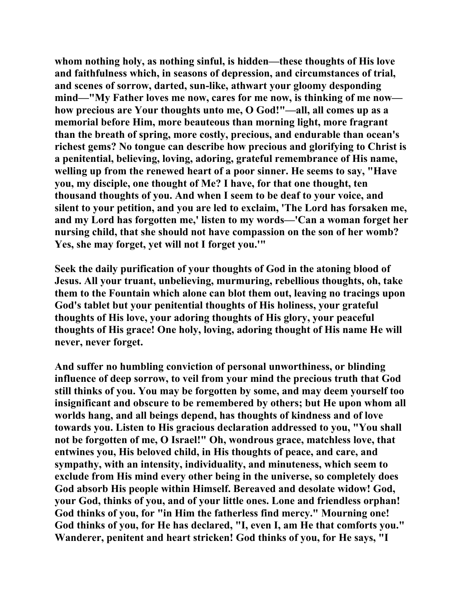**whom nothing holy, as nothing sinful, is hidden—these thoughts of His love and faithfulness which, in seasons of depression, and circumstances of trial, and scenes of sorrow, darted, sun-like, athwart your gloomy desponding mind—"My Father loves me now, cares for me now, is thinking of me now how precious are Your thoughts unto me, O God!"—all, all comes up as a memorial before Him, more beauteous than morning light, more fragrant than the breath of spring, more costly, precious, and endurable than ocean's richest gems? No tongue can describe how precious and glorifying to Christ is a penitential, believing, loving, adoring, grateful remembrance of His name, welling up from the renewed heart of a poor sinner. He seems to say, "Have you, my disciple, one thought of Me? I have, for that one thought, ten thousand thoughts of you. And when I seem to be deaf to your voice, and silent to your petition, and you are led to exclaim, 'The Lord has forsaken me, and my Lord has forgotten me,' listen to my words—'Can a woman forget her nursing child, that she should not have compassion on the son of her womb? Yes, she may forget, yet will not I forget you.'"** 

**Seek the daily purification of your thoughts of God in the atoning blood of Jesus. All your truant, unbelieving, murmuring, rebellious thoughts, oh, take them to the Fountain which alone can blot them out, leaving no tracings upon God's tablet but your penitential thoughts of His holiness, your grateful thoughts of His love, your adoring thoughts of His glory, your peaceful thoughts of His grace! One holy, loving, adoring thought of His name He will never, never forget.** 

**And suffer no humbling conviction of personal unworthiness, or blinding influence of deep sorrow, to veil from your mind the precious truth that God still thinks of you. You may be forgotten by some, and may deem yourself too insignificant and obscure to be remembered by others; but He upon whom all worlds hang, and all beings depend, has thoughts of kindness and of love towards you. Listen to His gracious declaration addressed to you, "You shall not be forgotten of me, O Israel!" Oh, wondrous grace, matchless love, that entwines you, His beloved child, in His thoughts of peace, and care, and sympathy, with an intensity, individuality, and minuteness, which seem to exclude from His mind every other being in the universe, so completely does God absorb His people within Himself. Bereaved and desolate widow! God, your God, thinks of you, and of your little ones. Lone and friendless orphan! God thinks of you, for "in Him the fatherless find mercy." Mourning one! God thinks of you, for He has declared, "I, even I, am He that comforts you." Wanderer, penitent and heart stricken! God thinks of you, for He says, "I**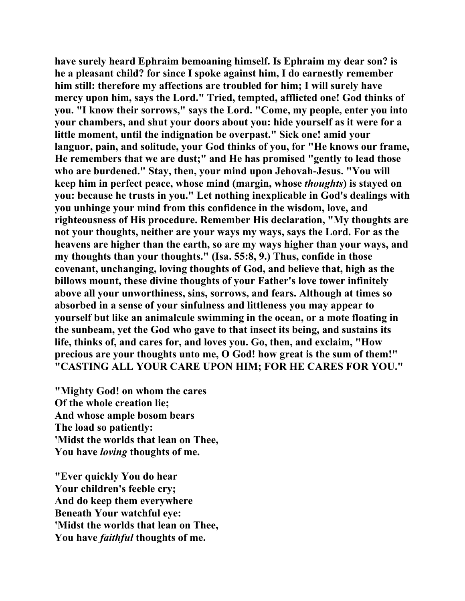**have surely heard Ephraim bemoaning himself. Is Ephraim my dear son? is he a pleasant child? for since I spoke against him, I do earnestly remember him still: therefore my affections are troubled for him; I will surely have mercy upon him, says the Lord." Tried, tempted, afflicted one! God thinks of you. "I know their sorrows," says the Lord. "Come, my people, enter you into your chambers, and shut your doors about you: hide yourself as it were for a little moment, until the indignation be overpast." Sick one! amid your languor, pain, and solitude, your God thinks of you, for "He knows our frame, He remembers that we are dust;" and He has promised "gently to lead those who are burdened." Stay, then, your mind upon Jehovah-Jesus. "You will keep him in perfect peace, whose mind (margin, whose** *thoughts***) is stayed on you: because he trusts in you." Let nothing inexplicable in God's dealings with you unhinge your mind from this confidence in the wisdom, love, and righteousness of His procedure. Remember His declaration, "My thoughts are not your thoughts, neither are your ways my ways, says the Lord. For as the heavens are higher than the earth, so are my ways higher than your ways, and my thoughts than your thoughts." (Isa. 55:8, 9.) Thus, confide in those covenant, unchanging, loving thoughts of God, and believe that, high as the billows mount, these divine thoughts of your Father's love tower infinitely above all your unworthiness, sins, sorrows, and fears. Although at times so absorbed in a sense of your sinfulness and littleness you may appear to yourself but like an animalcule swimming in the ocean, or a mote floating in the sunbeam, yet the God who gave to that insect its being, and sustains its life, thinks of, and cares for, and loves you. Go, then, and exclaim, "How precious are your thoughts unto me, O God! how great is the sum of them!" "CASTING ALL YOUR CARE UPON HIM; FOR HE CARES FOR YOU."** 

**"Mighty God! on whom the cares Of the whole creation lie; And whose ample bosom bears The load so patiently: 'Midst the worlds that lean on Thee, You have** *loving* **thoughts of me.** 

**"Ever quickly You do hear Your children's feeble cry; And do keep them everywhere Beneath Your watchful eye: 'Midst the worlds that lean on Thee, You have** *faithful* **thoughts of me.**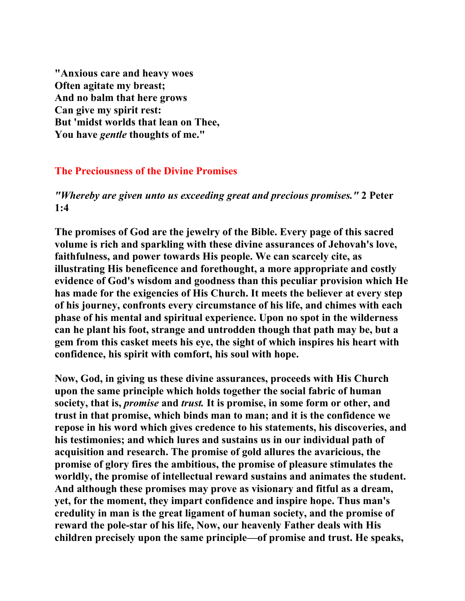**"Anxious care and heavy woes Often agitate my breast; And no balm that here grows Can give my spirit rest: But 'midst worlds that lean on Thee, You have** *gentle* **thoughts of me."** 

## **The Preciousness of the Divine Promises**

# *"Whereby are given unto us exceeding great and precious promises."* **2 Peter 1:4**

**The promises of God are the jewelry of the Bible. Every page of this sacred volume is rich and sparkling with these divine assurances of Jehovah's love, faithfulness, and power towards His people. We can scarcely cite, as illustrating His beneficence and forethought, a more appropriate and costly evidence of God's wisdom and goodness than this peculiar provision which He has made for the exigencies of His Church. It meets the believer at every step of his journey, confronts every circumstance of his life, and chimes with each phase of his mental and spiritual experience. Upon no spot in the wilderness can he plant his foot, strange and untrodden though that path may be, but a gem from this casket meets his eye, the sight of which inspires his heart with confidence, his spirit with comfort, his soul with hope.** 

**Now, God, in giving us these divine assurances, proceeds with His Church upon the same principle which holds together the social fabric of human society, that is,** *promise* **and** *trust.* **It is promise, in some form or other, and trust in that promise, which binds man to man; and it is the confidence we repose in his word which gives credence to his statements, his discoveries, and his testimonies; and which lures and sustains us in our individual path of acquisition and research. The promise of gold allures the avaricious, the promise of glory fires the ambitious, the promise of pleasure stimulates the worldly, the promise of intellectual reward sustains and animates the student. And although these promises may prove as visionary and fitful as a dream, yet, for the moment, they impart confidence and inspire hope. Thus man's credulity in man is the great ligament of human society, and the promise of reward the pole-star of his life, Now, our heavenly Father deals with His children precisely upon the same principle—of promise and trust. He speaks,**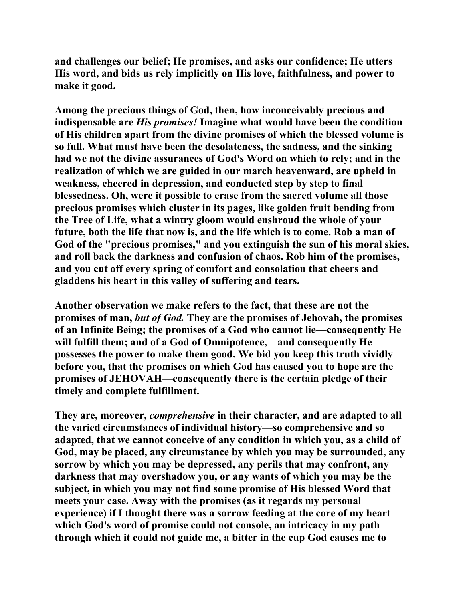**and challenges our belief; He promises, and asks our confidence; He utters His word, and bids us rely implicitly on His love, faithfulness, and power to make it good.** 

**Among the precious things of God, then, how inconceivably precious and indispensable are** *His promises!* **Imagine what would have been the condition of His children apart from the divine promises of which the blessed volume is so full. What must have been the desolateness, the sadness, and the sinking had we not the divine assurances of God's Word on which to rely; and in the realization of which we are guided in our march heavenward, are upheld in weakness, cheered in depression, and conducted step by step to final blessedness. Oh, were it possible to erase from the sacred volume all those precious promises which cluster in its pages, like golden fruit bending from the Tree of Life, what a wintry gloom would enshroud the whole of your future, both the life that now is, and the life which is to come. Rob a man of God of the "precious promises," and you extinguish the sun of his moral skies, and roll back the darkness and confusion of chaos. Rob him of the promises, and you cut off every spring of comfort and consolation that cheers and gladdens his heart in this valley of suffering and tears.** 

**Another observation we make refers to the fact, that these are not the promises of man,** *but of God.* **They are the promises of Jehovah, the promises of an Infinite Being; the promises of a God who cannot lie—consequently He will fulfill them; and of a God of Omnipotence,—and consequently He possesses the power to make them good. We bid you keep this truth vividly before you, that the promises on which God has caused you to hope are the promises of JEHOVAH—consequently there is the certain pledge of their timely and complete fulfillment.** 

**They are, moreover,** *comprehensive* **in their character, and are adapted to all the varied circumstances of individual history—so comprehensive and so adapted, that we cannot conceive of any condition in which you, as a child of God, may be placed, any circumstance by which you may be surrounded, any sorrow by which you may be depressed, any perils that may confront, any darkness that may overshadow you, or any wants of which you may be the subject, in which you may not find some promise of His blessed Word that meets your case. Away with the promises (as it regards my personal experience) if I thought there was a sorrow feeding at the core of my heart which God's word of promise could not console, an intricacy in my path through which it could not guide me, a bitter in the cup God causes me to**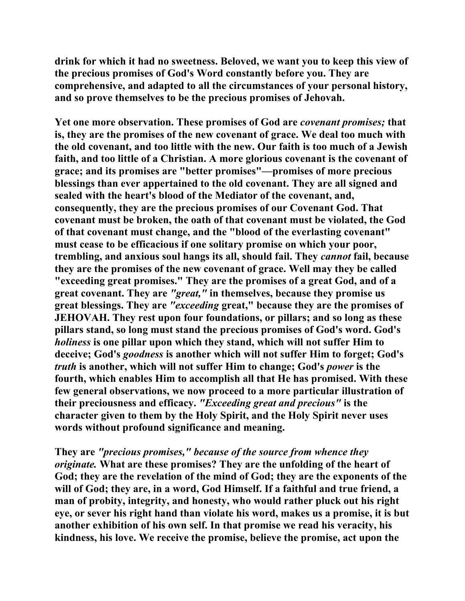**drink for which it had no sweetness. Beloved, we want you to keep this view of the precious promises of God's Word constantly before you. They are comprehensive, and adapted to all the circumstances of your personal history, and so prove themselves to be the precious promises of Jehovah.** 

**Yet one more observation. These promises of God are** *covenant promises;* **that is, they are the promises of the new covenant of grace. We deal too much with the old covenant, and too little with the new. Our faith is too much of a Jewish faith, and too little of a Christian. A more glorious covenant is the covenant of grace; and its promises are "better promises"—promises of more precious blessings than ever appertained to the old covenant. They are all signed and sealed with the heart's blood of the Mediator of the covenant, and, consequently, they are the precious promises of our Covenant God. That covenant must be broken, the oath of that covenant must be violated, the God of that covenant must change, and the "blood of the everlasting covenant" must cease to be efficacious if one solitary promise on which your poor, trembling, and anxious soul hangs its all, should fail. They** *cannot* **fail, because they are the promises of the new covenant of grace. Well may they be called "exceeding great promises." They are the promises of a great God, and of a great covenant. They are** *"great,"* **in themselves, because they promise us great blessings. They are** *"exceeding* **great," because they are the promises of JEHOVAH. They rest upon four foundations, or pillars; and so long as these pillars stand, so long must stand the precious promises of God's word. God's**  *holiness* **is one pillar upon which they stand, which will not suffer Him to deceive; God's** *goodness* **is another which will not suffer Him to forget; God's**  *truth* **is another, which will not suffer Him to change; God's** *power* **is the fourth, which enables Him to accomplish all that He has promised. With these few general observations, we now proceed to a more particular illustration of their preciousness and efficacy.** *"Exceeding great and precious"* **is the character given to them by the Holy Spirit, and the Holy Spirit never uses words without profound significance and meaning.** 

**They are** *"precious promises," because of the source from whence they originate.* **What are these promises? They are the unfolding of the heart of God; they are the revelation of the mind of God; they are the exponents of the will of God; they are, in a word, God Himself. If a faithful and true friend, a man of probity, integrity, and honesty, who would rather pluck out his right eye, or sever his right hand than violate his word, makes us a promise, it is but another exhibition of his own self. In that promise we read his veracity, his kindness, his love. We receive the promise, believe the promise, act upon the**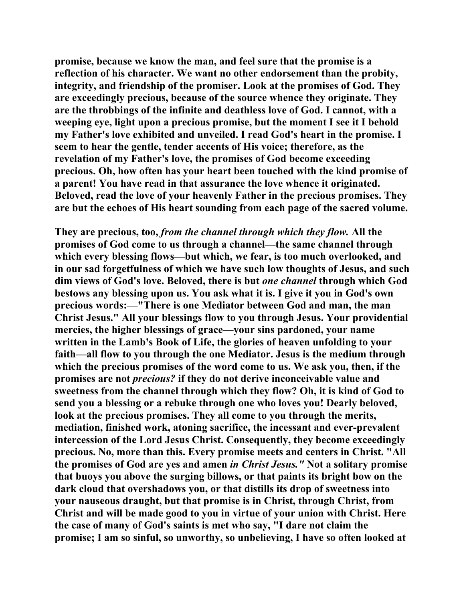**promise, because we know the man, and feel sure that the promise is a reflection of his character. We want no other endorsement than the probity, integrity, and friendship of the promiser. Look at the promises of God. They are exceedingly precious, because of the source whence they originate. They are the throbbings of the infinite and deathless love of God. I cannot, with a weeping eye, light upon a precious promise, but the moment I see it I behold my Father's love exhibited and unveiled. I read God's heart in the promise. I seem to hear the gentle, tender accents of His voice; therefore, as the revelation of my Father's love, the promises of God become exceeding precious. Oh, how often has your heart been touched with the kind promise of a parent! You have read in that assurance the love whence it originated. Beloved, read the love of your heavenly Father in the precious promises. They are but the echoes of His heart sounding from each page of the sacred volume.** 

**They are precious, too,** *from the channel through which they flow.* **All the promises of God come to us through a channel—the same channel through which every blessing flows—but which, we fear, is too much overlooked, and in our sad forgetfulness of which we have such low thoughts of Jesus, and such dim views of God's love. Beloved, there is but** *one channel* **through which God bestows any blessing upon us. You ask what it is. I give it you in God's own precious words:—"There is one Mediator between God and man, the man Christ Jesus." All your blessings flow to you through Jesus. Your providential mercies, the higher blessings of grace—your sins pardoned, your name written in the Lamb's Book of Life, the glories of heaven unfolding to your faith—all flow to you through the one Mediator. Jesus is the medium through which the precious promises of the word come to us. We ask you, then, if the promises are not** *precious?* **if they do not derive inconceivable value and sweetness from the channel through which they flow? Oh, it is kind of God to send you a blessing or a rebuke through one who loves you! Dearly beloved, look at the precious promises. They all come to you through the merits, mediation, finished work, atoning sacrifice, the incessant and ever-prevalent intercession of the Lord Jesus Christ. Consequently, they become exceedingly precious. No, more than this. Every promise meets and centers in Christ. "All the promises of God are yes and amen** *in Christ Jesus."* **Not a solitary promise that buoys you above the surging billows, or that paints its bright bow on the dark cloud that overshadows you, or that distills its drop of sweetness into your nauseous draught, but that promise is in Christ, through Christ, from Christ and will be made good to you in virtue of your union with Christ. Here the case of many of God's saints is met who say, "I dare not claim the promise; I am so sinful, so unworthy, so unbelieving, I have so often looked at**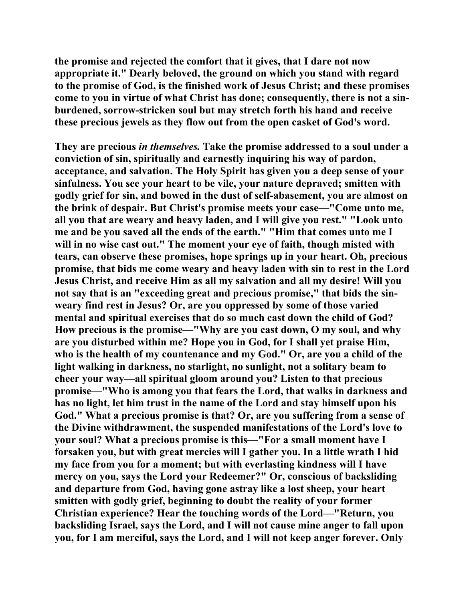**the promise and rejected the comfort that it gives, that I dare not now appropriate it." Dearly beloved, the ground on which you stand with regard to the promise of God, is the finished work of Jesus Christ; and these promises come to you in virtue of what Christ has done; consequently, there is not a sinburdened, sorrow-stricken soul but may stretch forth his hand and receive these precious jewels as they flow out from the open casket of God's word.** 

**They are precious** *in themselves.* **Take the promise addressed to a soul under a conviction of sin, spiritually and earnestly inquiring his way of pardon, acceptance, and salvation. The Holy Spirit has given you a deep sense of your sinfulness. You see your heart to be vile, your nature depraved; smitten with godly grief for sin, and bowed in the dust of self-abasement, you are almost on the brink of despair. But Christ's promise meets your case—"Come unto me, all you that are weary and heavy laden, and I will give you rest." "Look unto me and be you saved all the ends of the earth." "Him that comes unto me I will in no wise cast out." The moment your eye of faith, though misted with tears, can observe these promises, hope springs up in your heart. Oh, precious promise, that bids me come weary and heavy laden with sin to rest in the Lord Jesus Christ, and receive Him as all my salvation and all my desire! Will you not say that is an "exceeding great and precious promise," that bids the sinweary find rest in Jesus? Or, are you oppressed by some of those varied mental and spiritual exercises that do so much cast down the child of God? How precious is the promise—"Why are you cast down, O my soul, and why are you disturbed within me? Hope you in God, for I shall yet praise Him, who is the health of my countenance and my God." Or, are you a child of the light walking in darkness, no starlight, no sunlight, not a solitary beam to cheer your way—all spiritual gloom around you? Listen to that precious promise—"Who is among you that fears the Lord, that walks in darkness and has no light, let him trust in the name of the Lord and stay himself upon his God." What a precious promise is that? Or, are you suffering from a sense of the Divine withdrawment, the suspended manifestations of the Lord's love to your soul? What a precious promise is this—"For a small moment have I forsaken you, but with great mercies will I gather you. In a little wrath I hid my face from you for a moment; but with everlasting kindness will I have mercy on you, says the Lord your Redeemer?" Or, conscious of backsliding and departure from God, having gone astray like a lost sheep, your heart smitten with godly grief, beginning to doubt the reality of your former Christian experience? Hear the touching words of the Lord—"Return, you backsliding Israel, says the Lord, and I will not cause mine anger to fall upon you, for I am merciful, says the Lord, and I will not keep anger forever. Only**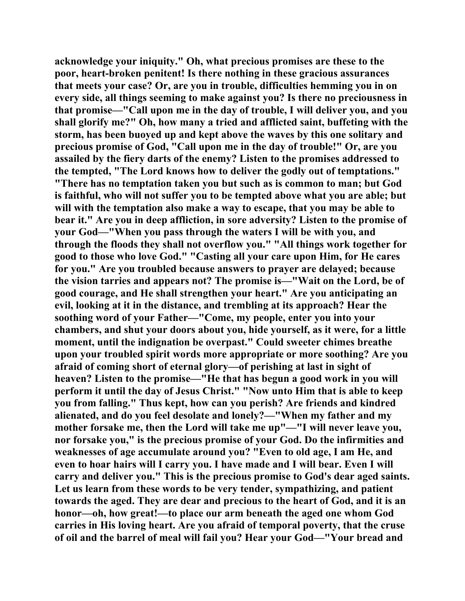**acknowledge your iniquity." Oh, what precious promises are these to the poor, heart-broken penitent! Is there nothing in these gracious assurances that meets your case? Or, are you in trouble, difficulties hemming you in on every side, all things seeming to make against you? Is there no preciousness in that promise—"Call upon me in the day of trouble, I will deliver you, and you shall glorify me?" Oh, how many a tried and afflicted saint, buffeting with the storm, has been buoyed up and kept above the waves by this one solitary and precious promise of God, "Call upon me in the day of trouble!" Or, are you assailed by the fiery darts of the enemy? Listen to the promises addressed to the tempted, "The Lord knows how to deliver the godly out of temptations." "There has no temptation taken you but such as is common to man; but God is faithful, who will not suffer you to be tempted above what you are able; but will with the temptation also make a way to escape, that you may be able to bear it." Are you in deep affliction, in sore adversity? Listen to the promise of your God—"When you pass through the waters I will be with you, and through the floods they shall not overflow you." "All things work together for good to those who love God." "Casting all your care upon Him, for He cares for you." Are you troubled because answers to prayer are delayed; because the vision tarries and appears not? The promise is—"Wait on the Lord, be of good courage, and He shall strengthen your heart." Are you anticipating an evil, looking at it in the distance, and trembling at its approach? Hear the soothing word of your Father—"Come, my people, enter you into your chambers, and shut your doors about you, hide yourself, as it were, for a little moment, until the indignation be overpast." Could sweeter chimes breathe upon your troubled spirit words more appropriate or more soothing? Are you afraid of coming short of eternal glory—of perishing at last in sight of heaven? Listen to the promise—"He that has begun a good work in you will perform it until the day of Jesus Christ." "Now unto Him that is able to keep you from falling." Thus kept, how can you perish? Are friends and kindred alienated, and do you feel desolate and lonely?—"When my father and my mother forsake me, then the Lord will take me up"—"I will never leave you, nor forsake you," is the precious promise of your God. Do the infirmities and weaknesses of age accumulate around you? "Even to old age, I am He, and even to hoar hairs will I carry you. I have made and I will bear. Even I will carry and deliver you." This is the precious promise to God's dear aged saints. Let us learn from these words to be very tender, sympathizing, and patient towards the aged. They are dear and precious to the heart of God, and it is an honor—oh, how great!—to place our arm beneath the aged one whom God carries in His loving heart. Are you afraid of temporal poverty, that the cruse of oil and the barrel of meal will fail you? Hear your God—"Your bread and**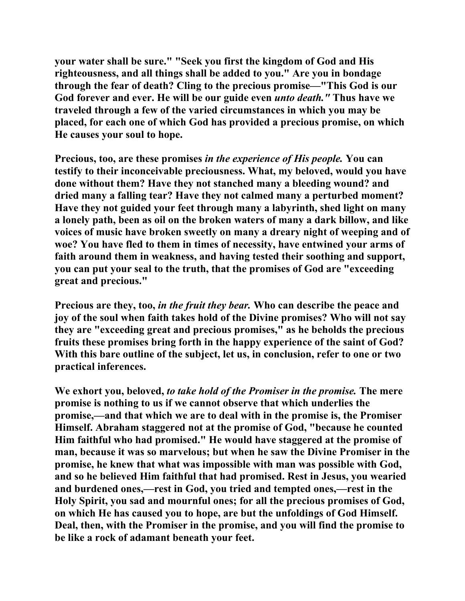**your water shall be sure." "Seek you first the kingdom of God and His righteousness, and all things shall be added to you." Are you in bondage through the fear of death? Cling to the precious promise—"This God is our God forever and ever. He will be our guide even** *unto death."* **Thus have we traveled through a few of the varied circumstances in which you may be placed, for each one of which God has provided a precious promise, on which He causes your soul to hope.** 

**Precious, too, are these promises** *in the experience of His people.* **You can testify to their inconceivable preciousness. What, my beloved, would you have done without them? Have they not stanched many a bleeding wound? and dried many a falling tear? Have they not calmed many a perturbed moment? Have they not guided your feet through many a labyrinth, shed light on many a lonely path, been as oil on the broken waters of many a dark billow, and like voices of music have broken sweetly on many a dreary night of weeping and of woe? You have fled to them in times of necessity, have entwined your arms of faith around them in weakness, and having tested their soothing and support, you can put your seal to the truth, that the promises of God are "exceeding great and precious."** 

**Precious are they, too,** *in the fruit they bear.* **Who can describe the peace and joy of the soul when faith takes hold of the Divine promises? Who will not say they are "exceeding great and precious promises," as he beholds the precious fruits these promises bring forth in the happy experience of the saint of God? With this bare outline of the subject, let us, in conclusion, refer to one or two practical inferences.** 

**We exhort you, beloved,** *to take hold of the Promiser in the promise.* **The mere promise is nothing to us if we cannot observe that which underlies the promise,—and that which we are to deal with in the promise is, the Promiser Himself. Abraham staggered not at the promise of God, "because he counted Him faithful who had promised." He would have staggered at the promise of man, because it was so marvelous; but when he saw the Divine Promiser in the promise, he knew that what was impossible with man was possible with God, and so he believed Him faithful that had promised. Rest in Jesus, you wearied and burdened ones,—rest in God, you tried and tempted ones,—rest in the Holy Spirit, you sad and mournful ones; for all the precious promises of God, on which He has caused you to hope, are but the unfoldings of God Himself. Deal, then, with the Promiser in the promise, and you will find the promise to be like a rock of adamant beneath your feet.**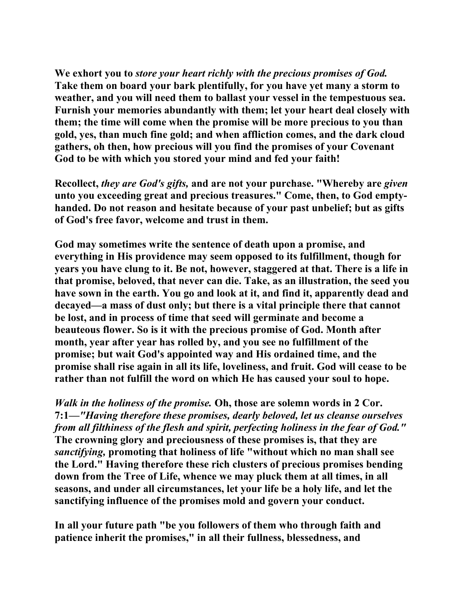**We exhort you to** *store your heart richly with the precious promises of God.*  **Take them on board your bark plentifully, for you have yet many a storm to weather, and you will need them to ballast your vessel in the tempestuous sea. Furnish your memories abundantly with them; let your heart deal closely with them; the time will come when the promise will be more precious to you than gold, yes, than much fine gold; and when affliction comes, and the dark cloud gathers, oh then, how precious will you find the promises of your Covenant God to be with which you stored your mind and fed your faith!** 

**Recollect,** *they are God's gifts,* **and are not your purchase. "Whereby are** *given*  **unto you exceeding great and precious treasures." Come, then, to God emptyhanded. Do not reason and hesitate because of your past unbelief; but as gifts of God's free favor, welcome and trust in them.** 

**God may sometimes write the sentence of death upon a promise, and everything in His providence may seem opposed to its fulfillment, though for years you have clung to it. Be not, however, staggered at that. There is a life in that promise, beloved, that never can die. Take, as an illustration, the seed you have sown in the earth. You go and look at it, and find it, apparently dead and decayed—a mass of dust only; but there is a vital principle there that cannot be lost, and in process of time that seed will germinate and become a beauteous flower. So is it with the precious promise of God. Month after month, year after year has rolled by, and you see no fulfillment of the promise; but wait God's appointed way and His ordained time, and the promise shall rise again in all its life, loveliness, and fruit. God will cease to be rather than not fulfill the word on which He has caused your soul to hope.** 

*Walk in the holiness of the promise.* **Oh, those are solemn words in 2 Cor. 7:1—***"Having therefore these promises, dearly beloved, let us cleanse ourselves from all filthiness of the flesh and spirit, perfecting holiness in the fear of God."*  **The crowning glory and preciousness of these promises is, that they are**  *sanctifying,* **promoting that holiness of life "without which no man shall see the Lord." Having therefore these rich clusters of precious promises bending down from the Tree of Life, whence we may pluck them at all times, in all seasons, and under all circumstances, let your life be a holy life, and let the sanctifying influence of the promises mold and govern your conduct.** 

**In all your future path "be you followers of them who through faith and patience inherit the promises," in all their fullness, blessedness, and**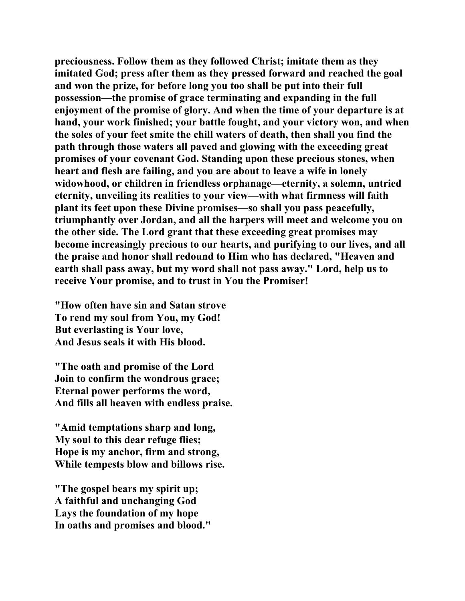**preciousness. Follow them as they followed Christ; imitate them as they imitated God; press after them as they pressed forward and reached the goal and won the prize, for before long you too shall be put into their full possession—the promise of grace terminating and expanding in the full enjoyment of the promise of glory. And when the time of your departure is at hand, your work finished; your battle fought, and your victory won, and when the soles of your feet smite the chill waters of death, then shall you find the path through those waters all paved and glowing with the exceeding great promises of your covenant God. Standing upon these precious stones, when heart and flesh are failing, and you are about to leave a wife in lonely widowhood, or children in friendless orphanage—eternity, a solemn, untried eternity, unveiling its realities to your view—with what firmness will faith plant its feet upon these Divine promises—so shall you pass peacefully, triumphantly over Jordan, and all the harpers will meet and welcome you on the other side. The Lord grant that these exceeding great promises may become increasingly precious to our hearts, and purifying to our lives, and all the praise and honor shall redound to Him who has declared, "Heaven and earth shall pass away, but my word shall not pass away." Lord, help us to receive Your promise, and to trust in You the Promiser!** 

**"How often have sin and Satan strove To rend my soul from You, my God! But everlasting is Your love, And Jesus seals it with His blood.** 

**"The oath and promise of the Lord Join to confirm the wondrous grace; Eternal power performs the word, And fills all heaven with endless praise.** 

**"Amid temptations sharp and long, My soul to this dear refuge flies; Hope is my anchor, firm and strong, While tempests blow and billows rise.** 

**"The gospel bears my spirit up; A faithful and unchanging God Lays the foundation of my hope In oaths and promises and blood."**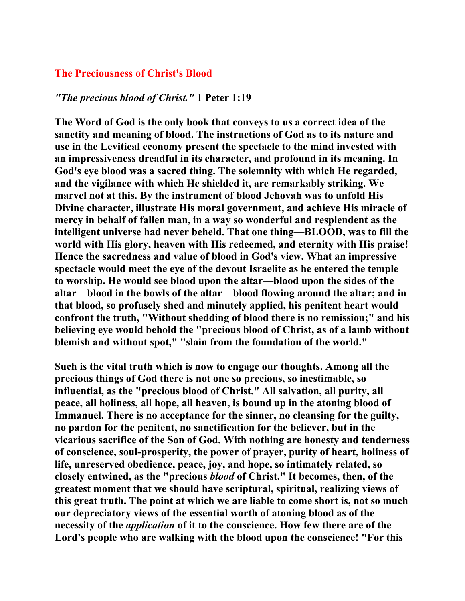### **The Preciousness of Christ's Blood**

#### *"The precious blood of Christ."* **1 Peter 1:19**

**The Word of God is the only book that conveys to us a correct idea of the sanctity and meaning of blood. The instructions of God as to its nature and use in the Levitical economy present the spectacle to the mind invested with an impressiveness dreadful in its character, and profound in its meaning. In God's eye blood was a sacred thing. The solemnity with which He regarded, and the vigilance with which He shielded it, are remarkably striking. We marvel not at this. By the instrument of blood Jehovah was to unfold His Divine character, illustrate His moral government, and achieve His miracle of mercy in behalf of fallen man, in a way so wonderful and resplendent as the intelligent universe had never beheld. That one thing—BLOOD, was to fill the world with His glory, heaven with His redeemed, and eternity with His praise! Hence the sacredness and value of blood in God's view. What an impressive spectacle would meet the eye of the devout Israelite as he entered the temple to worship. He would see blood upon the altar—blood upon the sides of the altar—blood in the bowls of the altar—blood flowing around the altar; and in that blood, so profusely shed and minutely applied, his penitent heart would confront the truth, "Without shedding of blood there is no remission;" and his believing eye would behold the "precious blood of Christ, as of a lamb without blemish and without spot," "slain from the foundation of the world."** 

**Such is the vital truth which is now to engage our thoughts. Among all the precious things of God there is not one so precious, so inestimable, so influential, as the "precious blood of Christ." All salvation, all purity, all peace, all holiness, all hope, all heaven, is bound up in the atoning blood of Immanuel. There is no acceptance for the sinner, no cleansing for the guilty, no pardon for the penitent, no sanctification for the believer, but in the vicarious sacrifice of the Son of God. With nothing are honesty and tenderness of conscience, soul-prosperity, the power of prayer, purity of heart, holiness of life, unreserved obedience, peace, joy, and hope, so intimately related, so closely entwined, as the "precious** *blood* **of Christ." It becomes, then, of the greatest moment that we should have scriptural, spiritual, realizing views of this great truth. The point at which we are liable to come short is, not so much our depreciatory views of the essential worth of atoning blood as of the necessity of the** *application* **of it to the conscience. How few there are of the Lord's people who are walking with the blood upon the conscience! "For this**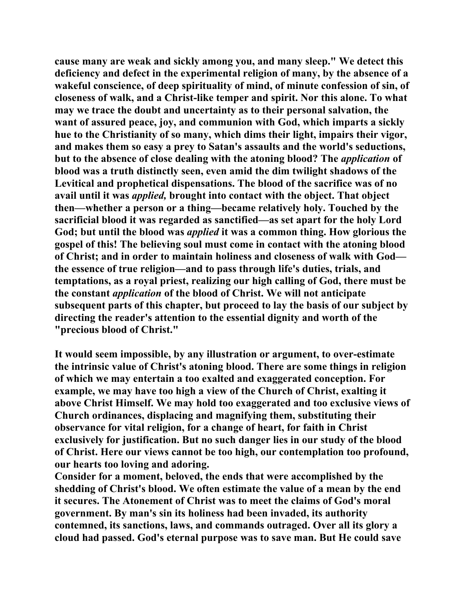**cause many are weak and sickly among you, and many sleep." We detect this deficiency and defect in the experimental religion of many, by the absence of a wakeful conscience, of deep spirituality of mind, of minute confession of sin, of closeness of walk, and a Christ-like temper and spirit. Nor this alone. To what may we trace the doubt and uncertainty as to their personal salvation, the want of assured peace, joy, and communion with God, which imparts a sickly hue to the Christianity of so many, which dims their light, impairs their vigor, and makes them so easy a prey to Satan's assaults and the world's seductions, but to the absence of close dealing with the atoning blood? The** *application* **of blood was a truth distinctly seen, even amid the dim twilight shadows of the Levitical and prophetical dispensations. The blood of the sacrifice was of no avail until it was** *applied,* **brought into contact with the object. That object then—whether a person or a thing—became relatively holy. Touched by the sacrificial blood it was regarded as sanctified—as set apart for the holy Lord God; but until the blood was** *applied* **it was a common thing. How glorious the gospel of this! The believing soul must come in contact with the atoning blood of Christ; and in order to maintain holiness and closeness of walk with God the essence of true religion—and to pass through life's duties, trials, and temptations, as a royal priest, realizing our high calling of God, there must be the constant** *application* **of the blood of Christ. We will not anticipate subsequent parts of this chapter, but proceed to lay the basis of our subject by directing the reader's attention to the essential dignity and worth of the "precious blood of Christ."** 

**It would seem impossible, by any illustration or argument, to over-estimate the intrinsic value of Christ's atoning blood. There are some things in religion of which we may entertain a too exalted and exaggerated conception. For example, we may have too high a view of the Church of Christ, exalting it above Christ Himself. We may hold too exaggerated and too exclusive views of Church ordinances, displacing and magnifying them, substituting their observance for vital religion, for a change of heart, for faith in Christ exclusively for justification. But no such danger lies in our study of the blood of Christ. Here our views cannot be too high, our contemplation too profound, our hearts too loving and adoring.** 

**Consider for a moment, beloved, the ends that were accomplished by the shedding of Christ's blood. We often estimate the value of a mean by the end it secures. The Atonement of Christ was to meet the claims of God's moral government. By man's sin its holiness had been invaded, its authority contemned, its sanctions, laws, and commands outraged. Over all its glory a cloud had passed. God's eternal purpose was to save man. But He could save**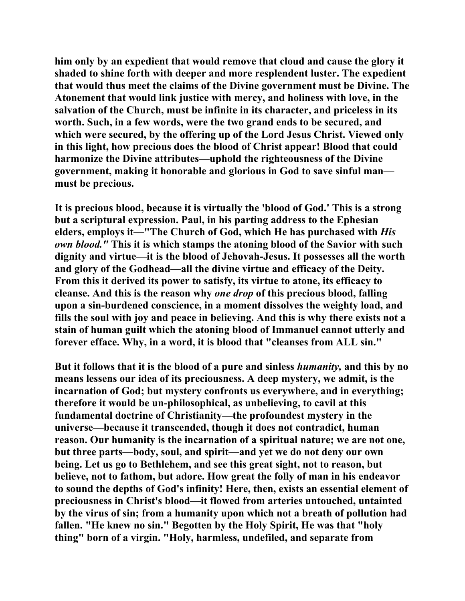**him only by an expedient that would remove that cloud and cause the glory it shaded to shine forth with deeper and more resplendent luster. The expedient that would thus meet the claims of the Divine government must be Divine. The Atonement that would link justice with mercy, and holiness with love, in the salvation of the Church, must be infinite in its character, and priceless in its worth. Such, in a few words, were the two grand ends to be secured, and which were secured, by the offering up of the Lord Jesus Christ. Viewed only in this light, how precious does the blood of Christ appear! Blood that could harmonize the Divine attributes—uphold the righteousness of the Divine government, making it honorable and glorious in God to save sinful man must be precious.** 

**It is precious blood, because it is virtually the 'blood of God.' This is a strong but a scriptural expression. Paul, in his parting address to the Ephesian elders, employs it—"The Church of God, which He has purchased with** *His own blood."* **This it is which stamps the atoning blood of the Savior with such dignity and virtue—it is the blood of Jehovah-Jesus. It possesses all the worth and glory of the Godhead—all the divine virtue and efficacy of the Deity. From this it derived its power to satisfy, its virtue to atone, its efficacy to cleanse. And this is the reason why** *one drop* **of this precious blood, falling upon a sin-burdened conscience, in a moment dissolves the weighty load, and fills the soul with joy and peace in believing. And this is why there exists not a stain of human guilt which the atoning blood of Immanuel cannot utterly and forever efface. Why, in a word, it is blood that "cleanses from ALL sin."** 

**But it follows that it is the blood of a pure and sinless** *humanity,* **and this by no means lessens our idea of its preciousness. A deep mystery, we admit, is the incarnation of God; but mystery confronts us everywhere, and in everything; therefore it would be un-philosophical, as unbelieving, to cavil at this fundamental doctrine of Christianity—the profoundest mystery in the universe—because it transcended, though it does not contradict, human reason. Our humanity is the incarnation of a spiritual nature; we are not one, but three parts—body, soul, and spirit—and yet we do not deny our own being. Let us go to Bethlehem, and see this great sight, not to reason, but believe, not to fathom, but adore. How great the folly of man in his endeavor to sound the depths of God's infinity! Here, then, exists an essential element of preciousness in Christ's blood—it flowed from arteries untouched, untainted by the virus of sin; from a humanity upon which not a breath of pollution had fallen. "He knew no sin." Begotten by the Holy Spirit, He was that "holy thing" born of a virgin. "Holy, harmless, undefiled, and separate from**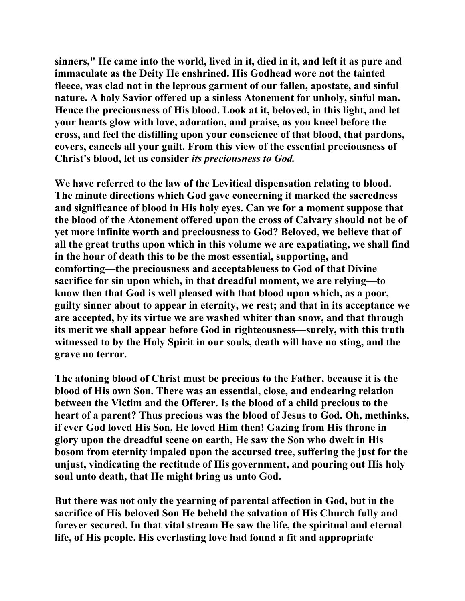**sinners," He came into the world, lived in it, died in it, and left it as pure and immaculate as the Deity He enshrined. His Godhead wore not the tainted fleece, was clad not in the leprous garment of our fallen, apostate, and sinful nature. A holy Savior offered up a sinless Atonement for unholy, sinful man. Hence the preciousness of His blood. Look at it, beloved, in this light, and let your hearts glow with love, adoration, and praise, as you kneel before the cross, and feel the distilling upon your conscience of that blood, that pardons, covers, cancels all your guilt. From this view of the essential preciousness of Christ's blood, let us consider** *its preciousness to God.* 

**We have referred to the law of the Levitical dispensation relating to blood. The minute directions which God gave concerning it marked the sacredness and significance of blood in His holy eyes. Can we for a moment suppose that the blood of the Atonement offered upon the cross of Calvary should not be of yet more infinite worth and preciousness to God? Beloved, we believe that of all the great truths upon which in this volume we are expatiating, we shall find in the hour of death this to be the most essential, supporting, and comforting—the preciousness and acceptableness to God of that Divine sacrifice for sin upon which, in that dreadful moment, we are relying—to know then that God is well pleased with that blood upon which, as a poor, guilty sinner about to appear in eternity, we rest; and that in its acceptance we are accepted, by its virtue we are washed whiter than snow, and that through its merit we shall appear before God in righteousness—surely, with this truth witnessed to by the Holy Spirit in our souls, death will have no sting, and the grave no terror.** 

**The atoning blood of Christ must be precious to the Father, because it is the blood of His own Son. There was an essential, close, and endearing relation between the Victim and the Offerer. Is the blood of a child precious to the heart of a parent? Thus precious was the blood of Jesus to God. Oh, methinks, if ever God loved His Son, He loved Him then! Gazing from His throne in glory upon the dreadful scene on earth, He saw the Son who dwelt in His bosom from eternity impaled upon the accursed tree, suffering the just for the unjust, vindicating the rectitude of His government, and pouring out His holy soul unto death, that He might bring us unto God.** 

**But there was not only the yearning of parental affection in God, but in the sacrifice of His beloved Son He beheld the salvation of His Church fully and forever secured. In that vital stream He saw the life, the spiritual and eternal life, of His people. His everlasting love had found a fit and appropriate**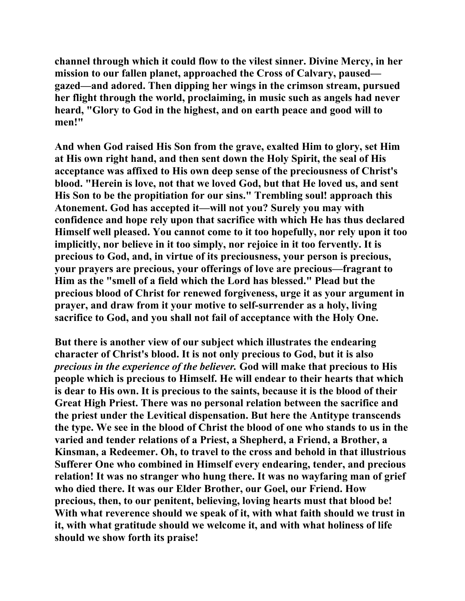**channel through which it could flow to the vilest sinner. Divine Mercy, in her mission to our fallen planet, approached the Cross of Calvary, paused gazed—and adored. Then dipping her wings in the crimson stream, pursued her flight through the world, proclaiming, in music such as angels had never heard, "Glory to God in the highest, and on earth peace and good will to men!"** 

**And when God raised His Son from the grave, exalted Him to glory, set Him at His own right hand, and then sent down the Holy Spirit, the seal of His acceptance was affixed to His own deep sense of the preciousness of Christ's blood. "Herein is love, not that we loved God, but that He loved us, and sent His Son to be the propitiation for our sins." Trembling soul! approach this Atonement. God has accepted it—will not you? Surely you may with confidence and hope rely upon that sacrifice with which He has thus declared Himself well pleased. You cannot come to it too hopefully, nor rely upon it too implicitly, nor believe in it too simply, nor rejoice in it too fervently. It is precious to God, and, in virtue of its preciousness, your person is precious, your prayers are precious, your offerings of love are precious—fragrant to Him as the "smell of a field which the Lord has blessed." Plead but the precious blood of Christ for renewed forgiveness, urge it as your argument in prayer, and draw from it your motive to self-surrender as a holy, living sacrifice to God, and you shall not fail of acceptance with the Holy One.** 

**But there is another view of our subject which illustrates the endearing character of Christ's blood. It is not only precious to God, but it is also**  *precious in the experience of the believer.* **God will make that precious to His people which is precious to Himself. He will endear to their hearts that which is dear to His own. It is precious to the saints, because it is the blood of their Great High Priest. There was no personal relation between the sacrifice and the priest under the Levitical dispensation. But here the Antitype transcends the type. We see in the blood of Christ the blood of one who stands to us in the varied and tender relations of a Priest, a Shepherd, a Friend, a Brother, a Kinsman, a Redeemer. Oh, to travel to the cross and behold in that illustrious Sufferer One who combined in Himself every endearing, tender, and precious relation! It was no stranger who hung there. It was no wayfaring man of grief who died there. It was our Elder Brother, our Goel, our Friend. How precious, then, to our penitent, believing, loving hearts must that blood be! With what reverence should we speak of it, with what faith should we trust in it, with what gratitude should we welcome it, and with what holiness of life should we show forth its praise!**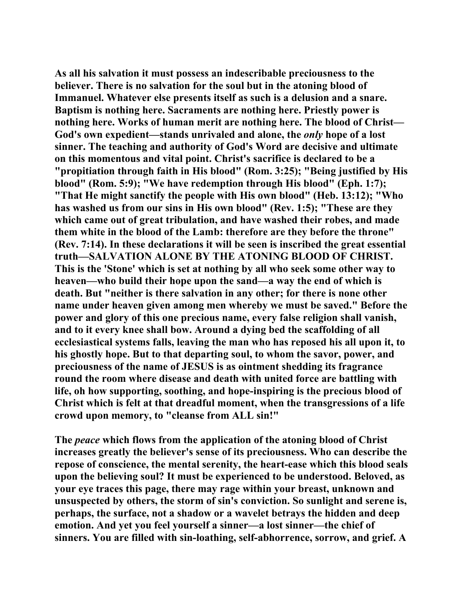**As all his salvation it must possess an indescribable preciousness to the believer. There is no salvation for the soul but in the atoning blood of Immanuel. Whatever else presents itself as such is a delusion and a snare. Baptism is nothing here. Sacraments are nothing here. Priestly power is nothing here. Works of human merit are nothing here. The blood of Christ— God's own expedient—stands unrivaled and alone, the** *only* **hope of a lost sinner. The teaching and authority of God's Word are decisive and ultimate on this momentous and vital point. Christ's sacrifice is declared to be a "propitiation through faith in His blood" (Rom. 3:25); "Being justified by His blood" (Rom. 5:9); "We have redemption through His blood" (Eph. 1:7); "That He might sanctify the people with His own blood" (Heb. 13:12); "Who has washed us from our sins in His own blood" (Rev. 1:5); "These are they which came out of great tribulation, and have washed their robes, and made them white in the blood of the Lamb: therefore are they before the throne" (Rev. 7:14). In these declarations it will be seen is inscribed the great essential truth—SALVATION ALONE BY THE ATONING BLOOD OF CHRIST. This is the 'Stone' which is set at nothing by all who seek some other way to heaven—who build their hope upon the sand—a way the end of which is death. But "neither is there salvation in any other; for there is none other name under heaven given among men whereby we must be saved." Before the power and glory of this one precious name, every false religion shall vanish, and to it every knee shall bow. Around a dying bed the scaffolding of all ecclesiastical systems falls, leaving the man who has reposed his all upon it, to his ghostly hope. But to that departing soul, to whom the savor, power, and preciousness of the name of JESUS is as ointment shedding its fragrance round the room where disease and death with united force are battling with life, oh how supporting, soothing, and hope-inspiring is the precious blood of Christ which is felt at that dreadful moment, when the transgressions of a life crowd upon memory, to "cleanse from ALL sin!"** 

**The** *peace* **which flows from the application of the atoning blood of Christ increases greatly the believer's sense of its preciousness. Who can describe the repose of conscience, the mental serenity, the heart-ease which this blood seals upon the believing soul? It must be experienced to be understood. Beloved, as your eye traces this page, there may rage within your breast, unknown and unsuspected by others, the storm of sin's conviction. So sunlight and serene is, perhaps, the surface, not a shadow or a wavelet betrays the hidden and deep emotion. And yet you feel yourself a sinner—a lost sinner—the chief of sinners. You are filled with sin-loathing, self-abhorrence, sorrow, and grief. A**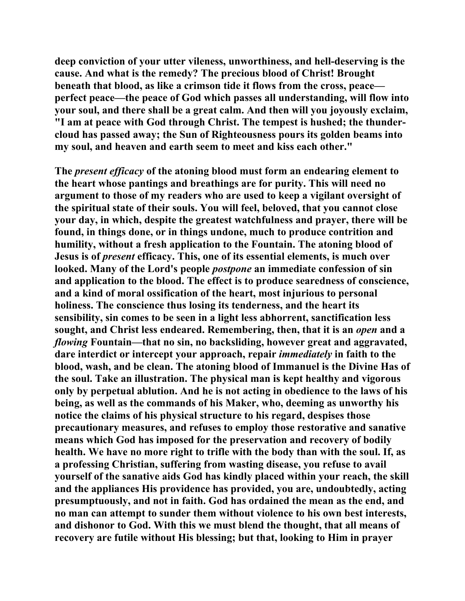**deep conviction of your utter vileness, unworthiness, and hell-deserving is the cause. And what is the remedy? The precious blood of Christ! Brought beneath that blood, as like a crimson tide it flows from the cross, peace perfect peace—the peace of God which passes all understanding, will flow into your soul, and there shall be a great calm. And then will you joyously exclaim, "I am at peace with God through Christ. The tempest is hushed; the thundercloud has passed away; the Sun of Righteousness pours its golden beams into my soul, and heaven and earth seem to meet and kiss each other."** 

**The** *present efficacy* **of the atoning blood must form an endearing element to the heart whose pantings and breathings are for purity. This will need no argument to those of my readers who are used to keep a vigilant oversight of the spiritual state of their souls. You will feel, beloved, that you cannot close your day, in which, despite the greatest watchfulness and prayer, there will be found, in things done, or in things undone, much to produce contrition and humility, without a fresh application to the Fountain. The atoning blood of Jesus is of** *present* **efficacy. This, one of its essential elements, is much over looked. Many of the Lord's people** *postpone* **an immediate confession of sin and application to the blood. The effect is to produce searedness of conscience, and a kind of moral ossification of the heart, most injurious to personal holiness. The conscience thus losing its tenderness, and the heart its sensibility, sin comes to be seen in a light less abhorrent, sanctification less sought, and Christ less endeared. Remembering, then, that it is an** *open* **and a**  *flowing* **Fountain—that no sin, no backsliding, however great and aggravated, dare interdict or intercept your approach, repair** *immediately* **in faith to the blood, wash, and be clean. The atoning blood of Immanuel is the Divine Has of the soul. Take an illustration. The physical man is kept healthy and vigorous only by perpetual ablution. And he is not acting in obedience to the laws of his being, as well as the commands of his Maker, who, deeming as unworthy his notice the claims of his physical structure to his regard, despises those precautionary measures, and refuses to employ those restorative and sanative means which God has imposed for the preservation and recovery of bodily health. We have no more right to trifle with the body than with the soul. If, as a professing Christian, suffering from wasting disease, you refuse to avail yourself of the sanative aids God has kindly placed within your reach, the skill and the appliances His providence has provided, you are, undoubtedly, acting presumptuously, and not in faith. God has ordained the mean as the end, and no man can attempt to sunder them without violence to his own best interests, and dishonor to God. With this we must blend the thought, that all means of recovery are futile without His blessing; but that, looking to Him in prayer**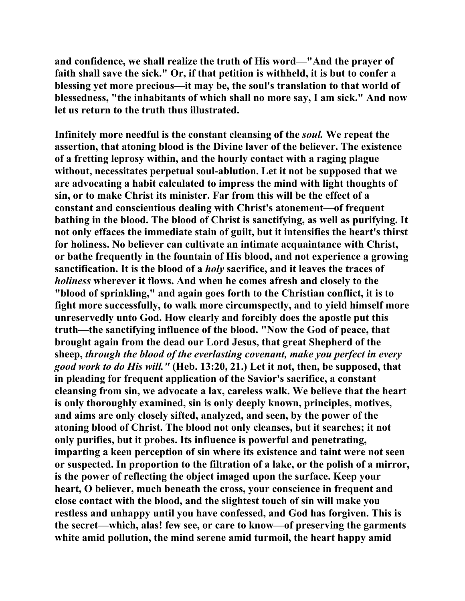**and confidence, we shall realize the truth of His word—"And the prayer of faith shall save the sick." Or, if that petition is withheld, it is but to confer a blessing yet more precious—it may be, the soul's translation to that world of blessedness, "the inhabitants of which shall no more say, I am sick." And now let us return to the truth thus illustrated.** 

**Infinitely more needful is the constant cleansing of the** *soul.* **We repeat the assertion, that atoning blood is the Divine laver of the believer. The existence of a fretting leprosy within, and the hourly contact with a raging plague without, necessitates perpetual soul-ablution. Let it not be supposed that we are advocating a habit calculated to impress the mind with light thoughts of sin, or to make Christ its minister. Far from this will be the effect of a constant and conscientious dealing with Christ's atonement—of frequent bathing in the blood. The blood of Christ is sanctifying, as well as purifying. It not only effaces the immediate stain of guilt, but it intensifies the heart's thirst for holiness. No believer can cultivate an intimate acquaintance with Christ, or bathe frequently in the fountain of His blood, and not experience a growing sanctification. It is the blood of a** *holy* **sacrifice, and it leaves the traces of**  *holiness* **wherever it flows. And when he comes afresh and closely to the "blood of sprinkling," and again goes forth to the Christian conflict, it is to fight more successfully, to walk more circumspectly, and to yield himself more unreservedly unto God. How clearly and forcibly does the apostle put this truth—the sanctifying influence of the blood. "Now the God of peace, that brought again from the dead our Lord Jesus, that great Shepherd of the sheep,** *through the blood of the everlasting covenant, make you perfect in every good work to do His will."* **(Heb. 13:20, 21.) Let it not, then, be supposed, that in pleading for frequent application of the Savior's sacrifice, a constant cleansing from sin, we advocate a lax, careless walk. We believe that the heart is only thoroughly examined, sin is only deeply known, principles, motives, and aims are only closely sifted, analyzed, and seen, by the power of the atoning blood of Christ. The blood not only cleanses, but it searches; it not only purifies, but it probes. Its influence is powerful and penetrating, imparting a keen perception of sin where its existence and taint were not seen or suspected. In proportion to the filtration of a lake, or the polish of a mirror, is the power of reflecting the object imaged upon the surface. Keep your heart, O believer, much beneath the cross, your conscience in frequent and close contact with the blood, and the slightest touch of sin will make you restless and unhappy until you have confessed, and God has forgiven. This is the secret—which, alas! few see, or care to know—of preserving the garments white amid pollution, the mind serene amid turmoil, the heart happy amid**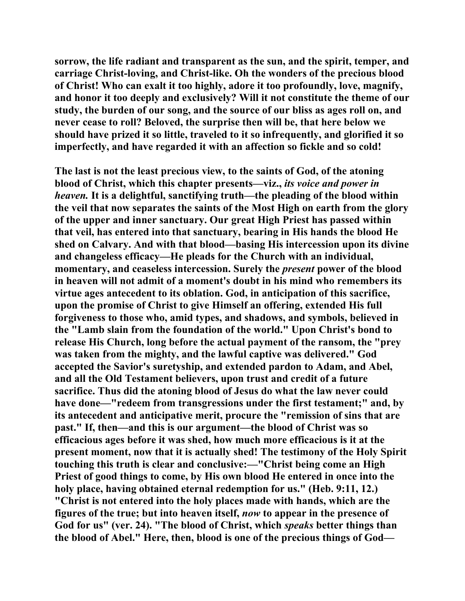**sorrow, the life radiant and transparent as the sun, and the spirit, temper, and carriage Christ-loving, and Christ-like. Oh the wonders of the precious blood of Christ! Who can exalt it too highly, adore it too profoundly, love, magnify, and honor it too deeply and exclusively? Will it not constitute the theme of our study, the burden of our song, and the source of our bliss as ages roll on, and never cease to roll? Beloved, the surprise then will be, that here below we should have prized it so little, traveled to it so infrequently, and glorified it so imperfectly, and have regarded it with an affection so fickle and so cold!** 

**The last is not the least precious view, to the saints of God, of the atoning blood of Christ, which this chapter presents—viz.,** *its voice and power in heaven.* **It is a delightful, sanctifying truth—the pleading of the blood within the veil that now separates the saints of the Most High on earth from the glory of the upper and inner sanctuary. Our great High Priest has passed within that veil, has entered into that sanctuary, bearing in His hands the blood He shed on Calvary. And with that blood—basing His intercession upon its divine and changeless efficacy—He pleads for the Church with an individual, momentary, and ceaseless intercession. Surely the** *present* **power of the blood in heaven will not admit of a moment's doubt in his mind who remembers its virtue ages antecedent to its oblation. God, in anticipation of this sacrifice, upon the promise of Christ to give Himself an offering, extended His full forgiveness to those who, amid types, and shadows, and symbols, believed in the "Lamb slain from the foundation of the world." Upon Christ's bond to release His Church, long before the actual payment of the ransom, the "prey was taken from the mighty, and the lawful captive was delivered." God accepted the Savior's suretyship, and extended pardon to Adam, and Abel, and all the Old Testament believers, upon trust and credit of a future sacrifice. Thus did the atoning blood of Jesus do what the law never could have done—"redeem from transgressions under the first testament;" and, by its antecedent and anticipative merit, procure the "remission of sins that are past." If, then—and this is our argument—the blood of Christ was so efficacious ages before it was shed, how much more efficacious is it at the present moment, now that it is actually shed! The testimony of the Holy Spirit touching this truth is clear and conclusive:—"Christ being come an High Priest of good things to come, by His own blood He entered in once into the holy place, having obtained eternal redemption for us." (Heb. 9:11, 12.) "Christ is not entered into the holy places made with hands, which are the figures of the true; but into heaven itself,** *now* **to appear in the presence of God for us" (ver. 24). "The blood of Christ, which** *speaks* **better things than the blood of Abel." Here, then, blood is one of the precious things of God—**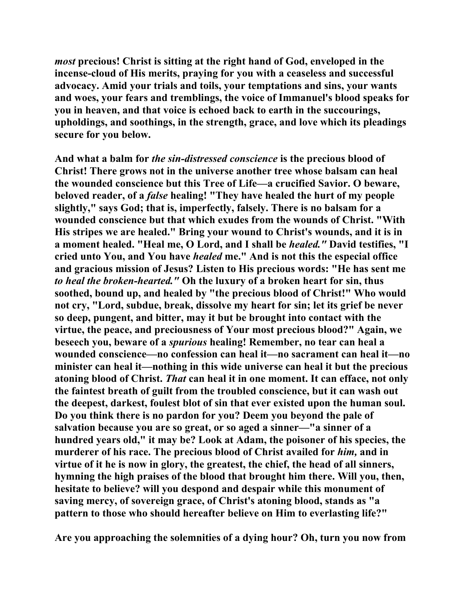*most* **precious! Christ is sitting at the right hand of God, enveloped in the incense-cloud of His merits, praying for you with a ceaseless and successful advocacy. Amid your trials and toils, your temptations and sins, your wants and woes, your fears and tremblings, the voice of Immanuel's blood speaks for you in heaven, and that voice is echoed back to earth in the succourings, upholdings, and soothings, in the strength, grace, and love which its pleadings secure for you below.** 

**And what a balm for** *the sin-distressed conscience* **is the precious blood of Christ! There grows not in the universe another tree whose balsam can heal the wounded conscience but this Tree of Life—a crucified Savior. O beware, beloved reader, of a** *false* **healing! "They have healed the hurt of my people slightly," says God; that is, imperfectly, falsely. There is no balsam for a wounded conscience but that which exudes from the wounds of Christ. "With His stripes we are healed." Bring your wound to Christ's wounds, and it is in a moment healed. "Heal me, O Lord, and I shall be** *healed."* **David testifies, "I cried unto You, and You have** *healed* **me." And is not this the especial office and gracious mission of Jesus? Listen to His precious words: "He has sent me**  *to heal the broken-hearted."* **Oh the luxury of a broken heart for sin, thus soothed, bound up, and healed by "the precious blood of Christ!" Who would not cry, "Lord, subdue, break, dissolve my heart for sin; let its grief be never so deep, pungent, and bitter, may it but be brought into contact with the virtue, the peace, and preciousness of Your most precious blood?" Again, we beseech you, beware of a** *spurious* **healing! Remember, no tear can heal a wounded conscience—no confession can heal it—no sacrament can heal it—no minister can heal it—nothing in this wide universe can heal it but the precious atoning blood of Christ.** *That* **can heal it in one moment. It can efface, not only the faintest breath of guilt from the troubled conscience, but it can wash out the deepest, darkest, foulest blot of sin that ever existed upon the human soul. Do you think there is no pardon for you? Deem you beyond the pale of salvation because you are so great, or so aged a sinner—"a sinner of a hundred years old," it may be? Look at Adam, the poisoner of his species, the murderer of his race. The precious blood of Christ availed for** *him,* **and in virtue of it he is now in glory, the greatest, the chief, the head of all sinners, hymning the high praises of the blood that brought him there. Will you, then, hesitate to believe? will you despond and despair while this monument of saving mercy, of sovereign grace, of Christ's atoning blood, stands as "a pattern to those who should hereafter believe on Him to everlasting life?"** 

**Are you approaching the solemnities of a dying hour? Oh, turn you now from**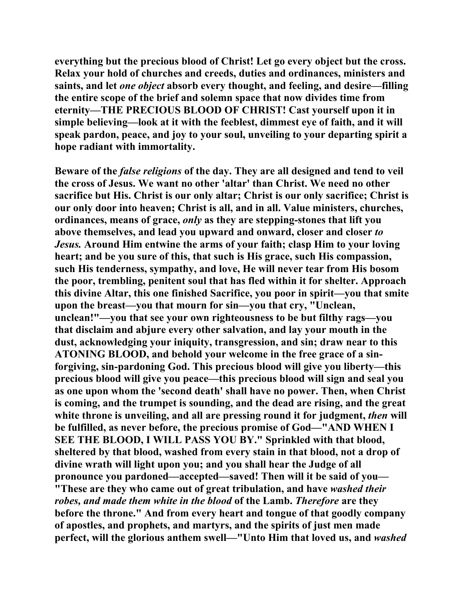**everything but the precious blood of Christ! Let go every object but the cross. Relax your hold of churches and creeds, duties and ordinances, ministers and saints, and let** *one object* **absorb every thought, and feeling, and desire—filling the entire scope of the brief and solemn space that now divides time from eternity—THE PRECIOUS BLOOD OF CHRIST! Cast yourself upon it in simple believing—look at it with the feeblest, dimmest eye of faith, and it will speak pardon, peace, and joy to your soul, unveiling to your departing spirit a hope radiant with immortality.** 

**Beware of the** *false religions* **of the day. They are all designed and tend to veil the cross of Jesus. We want no other 'altar' than Christ. We need no other sacrifice but His. Christ is our only altar; Christ is our only sacrifice; Christ is our only door into heaven; Christ is all, and in all. Value ministers, churches, ordinances, means of grace,** *only* **as they are stepping-stones that lift you above themselves, and lead you upward and onward, closer and closer** *to Jesus.* **Around Him entwine the arms of your faith; clasp Him to your loving heart; and be you sure of this, that such is His grace, such His compassion, such His tenderness, sympathy, and love, He will never tear from His bosom the poor, trembling, penitent soul that has fled within it for shelter. Approach this divine Altar, this one finished Sacrifice, you poor in spirit—you that smite upon the breast—you that mourn for sin—you that cry, "Unclean, unclean!"—you that see your own righteousness to be but filthy rags—you that disclaim and abjure every other salvation, and lay your mouth in the dust, acknowledging your iniquity, transgression, and sin; draw near to this ATONING BLOOD, and behold your welcome in the free grace of a sinforgiving, sin-pardoning God. This precious blood will give you liberty—this precious blood will give you peace—this precious blood will sign and seal you as one upon whom the 'second death' shall have no power. Then, when Christ is coming, and the trumpet is sounding, and the dead are rising, and the great white throne is unveiling, and all are pressing round it for judgment,** *then* **will be fulfilled, as never before, the precious promise of God—"AND WHEN I SEE THE BLOOD, I WILL PASS YOU BY." Sprinkled with that blood, sheltered by that blood, washed from every stain in that blood, not a drop of divine wrath will light upon you; and you shall hear the Judge of all pronounce you pardoned—accepted—saved! Then will it be said of you— "These are they who came out of great tribulation, and have** *washed their robes, and made them white in the blood* **of the Lamb.** *Therefore* **are they before the throne." And from every heart and tongue of that goodly company of apostles, and prophets, and martyrs, and the spirits of just men made perfect, will the glorious anthem swell—"Unto Him that loved us, and** *washed*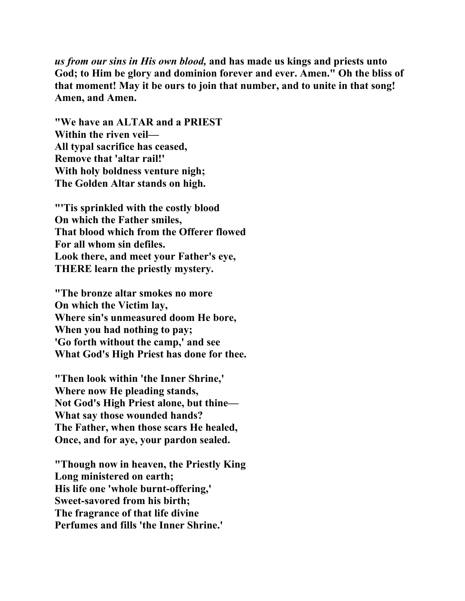*us from our sins in His own blood,* **and has made us kings and priests unto God; to Him be glory and dominion forever and ever. Amen." Oh the bliss of that moment! May it be ours to join that number, and to unite in that song! Amen, and Amen.** 

**"We have an ALTAR and a PRIEST Within the riven veil— All typal sacrifice has ceased, Remove that 'altar rail!' With holy boldness venture nigh; The Golden Altar stands on high.** 

**"'Tis sprinkled with the costly blood On which the Father smiles, That blood which from the Offerer flowed For all whom sin defiles. Look there, and meet your Father's eye, THERE learn the priestly mystery.** 

**"The bronze altar smokes no more On which the Victim lay, Where sin's unmeasured doom He bore, When you had nothing to pay; 'Go forth without the camp,' and see What God's High Priest has done for thee.** 

**"Then look within 'the Inner Shrine,' Where now He pleading stands, Not God's High Priest alone, but thine— What say those wounded hands? The Father, when those scars He healed, Once, and for aye, your pardon sealed.** 

**"Though now in heaven, the Priestly King Long ministered on earth; His life one 'whole burnt-offering,' Sweet-savored from his birth; The fragrance of that life divine Perfumes and fills 'the Inner Shrine.'**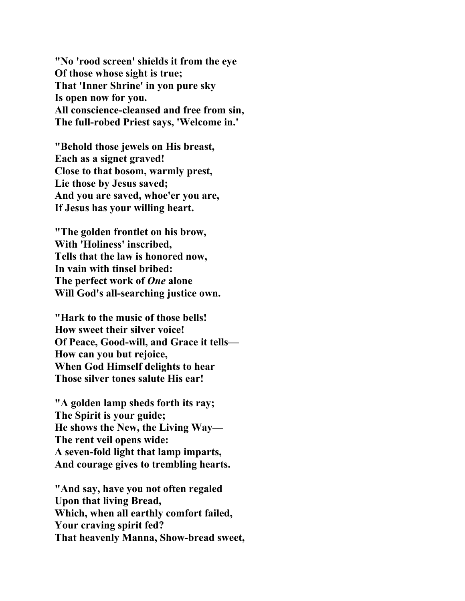**"No 'rood screen' shields it from the eye Of those whose sight is true; That 'Inner Shrine' in yon pure sky Is open now for you. All conscience-cleansed and free from sin, The full-robed Priest says, 'Welcome in.'** 

**"Behold those jewels on His breast, Each as a signet graved! Close to that bosom, warmly prest, Lie those by Jesus saved; And you are saved, whoe'er you are, If Jesus has your willing heart.** 

**"The golden frontlet on his brow, With 'Holiness' inscribed, Tells that the law is honored now, In vain with tinsel bribed: The perfect work of** *One* **alone Will God's all-searching justice own.** 

**"Hark to the music of those bells! How sweet their silver voice! Of Peace, Good-will, and Grace it tells— How can you but rejoice, When God Himself delights to hear Those silver tones salute His ear!** 

**"A golden lamp sheds forth its ray; The Spirit is your guide; He shows the New, the Living Way— The rent veil opens wide: A seven-fold light that lamp imparts, And courage gives to trembling hearts.** 

**"And say, have you not often regaled Upon that living Bread, Which, when all earthly comfort failed, Your craving spirit fed? That heavenly Manna, Show-bread sweet,**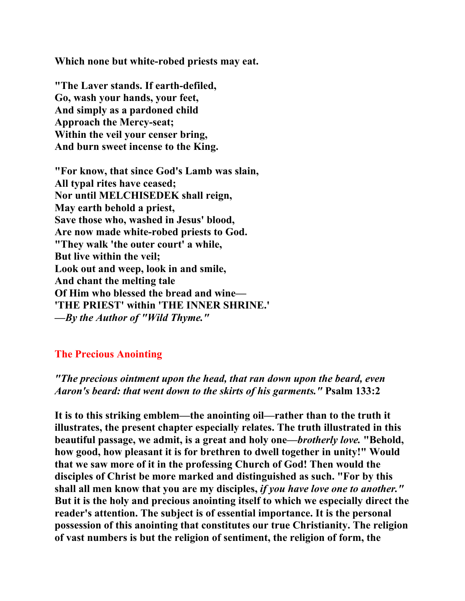**Which none but white-robed priests may eat.** 

**"The Laver stands. If earth-defiled, Go, wash your hands, your feet, And simply as a pardoned child Approach the Mercy-seat; Within the veil your censer bring, And burn sweet incense to the King.** 

**"For know, that since God's Lamb was slain, All typal rites have ceased; Nor until MELCHISEDEK shall reign, May earth behold a priest, Save those who, washed in Jesus' blood, Are now made white-robed priests to God. "They walk 'the outer court' a while, But live within the veil; Look out and weep, look in and smile, And chant the melting tale Of Him who blessed the bread and wine— 'THE PRIEST' within 'THE INNER SHRINE.' —***By the Author of "Wild Thyme."* 

## **The Precious Anointing**

*"The precious ointment upon the head, that ran down upon the beard, even Aaron's beard: that went down to the skirts of his garments."* **Psalm 133:2** 

**It is to this striking emblem—the anointing oil—rather than to the truth it illustrates, the present chapter especially relates. The truth illustrated in this beautiful passage, we admit, is a great and holy one—***brotherly love.* **"Behold, how good, how pleasant it is for brethren to dwell together in unity!" Would that we saw more of it in the professing Church of God! Then would the disciples of Christ be more marked and distinguished as such. "For by this shall all men know that you are my disciples,** *if you have love one to another."*  **But it is the holy and precious anointing itself to which we especially direct the reader's attention. The subject is of essential importance. It is the personal possession of this anointing that constitutes our true Christianity. The religion of vast numbers is but the religion of sentiment, the religion of form, the**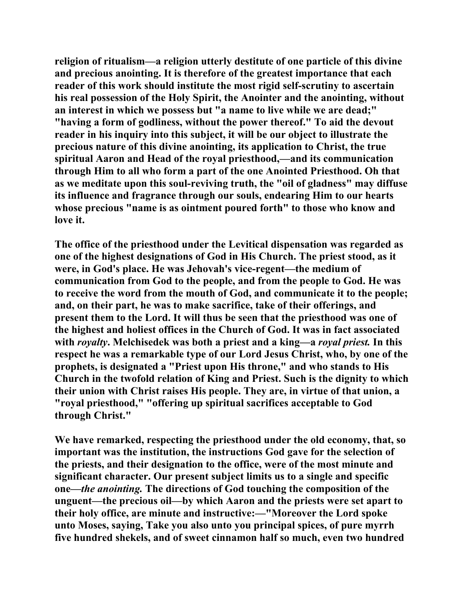**religion of ritualism—a religion utterly destitute of one particle of this divine and precious anointing. It is therefore of the greatest importance that each reader of this work should institute the most rigid self-scrutiny to ascertain his real possession of the Holy Spirit, the Anointer and the anointing, without an interest in which we possess but "a name to live while we are dead;" "having a form of godliness, without the power thereof." To aid the devout reader in his inquiry into this subject, it will be our object to illustrate the precious nature of this divine anointing, its application to Christ, the true spiritual Aaron and Head of the royal priesthood,—and its communication through Him to all who form a part of the one Anointed Priesthood. Oh that as we meditate upon this soul-reviving truth, the "oil of gladness" may diffuse its influence and fragrance through our souls, endearing Him to our hearts whose precious "name is as ointment poured forth" to those who know and love it.** 

**The office of the priesthood under the Levitical dispensation was regarded as one of the highest designations of God in His Church. The priest stood, as it were, in God's place. He was Jehovah's vice-regent—the medium of communication from God to the people, and from the people to God. He was to receive the word from the mouth of God, and communicate it to the people; and, on their part, he was to make sacrifice, take of their offerings, and present them to the Lord. It will thus be seen that the priesthood was one of the highest and holiest offices in the Church of God. It was in fact associated with** *royalty***. Melchisedek was both a priest and a king—a** *royal priest.* **In this respect he was a remarkable type of our Lord Jesus Christ, who, by one of the prophets, is designated a "Priest upon His throne," and who stands to His Church in the twofold relation of King and Priest. Such is the dignity to which their union with Christ raises His people. They are, in virtue of that union, a "royal priesthood," "offering up spiritual sacrifices acceptable to God through Christ."** 

**We have remarked, respecting the priesthood under the old economy, that, so important was the institution, the instructions God gave for the selection of the priests, and their designation to the office, were of the most minute and significant character. Our present subject limits us to a single and specific one—***the anointing.* **The directions of God touching the composition of the unguent—the precious oil—by which Aaron and the priests were set apart to their holy office, are minute and instructive:—"Moreover the Lord spoke unto Moses, saying, Take you also unto you principal spices, of pure myrrh five hundred shekels, and of sweet cinnamon half so much, even two hundred**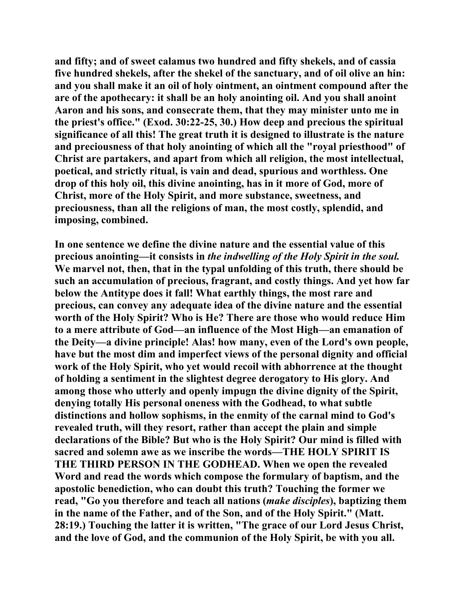**and fifty; and of sweet calamus two hundred and fifty shekels, and of cassia five hundred shekels, after the shekel of the sanctuary, and of oil olive an hin: and you shall make it an oil of holy ointment, an ointment compound after the are of the apothecary: it shall be an holy anointing oil. And you shall anoint Aaron and his sons, and consecrate them, that they may minister unto me in the priest's office." (Exod. 30:22-25, 30.) How deep and precious the spiritual significance of all this! The great truth it is designed to illustrate is the nature and preciousness of that holy anointing of which all the "royal priesthood" of Christ are partakers, and apart from which all religion, the most intellectual, poetical, and strictly ritual, is vain and dead, spurious and worthless. One drop of this holy oil, this divine anointing, has in it more of God, more of Christ, more of the Holy Spirit, and more substance, sweetness, and preciousness, than all the religions of man, the most costly, splendid, and imposing, combined.** 

**In one sentence we define the divine nature and the essential value of this precious anointing—it consists in** *the indwelling of the Holy Spirit in the soul.*  **We marvel not, then, that in the typal unfolding of this truth, there should be such an accumulation of precious, fragrant, and costly things. And yet how far below the Antitype does it fall! What earthly things, the most rare and precious, can convey any adequate idea of the divine nature and the essential worth of the Holy Spirit? Who is He? There are those who would reduce Him to a mere attribute of God—an influence of the Most High—an emanation of the Deity—a divine principle! Alas! how many, even of the Lord's own people, have but the most dim and imperfect views of the personal dignity and official work of the Holy Spirit, who yet would recoil with abhorrence at the thought of holding a sentiment in the slightest degree derogatory to His glory. And among those who utterly and openly impugn the divine dignity of the Spirit, denying totally His personal oneness with the Godhead, to what subtle distinctions and hollow sophisms, in the enmity of the carnal mind to God's revealed truth, will they resort, rather than accept the plain and simple declarations of the Bible? But who is the Holy Spirit? Our mind is filled with sacred and solemn awe as we inscribe the words—THE HOLY SPIRIT IS THE THIRD PERSON IN THE GODHEAD. When we open the revealed Word and read the words which compose the formulary of baptism, and the apostolic benediction, who can doubt this truth? Touching the former we read, "Go you therefore and teach all nations (***make disciples***), baptizing them in the name of the Father, and of the Son, and of the Holy Spirit." (Matt. 28:19.) Touching the latter it is written, "The grace of our Lord Jesus Christ, and the love of God, and the communion of the Holy Spirit, be with you all.**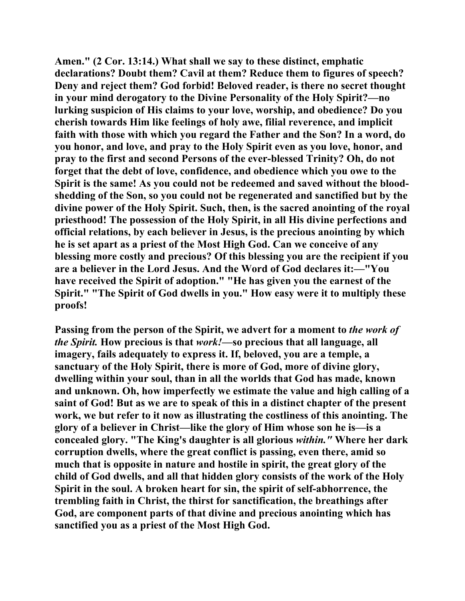**Amen." (2 Cor. 13:14.) What shall we say to these distinct, emphatic declarations? Doubt them? Cavil at them? Reduce them to figures of speech? Deny and reject them? God forbid! Beloved reader, is there no secret thought in your mind derogatory to the Divine Personality of the Holy Spirit?—no lurking suspicion of His claims to your love, worship, and obedience? Do you cherish towards Him like feelings of holy awe, filial reverence, and implicit faith with those with which you regard the Father and the Son? In a word, do you honor, and love, and pray to the Holy Spirit even as you love, honor, and pray to the first and second Persons of the ever-blessed Trinity? Oh, do not forget that the debt of love, confidence, and obedience which you owe to the Spirit is the same! As you could not be redeemed and saved without the bloodshedding of the Son, so you could not be regenerated and sanctified but by the divine power of the Holy Spirit. Such, then, is the sacred anointing of the royal priesthood! The possession of the Holy Spirit, in all His divine perfections and official relations, by each believer in Jesus, is the precious anointing by which he is set apart as a priest of the Most High God. Can we conceive of any blessing more costly and precious? Of this blessing you are the recipient if you are a believer in the Lord Jesus. And the Word of God declares it:—"You have received the Spirit of adoption." "He has given you the earnest of the Spirit." "The Spirit of God dwells in you." How easy were it to multiply these proofs!** 

**Passing from the person of the Spirit, we advert for a moment to** *the work of the Spirit.* **How precious is that** *work!***—so precious that all language, all imagery, fails adequately to express it. If, beloved, you are a temple, a sanctuary of the Holy Spirit, there is more of God, more of divine glory, dwelling within your soul, than in all the worlds that God has made, known and unknown. Oh, how imperfectly we estimate the value and high calling of a saint of God! But as we are to speak of this in a distinct chapter of the present work, we but refer to it now as illustrating the costliness of this anointing. The glory of a believer in Christ—like the glory of Him whose son he is—is a concealed glory. "The King's daughter is all glorious** *within."* **Where her dark corruption dwells, where the great conflict is passing, even there, amid so much that is opposite in nature and hostile in spirit, the great glory of the child of God dwells, and all that hidden glory consists of the work of the Holy Spirit in the soul. A broken heart for sin, the spirit of self-abhorrence, the trembling faith in Christ, the thirst for sanctification, the breathings after God, are component parts of that divine and precious anointing which has sanctified you as a priest of the Most High God.**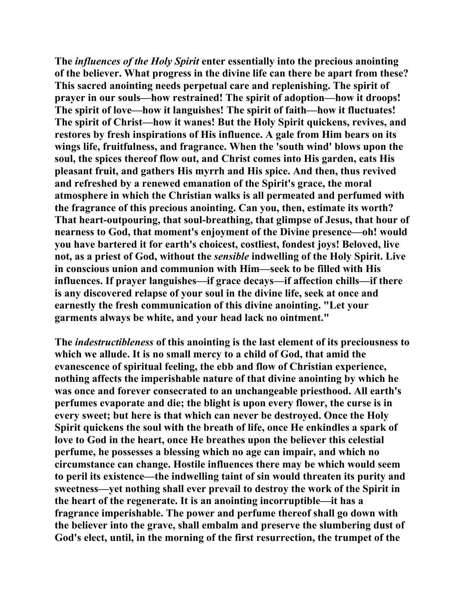**The** *influences of the Holy Spirit* **enter essentially into the precious anointing of the believer. What progress in the divine life can there be apart from these? This sacred anointing needs perpetual care and replenishing. The spirit of prayer in our souls—how restrained! The spirit of adoption—how it droops! The spirit of love—how it languishes! The spirit of faith—how it fluctuates! The spirit of Christ—how it wanes! But the Holy Spirit quickens, revives, and restores by fresh inspirations of His influence. A gale from Him bears on its wings life, fruitfulness, and fragrance. When the 'south wind' blows upon the soul, the spices thereof flow out, and Christ comes into His garden, eats His pleasant fruit, and gathers His myrrh and His spice. And then, thus revived and refreshed by a renewed emanation of the Spirit's grace, the moral atmosphere in which the Christian walks is all permeated and perfumed with the fragrance of this precious anointing. Can you, then, estimate its worth? That heart-outpouring, that soul-breathing, that glimpse of Jesus, that hour of nearness to God, that moment's enjoyment of the Divine presence—oh! would you have bartered it for earth's choicest, costliest, fondest joys! Beloved, live not, as a priest of God, without the** *sensible* **indwelling of the Holy Spirit. Live in conscious union and communion with Him—seek to be filled with His influences. If prayer languishes—if grace decays—if affection chills—if there is any discovered relapse of your soul in the divine life, seek at once and earnestly the fresh communication of this divine anointing. "Let your garments always be white, and your head lack no ointment."** 

**The** *indestructibleness* **of this anointing is the last element of its preciousness to which we allude. It is no small mercy to a child of God, that amid the evanescence of spiritual feeling, the ebb and flow of Christian experience, nothing affects the imperishable nature of that divine anointing by which he was once and forever consecrated to an unchangeable priesthood. All earth's perfumes evaporate and die; the blight is upon every flower, the curse is in every sweet; but here is that which can never be destroyed. Once the Holy Spirit quickens the soul with the breath of life, once He enkindles a spark of love to God in the heart, once He breathes upon the believer this celestial perfume, he possesses a blessing which no age can impair, and which no circumstance can change. Hostile influences there may be which would seem to peril its existence—the indwelling taint of sin would threaten its purity and sweetness—yet nothing shall ever prevail to destroy the work of the Spirit in the heart of the regenerate. It is an anointing incorruptible—it has a fragrance imperishable. The power and perfume thereof shall go down with the believer into the grave, shall embalm and preserve the slumbering dust of God's elect, until, in the morning of the first resurrection, the trumpet of the**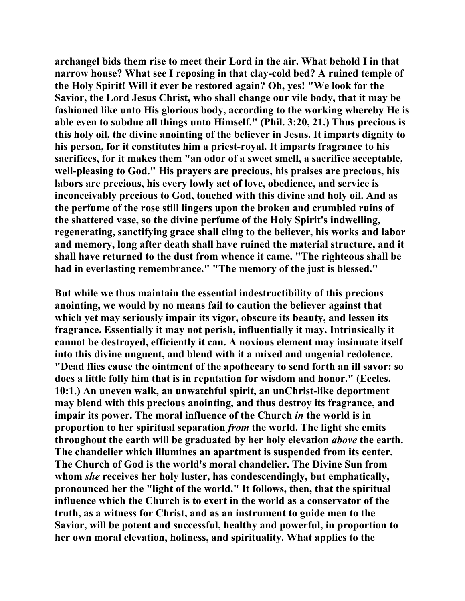**archangel bids them rise to meet their Lord in the air. What behold I in that narrow house? What see I reposing in that clay-cold bed? A ruined temple of the Holy Spirit! Will it ever be restored again? Oh, yes! "We look for the Savior, the Lord Jesus Christ, who shall change our vile body, that it may be fashioned like unto His glorious body, according to the working whereby He is able even to subdue all things unto Himself." (Phil. 3:20, 21.) Thus precious is this holy oil, the divine anointing of the believer in Jesus. It imparts dignity to his person, for it constitutes him a priest-royal. It imparts fragrance to his sacrifices, for it makes them "an odor of a sweet smell, a sacrifice acceptable, well-pleasing to God." His prayers are precious, his praises are precious, his labors are precious, his every lowly act of love, obedience, and service is inconceivably precious to God, touched with this divine and holy oil. And as the perfume of the rose still lingers upon the broken and crumbled ruins of the shattered vase, so the divine perfume of the Holy Spirit's indwelling, regenerating, sanctifying grace shall cling to the believer, his works and labor and memory, long after death shall have ruined the material structure, and it shall have returned to the dust from whence it came. "The righteous shall be had in everlasting remembrance." "The memory of the just is blessed."** 

**But while we thus maintain the essential indestructibility of this precious anointing, we would by no means fail to caution the believer against that which yet may seriously impair its vigor, obscure its beauty, and lessen its fragrance. Essentially it may not perish, influentially it may. Intrinsically it cannot be destroyed, efficiently it can. A noxious element may insinuate itself into this divine unguent, and blend with it a mixed and ungenial redolence. "Dead flies cause the ointment of the apothecary to send forth an ill savor: so does a little folly him that is in reputation for wisdom and honor." (Eccles. 10:1.) An uneven walk, an unwatchful spirit, an unChrist-like deportment may blend with this precious anointing, and thus destroy its fragrance, and impair its power. The moral influence of the Church** *in* **the world is in proportion to her spiritual separation** *from* **the world. The light she emits throughout the earth will be graduated by her holy elevation** *above* **the earth. The chandelier which illumines an apartment is suspended from its center. The Church of God is the world's moral chandelier. The Divine Sun from whom** *she* **receives her holy luster, has condescendingly, but emphatically, pronounced her the "light of the world." It follows, then, that the spiritual influence which the Church is to exert in the world as a conservator of the truth, as a witness for Christ, and as an instrument to guide men to the Savior, will be potent and successful, healthy and powerful, in proportion to her own moral elevation, holiness, and spirituality. What applies to the**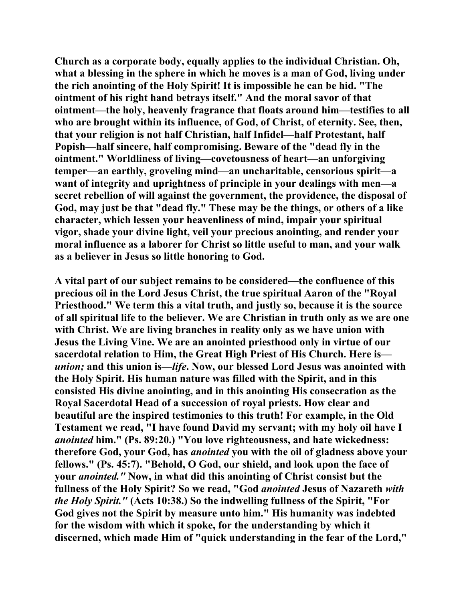**Church as a corporate body, equally applies to the individual Christian. Oh, what a blessing in the sphere in which he moves is a man of God, living under the rich anointing of the Holy Spirit! It is impossible he can be hid. "The ointment of his right hand betrays itself." And the moral savor of that ointment—the holy, heavenly fragrance that floats around him—testifies to all who are brought within its influence, of God, of Christ, of eternity. See, then, that your religion is not half Christian, half Infidel—half Protestant, half Popish—half sincere, half compromising. Beware of the "dead fly in the ointment." Worldliness of living—covetousness of heart—an unforgiving temper—an earthly, groveling mind—an uncharitable, censorious spirit—a want of integrity and uprightness of principle in your dealings with men—a secret rebellion of will against the government, the providence, the disposal of God, may just be that "dead fly." These may be the things, or others of a like character, which lessen your heavenliness of mind, impair your spiritual vigor, shade your divine light, veil your precious anointing, and render your moral influence as a laborer for Christ so little useful to man, and your walk as a believer in Jesus so little honoring to God.** 

**A vital part of our subject remains to be considered—the confluence of this precious oil in the Lord Jesus Christ, the true spiritual Aaron of the "Royal Priesthood." We term this a vital truth, and justly so, because it is the source of all spiritual life to the believer. We are Christian in truth only as we are one with Christ. We are living branches in reality only as we have union with Jesus the Living Vine. We are an anointed priesthood only in virtue of our sacerdotal relation to Him, the Great High Priest of His Church. Here is** *union;* **and this union is—***life***. Now, our blessed Lord Jesus was anointed with the Holy Spirit. His human nature was filled with the Spirit, and in this consisted His divine anointing, and in this anointing His consecration as the Royal Sacerdotal Head of a succession of royal priests. How clear and beautiful are the inspired testimonies to this truth! For example, in the Old Testament we read, "I have found David my servant; with my holy oil have I**  *anointed* **him." (Ps. 89:20.) "You love righteousness, and hate wickedness: therefore God, your God, has** *anointed* **you with the oil of gladness above your fellows." (Ps. 45:7). "Behold, O God, our shield, and look upon the face of your** *anointed."* **Now, in what did this anointing of Christ consist but the fullness of the Holy Spirit? So we read, "God** *anointed* **Jesus of Nazareth** *with the Holy Spirit."* **(Acts 10:38.) So the indwelling fullness of the Spirit, "For God gives not the Spirit by measure unto him." His humanity was indebted for the wisdom with which it spoke, for the understanding by which it discerned, which made Him of "quick understanding in the fear of the Lord,"**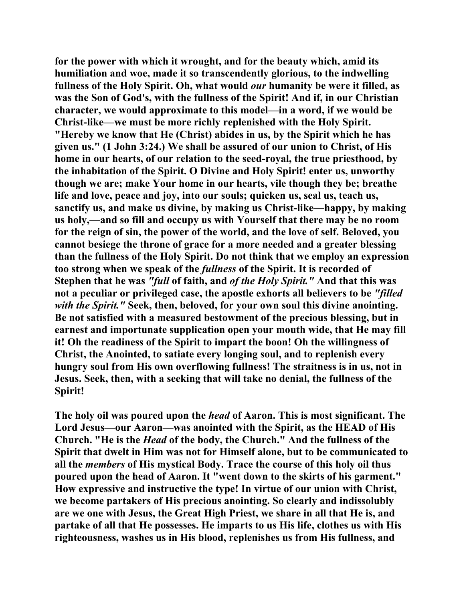**for the power with which it wrought, and for the beauty which, amid its humiliation and woe, made it so transcendently glorious, to the indwelling fullness of the Holy Spirit. Oh, what would** *our* **humanity be were it filled, as was the Son of God's, with the fullness of the Spirit! And if, in our Christian character, we would approximate to this model—in a word, if we would be Christ-like—we must be more richly replenished with the Holy Spirit. "Hereby we know that He (Christ) abides in us, by the Spirit which he has given us." (1 John 3:24.) We shall be assured of our union to Christ, of His home in our hearts, of our relation to the seed-royal, the true priesthood, by the inhabitation of the Spirit. O Divine and Holy Spirit! enter us, unworthy though we are; make Your home in our hearts, vile though they be; breathe life and love, peace and joy, into our souls; quicken us, seal us, teach us, sanctify us, and make us divine, by making us Christ-like—happy, by making us holy,—and so fill and occupy us with Yourself that there may be no room for the reign of sin, the power of the world, and the love of self. Beloved, you cannot besiege the throne of grace for a more needed and a greater blessing than the fullness of the Holy Spirit. Do not think that we employ an expression too strong when we speak of the** *fullness* **of the Spirit. It is recorded of Stephen that he was** *"full* **of faith, and** *of the Holy Spirit."* **And that this was not a peculiar or privileged case, the apostle exhorts all believers to be** *"filled with the Spirit."* **Seek, then, beloved, for your own soul this divine anointing. Be not satisfied with a measured bestowment of the precious blessing, but in earnest and importunate supplication open your mouth wide, that He may fill it! Oh the readiness of the Spirit to impart the boon! Oh the willingness of Christ, the Anointed, to satiate every longing soul, and to replenish every hungry soul from His own overflowing fullness! The straitness is in us, not in Jesus. Seek, then, with a seeking that will take no denial, the fullness of the Spirit!** 

**The holy oil was poured upon the** *head* **of Aaron. This is most significant. The Lord Jesus—our Aaron—was anointed with the Spirit, as the HEAD of His Church. "He is the** *Head* **of the body, the Church." And the fullness of the Spirit that dwelt in Him was not for Himself alone, but to be communicated to all the** *members* **of His mystical Body. Trace the course of this holy oil thus poured upon the head of Aaron. It "went down to the skirts of his garment." How expressive and instructive the type! In virtue of our union with Christ, we become partakers of His precious anointing. So clearly and indissolubly are we one with Jesus, the Great High Priest, we share in all that He is, and partake of all that He possesses. He imparts to us His life, clothes us with His righteousness, washes us in His blood, replenishes us from His fullness, and**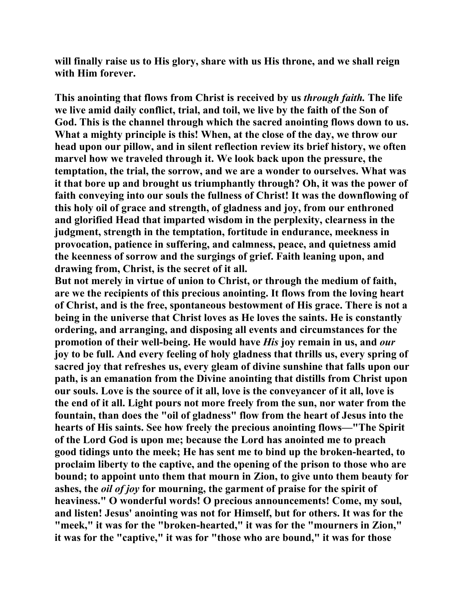**will finally raise us to His glory, share with us His throne, and we shall reign with Him forever.** 

**This anointing that flows from Christ is received by us** *through faith.* **The life we live amid daily conflict, trial, and toil, we live by the faith of the Son of God. This is the channel through which the sacred anointing flows down to us. What a mighty principle is this! When, at the close of the day, we throw our head upon our pillow, and in silent reflection review its brief history, we often marvel how we traveled through it. We look back upon the pressure, the temptation, the trial, the sorrow, and we are a wonder to ourselves. What was it that bore up and brought us triumphantly through? Oh, it was the power of faith conveying into our souls the fullness of Christ! It was the downflowing of this holy oil of grace and strength, of gladness and joy, from our enthroned and glorified Head that imparted wisdom in the perplexity, clearness in the judgment, strength in the temptation, fortitude in endurance, meekness in provocation, patience in suffering, and calmness, peace, and quietness amid the keenness of sorrow and the surgings of grief. Faith leaning upon, and drawing from, Christ, is the secret of it all.** 

**But not merely in virtue of union to Christ, or through the medium of faith, are we the recipients of this precious anointing. It flows from the loving heart of Christ, and is the free, spontaneous bestowment of His grace. There is not a being in the universe that Christ loves as He loves the saints. He is constantly ordering, and arranging, and disposing all events and circumstances for the promotion of their well-being. He would have** *His* **joy remain in us, and** *our*  **joy to be full. And every feeling of holy gladness that thrills us, every spring of sacred joy that refreshes us, every gleam of divine sunshine that falls upon our path, is an emanation from the Divine anointing that distills from Christ upon our souls. Love is the source of it all, love is the conveyancer of it all, love is the end of it all. Light pours not more freely from the sun, nor water from the fountain, than does the "oil of gladness" flow from the heart of Jesus into the hearts of His saints. See how freely the precious anointing flows—"The Spirit of the Lord God is upon me; because the Lord has anointed me to preach good tidings unto the meek; He has sent me to bind up the broken-hearted, to proclaim liberty to the captive, and the opening of the prison to those who are bound; to appoint unto them that mourn in Zion, to give unto them beauty for ashes, the** *oil of joy* **for mourning, the garment of praise for the spirit of heaviness." O wonderful words! O precious announcements! Come, my soul, and listen! Jesus' anointing was not for Himself, but for others. It was for the "meek," it was for the "broken-hearted," it was for the "mourners in Zion," it was for the "captive," it was for "those who are bound," it was for those**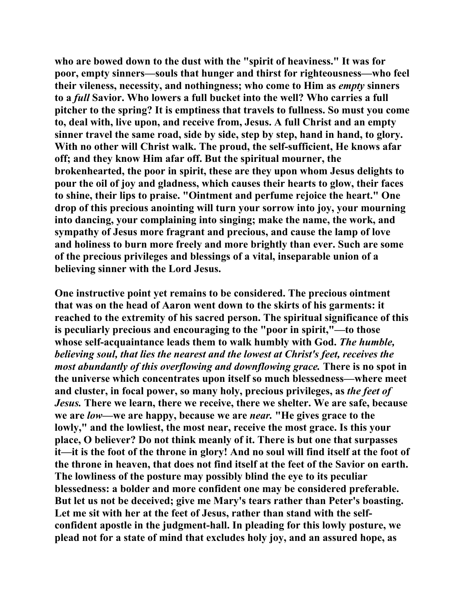**who are bowed down to the dust with the "spirit of heaviness." It was for poor, empty sinners—souls that hunger and thirst for righteousness—who feel their vileness, necessity, and nothingness; who come to Him as** *empty* **sinners to a** *full* **Savior. Who lowers a full bucket into the well? Who carries a full pitcher to the spring? It is emptiness that travels to fullness. So must you come to, deal with, live upon, and receive from, Jesus. A full Christ and an empty sinner travel the same road, side by side, step by step, hand in hand, to glory. With no other will Christ walk. The proud, the self-sufficient, He knows afar off; and they know Him afar off. But the spiritual mourner, the brokenhearted, the poor in spirit, these are they upon whom Jesus delights to pour the oil of joy and gladness, which causes their hearts to glow, their faces to shine, their lips to praise. "Ointment and perfume rejoice the heart." One drop of this precious anointing will turn your sorrow into joy, your mourning into dancing, your complaining into singing; make the name, the work, and sympathy of Jesus more fragrant and precious, and cause the lamp of love and holiness to burn more freely and more brightly than ever. Such are some of the precious privileges and blessings of a vital, inseparable union of a believing sinner with the Lord Jesus.** 

**One instructive point yet remains to be considered. The precious ointment that was on the head of Aaron went down to the skirts of his garments: it reached to the extremity of his sacred person. The spiritual significance of this is peculiarly precious and encouraging to the "poor in spirit,"—to those whose self-acquaintance leads them to walk humbly with God.** *The humble, believing soul, that lies the nearest and the lowest at Christ's feet, receives the most abundantly of this overflowing and downflowing grace.* **There is no spot in the universe which concentrates upon itself so much blessedness—where meet and cluster, in focal power, so many holy, precious privileges, as** *the feet of Jesus.* **There we learn, there we receive, there we shelter. We are safe, because we are** *low***—we are happy, because we are** *near.* **"He gives grace to the lowly," and the lowliest, the most near, receive the most grace. Is this your place, O believer? Do not think meanly of it. There is but one that surpasses it—it is the foot of the throne in glory! And no soul will find itself at the foot of the throne in heaven, that does not find itself at the feet of the Savior on earth. The lowliness of the posture may possibly blind the eye to its peculiar blessedness: a bolder and more confident one may be considered preferable. But let us not be deceived; give me Mary's tears rather than Peter's boasting. Let me sit with her at the feet of Jesus, rather than stand with the selfconfident apostle in the judgment-hall. In pleading for this lowly posture, we plead not for a state of mind that excludes holy joy, and an assured hope, as**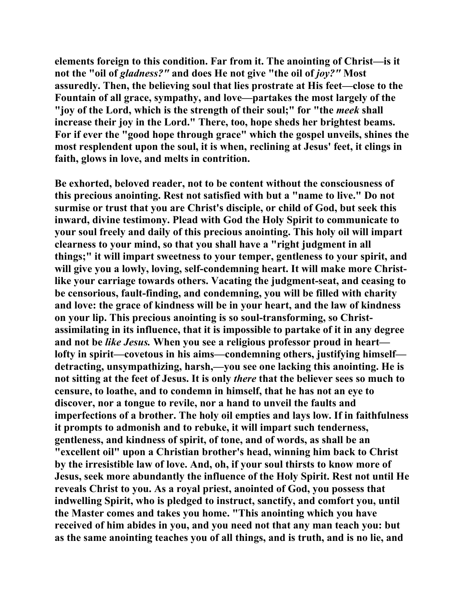**elements foreign to this condition. Far from it. The anointing of Christ—is it not the "oil of** *gladness?"* **and does He not give "the oil of** *joy?"* **Most assuredly. Then, the believing soul that lies prostrate at His feet—close to the Fountain of all grace, sympathy, and love—partakes the most largely of the "joy of the Lord, which is the strength of their soul;" for "the** *meek* **shall increase their joy in the Lord." There, too, hope sheds her brightest beams. For if ever the "good hope through grace" which the gospel unveils, shines the most resplendent upon the soul, it is when, reclining at Jesus' feet, it clings in faith, glows in love, and melts in contrition.** 

**Be exhorted, beloved reader, not to be content without the consciousness of this precious anointing. Rest not satisfied with but a "name to live." Do not surmise or trust that you are Christ's disciple, or child of God, but seek this inward, divine testimony. Plead with God the Holy Spirit to communicate to your soul freely and daily of this precious anointing. This holy oil will impart clearness to your mind, so that you shall have a "right judgment in all things;" it will impart sweetness to your temper, gentleness to your spirit, and will give you a lowly, loving, self-condemning heart. It will make more Christlike your carriage towards others. Vacating the judgment-seat, and ceasing to be censorious, fault-finding, and condemning, you will be filled with charity and love: the grace of kindness will be in your heart, and the law of kindness on your lip. This precious anointing is so soul-transforming, so Christassimilating in its influence, that it is impossible to partake of it in any degree and not be** *like Jesus.* **When you see a religious professor proud in heart lofty in spirit—covetous in his aims—condemning others, justifying himself detracting, unsympathizing, harsh,—you see one lacking this anointing. He is not sitting at the feet of Jesus. It is only** *there* **that the believer sees so much to censure, to loathe, and to condemn in himself, that he has not an eye to discover, nor a tongue to revile, nor a hand to unveil the faults and imperfections of a brother. The holy oil empties and lays low. If in faithfulness it prompts to admonish and to rebuke, it will impart such tenderness, gentleness, and kindness of spirit, of tone, and of words, as shall be an "excellent oil" upon a Christian brother's head, winning him back to Christ by the irresistible law of love. And, oh, if your soul thirsts to know more of Jesus, seek more abundantly the influence of the Holy Spirit. Rest not until He reveals Christ to you. As a royal priest, anointed of God, you possess that indwelling Spirit, who is pledged to instruct, sanctify, and comfort you, until the Master comes and takes you home. "This anointing which you have received of him abides in you, and you need not that any man teach you: but as the same anointing teaches you of all things, and is truth, and is no lie, and**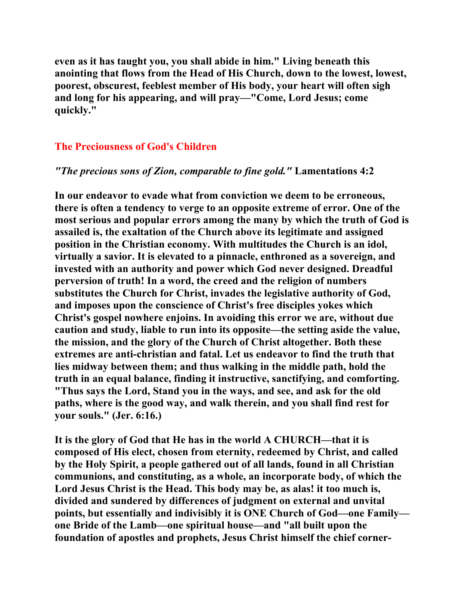**even as it has taught you, you shall abide in him." Living beneath this anointing that flows from the Head of His Church, down to the lowest, lowest, poorest, obscurest, feeblest member of His body, your heart will often sigh and long for his appearing, and will pray—"Come, Lord Jesus; come quickly."** 

## **The Preciousness of God's Children**

## *"The precious sons of Zion, comparable to fine gold."* **Lamentations 4:2**

**In our endeavor to evade what from conviction we deem to be erroneous, there is often a tendency to verge to an opposite extreme of error. One of the most serious and popular errors among the many by which the truth of God is assailed is, the exaltation of the Church above its legitimate and assigned position in the Christian economy. With multitudes the Church is an idol, virtually a savior. It is elevated to a pinnacle, enthroned as a sovereign, and invested with an authority and power which God never designed. Dreadful perversion of truth! In a word, the creed and the religion of numbers substitutes the Church for Christ, invades the legislative authority of God, and imposes upon the conscience of Christ's free disciples yokes which Christ's gospel nowhere enjoins. In avoiding this error we are, without due caution and study, liable to run into its opposite—the setting aside the value, the mission, and the glory of the Church of Christ altogether. Both these extremes are anti-christian and fatal. Let us endeavor to find the truth that lies midway between them; and thus walking in the middle path, hold the truth in an equal balance, finding it instructive, sanctifying, and comforting. "Thus says the Lord, Stand you in the ways, and see, and ask for the old paths, where is the good way, and walk therein, and you shall find rest for your souls." (Jer. 6:16.)** 

**It is the glory of God that He has in the world A CHURCH—that it is composed of His elect, chosen from eternity, redeemed by Christ, and called by the Holy Spirit, a people gathered out of all lands, found in all Christian communions, and constituting, as a whole, an incorporate body, of which the Lord Jesus Christ is the Head. This body may be, as alas! it too much is, divided and sundered by differences of judgment on external and unvital points, but essentially and indivisibly it is ONE Church of God—one Family one Bride of the Lamb—one spiritual house—and "all built upon the foundation of apostles and prophets, Jesus Christ himself the chief corner-**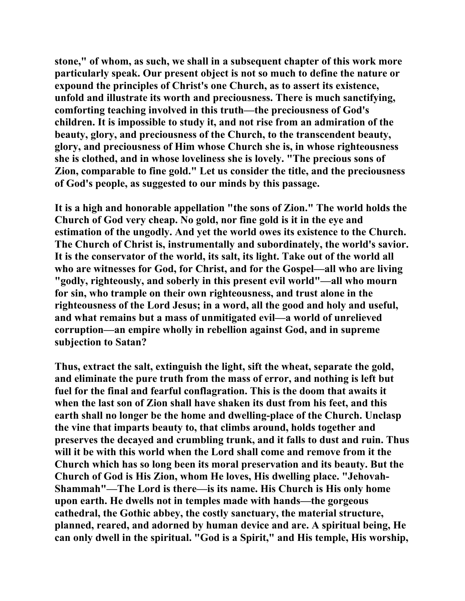**stone," of whom, as such, we shall in a subsequent chapter of this work more particularly speak. Our present object is not so much to define the nature or expound the principles of Christ's one Church, as to assert its existence, unfold and illustrate its worth and preciousness. There is much sanctifying, comforting teaching involved in this truth—the preciousness of God's children. It is impossible to study it, and not rise from an admiration of the beauty, glory, and preciousness of the Church, to the transcendent beauty, glory, and preciousness of Him whose Church she is, in whose righteousness she is clothed, and in whose loveliness she is lovely. "The precious sons of Zion, comparable to fine gold." Let us consider the title, and the preciousness of God's people, as suggested to our minds by this passage.** 

**It is a high and honorable appellation "the sons of Zion." The world holds the Church of God very cheap. No gold, nor fine gold is it in the eye and estimation of the ungodly. And yet the world owes its existence to the Church. The Church of Christ is, instrumentally and subordinately, the world's savior. It is the conservator of the world, its salt, its light. Take out of the world all who are witnesses for God, for Christ, and for the Gospel—all who are living "godly, righteously, and soberly in this present evil world"—all who mourn for sin, who trample on their own righteousness, and trust alone in the righteousness of the Lord Jesus; in a word, all the good and holy and useful, and what remains but a mass of unmitigated evil—a world of unrelieved corruption—an empire wholly in rebellion against God, and in supreme subjection to Satan?** 

**Thus, extract the salt, extinguish the light, sift the wheat, separate the gold, and eliminate the pure truth from the mass of error, and nothing is left but fuel for the final and fearful conflagration. This is the doom that awaits it when the last son of Zion shall have shaken its dust from his feet, and this earth shall no longer be the home and dwelling-place of the Church. Unclasp the vine that imparts beauty to, that climbs around, holds together and preserves the decayed and crumbling trunk, and it falls to dust and ruin. Thus will it be with this world when the Lord shall come and remove from it the Church which has so long been its moral preservation and its beauty. But the Church of God is His Zion, whom He loves, His dwelling place. "Jehovah-Shammah"—The Lord is there—is its name. His Church is His only home upon earth. He dwells not in temples made with hands—the gorgeous cathedral, the Gothic abbey, the costly sanctuary, the material structure, planned, reared, and adorned by human device and are. A spiritual being, He can only dwell in the spiritual. "God is a Spirit," and His temple, His worship,**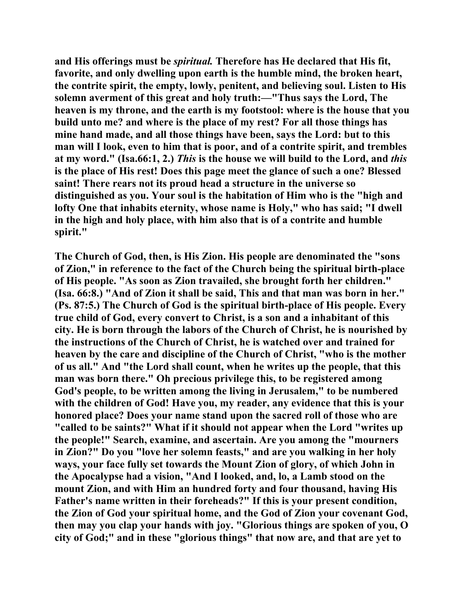**and His offerings must be** *spiritual.* **Therefore has He declared that His fit, favorite, and only dwelling upon earth is the humble mind, the broken heart, the contrite spirit, the empty, lowly, penitent, and believing soul. Listen to His solemn averment of this great and holy truth:—"Thus says the Lord, The heaven is my throne, and the earth is my footstool: where is the house that you build unto me? and where is the place of my rest? For all those things has mine hand made, and all those things have been, says the Lord: but to this man will I look, even to him that is poor, and of a contrite spirit, and trembles at my word." (Isa.66:1, 2.)** *This* **is the house we will build to the Lord, and** *this*  **is the place of His rest! Does this page meet the glance of such a one? Blessed saint! There rears not its proud head a structure in the universe so distinguished as you. Your soul is the habitation of Him who is the "high and lofty One that inhabits eternity, whose name is Holy," who has said; "I dwell in the high and holy place, with him also that is of a contrite and humble spirit."** 

**The Church of God, then, is His Zion. His people are denominated the "sons of Zion," in reference to the fact of the Church being the spiritual birth-place of His people. "As soon as Zion travailed, she brought forth her children." (Isa. 66:8.) "And of Zion it shall be said, This and that man was born in her." (Ps. 87:5.) The Church of God is the spiritual birth-place of His people. Every true child of God, every convert to Christ, is a son and a inhabitant of this city. He is born through the labors of the Church of Christ, he is nourished by the instructions of the Church of Christ, he is watched over and trained for heaven by the care and discipline of the Church of Christ, "who is the mother of us all." And "the Lord shall count, when he writes up the people, that this man was born there." Oh precious privilege this, to be registered among God's people, to be written among the living in Jerusalem," to be numbered with the children of God! Have you, my reader, any evidence that this is your honored place? Does your name stand upon the sacred roll of those who are "called to be saints?" What if it should not appear when the Lord "writes up the people!" Search, examine, and ascertain. Are you among the "mourners in Zion?" Do you "love her solemn feasts," and are you walking in her holy ways, your face fully set towards the Mount Zion of glory, of which John in the Apocalypse had a vision, "And I looked, and, lo, a Lamb stood on the mount Zion, and with Him an hundred forty and four thousand, having His Father's name written in their foreheads?" If this is your present condition, the Zion of God your spiritual home, and the God of Zion your covenant God, then may you clap your hands with joy. "Glorious things are spoken of you, O city of God;" and in these "glorious things" that now are, and that are yet to**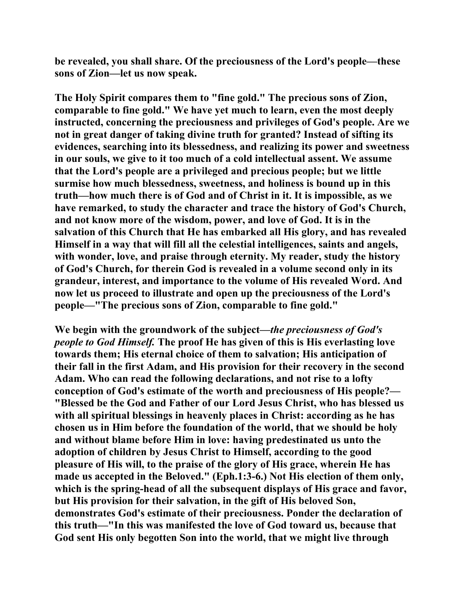**be revealed, you shall share. Of the preciousness of the Lord's people—these sons of Zion—let us now speak.** 

**The Holy Spirit compares them to "fine gold." The precious sons of Zion, comparable to fine gold." We have yet much to learn, even the most deeply instructed, concerning the preciousness and privileges of God's people. Are we not in great danger of taking divine truth for granted? Instead of sifting its evidences, searching into its blessedness, and realizing its power and sweetness in our souls, we give to it too much of a cold intellectual assent. We assume that the Lord's people are a privileged and precious people; but we little surmise how much blessedness, sweetness, and holiness is bound up in this truth—how much there is of God and of Christ in it. It is impossible, as we have remarked, to study the character and trace the history of God's Church, and not know more of the wisdom, power, and love of God. It is in the salvation of this Church that He has embarked all His glory, and has revealed Himself in a way that will fill all the celestial intelligences, saints and angels, with wonder, love, and praise through eternity. My reader, study the history of God's Church, for therein God is revealed in a volume second only in its grandeur, interest, and importance to the volume of His revealed Word. And now let us proceed to illustrate and open up the preciousness of the Lord's people—"The precious sons of Zion, comparable to fine gold."** 

**We begin with the groundwork of the subject—***the preciousness of God's people to God Himself.* **The proof He has given of this is His everlasting love towards them; His eternal choice of them to salvation; His anticipation of their fall in the first Adam, and His provision for their recovery in the second Adam. Who can read the following declarations, and not rise to a lofty conception of God's estimate of the worth and preciousness of His people?— "Blessed be the God and Father of our Lord Jesus Christ, who has blessed us with all spiritual blessings in heavenly places in Christ: according as he has chosen us in Him before the foundation of the world, that we should be holy and without blame before Him in love: having predestinated us unto the adoption of children by Jesus Christ to Himself, according to the good pleasure of His will, to the praise of the glory of His grace, wherein He has made us accepted in the Beloved." (Eph.1:3-6.) Not His election of them only, which is the spring-head of all the subsequent displays of His grace and favor, but His provision for their salvation, in the gift of His beloved Son, demonstrates God's estimate of their preciousness. Ponder the declaration of this truth—"In this was manifested the love of God toward us, because that God sent His only begotten Son into the world, that we might live through**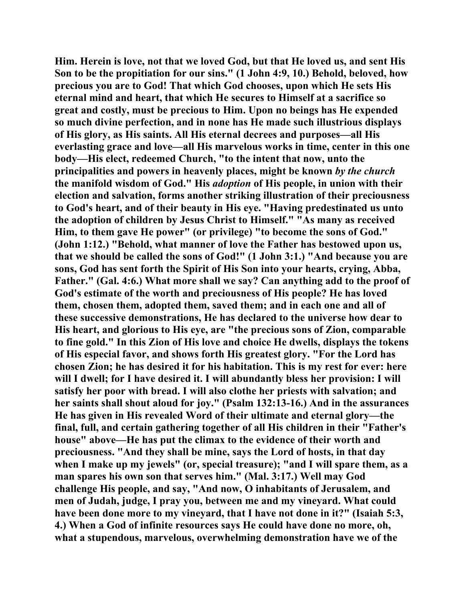**Him. Herein is love, not that we loved God, but that He loved us, and sent His Son to be the propitiation for our sins." (1 John 4:9, 10.) Behold, beloved, how precious you are to God! That which God chooses, upon which He sets His eternal mind and heart, that which He secures to Himself at a sacrifice so great and costly, must be precious to Him. Upon no beings has He expended so much divine perfection, and in none has He made such illustrious displays of His glory, as His saints. All His eternal decrees and purposes—all His everlasting grace and love—all His marvelous works in time, center in this one body—His elect, redeemed Church, "to the intent that now, unto the principalities and powers in heavenly places, might be known** *by the church*  **the manifold wisdom of God." His** *adoption* **of His people, in union with their election and salvation, forms another striking illustration of their preciousness to God's heart, and of their beauty in His eye. "Having predestinated us unto the adoption of children by Jesus Christ to Himself." "As many as received Him, to them gave He power" (or privilege) "to become the sons of God." (John 1:12.) "Behold, what manner of love the Father has bestowed upon us, that we should be called the sons of God!" (1 John 3:1.) "And because you are sons, God has sent forth the Spirit of His Son into your hearts, crying, Abba, Father." (Gal. 4:6.) What more shall we say? Can anything add to the proof of God's estimate of the worth and preciousness of His people? He has loved them, chosen them, adopted them, saved them; and in each one and all of these successive demonstrations, He has declared to the universe how dear to His heart, and glorious to His eye, are "the precious sons of Zion, comparable to fine gold." In this Zion of His love and choice He dwells, displays the tokens of His especial favor, and shows forth His greatest glory. "For the Lord has chosen Zion; he has desired it for his habitation. This is my rest for ever: here will I dwell; for I have desired it. I will abundantly bless her provision: I will satisfy her poor with bread. I will also clothe her priests with salvation; and her saints shall shout aloud for joy." (Psalm 132:13-16.) And in the assurances He has given in His revealed Word of their ultimate and eternal glory—the final, full, and certain gathering together of all His children in their "Father's house" above—He has put the climax to the evidence of their worth and preciousness. "And they shall be mine, says the Lord of hosts, in that day when I make up my jewels" (or, special treasure); "and I will spare them, as a man spares his own son that serves him." (Mal. 3:17.) Well may God challenge His people, and say, "And now, O inhabitants of Jerusalem, and men of Judah, judge, I pray you, between me and my vineyard. What could have been done more to my vineyard, that I have not done in it?" (Isaiah 5:3, 4.) When a God of infinite resources says He could have done no more, oh, what a stupendous, marvelous, overwhelming demonstration have we of the**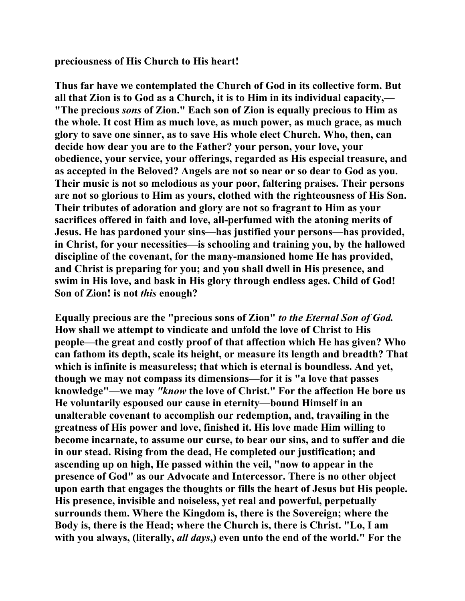**preciousness of His Church to His heart!** 

**Thus far have we contemplated the Church of God in its collective form. But all that Zion is to God as a Church, it is to Him in its individual capacity,— "The precious** *sons* **of Zion." Each son of Zion is equally precious to Him as the whole. It cost Him as much love, as much power, as much grace, as much glory to save one sinner, as to save His whole elect Church. Who, then, can decide how dear you are to the Father? your person, your love, your obedience, your service, your offerings, regarded as His especial treasure, and as accepted in the Beloved? Angels are not so near or so dear to God as you. Their music is not so melodious as your poor, faltering praises. Their persons are not so glorious to Him as yours, clothed with the righteousness of His Son. Their tributes of adoration and glory are not so fragrant to Him as your sacrifices offered in faith and love, all-perfumed with the atoning merits of Jesus. He has pardoned your sins—has justified your persons—has provided, in Christ, for your necessities—is schooling and training you, by the hallowed discipline of the covenant, for the many-mansioned home He has provided, and Christ is preparing for you; and you shall dwell in His presence, and swim in His love, and bask in His glory through endless ages. Child of God! Son of Zion! is not** *this* **enough?** 

**Equally precious are the "precious sons of Zion"** *to the Eternal Son of God.*  **How shall we attempt to vindicate and unfold the love of Christ to His people—the great and costly proof of that affection which He has given? Who can fathom its depth, scale its height, or measure its length and breadth? That which is infinite is measureless; that which is eternal is boundless. And yet, though we may not compass its dimensions—for it is "a love that passes knowledge"—we may** *"know* **the love of Christ." For the affection He bore us He voluntarily espoused our cause in eternity—bound Himself in an unalterable covenant to accomplish our redemption, and, travailing in the greatness of His power and love, finished it. His love made Him willing to become incarnate, to assume our curse, to bear our sins, and to suffer and die in our stead. Rising from the dead, He completed our justification; and ascending up on high, He passed within the veil, "now to appear in the presence of God" as our Advocate and Intercessor. There is no other object upon earth that engages the thoughts or fills the heart of Jesus but His people. His presence, invisible and noiseless, yet real and powerful, perpetually surrounds them. Where the Kingdom is, there is the Sovereign; where the Body is, there is the Head; where the Church is, there is Christ. "Lo, I am with you always, (literally,** *all days***,) even unto the end of the world." For the**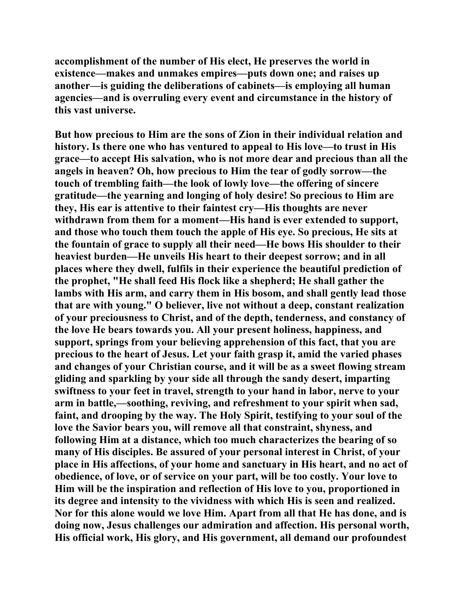**accomplishment of the number of His elect, He preserves the world in existence—makes and unmakes empires—puts down one; and raises up another—is guiding the deliberations of cabinets—is employing all human agencies—and is overruling every event and circumstance in the history of this vast universe.** 

**But how precious to Him are the sons of Zion in their individual relation and history. Is there one who has ventured to appeal to His love—to trust in His grace—to accept His salvation, who is not more dear and precious than all the angels in heaven? Oh, how precious to Him the tear of godly sorrow—the touch of trembling faith—the look of lowly love—the offering of sincere gratitude—the yearning and longing of holy desire! So precious to Him are they, His ear is attentive to their faintest cry—His thoughts are never withdrawn from them for a moment—His hand is ever extended to support, and those who touch them touch the apple of His eye. So precious, He sits at the fountain of grace to supply all their need—He bows His shoulder to their heaviest burden—He unveils His heart to their deepest sorrow; and in all places where they dwell, fulfils in their experience the beautiful prediction of the prophet, "He shall feed His flock like a shepherd; He shall gather the lambs with His arm, and carry them in His bosom, and shall gently lead those that are with young." O believer, live not without a deep, constant realization of your preciousness to Christ, and of the depth, tenderness, and constancy of the love He bears towards you. All your present holiness, happiness, and support, springs from your believing apprehension of this fact, that you are precious to the heart of Jesus. Let your faith grasp it, amid the varied phases and changes of your Christian course, and it will be as a sweet flowing stream gliding and sparkling by your side all through the sandy desert, imparting swiftness to your feet in travel, strength to your hand in labor, nerve to your arm in battle,—soothing, reviving, and refreshment to your spirit when sad, faint, and drooping by the way. The Holy Spirit, testifying to your soul of the love the Savior bears you, will remove all that constraint, shyness, and following Him at a distance, which too much characterizes the bearing of so many of His disciples. Be assured of your personal interest in Christ, of your place in His affections, of your home and sanctuary in His heart, and no act of obedience, of love, or of service on your part, will be too costly. Your love to Him will be the inspiration and reflection of His love to you, proportioned in its degree and intensity to the vividness with which His is seen and realized. Nor for this alone would we love Him. Apart from all that He has done, and is doing now, Jesus challenges our admiration and affection. His personal worth, His official work, His glory, and His government, all demand our profoundest**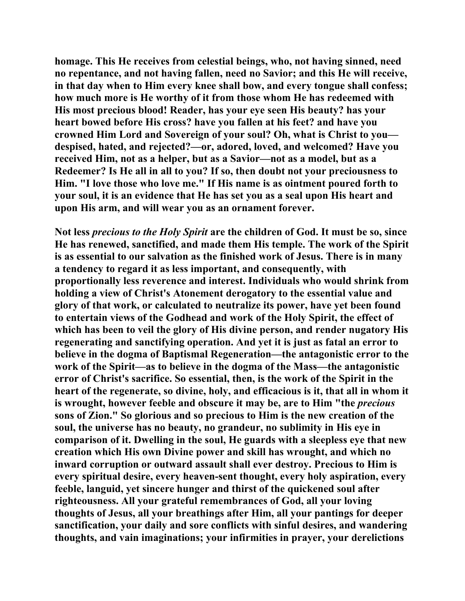**homage. This He receives from celestial beings, who, not having sinned, need no repentance, and not having fallen, need no Savior; and this He will receive, in that day when to Him every knee shall bow, and every tongue shall confess; how much more is He worthy of it from those whom He has redeemed with His most precious blood! Reader, has your eye seen His beauty? has your heart bowed before His cross? have you fallen at his feet? and have you crowned Him Lord and Sovereign of your soul? Oh, what is Christ to you despised, hated, and rejected?—or, adored, loved, and welcomed? Have you received Him, not as a helper, but as a Savior—not as a model, but as a Redeemer? Is He all in all to you? If so, then doubt not your preciousness to Him. "I love those who love me." If His name is as ointment poured forth to your soul, it is an evidence that He has set you as a seal upon His heart and upon His arm, and will wear you as an ornament forever.** 

**Not less** *precious to the Holy Spirit* **are the children of God. It must be so, since He has renewed, sanctified, and made them His temple. The work of the Spirit is as essential to our salvation as the finished work of Jesus. There is in many a tendency to regard it as less important, and consequently, with proportionally less reverence and interest. Individuals who would shrink from holding a view of Christ's Atonement derogatory to the essential value and glory of that work, or calculated to neutralize its power, have yet been found to entertain views of the Godhead and work of the Holy Spirit, the effect of which has been to veil the glory of His divine person, and render nugatory His regenerating and sanctifying operation. And yet it is just as fatal an error to believe in the dogma of Baptismal Regeneration—the antagonistic error to the work of the Spirit—as to believe in the dogma of the Mass—the antagonistic error of Christ's sacrifice. So essential, then, is the work of the Spirit in the heart of the regenerate, so divine, holy, and efficacious is it, that all in whom it is wrought, however feeble and obscure it may be, are to Him "the** *precious* **sons of Zion." So glorious and so precious to Him is the new creation of the soul, the universe has no beauty, no grandeur, no sublimity in His eye in comparison of it. Dwelling in the soul, He guards with a sleepless eye that new creation which His own Divine power and skill has wrought, and which no inward corruption or outward assault shall ever destroy. Precious to Him is every spiritual desire, every heaven-sent thought, every holy aspiration, every feeble, languid, yet sincere hunger and thirst of the quickened soul after righteousness. All your grateful remembrances of God, all your loving thoughts of Jesus, all your breathings after Him, all your pantings for deeper sanctification, your daily and sore conflicts with sinful desires, and wandering thoughts, and vain imaginations; your infirmities in prayer, your derelictions**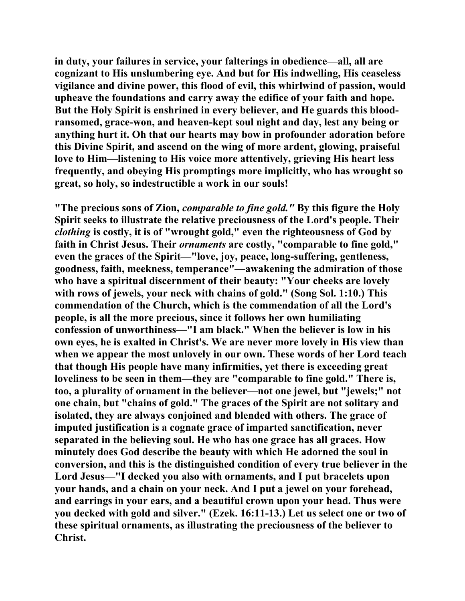**in duty, your failures in service, your falterings in obedience—all, all are cognizant to His unslumbering eye. And but for His indwelling, His ceaseless vigilance and divine power, this flood of evil, this whirlwind of passion, would upheave the foundations and carry away the edifice of your faith and hope. But the Holy Spirit is enshrined in every believer, and He guards this bloodransomed, grace-won, and heaven-kept soul night and day, lest any being or anything hurt it. Oh that our hearts may bow in profounder adoration before this Divine Spirit, and ascend on the wing of more ardent, glowing, praiseful love to Him—listening to His voice more attentively, grieving His heart less frequently, and obeying His promptings more implicitly, who has wrought so great, so holy, so indestructible a work in our souls!** 

**"The precious sons of Zion,** *comparable to fine gold."* **By this figure the Holy Spirit seeks to illustrate the relative preciousness of the Lord's people. Their**  *clothing* **is costly, it is of "wrought gold," even the righteousness of God by faith in Christ Jesus. Their** *ornaments* **are costly, "comparable to fine gold," even the graces of the Spirit—"love, joy, peace, long-suffering, gentleness, goodness, faith, meekness, temperance"—awakening the admiration of those who have a spiritual discernment of their beauty: "Your cheeks are lovely with rows of jewels, your neck with chains of gold." (Song Sol. 1:10.) This commendation of the Church, which is the commendation of all the Lord's people, is all the more precious, since it follows her own humiliating confession of unworthiness—"I am black." When the believer is low in his own eyes, he is exalted in Christ's. We are never more lovely in His view than when we appear the most unlovely in our own. These words of her Lord teach that though His people have many infirmities, yet there is exceeding great loveliness to be seen in them—they are "comparable to fine gold." There is, too, a plurality of ornament in the believer—not one jewel, but "jewels;" not one chain, but "chains of gold." The graces of the Spirit are not solitary and isolated, they are always conjoined and blended with others. The grace of imputed justification is a cognate grace of imparted sanctification, never separated in the believing soul. He who has one grace has all graces. How minutely does God describe the beauty with which He adorned the soul in conversion, and this is the distinguished condition of every true believer in the Lord Jesus—"I decked you also with ornaments, and I put bracelets upon your hands, and a chain on your neck. And I put a jewel on your forehead, and earrings in your ears, and a beautiful crown upon your head. Thus were you decked with gold and silver." (Ezek. 16:11-13.) Let us select one or two of these spiritual ornaments, as illustrating the preciousness of the believer to Christ.**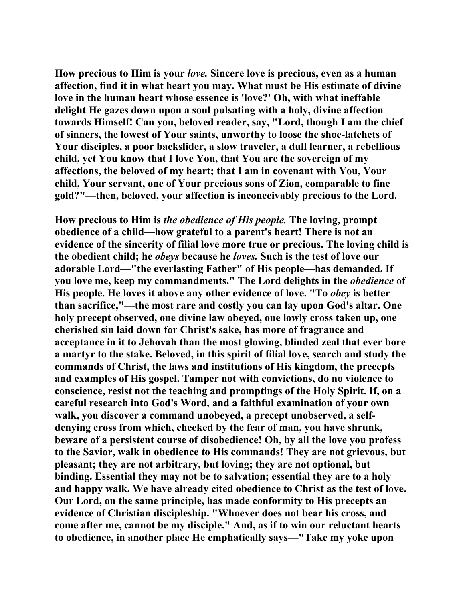**How precious to Him is your** *love.* **Sincere love is precious, even as a human affection, find it in what heart you may. What must be His estimate of divine love in the human heart whose essence is 'love?' Oh, with what ineffable delight He gazes down upon a soul pulsating with a holy, divine affection towards Himself! Can you, beloved reader, say, "Lord, though I am the chief of sinners, the lowest of Your saints, unworthy to loose the shoe-latchets of Your disciples, a poor backslider, a slow traveler, a dull learner, a rebellious child, yet You know that I love You, that You are the sovereign of my affections, the beloved of my heart; that I am in covenant with You, Your child, Your servant, one of Your precious sons of Zion, comparable to fine gold?"—then, beloved, your affection is inconceivably precious to the Lord.** 

**How precious to Him is** *the obedience of His people.* **The loving, prompt obedience of a child—how grateful to a parent's heart! There is not an evidence of the sincerity of filial love more true or precious. The loving child is the obedient child; he** *obeys* **because he** *loves.* **Such is the test of love our adorable Lord—"the everlasting Father" of His people—has demanded. If you love me, keep my commandments." The Lord delights in the** *obedience* **of His people. He loves it above any other evidence of love. "To** *obey* **is better than sacrifice,"—the most rare and costly you can lay upon God's altar. One holy precept observed, one divine law obeyed, one lowly cross taken up, one cherished sin laid down for Christ's sake, has more of fragrance and acceptance in it to Jehovah than the most glowing, blinded zeal that ever bore a martyr to the stake. Beloved, in this spirit of filial love, search and study the commands of Christ, the laws and institutions of His kingdom, the precepts and examples of His gospel. Tamper not with convictions, do no violence to conscience, resist not the teaching and promptings of the Holy Spirit. If, on a careful research into God's Word, and a faithful examination of your own walk, you discover a command unobeyed, a precept unobserved, a selfdenying cross from which, checked by the fear of man, you have shrunk, beware of a persistent course of disobedience! Oh, by all the love you profess to the Savior, walk in obedience to His commands! They are not grievous, but pleasant; they are not arbitrary, but loving; they are not optional, but binding. Essential they may not be to salvation; essential they are to a holy and happy walk. We have already cited obedience to Christ as the test of love. Our Lord, on the same principle, has made conformity to His precepts an evidence of Christian discipleship. "Whoever does not bear his cross, and come after me, cannot be my disciple." And, as if to win our reluctant hearts to obedience, in another place He emphatically says—"Take my yoke upon**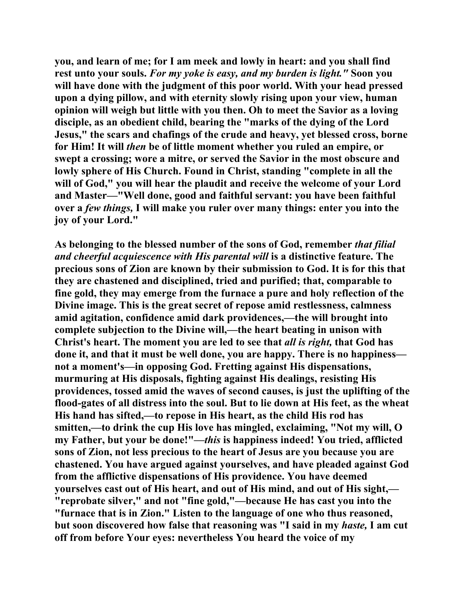**you, and learn of me; for I am meek and lowly in heart: and you shall find rest unto your souls.** *For my yoke is easy, and my burden is light."* **Soon you will have done with the judgment of this poor world. With your head pressed upon a dying pillow, and with eternity slowly rising upon your view, human opinion will weigh but little with you then. Oh to meet the Savior as a loving disciple, as an obedient child, bearing the "marks of the dying of the Lord Jesus," the scars and chafings of the crude and heavy, yet blessed cross, borne for Him! It will** *then* **be of little moment whether you ruled an empire, or swept a crossing; wore a mitre, or served the Savior in the most obscure and lowly sphere of His Church. Found in Christ, standing "complete in all the will of God," you will hear the plaudit and receive the welcome of your Lord and Master—"Well done, good and faithful servant: you have been faithful over a** *few things,* **I will make you ruler over many things: enter you into the joy of your Lord."** 

**As belonging to the blessed number of the sons of God, remember** *that filial and cheerful acquiescence with His parental will* **is a distinctive feature. The precious sons of Zion are known by their submission to God. It is for this that they are chastened and disciplined, tried and purified; that, comparable to fine gold, they may emerge from the furnace a pure and holy reflection of the Divine image. This is the great secret of repose amid restlessness, calmness amid agitation, confidence amid dark providences,—the will brought into complete subjection to the Divine will,—the heart beating in unison with Christ's heart. The moment you are led to see that** *all is right,* **that God has done it, and that it must be well done, you are happy. There is no happiness not a moment's—in opposing God. Fretting against His dispensations, murmuring at His disposals, fighting against His dealings, resisting His providences, tossed amid the waves of second causes, is just the uplifting of the flood-gates of all distress into the soul. But to lie down at His feet, as the wheat His hand has sifted,—to repose in His heart, as the child His rod has smitten,—to drink the cup His love has mingled, exclaiming, "Not my will, O my Father, but your be done!"—***this* **is happiness indeed! You tried, afflicted sons of Zion, not less precious to the heart of Jesus are you because you are chastened. You have argued against yourselves, and have pleaded against God from the afflictive dispensations of His providence. You have deemed yourselves cast out of His heart, and out of His mind, and out of His sight,— "reprobate silver," and not "fine gold,"—because He has cast you into the "furnace that is in Zion." Listen to the language of one who thus reasoned, but soon discovered how false that reasoning was "I said in my** *haste,* **I am cut off from before Your eyes: nevertheless You heard the voice of my**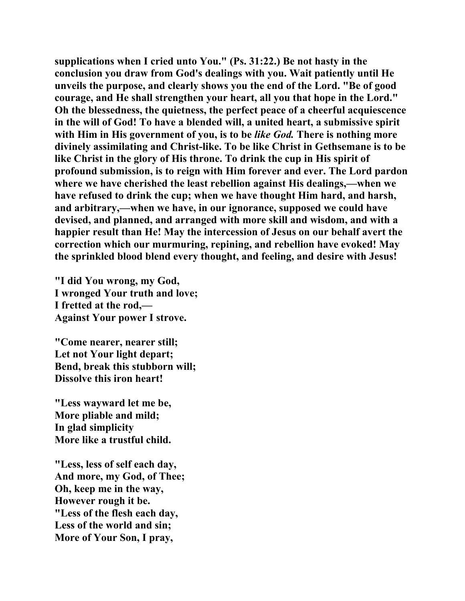**supplications when I cried unto You." (Ps. 31:22.) Be not hasty in the conclusion you draw from God's dealings with you. Wait patiently until He unveils the purpose, and clearly shows you the end of the Lord. "Be of good courage, and He shall strengthen your heart, all you that hope in the Lord." Oh the blessedness, the quietness, the perfect peace of a cheerful acquiescence in the will of God! To have a blended will, a united heart, a submissive spirit with Him in His government of you, is to be** *like God.* **There is nothing more divinely assimilating and Christ-like. To be like Christ in Gethsemane is to be like Christ in the glory of His throne. To drink the cup in His spirit of profound submission, is to reign with Him forever and ever. The Lord pardon where we have cherished the least rebellion against His dealings,—when we have refused to drink the cup; when we have thought Him hard, and harsh, and arbitrary,—when we have, in our ignorance, supposed we could have devised, and planned, and arranged with more skill and wisdom, and with a happier result than He! May the intercession of Jesus on our behalf avert the correction which our murmuring, repining, and rebellion have evoked! May the sprinkled blood blend every thought, and feeling, and desire with Jesus!** 

**"I did You wrong, my God, I wronged Your truth and love; I fretted at the rod,— Against Your power I strove.** 

**"Come nearer, nearer still; Let not Your light depart; Bend, break this stubborn will; Dissolve this iron heart!** 

**"Less wayward let me be, More pliable and mild; In glad simplicity More like a trustful child.** 

**"Less, less of self each day, And more, my God, of Thee; Oh, keep me in the way, However rough it be. "Less of the flesh each day, Less of the world and sin; More of Your Son, I pray,**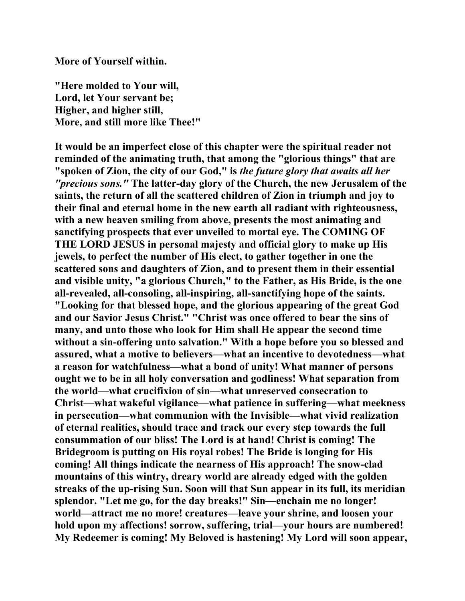**More of Yourself within.** 

**"Here molded to Your will, Lord, let Your servant be; Higher, and higher still, More, and still more like Thee!"** 

**It would be an imperfect close of this chapter were the spiritual reader not reminded of the animating truth, that among the "glorious things" that are "spoken of Zion, the city of our God," is** *the future glory that awaits all her "precious sons."* **The latter-day glory of the Church, the new Jerusalem of the saints, the return of all the scattered children of Zion in triumph and joy to their final and eternal home in the new earth all radiant with righteousness, with a new heaven smiling from above, presents the most animating and sanctifying prospects that ever unveiled to mortal eye. The COMING OF THE LORD JESUS in personal majesty and official glory to make up His jewels, to perfect the number of His elect, to gather together in one the scattered sons and daughters of Zion, and to present them in their essential and visible unity, "a glorious Church," to the Father, as His Bride, is the one all-revealed, all-consoling, all-inspiring, all-sanctifying hope of the saints. "Looking for that blessed hope, and the glorious appearing of the great God and our Savior Jesus Christ." "Christ was once offered to bear the sins of many, and unto those who look for Him shall He appear the second time without a sin-offering unto salvation." With a hope before you so blessed and assured, what a motive to believers—what an incentive to devotedness—what a reason for watchfulness—what a bond of unity! What manner of persons ought we to be in all holy conversation and godliness! What separation from the world—what crucifixion of sin—what unreserved consecration to Christ—what wakeful vigilance—what patience in suffering—what meekness in persecution—what communion with the Invisible—what vivid realization of eternal realities, should trace and track our every step towards the full consummation of our bliss! The Lord is at hand! Christ is coming! The Bridegroom is putting on His royal robes! The Bride is longing for His coming! All things indicate the nearness of His approach! The snow-clad mountains of this wintry, dreary world are already edged with the golden streaks of the up-rising Sun. Soon will that Sun appear in its full, its meridian splendor. "Let me go, for the day breaks!" Sin—enchain me no longer! world—attract me no more! creatures—leave your shrine, and loosen your hold upon my affections! sorrow, suffering, trial—your hours are numbered! My Redeemer is coming! My Beloved is hastening! My Lord will soon appear,**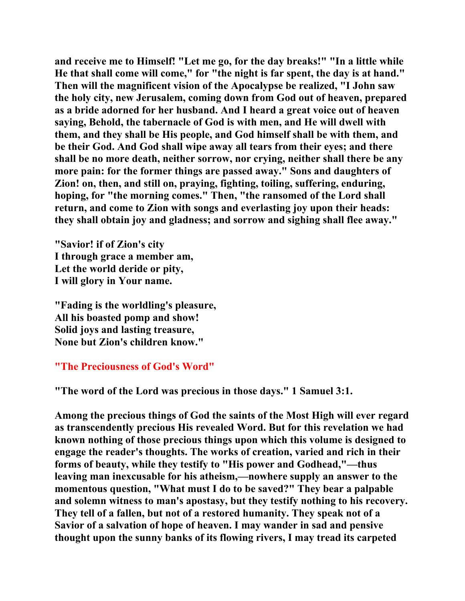**and receive me to Himself! "Let me go, for the day breaks!" "In a little while He that shall come will come," for "the night is far spent, the day is at hand." Then will the magnificent vision of the Apocalypse be realized, "I John saw the holy city, new Jerusalem, coming down from God out of heaven, prepared as a bride adorned for her husband. And I heard a great voice out of heaven saying, Behold, the tabernacle of God is with men, and He will dwell with them, and they shall be His people, and God himself shall be with them, and be their God. And God shall wipe away all tears from their eyes; and there shall be no more death, neither sorrow, nor crying, neither shall there be any more pain: for the former things are passed away." Sons and daughters of Zion! on, then, and still on, praying, fighting, toiling, suffering, enduring, hoping, for "the morning comes." Then, "the ransomed of the Lord shall return, and come to Zion with songs and everlasting joy upon their heads: they shall obtain joy and gladness; and sorrow and sighing shall flee away."** 

**"Savior! if of Zion's city I through grace a member am, Let the world deride or pity, I will glory in Your name.** 

**"Fading is the worldling's pleasure, All his boasted pomp and show! Solid joys and lasting treasure, None but Zion's children know."** 

## **"The Preciousness of God's Word"**

**"The word of the Lord was precious in those days." 1 Samuel 3:1.** 

**Among the precious things of God the saints of the Most High will ever regard as transcendently precious His revealed Word. But for this revelation we had known nothing of those precious things upon which this volume is designed to engage the reader's thoughts. The works of creation, varied and rich in their forms of beauty, while they testify to "His power and Godhead,"—thus leaving man inexcusable for his atheism,—nowhere supply an answer to the momentous question, "What must I do to be saved?" They bear a palpable and solemn witness to man's apostasy, but they testify nothing to his recovery. They tell of a fallen, but not of a restored humanity. They speak not of a Savior of a salvation of hope of heaven. I may wander in sad and pensive thought upon the sunny banks of its flowing rivers, I may tread its carpeted**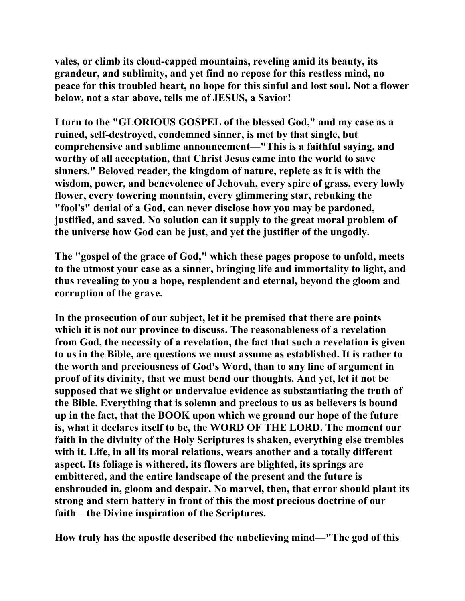**vales, or climb its cloud-capped mountains, reveling amid its beauty, its grandeur, and sublimity, and yet find no repose for this restless mind, no peace for this troubled heart, no hope for this sinful and lost soul. Not a flower below, not a star above, tells me of JESUS, a Savior!** 

**I turn to the "GLORIOUS GOSPEL of the blessed God," and my case as a ruined, self-destroyed, condemned sinner, is met by that single, but comprehensive and sublime announcement—"This is a faithful saying, and worthy of all acceptation, that Christ Jesus came into the world to save sinners." Beloved reader, the kingdom of nature, replete as it is with the wisdom, power, and benevolence of Jehovah, every spire of grass, every lowly flower, every towering mountain, every glimmering star, rebuking the "fool's" denial of a God, can never disclose how you may be pardoned, justified, and saved. No solution can it supply to the great moral problem of the universe how God can be just, and yet the justifier of the ungodly.** 

**The "gospel of the grace of God," which these pages propose to unfold, meets to the utmost your case as a sinner, bringing life and immortality to light, and thus revealing to you a hope, resplendent and eternal, beyond the gloom and corruption of the grave.** 

**In the prosecution of our subject, let it be premised that there are points which it is not our province to discuss. The reasonableness of a revelation from God, the necessity of a revelation, the fact that such a revelation is given to us in the Bible, are questions we must assume as established. It is rather to the worth and preciousness of God's Word, than to any line of argument in proof of its divinity, that we must bend our thoughts. And yet, let it not be supposed that we slight or undervalue evidence as substantiating the truth of the Bible. Everything that is solemn and precious to us as believers is bound up in the fact, that the BOOK upon which we ground our hope of the future is, what it declares itself to be, the WORD OF THE LORD. The moment our faith in the divinity of the Holy Scriptures is shaken, everything else trembles with it. Life, in all its moral relations, wears another and a totally different aspect. Its foliage is withered, its flowers are blighted, its springs are embittered, and the entire landscape of the present and the future is enshrouded in, gloom and despair. No marvel, then, that error should plant its strong and stern battery in front of this the most precious doctrine of our faith—the Divine inspiration of the Scriptures.** 

**How truly has the apostle described the unbelieving mind—"The god of this**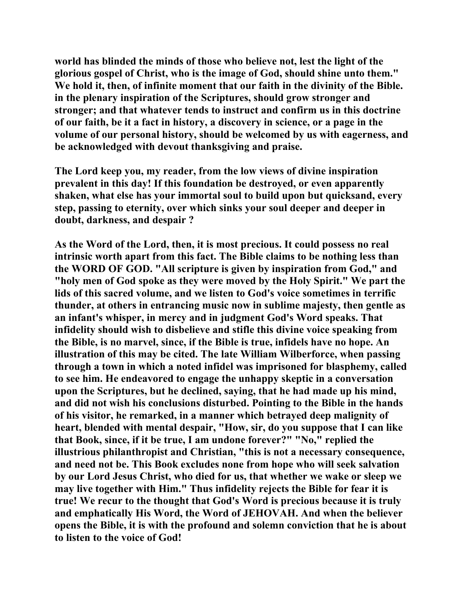**world has blinded the minds of those who believe not, lest the light of the glorious gospel of Christ, who is the image of God, should shine unto them." We hold it, then, of infinite moment that our faith in the divinity of the Bible. in the plenary inspiration of the Scriptures, should grow stronger and stronger; and that whatever tends to instruct and confirm us in this doctrine of our faith, be it a fact in history, a discovery in science, or a page in the volume of our personal history, should be welcomed by us with eagerness, and be acknowledged with devout thanksgiving and praise.** 

**The Lord keep you, my reader, from the low views of divine inspiration prevalent in this day! If this foundation be destroyed, or even apparently shaken, what else has your immortal soul to build upon but quicksand, every step, passing to eternity, over which sinks your soul deeper and deeper in doubt, darkness, and despair ?** 

**As the Word of the Lord, then, it is most precious. It could possess no real intrinsic worth apart from this fact. The Bible claims to be nothing less than the WORD OF GOD. "All scripture is given by inspiration from God," and "holy men of God spoke as they were moved by the Holy Spirit." We part the lids of this sacred volume, and we listen to God's voice sometimes in terrific thunder, at others in entrancing music now in sublime majesty, then gentle as an infant's whisper, in mercy and in judgment God's Word speaks. That infidelity should wish to disbelieve and stifle this divine voice speaking from the Bible, is no marvel, since, if the Bible is true, infidels have no hope. An illustration of this may be cited. The late William Wilberforce, when passing through a town in which a noted infidel was imprisoned for blasphemy, called to see him. He endeavored to engage the unhappy skeptic in a conversation upon the Scriptures, but he declined, saying, that he had made up his mind, and did not wish his conclusions disturbed. Pointing to the Bible in the hands of his visitor, he remarked, in a manner which betrayed deep malignity of heart, blended with mental despair, "How, sir, do you suppose that I can like that Book, since, if it be true, I am undone forever?" "No," replied the illustrious philanthropist and Christian, "this is not a necessary consequence, and need not be. This Book excludes none from hope who will seek salvation by our Lord Jesus Christ, who died for us, that whether we wake or sleep we may live together with Him." Thus infidelity rejects the Bible for fear it is true! We recur to the thought that God's Word is precious because it is truly and emphatically His Word, the Word of JEHOVAH. And when the believer opens the Bible, it is with the profound and solemn conviction that he is about to listen to the voice of God!**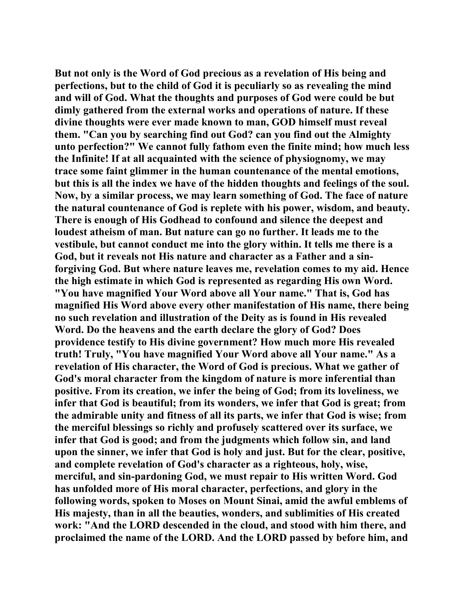**But not only is the Word of God precious as a revelation of His being and perfections, but to the child of God it is peculiarly so as revealing the mind and will of God. What the thoughts and purposes of God were could be but dimly gathered from the external works and operations of nature. If these divine thoughts were ever made known to man, GOD himself must reveal them. "Can you by searching find out God? can you find out the Almighty unto perfection?" We cannot fully fathom even the finite mind; how much less the Infinite! If at all acquainted with the science of physiognomy, we may trace some faint glimmer in the human countenance of the mental emotions, but this is all the index we have of the hidden thoughts and feelings of the soul. Now, by a similar process, we may learn something of God. The face of nature the natural countenance of God is replete with his power, wisdom, and beauty. There is enough of His Godhead to confound and silence the deepest and loudest atheism of man. But nature can go no further. It leads me to the vestibule, but cannot conduct me into the glory within. It tells me there is a God, but it reveals not His nature and character as a Father and a sinforgiving God. But where nature leaves me, revelation comes to my aid. Hence the high estimate in which God is represented as regarding His own Word. "You have magnified Your Word above all Your name." That is, God has magnified His Word above every other manifestation of His name, there being no such revelation and illustration of the Deity as is found in His revealed Word. Do the heavens and the earth declare the glory of God? Does providence testify to His divine government? How much more His revealed truth! Truly, "You have magnified Your Word above all Your name." As a revelation of His character, the Word of God is precious. What we gather of God's moral character from the kingdom of nature is more inferential than positive. From its creation, we infer the being of God; from its loveliness, we infer that God is beautiful; from its wonders, we infer that God is great; from the admirable unity and fitness of all its parts, we infer that God is wise; from the merciful blessings so richly and profusely scattered over its surface, we infer that God is good; and from the judgments which follow sin, and land upon the sinner, we infer that God is holy and just. But for the clear, positive, and complete revelation of God's character as a righteous, holy, wise, merciful, and sin-pardoning God, we must repair to His written Word. God has unfolded more of His moral character, perfections, and glory in the following words, spoken to Moses on Mount Sinai, amid the awful emblems of His majesty, than in all the beauties, wonders, and sublimities of His created work: "And the LORD descended in the cloud, and stood with him there, and proclaimed the name of the LORD. And the LORD passed by before him, and**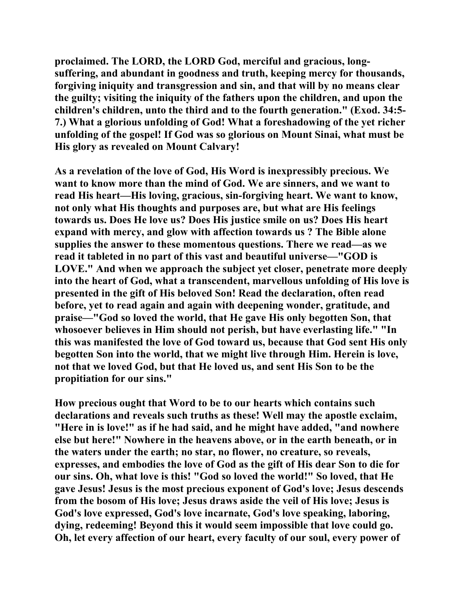**proclaimed. The LORD, the LORD God, merciful and gracious, longsuffering, and abundant in goodness and truth, keeping mercy for thousands, forgiving iniquity and transgression and sin, and that will by no means clear the guilty; visiting the iniquity of the fathers upon the children, and upon the children's children, unto the third and to the fourth generation." (Exod. 34:5- 7.) What a glorious unfolding of God! What a foreshadowing of the yet richer unfolding of the gospel! If God was so glorious on Mount Sinai, what must be His glory as revealed on Mount Calvary!** 

**As a revelation of the love of God, His Word is inexpressibly precious. We want to know more than the mind of God. We are sinners, and we want to read His heart—His loving, gracious, sin-forgiving heart. We want to know, not only what His thoughts and purposes are, but what are His feelings towards us. Does He love us? Does His justice smile on us? Does His heart expand with mercy, and glow with affection towards us ? The Bible alone supplies the answer to these momentous questions. There we read—as we read it tableted in no part of this vast and beautiful universe—"GOD is LOVE." And when we approach the subject yet closer, penetrate more deeply into the heart of God, what a transcendent, marvellous unfolding of His love is presented in the gift of His beloved Son! Read the declaration, often read before, yet to read again and again with deepening wonder, gratitude, and praise—"God so loved the world, that He gave His only begotten Son, that whosoever believes in Him should not perish, but have everlasting life." "In this was manifested the love of God toward us, because that God sent His only begotten Son into the world, that we might live through Him. Herein is love, not that we loved God, but that He loved us, and sent His Son to be the propitiation for our sins."** 

**How precious ought that Word to be to our hearts which contains such declarations and reveals such truths as these! Well may the apostle exclaim, "Here in is love!" as if he had said, and he might have added, "and nowhere else but here!" Nowhere in the heavens above, or in the earth beneath, or in the waters under the earth; no star, no flower, no creature, so reveals, expresses, and embodies the love of God as the gift of His dear Son to die for our sins. Oh, what love is this! "God so loved the world!" So loved, that He gave Jesus! Jesus is the most precious exponent of God's love; Jesus descends from the bosom of His love; Jesus draws aside the veil of His love; Jesus is God's love expressed, God's love incarnate, God's love speaking, laboring, dying, redeeming! Beyond this it would seem impossible that love could go. Oh, let every affection of our heart, every faculty of our soul, every power of**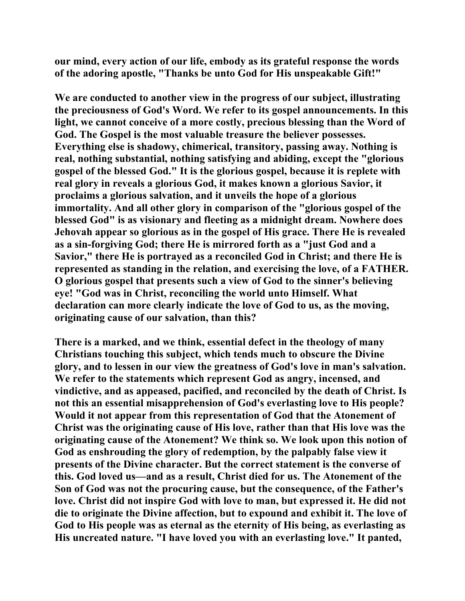**our mind, every action of our life, embody as its grateful response the words of the adoring apostle, "Thanks be unto God for His unspeakable Gift!"** 

**We are conducted to another view in the progress of our subject, illustrating the preciousness of God's Word. We refer to its gospel announcements. In this light, we cannot conceive of a more costly, precious blessing than the Word of God. The Gospel is the most valuable treasure the believer possesses. Everything else is shadowy, chimerical, transitory, passing away. Nothing is real, nothing substantial, nothing satisfying and abiding, except the "glorious gospel of the blessed God." It is the glorious gospel, because it is replete with real glory in reveals a glorious God, it makes known a glorious Savior, it proclaims a glorious salvation, and it unveils the hope of a glorious immortality. And all other glory in comparison of the "glorious gospel of the blessed God" is as visionary and fleeting as a midnight dream. Nowhere does Jehovah appear so glorious as in the gospel of His grace. There He is revealed as a sin-forgiving God; there He is mirrored forth as a "just God and a Savior," there He is portrayed as a reconciled God in Christ; and there He is represented as standing in the relation, and exercising the love, of a FATHER. O glorious gospel that presents such a view of God to the sinner's believing eye! "God was in Christ, reconciling the world unto Himself. What declaration can more clearly indicate the love of God to us, as the moving, originating cause of our salvation, than this?** 

**There is a marked, and we think, essential defect in the theology of many Christians touching this subject, which tends much to obscure the Divine glory, and to lessen in our view the greatness of God's love in man's salvation. We refer to the statements which represent God as angry, incensed, and vindictive, and as appeased, pacified, and reconciled by the death of Christ. Is not this an essential misapprehension of God's everlasting love to His people? Would it not appear from this representation of God that the Atonement of Christ was the originating cause of His love, rather than that His love was the originating cause of the Atonement? We think so. We look upon this notion of God as enshrouding the glory of redemption, by the palpably false view it presents of the Divine character. But the correct statement is the converse of this. God loved us—and as a result, Christ died for us. The Atonement of the Son of God was not the procuring cause, but the consequence, of the Father's love. Christ did not inspire God with love to man, but expressed it. He did not die to originate the Divine affection, but to expound and exhibit it. The love of God to His people was as eternal as the eternity of His being, as everlasting as His uncreated nature. "I have loved you with an everlasting love." It panted,**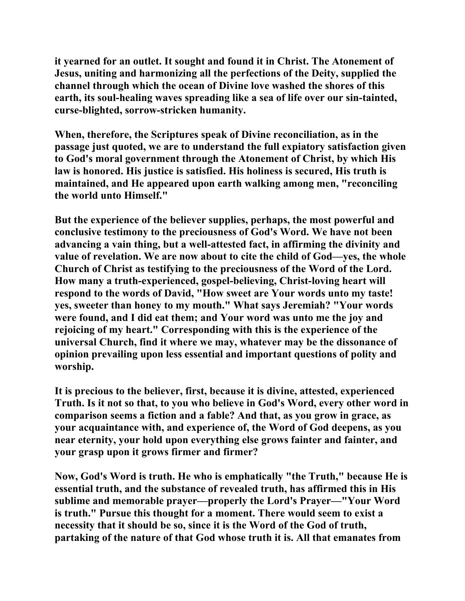**it yearned for an outlet. It sought and found it in Christ. The Atonement of Jesus, uniting and harmonizing all the perfections of the Deity, supplied the channel through which the ocean of Divine love washed the shores of this earth, its soul-healing waves spreading like a sea of life over our sin-tainted, curse-blighted, sorrow-stricken humanity.** 

**When, therefore, the Scriptures speak of Divine reconciliation, as in the passage just quoted, we are to understand the full expiatory satisfaction given to God's moral government through the Atonement of Christ, by which His law is honored. His justice is satisfied. His holiness is secured, His truth is maintained, and He appeared upon earth walking among men, "reconciling the world unto Himself."** 

**But the experience of the believer supplies, perhaps, the most powerful and conclusive testimony to the preciousness of God's Word. We have not been advancing a vain thing, but a well-attested fact, in affirming the divinity and value of revelation. We are now about to cite the child of God—yes, the whole Church of Christ as testifying to the preciousness of the Word of the Lord. How many a truth-experienced, gospel-believing, Christ-loving heart will respond to the words of David, "How sweet are Your words unto my taste! yes, sweeter than honey to my mouth." What says Jeremiah? "Your words were found, and I did eat them; and Your word was unto me the joy and rejoicing of my heart." Corresponding with this is the experience of the universal Church, find it where we may, whatever may be the dissonance of opinion prevailing upon less essential and important questions of polity and worship.** 

**It is precious to the believer, first, because it is divine, attested, experienced Truth. Is it not so that, to you who believe in God's Word, every other word in comparison seems a fiction and a fable? And that, as you grow in grace, as your acquaintance with, and experience of, the Word of God deepens, as you near eternity, your hold upon everything else grows fainter and fainter, and your grasp upon it grows firmer and firmer?** 

**Now, God's Word is truth. He who is emphatically "the Truth," because He is essential truth, and the substance of revealed truth, has affirmed this in His sublime and memorable prayer—properly the Lord's Prayer—"Your Word is truth." Pursue this thought for a moment. There would seem to exist a necessity that it should be so, since it is the Word of the God of truth, partaking of the nature of that God whose truth it is. All that emanates from**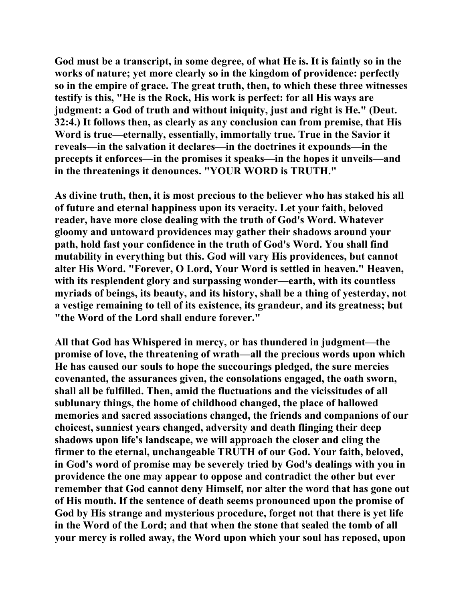**God must be a transcript, in some degree, of what He is. It is faintly so in the works of nature; yet more clearly so in the kingdom of providence: perfectly so in the empire of grace. The great truth, then, to which these three witnesses testify is this, "He is the Rock, His work is perfect: for all His ways are judgment: a God of truth and without iniquity, just and right is He." (Deut. 32:4.) It follows then, as clearly as any conclusion can from premise, that His Word is true—eternally, essentially, immortally true. True in the Savior it reveals—in the salvation it declares—in the doctrines it expounds—in the precepts it enforces—in the promises it speaks—in the hopes it unveils—and in the threatenings it denounces. "YOUR WORD is TRUTH."** 

**As divine truth, then, it is most precious to the believer who has staked his all of future and eternal happiness upon its veracity. Let your faith, beloved reader, have more close dealing with the truth of God's Word. Whatever gloomy and untoward providences may gather their shadows around your path, hold fast your confidence in the truth of God's Word. You shall find mutability in everything but this. God will vary His providences, but cannot alter His Word. "Forever, O Lord, Your Word is settled in heaven." Heaven, with its resplendent glory and surpassing wonder—earth, with its countless myriads of beings, its beauty, and its history, shall be a thing of yesterday, not a vestige remaining to tell of its existence, its grandeur, and its greatness; but "the Word of the Lord shall endure forever."** 

**All that God has Whispered in mercy, or has thundered in judgment—the promise of love, the threatening of wrath—all the precious words upon which He has caused our souls to hope the succourings pledged, the sure mercies covenanted, the assurances given, the consolations engaged, the oath sworn, shall all be fulfilled. Then, amid the fluctuations and the vicissitudes of all sublunary things, the home of childhood changed, the place of hallowed memories and sacred associations changed, the friends and companions of our choicest, sunniest years changed, adversity and death flinging their deep shadows upon life's landscape, we will approach the closer and cling the firmer to the eternal, unchangeable TRUTH of our God. Your faith, beloved, in God's word of promise may be severely tried by God's dealings with you in providence the one may appear to oppose and contradict the other but ever remember that God cannot deny Himself, nor alter the word that has gone out of His mouth. If the sentence of death seems pronounced upon the promise of God by His strange and mysterious procedure, forget not that there is yet life in the Word of the Lord; and that when the stone that sealed the tomb of all your mercy is rolled away, the Word upon which your soul has reposed, upon**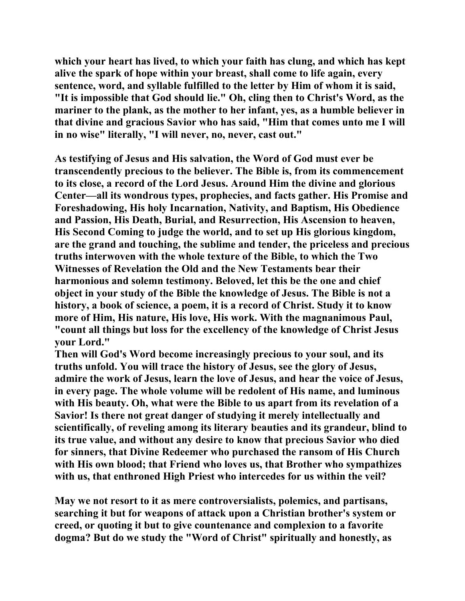**which your heart has lived, to which your faith has clung, and which has kept alive the spark of hope within your breast, shall come to life again, every sentence, word, and syllable fulfilled to the letter by Him of whom it is said, "It is impossible that God should lie." Oh, cling then to Christ's Word, as the mariner to the plank, as the mother to her infant, yes, as a humble believer in that divine and gracious Savior who has said, "Him that comes unto me I will in no wise" literally, "I will never, no, never, cast out."** 

**As testifying of Jesus and His salvation, the Word of God must ever be transcendently precious to the believer. The Bible is, from its commencement to its close, a record of the Lord Jesus. Around Him the divine and glorious Center—all its wondrous types, prophecies, and facts gather. His Promise and Foreshadowing, His holy Incarnation, Nativity, and Baptism, His Obedience and Passion, His Death, Burial, and Resurrection, His Ascension to heaven, His Second Coming to judge the world, and to set up His glorious kingdom, are the grand and touching, the sublime and tender, the priceless and precious truths interwoven with the whole texture of the Bible, to which the Two Witnesses of Revelation the Old and the New Testaments bear their harmonious and solemn testimony. Beloved, let this be the one and chief object in your study of the Bible the knowledge of Jesus. The Bible is not a history, a book of science, a poem, it is a record of Christ. Study it to know more of Him, His nature, His love, His work. With the magnanimous Paul, "count all things but loss for the excellency of the knowledge of Christ Jesus your Lord."** 

**Then will God's Word become increasingly precious to your soul, and its truths unfold. You will trace the history of Jesus, see the glory of Jesus, admire the work of Jesus, learn the love of Jesus, and hear the voice of Jesus, in every page. The whole volume will be redolent of His name, and luminous with His beauty. Oh, what were the Bible to us apart from its revelation of a Savior! Is there not great danger of studying it merely intellectually and scientifically, of reveling among its literary beauties and its grandeur, blind to its true value, and without any desire to know that precious Savior who died for sinners, that Divine Redeemer who purchased the ransom of His Church with His own blood; that Friend who loves us, that Brother who sympathizes with us, that enthroned High Priest who intercedes for us within the veil?** 

**May we not resort to it as mere controversialists, polemics, and partisans, searching it but for weapons of attack upon a Christian brother's system or creed, or quoting it but to give countenance and complexion to a favorite dogma? But do we study the "Word of Christ" spiritually and honestly, as**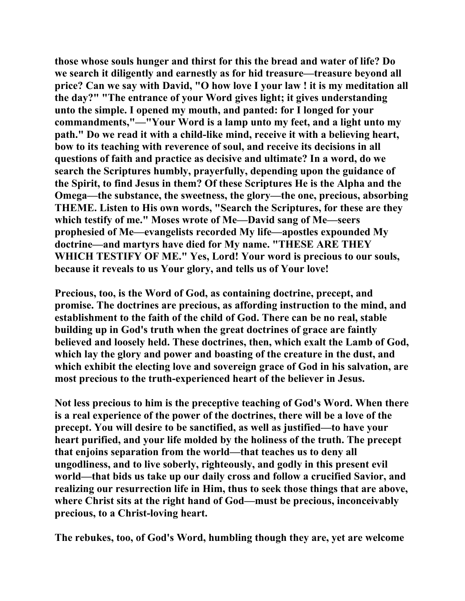**those whose souls hunger and thirst for this the bread and water of life? Do we search it diligently and earnestly as for hid treasure—treasure beyond all price? Can we say with David, "O how love I your law ! it is my meditation all the day?" "The entrance of your Word gives light; it gives understanding unto the simple. I opened my mouth, and panted: for I longed for your commandments,"—"Your Word is a lamp unto my feet, and a light unto my path." Do we read it with a child-like mind, receive it with a believing heart, bow to its teaching with reverence of soul, and receive its decisions in all questions of faith and practice as decisive and ultimate? In a word, do we search the Scriptures humbly, prayerfully, depending upon the guidance of the Spirit, to find Jesus in them? Of these Scriptures He is the Alpha and the Omega—the substance, the sweetness, the glory—the one, precious, absorbing THEME. Listen to His own words, "Search the Scriptures, for these are they which testify of me." Moses wrote of Me—David sang of Me—seers prophesied of Me—evangelists recorded My life—apostles expounded My doctrine—and martyrs have died for My name. "THESE ARE THEY WHICH TESTIFY OF ME." Yes, Lord! Your word is precious to our souls, because it reveals to us Your glory, and tells us of Your love!** 

**Precious, too, is the Word of God, as containing doctrine, precept, and promise. The doctrines are precious, as affording instruction to the mind, and establishment to the faith of the child of God. There can be no real, stable building up in God's truth when the great doctrines of grace are faintly believed and loosely held. These doctrines, then, which exalt the Lamb of God, which lay the glory and power and boasting of the creature in the dust, and which exhibit the electing love and sovereign grace of God in his salvation, are most precious to the truth-experienced heart of the believer in Jesus.** 

**Not less precious to him is the preceptive teaching of God's Word. When there is a real experience of the power of the doctrines, there will be a love of the precept. You will desire to be sanctified, as well as justified—to have your heart purified, and your life molded by the holiness of the truth. The precept that enjoins separation from the world—that teaches us to deny all ungodliness, and to live soberly, righteously, and godly in this present evil world—that bids us take up our daily cross and follow a crucified Savior, and realizing our resurrection life in Him, thus to seek those things that are above, where Christ sits at the right hand of God—must be precious, inconceivably precious, to a Christ-loving heart.** 

**The rebukes, too, of God's Word, humbling though they are, yet are welcome**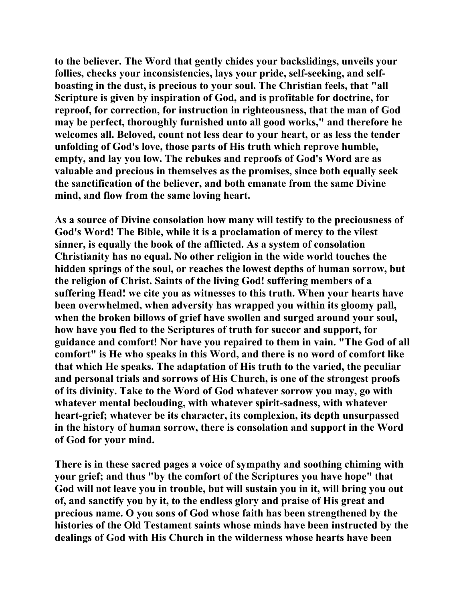**to the believer. The Word that gently chides your backslidings, unveils your follies, checks your inconsistencies, lays your pride, self-seeking, and selfboasting in the dust, is precious to your soul. The Christian feels, that "all Scripture is given by inspiration of God, and is profitable for doctrine, for reproof, for correction, for instruction in righteousness, that the man of God may be perfect, thoroughly furnished unto all good works," and therefore he welcomes all. Beloved, count not less dear to your heart, or as less the tender unfolding of God's love, those parts of His truth which reprove humble, empty, and lay you low. The rebukes and reproofs of God's Word are as valuable and precious in themselves as the promises, since both equally seek the sanctification of the believer, and both emanate from the same Divine mind, and flow from the same loving heart.** 

**As a source of Divine consolation how many will testify to the preciousness of God's Word! The Bible, while it is a proclamation of mercy to the vilest sinner, is equally the book of the afflicted. As a system of consolation Christianity has no equal. No other religion in the wide world touches the hidden springs of the soul, or reaches the lowest depths of human sorrow, but the religion of Christ. Saints of the living God! suffering members of a suffering Head! we cite you as witnesses to this truth. When your hearts have been overwhelmed, when adversity has wrapped you within its gloomy pall, when the broken billows of grief have swollen and surged around your soul, how have you fled to the Scriptures of truth for succor and support, for guidance and comfort! Nor have you repaired to them in vain. "The God of all comfort" is He who speaks in this Word, and there is no word of comfort like that which He speaks. The adaptation of His truth to the varied, the peculiar and personal trials and sorrows of His Church, is one of the strongest proofs of its divinity. Take to the Word of God whatever sorrow you may, go with whatever mental beclouding, with whatever spirit-sadness, with whatever heart-grief; whatever be its character, its complexion, its depth unsurpassed in the history of human sorrow, there is consolation and support in the Word of God for your mind.** 

**There is in these sacred pages a voice of sympathy and soothing chiming with your grief; and thus "by the comfort of the Scriptures you have hope" that God will not leave you in trouble, but will sustain you in it, will bring you out of, and sanctify you by it, to the endless glory and praise of His great and precious name. O you sons of God whose faith has been strengthened by the histories of the Old Testament saints whose minds have been instructed by the dealings of God with His Church in the wilderness whose hearts have been**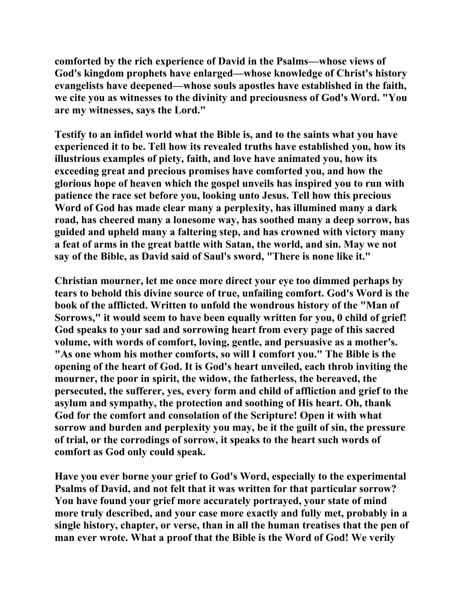**comforted by the rich experience of David in the Psalms—whose views of God's kingdom prophets have enlarged—whose knowledge of Christ's history evangelists have deepened—whose souls apostles have established in the faith, we cite you as witnesses to the divinity and preciousness of God's Word. "You are my witnesses, says the Lord."** 

**Testify to an infidel world what the Bible is, and to the saints what you have experienced it to be. Tell how its revealed truths have established you, how its illustrious examples of piety, faith, and love have animated you, how its exceeding great and precious promises have comforted you, and how the glorious hope of heaven which the gospel unveils has inspired you to run with patience the race set before you, looking unto Jesus. Tell how this precious Word of God has made clear many a perplexity, has illumined many a dark road, has cheered many a lonesome way, has soothed many a deep sorrow, has guided and upheld many a faltering step, and has crowned with victory many a feat of arms in the great battle with Satan, the world, and sin. May we not say of the Bible, as David said of Saul's sword, "There is none like it."** 

**Christian mourner, let me once more direct your eye too dimmed perhaps by tears to behold this divine source of true, unfailing comfort. God's Word is the book of the afflicted. Written to unfold the wondrous history of the "Man of Sorrows," it would seem to have been equally written for you, 0 child of grief! God speaks to your sad and sorrowing heart from every page of this sacred volume, with words of comfort, loving, gentle, and persuasive as a mother's. "As one whom his mother comforts, so will I comfort you." The Bible is the opening of the heart of God. It is God's heart unveiled, each throb inviting the mourner, the poor in spirit, the widow, the fatherless, the bereaved, the persecuted, the sufferer, yes, every form and child of affliction and grief to the asylum and sympathy, the protection and soothing of His heart. Oh, thank God for the comfort and consolation of the Scripture! Open it with what sorrow and burden and perplexity you may, be it the guilt of sin, the pressure of trial, or the corrodings of sorrow, it speaks to the heart such words of comfort as God only could speak.** 

**Have you ever borne your grief to God's Word, especially to the experimental Psalms of David, and not felt that it was written for that particular sorrow? You have found your grief more accurately portrayed, your state of mind more truly described, and your case more exactly and fully met, probably in a single history, chapter, or verse, than in all the human treatises that the pen of man ever wrote. What a proof that the Bible is the Word of God! We verily**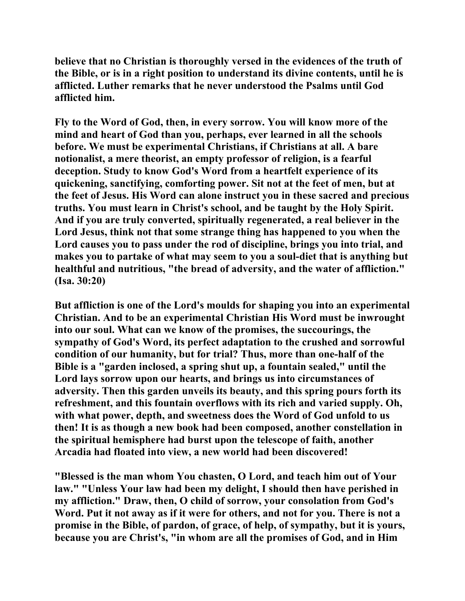**believe that no Christian is thoroughly versed in the evidences of the truth of the Bible, or is in a right position to understand its divine contents, until he is afflicted. Luther remarks that he never understood the Psalms until God afflicted him.** 

**Fly to the Word of God, then, in every sorrow. You will know more of the mind and heart of God than you, perhaps, ever learned in all the schools before. We must be experimental Christians, if Christians at all. A bare notionalist, a mere theorist, an empty professor of religion, is a fearful deception. Study to know God's Word from a heartfelt experience of its quickening, sanctifying, comforting power. Sit not at the feet of men, but at the feet of Jesus. His Word can alone instruct you in these sacred and precious truths. You must learn in Christ's school, and be taught by the Holy Spirit. And if you are truly converted, spiritually regenerated, a real believer in the Lord Jesus, think not that some strange thing has happened to you when the Lord causes you to pass under the rod of discipline, brings you into trial, and makes you to partake of what may seem to you a soul-diet that is anything but healthful and nutritious, "the bread of adversity, and the water of affliction." (Isa. 30:20)** 

**But affliction is one of the Lord's moulds for shaping you into an experimental Christian. And to be an experimental Christian His Word must be inwrought into our soul. What can we know of the promises, the succourings, the sympathy of God's Word, its perfect adaptation to the crushed and sorrowful condition of our humanity, but for trial? Thus, more than one-half of the Bible is a "garden inclosed, a spring shut up, a fountain sealed," until the Lord lays sorrow upon our hearts, and brings us into circumstances of adversity. Then this garden unveils its beauty, and this spring pours forth its refreshment, and this fountain overflows with its rich and varied supply. Oh, with what power, depth, and sweetness does the Word of God unfold to us then! It is as though a new book had been composed, another constellation in the spiritual hemisphere had burst upon the telescope of faith, another Arcadia had floated into view, a new world had been discovered!** 

**"Blessed is the man whom You chasten, O Lord, and teach him out of Your law." "Unless Your law had been my delight, I should then have perished in my affliction." Draw, then, O child of sorrow, your consolation from God's Word. Put it not away as if it were for others, and not for you. There is not a promise in the Bible, of pardon, of grace, of help, of sympathy, but it is yours, because you are Christ's, "in whom are all the promises of God, and in Him**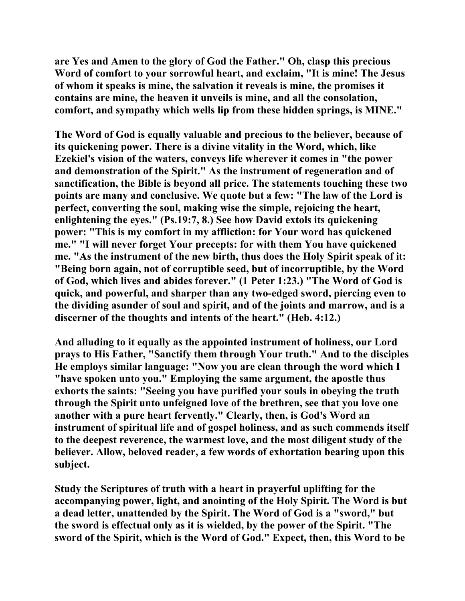**are Yes and Amen to the glory of God the Father." Oh, clasp this precious Word of comfort to your sorrowful heart, and exclaim, "It is mine! The Jesus of whom it speaks is mine, the salvation it reveals is mine, the promises it contains are mine, the heaven it unveils is mine, and all the consolation, comfort, and sympathy which wells lip from these hidden springs, is MINE."** 

**The Word of God is equally valuable and precious to the believer, because of its quickening power. There is a divine vitality in the Word, which, like Ezekiel's vision of the waters, conveys life wherever it comes in "the power and demonstration of the Spirit." As the instrument of regeneration and of sanctification, the Bible is beyond all price. The statements touching these two points are many and conclusive. We quote but a few: "The law of the Lord is perfect, converting the soul, making wise the simple, rejoicing the heart, enlightening the eyes." (Ps.19:7, 8.) See how David extols its quickening power: "This is my comfort in my affliction: for Your word has quickened me." "I will never forget Your precepts: for with them You have quickened me. "As the instrument of the new birth, thus does the Holy Spirit speak of it: "Being born again, not of corruptible seed, but of incorruptible, by the Word of God, which lives and abides forever." (1 Peter 1:23.) "The Word of God is quick, and powerful, and sharper than any two-edged sword, piercing even to the dividing asunder of soul and spirit, and of the joints and marrow, and is a discerner of the thoughts and intents of the heart." (Heb. 4:12.)** 

**And alluding to it equally as the appointed instrument of holiness, our Lord prays to His Father, "Sanctify them through Your truth." And to the disciples He employs similar language: "Now you are clean through the word which I "have spoken unto you." Employing the same argument, the apostle thus exhorts the saints: "Seeing you have purified your souls in obeying the truth through the Spirit unto unfeigned love of the brethren, see that you love one another with a pure heart fervently." Clearly, then, is God's Word an instrument of spiritual life and of gospel holiness, and as such commends itself to the deepest reverence, the warmest love, and the most diligent study of the believer. Allow, beloved reader, a few words of exhortation bearing upon this subject.** 

**Study the Scriptures of truth with a heart in prayerful uplifting for the accompanying power, light, and anointing of the Holy Spirit. The Word is but a dead letter, unattended by the Spirit. The Word of God is a "sword," but the sword is effectual only as it is wielded, by the power of the Spirit. "The sword of the Spirit, which is the Word of God." Expect, then, this Word to be**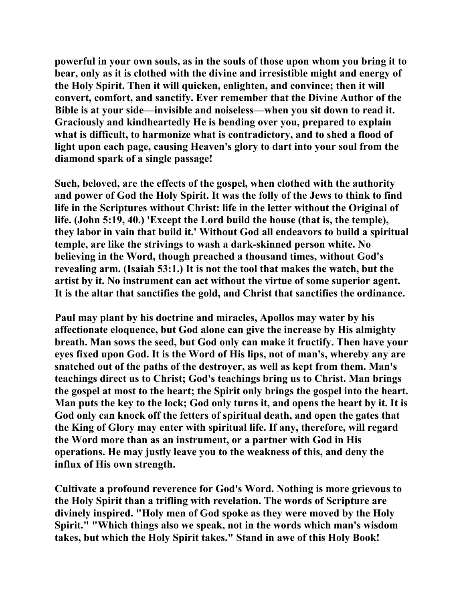**powerful in your own souls, as in the souls of those upon whom you bring it to bear, only as it is clothed with the divine and irresistible might and energy of the Holy Spirit. Then it will quicken, enlighten, and convince; then it will convert, comfort, and sanctify. Ever remember that the Divine Author of the Bible is at your side—invisible and noiseless—when you sit down to read it. Graciously and kindheartedly He is bending over you, prepared to explain what is difficult, to harmonize what is contradictory, and to shed a flood of light upon each page, causing Heaven's glory to dart into your soul from the diamond spark of a single passage!** 

**Such, beloved, are the effects of the gospel, when clothed with the authority and power of God the Holy Spirit. It was the folly of the Jews to think to find life in the Scriptures without Christ: life in the letter without the Original of life. (John 5:19, 40.) 'Except the Lord build the house (that is, the temple), they labor in vain that build it.' Without God all endeavors to build a spiritual temple, are like the strivings to wash a dark-skinned person white. No believing in the Word, though preached a thousand times, without God's revealing arm. (Isaiah 53:1.) It is not the tool that makes the watch, but the artist by it. No instrument can act without the virtue of some superior agent. It is the altar that sanctifies the gold, and Christ that sanctifies the ordinance.** 

**Paul may plant by his doctrine and miracles, Apollos may water by his affectionate eloquence, but God alone can give the increase by His almighty breath. Man sows the seed, but God only can make it fructify. Then have your eyes fixed upon God. It is the Word of His lips, not of man's, whereby any are snatched out of the paths of the destroyer, as well as kept from them. Man's teachings direct us to Christ; God's teachings bring us to Christ. Man brings the gospel at most to the heart; the Spirit only brings the gospel into the heart. Man puts the key to the lock; God only turns it, and opens the heart by it. It is God only can knock off the fetters of spiritual death, and open the gates that the King of Glory may enter with spiritual life. If any, therefore, will regard the Word more than as an instrument, or a partner with God in His operations. He may justly leave you to the weakness of this, and deny the influx of His own strength.** 

**Cultivate a profound reverence for God's Word. Nothing is more grievous to the Holy Spirit than a trifling with revelation. The words of Scripture are divinely inspired. "Holy men of God spoke as they were moved by the Holy Spirit." "Which things also we speak, not in the words which man's wisdom takes, but which the Holy Spirit takes." Stand in awe of this Holy Book!**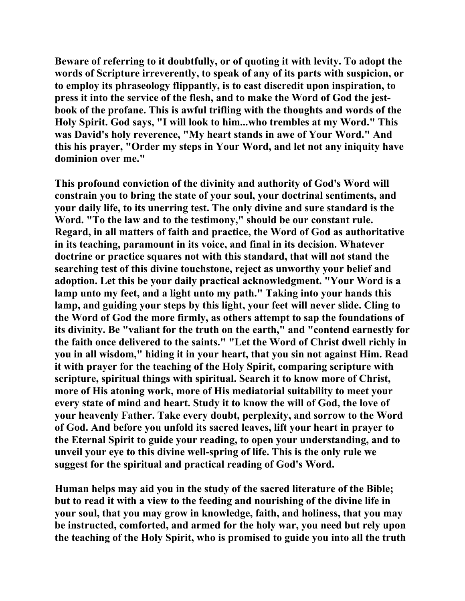**Beware of referring to it doubtfully, or of quoting it with levity. To adopt the words of Scripture irreverently, to speak of any of its parts with suspicion, or to employ its phraseology flippantly, is to cast discredit upon inspiration, to press it into the service of the flesh, and to make the Word of God the jestbook of the profane. This is awful trifling with the thoughts and words of the Holy Spirit. God says, "I will look to him...who trembles at my Word." This was David's holy reverence, "My heart stands in awe of Your Word." And this his prayer, "Order my steps in Your Word, and let not any iniquity have dominion over me."** 

**This profound conviction of the divinity and authority of God's Word will constrain you to bring the state of your soul, your doctrinal sentiments, and your daily life, to its unerring test. The only divine and sure standard is the Word. "To the law and to the testimony," should be our constant rule. Regard, in all matters of faith and practice, the Word of God as authoritative in its teaching, paramount in its voice, and final in its decision. Whatever doctrine or practice squares not with this standard, that will not stand the searching test of this divine touchstone, reject as unworthy your belief and adoption. Let this be your daily practical acknowledgment. "Your Word is a lamp unto my feet, and a light unto my path." Taking into your hands this lamp, and guiding your steps by this light, your feet will never slide. Cling to the Word of God the more firmly, as others attempt to sap the foundations of its divinity. Be "valiant for the truth on the earth," and "contend earnestly for the faith once delivered to the saints." "Let the Word of Christ dwell richly in you in all wisdom," hiding it in your heart, that you sin not against Him. Read it with prayer for the teaching of the Holy Spirit, comparing scripture with scripture, spiritual things with spiritual. Search it to know more of Christ, more of His atoning work, more of His mediatorial suitability to meet your every state of mind and heart. Study it to know the will of God, the love of your heavenly Father. Take every doubt, perplexity, and sorrow to the Word of God. And before you unfold its sacred leaves, lift your heart in prayer to the Eternal Spirit to guide your reading, to open your understanding, and to unveil your eye to this divine well-spring of life. This is the only rule we suggest for the spiritual and practical reading of God's Word.** 

**Human helps may aid you in the study of the sacred literature of the Bible; but to read it with a view to the feeding and nourishing of the divine life in your soul, that you may grow in knowledge, faith, and holiness, that you may be instructed, comforted, and armed for the holy war, you need but rely upon the teaching of the Holy Spirit, who is promised to guide you into all the truth**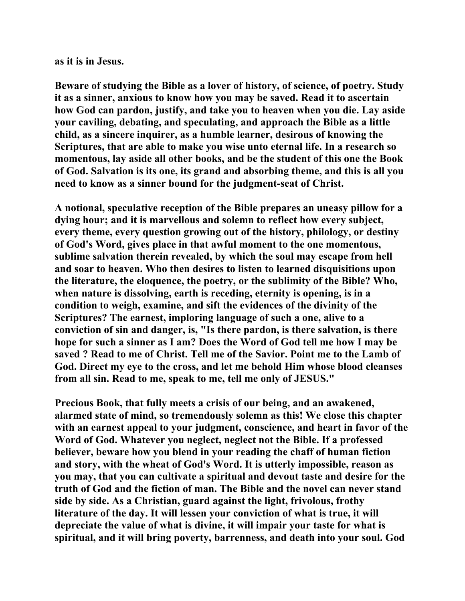## **as it is in Jesus.**

**Beware of studying the Bible as a lover of history, of science, of poetry. Study it as a sinner, anxious to know how you may be saved. Read it to ascertain how God can pardon, justify, and take you to heaven when you die. Lay aside your caviling, debating, and speculating, and approach the Bible as a little child, as a sincere inquirer, as a humble learner, desirous of knowing the Scriptures, that are able to make you wise unto eternal life. In a research so momentous, lay aside all other books, and be the student of this one the Book of God. Salvation is its one, its grand and absorbing theme, and this is all you need to know as a sinner bound for the judgment-seat of Christ.** 

**A notional, speculative reception of the Bible prepares an uneasy pillow for a dying hour; and it is marvellous and solemn to reflect how every subject, every theme, every question growing out of the history, philology, or destiny of God's Word, gives place in that awful moment to the one momentous, sublime salvation therein revealed, by which the soul may escape from hell and soar to heaven. Who then desires to listen to learned disquisitions upon the literature, the eloquence, the poetry, or the sublimity of the Bible? Who, when nature is dissolving, earth is receding, eternity is opening, is in a condition to weigh, examine, and sift the evidences of the divinity of the Scriptures? The earnest, imploring language of such a one, alive to a conviction of sin and danger, is, "Is there pardon, is there salvation, is there hope for such a sinner as I am? Does the Word of God tell me how I may be saved ? Read to me of Christ. Tell me of the Savior. Point me to the Lamb of God. Direct my eye to the cross, and let me behold Him whose blood cleanses from all sin. Read to me, speak to me, tell me only of JESUS."** 

**Precious Book, that fully meets a crisis of our being, and an awakened, alarmed state of mind, so tremendously solemn as this! We close this chapter with an earnest appeal to your judgment, conscience, and heart in favor of the Word of God. Whatever you neglect, neglect not the Bible. If a professed believer, beware how you blend in your reading the chaff of human fiction and story, with the wheat of God's Word. It is utterly impossible, reason as you may, that you can cultivate a spiritual and devout taste and desire for the truth of God and the fiction of man. The Bible and the novel can never stand side by side. As a Christian, guard against the light, frivolous, frothy literature of the day. It will lessen your conviction of what is true, it will depreciate the value of what is divine, it will impair your taste for what is spiritual, and it will bring poverty, barrenness, and death into your soul. God**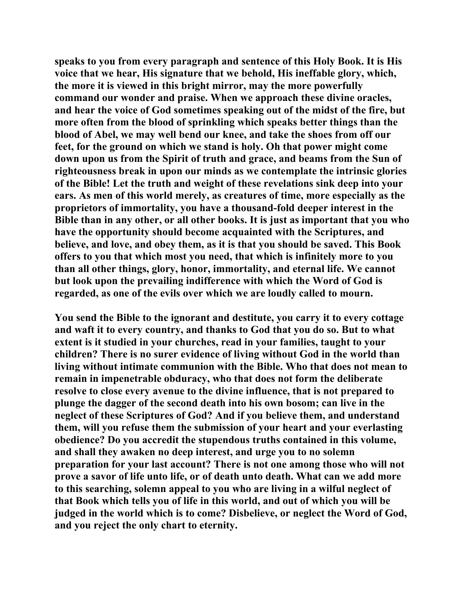**speaks to you from every paragraph and sentence of this Holy Book. It is His voice that we hear, His signature that we behold, His ineffable glory, which, the more it is viewed in this bright mirror, may the more powerfully command our wonder and praise. When we approach these divine oracles, and hear the voice of God sometimes speaking out of the midst of the fire, but more often from the blood of sprinkling which speaks better things than the blood of Abel, we may well bend our knee, and take the shoes from off our feet, for the ground on which we stand is holy. Oh that power might come down upon us from the Spirit of truth and grace, and beams from the Sun of righteousness break in upon our minds as we contemplate the intrinsic glories of the Bible! Let the truth and weight of these revelations sink deep into your ears. As men of this world merely, as creatures of time, more especially as the proprietors of immortality, you have a thousand-fold deeper interest in the Bible than in any other, or all other books. It is just as important that you who have the opportunity should become acquainted with the Scriptures, and believe, and love, and obey them, as it is that you should be saved. This Book offers to you that which most you need, that which is infinitely more to you than all other things, glory, honor, immortality, and eternal life. We cannot but look upon the prevailing indifference with which the Word of God is regarded, as one of the evils over which we are loudly called to mourn.** 

**You send the Bible to the ignorant and destitute, you carry it to every cottage and waft it to every country, and thanks to God that you do so. But to what extent is it studied in your churches, read in your families, taught to your children? There is no surer evidence of living without God in the world than living without intimate communion with the Bible. Who that does not mean to remain in impenetrable obduracy, who that does not form the deliberate resolve to close every avenue to the divine influence, that is not prepared to plunge the dagger of the second death into his own bosom; can live in the neglect of these Scriptures of God? And if you believe them, and understand them, will you refuse them the submission of your heart and your everlasting obedience? Do you accredit the stupendous truths contained in this volume, and shall they awaken no deep interest, and urge you to no solemn preparation for your last account? There is not one among those who will not prove a savor of life unto life, or of death unto death. What can we add more to this searching, solemn appeal to you who are living in a wilful neglect of that Book which tells you of life in this world, and out of which you will be judged in the world which is to come? Disbelieve, or neglect the Word of God, and you reject the only chart to eternity.**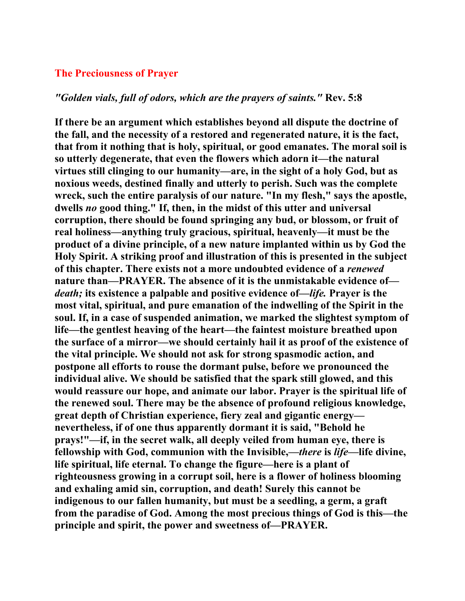## **The Preciousness of Prayer**

## *"Golden vials, full of odors, which are the prayers of saints."* **Rev. 5:8**

**If there be an argument which establishes beyond all dispute the doctrine of the fall, and the necessity of a restored and regenerated nature, it is the fact, that from it nothing that is holy, spiritual, or good emanates. The moral soil is so utterly degenerate, that even the flowers which adorn it—the natural virtues still clinging to our humanity—are, in the sight of a holy God, but as noxious weeds, destined finally and utterly to perish. Such was the complete wreck, such the entire paralysis of our nature. "In my flesh," says the apostle, dwells** *no* **good thing." If, then, in the midst of this utter and universal corruption, there should be found springing any bud, or blossom, or fruit of real holiness—anything truly gracious, spiritual, heavenly—it must be the product of a divine principle, of a new nature implanted within us by God the Holy Spirit. A striking proof and illustration of this is presented in the subject of this chapter. There exists not a more undoubted evidence of a** *renewed*  **nature than—PRAYER. The absence of it is the unmistakable evidence of** *death;* **its existence a palpable and positive evidence of—***life.* **Prayer is the most vital, spiritual, and pure emanation of the indwelling of the Spirit in the soul. If, in a case of suspended animation, we marked the slightest symptom of life—the gentlest heaving of the heart—the faintest moisture breathed upon the surface of a mirror—we should certainly hail it as proof of the existence of the vital principle. We should not ask for strong spasmodic action, and postpone all efforts to rouse the dormant pulse, before we pronounced the individual alive. We should be satisfied that the spark still glowed, and this would reassure our hope, and animate our labor. Prayer is the spiritual life of the renewed soul. There may be the absence of profound religious knowledge, great depth of Christian experience, fiery zeal and gigantic energy nevertheless, if of one thus apparently dormant it is said, "Behold he prays!"—if, in the secret walk, all deeply veiled from human eye, there is fellowship with God, communion with the Invisible,—***there* **is** *life***—life divine, life spiritual, life eternal. To change the figure—here is a plant of righteousness growing in a corrupt soil, here is a flower of holiness blooming and exhaling amid sin, corruption, and death! Surely this cannot be indigenous to our fallen humanity, but must be a seedling, a germ, a graft from the paradise of God. Among the most precious things of God is this—the principle and spirit, the power and sweetness of—PRAYER.**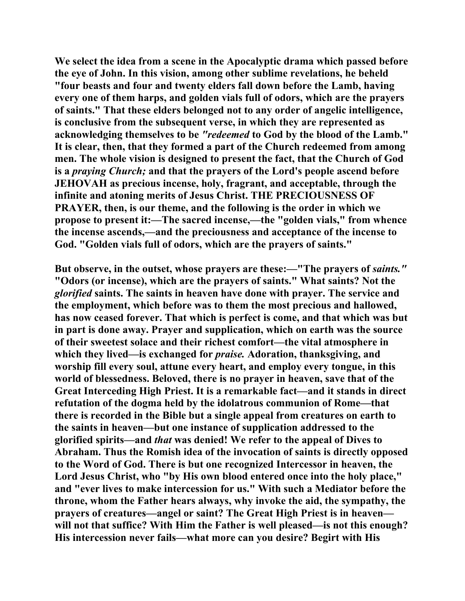**We select the idea from a scene in the Apocalyptic drama which passed before the eye of John. In this vision, among other sublime revelations, he beheld "four beasts and four and twenty elders fall down before the Lamb, having every one of them harps, and golden vials full of odors, which are the prayers of saints." That these elders belonged not to any order of angelic intelligence, is conclusive from the subsequent verse, in which they are represented as acknowledging themselves to be** *"redeemed* **to God by the blood of the Lamb." It is clear, then, that they formed a part of the Church redeemed from among men. The whole vision is designed to present the fact, that the Church of God is a** *praying Church;* **and that the prayers of the Lord's people ascend before JEHOVAH as precious incense, holy, fragrant, and acceptable, through the infinite and atoning merits of Jesus Christ. THE PRECIOUSNESS OF PRAYER, then, is our theme, and the following is the order in which we propose to present it:—The sacred incense,—the "golden vials," from whence the incense ascends,—and the preciousness and acceptance of the incense to God. "Golden vials full of odors, which are the prayers of saints."** 

**But observe, in the outset, whose prayers are these:—"The prayers of** *saints."* **"Odors (or incense), which are the prayers of saints." What saints? Not the**  *glorified* **saints. The saints in heaven have done with prayer. The service and the employment, which before was to them the most precious and hallowed, has now ceased forever. That which is perfect is come, and that which was but in part is done away. Prayer and supplication, which on earth was the source of their sweetest solace and their richest comfort—the vital atmosphere in which they lived—is exchanged for** *praise.* **Adoration, thanksgiving, and worship fill every soul, attune every heart, and employ every tongue, in this world of blessedness. Beloved, there is no prayer in heaven, save that of the Great Interceding High Priest. It is a remarkable fact—and it stands in direct refutation of the dogma held by the idolatrous communion of Rome—that there is recorded in the Bible but a single appeal from creatures on earth to the saints in heaven—but one instance of supplication addressed to the glorified spirits—and** *that* **was denied! We refer to the appeal of Dives to Abraham. Thus the Romish idea of the invocation of saints is directly opposed to the Word of God. There is but one recognized Intercessor in heaven, the Lord Jesus Christ, who "by His own blood entered once into the holy place," and "ever lives to make intercession for us." With such a Mediator before the throne, whom the Father hears always, why invoke the aid, the sympathy, the prayers of creatures—angel or saint? The Great High Priest is in heaven will not that suffice? With Him the Father is well pleased—is not this enough? His intercession never fails—what more can you desire? Begirt with His**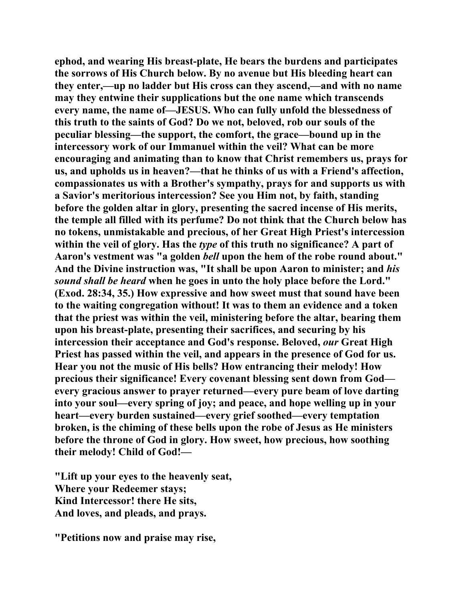**ephod, and wearing His breast-plate, He bears the burdens and participates the sorrows of His Church below. By no avenue but His bleeding heart can they enter,—up no ladder but His cross can they ascend,—and with no name may they entwine their supplications but the one name which transcends every name, the name of—JESUS. Who can fully unfold the blessedness of this truth to the saints of God? Do we not, beloved, rob our souls of the peculiar blessing—the support, the comfort, the grace—bound up in the intercessory work of our Immanuel within the veil? What can be more encouraging and animating than to know that Christ remembers us, prays for us, and upholds us in heaven?—that he thinks of us with a Friend's affection, compassionates us with a Brother's sympathy, prays for and supports us with a Savior's meritorious intercession? See you Him not, by faith, standing before the golden altar in glory, presenting the sacred incense of His merits, the temple all filled with its perfume? Do not think that the Church below has no tokens, unmistakable and precious, of her Great High Priest's intercession within the veil of glory. Has the** *type* **of this truth no significance? A part of Aaron's vestment was "a golden** *bell* **upon the hem of the robe round about." And the Divine instruction was, "It shall be upon Aaron to minister; and** *his sound shall be heard* **when he goes in unto the holy place before the Lord." (Exod. 28:34, 35.) How expressive and how sweet must that sound have been to the waiting congregation without! It was to them an evidence and a token that the priest was within the veil, ministering before the altar, bearing them upon his breast-plate, presenting their sacrifices, and securing by his intercession their acceptance and God's response. Beloved,** *our* **Great High Priest has passed within the veil, and appears in the presence of God for us. Hear you not the music of His bells? How entrancing their melody! How precious their significance! Every covenant blessing sent down from God every gracious answer to prayer returned—every pure beam of love darting into your soul—every spring of joy; and peace, and hope welling up in your heart—every burden sustained—every grief soothed—every temptation broken, is the chiming of these bells upon the robe of Jesus as He ministers before the throne of God in glory. How sweet, how precious, how soothing their melody! Child of God!—** 

**"Lift up your eyes to the heavenly seat, Where your Redeemer stays; Kind Intercessor! there He sits, And loves, and pleads, and prays.** 

**"Petitions now and praise may rise,**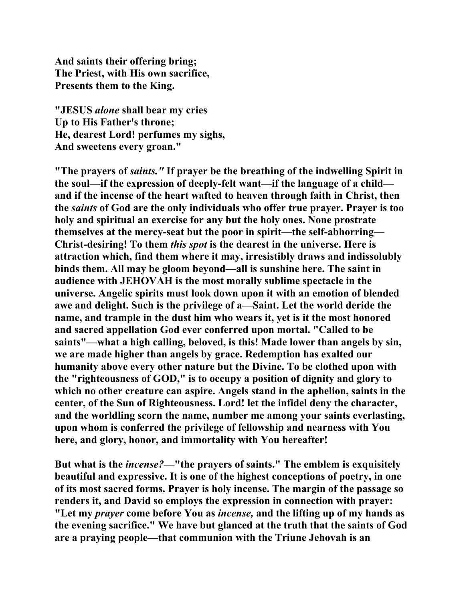**And saints their offering bring; The Priest, with His own sacrifice, Presents them to the King.** 

**"JESUS** *alone* **shall bear my cries Up to His Father's throne; He, dearest Lord! perfumes my sighs, And sweetens every groan."** 

**"The prayers of** *saints."* **If prayer be the breathing of the indwelling Spirit in the soul—if the expression of deeply-felt want—if the language of a child and if the incense of the heart wafted to heaven through faith in Christ, then the** *saints* **of God are the only individuals who offer true prayer. Prayer is too holy and spiritual an exercise for any but the holy ones. None prostrate themselves at the mercy-seat but the poor in spirit—the self-abhorring— Christ-desiring! To them** *this spot* **is the dearest in the universe. Here is attraction which, find them where it may, irresistibly draws and indissolubly binds them. All may be gloom beyond—all is sunshine here. The saint in audience with JEHOVAH is the most morally sublime spectacle in the universe. Angelic spirits must look down upon it with an emotion of blended awe and delight. Such is the privilege of a—Saint. Let the world deride the name, and trample in the dust him who wears it, yet is it the most honored and sacred appellation God ever conferred upon mortal. "Called to be saints"—what a high calling, beloved, is this! Made lower than angels by sin, we are made higher than angels by grace. Redemption has exalted our humanity above every other nature but the Divine. To be clothed upon with the "righteousness of GOD," is to occupy a position of dignity and glory to which no other creature can aspire. Angels stand in the aphelion, saints in the center, of the Sun of Righteousness. Lord! let the infidel deny the character, and the worldling scorn the name, number me among your saints everlasting, upon whom is conferred the privilege of fellowship and nearness with You here, and glory, honor, and immortality with You hereafter!** 

**But what is the** *incense?***—"the prayers of saints." The emblem is exquisitely beautiful and expressive. It is one of the highest conceptions of poetry, in one of its most sacred forms. Prayer is holy incense. The margin of the passage so renders it, and David so employs the expression in connection with prayer: "Let my** *prayer* **come before You as** *incense,* **and the lifting up of my hands as the evening sacrifice." We have but glanced at the truth that the saints of God are a praying people—that communion with the Triune Jehovah is an**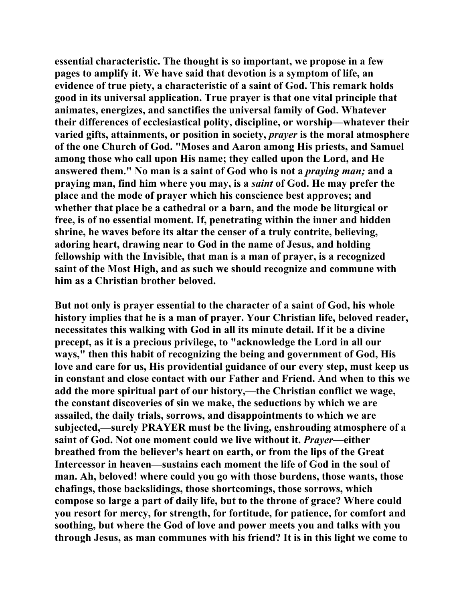**essential characteristic. The thought is so important, we propose in a few pages to amplify it. We have said that devotion is a symptom of life, an evidence of true piety, a characteristic of a saint of God. This remark holds good in its universal application. True prayer is that one vital principle that animates, energizes, and sanctifies the universal family of God. Whatever their differences of ecclesiastical polity, discipline, or worship—whatever their varied gifts, attainments, or position in society,** *prayer* **is the moral atmosphere of the one Church of God. "Moses and Aaron among His priests, and Samuel among those who call upon His name; they called upon the Lord, and He answered them." No man is a saint of God who is not a** *praying man;* **and a praying man, find him where you may, is a** *saint* **of God. He may prefer the place and the mode of prayer which his conscience best approves; and whether that place be a cathedral or a barn, and the mode be liturgical or free, is of no essential moment. If, penetrating within the inner and hidden shrine, he waves before its altar the censer of a truly contrite, believing, adoring heart, drawing near to God in the name of Jesus, and holding fellowship with the Invisible, that man is a man of prayer, is a recognized saint of the Most High, and as such we should recognize and commune with him as a Christian brother beloved.** 

**But not only is prayer essential to the character of a saint of God, his whole history implies that he is a man of prayer. Your Christian life, beloved reader, necessitates this walking with God in all its minute detail. If it be a divine precept, as it is a precious privilege, to "acknowledge the Lord in all our ways," then this habit of recognizing the being and government of God, His love and care for us, His providential guidance of our every step, must keep us in constant and close contact with our Father and Friend. And when to this we add the more spiritual part of our history,—the Christian conflict we wage, the constant discoveries of sin we make, the seductions by which we are assailed, the daily trials, sorrows, and disappointments to which we are subjected,—surely PRAYER must be the living, enshrouding atmosphere of a saint of God. Not one moment could we live without it.** *Prayer***—either breathed from the believer's heart on earth, or from the lips of the Great Intercessor in heaven—sustains each moment the life of God in the soul of man. Ah, beloved! where could you go with those burdens, those wants, those chafings, those backslidings, those shortcomings, those sorrows, which compose so large a part of daily life, but to the throne of grace? Where could you resort for mercy, for strength, for fortitude, for patience, for comfort and soothing, but where the God of love and power meets you and talks with you through Jesus, as man communes with his friend? It is in this light we come to**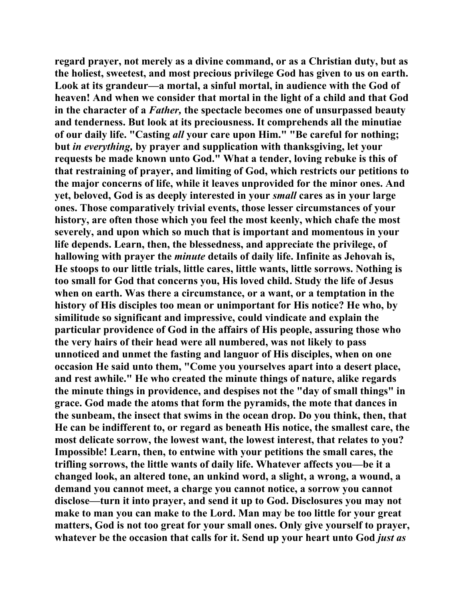**regard prayer, not merely as a divine command, or as a Christian duty, but as the holiest, sweetest, and most precious privilege God has given to us on earth. Look at its grandeur—a mortal, a sinful mortal, in audience with the God of heaven! And when we consider that mortal in the light of a child and that God in the character of a** *Father,* **the spectacle becomes one of unsurpassed beauty and tenderness. But look at its preciousness. It comprehends all the minutiae of our daily life. "Casting** *all* **your care upon Him." "Be careful for nothing; but** *in everything,* **by prayer and supplication with thanksgiving, let your requests be made known unto God." What a tender, loving rebuke is this of that restraining of prayer, and limiting of God, which restricts our petitions to the major concerns of life, while it leaves unprovided for the minor ones. And yet, beloved, God is as deeply interested in your** *small* **cares as in your large ones. Those comparatively trivial events, those lesser circumstances of your history, are often those which you feel the most keenly, which chafe the most severely, and upon which so much that is important and momentous in your life depends. Learn, then, the blessedness, and appreciate the privilege, of hallowing with prayer the** *minute* **details of daily life. Infinite as Jehovah is, He stoops to our little trials, little cares, little wants, little sorrows. Nothing is too small for God that concerns you, His loved child. Study the life of Jesus when on earth. Was there a circumstance, or a want, or a temptation in the history of His disciples too mean or unimportant for His notice? He who, by similitude so significant and impressive, could vindicate and explain the particular providence of God in the affairs of His people, assuring those who the very hairs of their head were all numbered, was not likely to pass unnoticed and unmet the fasting and languor of His disciples, when on one occasion He said unto them, "Come you yourselves apart into a desert place, and rest awhile." He who created the minute things of nature, alike regards the minute things in providence, and despises not the "day of small things" in grace. God made the atoms that form the pyramids, the mote that dances in the sunbeam, the insect that swims in the ocean drop. Do you think, then, that He can be indifferent to, or regard as beneath His notice, the smallest care, the most delicate sorrow, the lowest want, the lowest interest, that relates to you? Impossible! Learn, then, to entwine with your petitions the small cares, the trifling sorrows, the little wants of daily life. Whatever affects you—be it a changed look, an altered tone, an unkind word, a slight, a wrong, a wound, a demand you cannot meet, a charge you cannot notice, a sorrow you cannot disclose—turn it into prayer, and send it up to God. Disclosures you may not make to man you can make to the Lord. Man may be too little for your great matters, God is not too great for your small ones. Only give yourself to prayer,**  whatever be the occasion that calls for it. Send up your heart unto God *just as*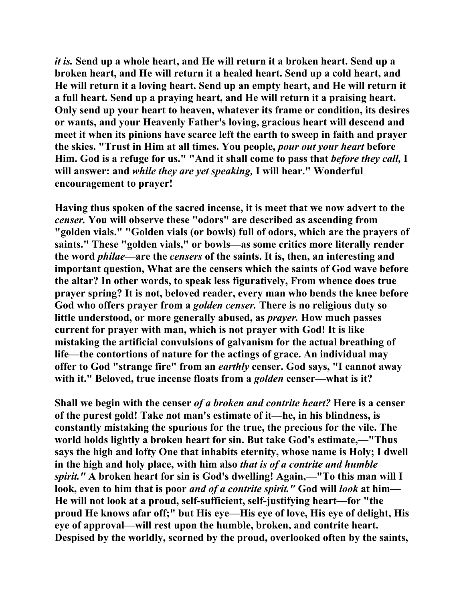*it is.* **Send up a whole heart, and He will return it a broken heart. Send up a broken heart, and He will return it a healed heart. Send up a cold heart, and He will return it a loving heart. Send up an empty heart, and He will return it a full heart. Send up a praying heart, and He will return it a praising heart. Only send up your heart to heaven, whatever its frame or condition, its desires or wants, and your Heavenly Father's loving, gracious heart will descend and meet it when its pinions have scarce left the earth to sweep in faith and prayer the skies. "Trust in Him at all times. You people,** *pour out your heart* **before**  Him. God is a refuge for us." "And it shall come to pass that *before they call*, I **will answer: and** *while they are yet speaking,* **I will hear." Wonderful encouragement to prayer!** 

**Having thus spoken of the sacred incense, it is meet that we now advert to the**  *censer.* **You will observe these "odors" are described as ascending from "golden vials." "Golden vials (or bowls) full of odors, which are the prayers of saints." These "golden vials," or bowls—as some critics more literally render the word** *philae***—are the** *censers* **of the saints. It is, then, an interesting and important question, What are the censers which the saints of God wave before the altar? In other words, to speak less figuratively, From whence does true prayer spring? It is not, beloved reader, every man who bends the knee before God who offers prayer from a** *golden censer.* **There is no religious duty so little understood, or more generally abused, as** *prayer.* **How much passes current for prayer with man, which is not prayer with God! It is like mistaking the artificial convulsions of galvanism for the actual breathing of life—the contortions of nature for the actings of grace. An individual may offer to God "strange fire" from an** *earthly* **censer. God says, "I cannot away with it." Beloved, true incense floats from a** *golden* **censer—what is it?** 

**Shall we begin with the censer** *of a broken and contrite heart?* **Here is a censer of the purest gold! Take not man's estimate of it—he, in his blindness, is constantly mistaking the spurious for the true, the precious for the vile. The world holds lightly a broken heart for sin. But take God's estimate,—"Thus says the high and lofty One that inhabits eternity, whose name is Holy; I dwell in the high and holy place, with him also** *that is of a contrite and humble spirit."* **A broken heart for sin is God's dwelling! Again,—"To this man will I look, even to him that is poor** *and of a contrite spirit."* **God will** *look* **at him— He will not look at a proud, self-sufficient, self-justifying heart—for "the proud He knows afar off;" but His eye—His eye of love, His eye of delight, His eye of approval—will rest upon the humble, broken, and contrite heart. Despised by the worldly, scorned by the proud, overlooked often by the saints,**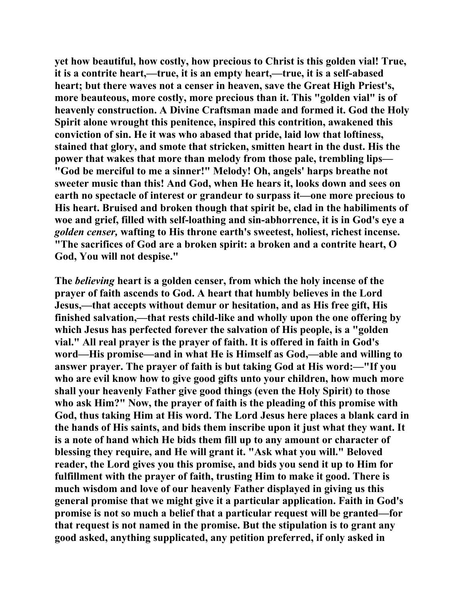**yet how beautiful, how costly, how precious to Christ is this golden vial! True, it is a contrite heart,—true, it is an empty heart,—true, it is a self-abased heart; but there waves not a censer in heaven, save the Great High Priest's, more beauteous, more costly, more precious than it. This "golden vial" is of heavenly construction. A Divine Craftsman made and formed it. God the Holy Spirit alone wrought this penitence, inspired this contrition, awakened this conviction of sin. He it was who abased that pride, laid low that loftiness, stained that glory, and smote that stricken, smitten heart in the dust. His the power that wakes that more than melody from those pale, trembling lips— "God be merciful to me a sinner!" Melody! Oh, angels' harps breathe not sweeter music than this! And God, when He hears it, looks down and sees on earth no spectacle of interest or grandeur to surpass it—one more precious to His heart. Bruised and broken though that spirit be, clad in the habiliments of woe and grief, filled with self-loathing and sin-abhorrence, it is in God's eye a**  *golden censer,* **wafting to His throne earth's sweetest, holiest, richest incense. "The sacrifices of God are a broken spirit: a broken and a contrite heart, O God, You will not despise."** 

**The** *believing* **heart is a golden censer, from which the holy incense of the prayer of faith ascends to God. A heart that humbly believes in the Lord Jesus,—that accepts without demur or hesitation, and as His free gift, His finished salvation,—that rests child-like and wholly upon the one offering by which Jesus has perfected forever the salvation of His people, is a "golden vial." All real prayer is the prayer of faith. It is offered in faith in God's word—His promise—and in what He is Himself as God,—able and willing to answer prayer. The prayer of faith is but taking God at His word:—"If you who are evil know how to give good gifts unto your children, how much more shall your heavenly Father give good things (even the Holy Spirit) to those who ask Him?" Now, the prayer of faith is the pleading of this promise with God, thus taking Him at His word. The Lord Jesus here places a blank card in the hands of His saints, and bids them inscribe upon it just what they want. It is a note of hand which He bids them fill up to any amount or character of blessing they require, and He will grant it. "Ask what you will." Beloved reader, the Lord gives you this promise, and bids you send it up to Him for fulfillment with the prayer of faith, trusting Him to make it good. There is much wisdom and love of our heavenly Father displayed in giving us this general promise that we might give it a particular application. Faith in God's promise is not so much a belief that a particular request will be granted—for that request is not named in the promise. But the stipulation is to grant any good asked, anything supplicated, any petition preferred, if only asked in**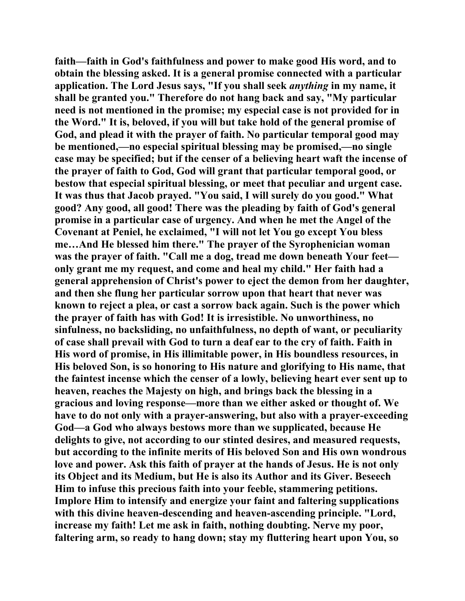**faith—faith in God's faithfulness and power to make good His word, and to obtain the blessing asked. It is a general promise connected with a particular application. The Lord Jesus says, "If you shall seek** *anything* **in my name, it shall be granted you." Therefore do not hang back and say, "My particular need is not mentioned in the promise; my especial case is not provided for in the Word." It is, beloved, if you will but take hold of the general promise of God, and plead it with the prayer of faith. No particular temporal good may be mentioned,—no especial spiritual blessing may be promised,—no single case may be specified; but if the censer of a believing heart waft the incense of the prayer of faith to God, God will grant that particular temporal good, or bestow that especial spiritual blessing, or meet that peculiar and urgent case. It was thus that Jacob prayed. "You said, I will surely do you good." What good? Any good, all good! There was the pleading by faith of God's general promise in a particular case of urgency. And when he met the Angel of the Covenant at Peniel, he exclaimed, "I will not let You go except You bless me…And He blessed him there." The prayer of the Syrophenician woman was the prayer of faith. "Call me a dog, tread me down beneath Your feet only grant me my request, and come and heal my child." Her faith had a general apprehension of Christ's power to eject the demon from her daughter, and then she flung her particular sorrow upon that heart that never was known to reject a plea, or cast a sorrow back again. Such is the power which the prayer of faith has with God! It is irresistible. No unworthiness, no sinfulness, no backsliding, no unfaithfulness, no depth of want, or peculiarity of case shall prevail with God to turn a deaf ear to the cry of faith. Faith in His word of promise, in His illimitable power, in His boundless resources, in His beloved Son, is so honoring to His nature and glorifying to His name, that the faintest incense which the censer of a lowly, believing heart ever sent up to heaven, reaches the Majesty on high, and brings back the blessing in a gracious and loving response—more than we either asked or thought of. We have to do not only with a prayer-answering, but also with a prayer-exceeding God—a God who always bestows more than we supplicated, because He delights to give, not according to our stinted desires, and measured requests, but according to the infinite merits of His beloved Son and His own wondrous love and power. Ask this faith of prayer at the hands of Jesus. He is not only its Object and its Medium, but He is also its Author and its Giver. Beseech Him to infuse this precious faith into your feeble, stammering petitions. Implore Him to intensify and energize your faint and faltering supplications with this divine heaven-descending and heaven-ascending principle. "Lord, increase my faith! Let me ask in faith, nothing doubting. Nerve my poor, faltering arm, so ready to hang down; stay my fluttering heart upon You, so**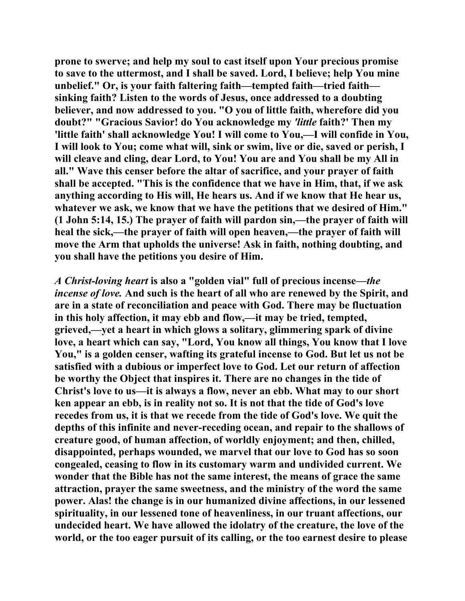**prone to swerve; and help my soul to cast itself upon Your precious promise to save to the uttermost, and I shall be saved. Lord, I believe; help You mine unbelief." Or, is your faith faltering faith—tempted faith—tried faith sinking faith? Listen to the words of Jesus, once addressed to a doubting believer, and now addressed to you. "O you of little faith, wherefore did you doubt?" "Gracious Savior! do You acknowledge my** *'little* **faith?' Then my 'little faith' shall acknowledge You! I will come to You,—I will confide in You, I will look to You; come what will, sink or swim, live or die, saved or perish, I will cleave and cling, dear Lord, to You! You are and You shall be my All in all." Wave this censer before the altar of sacrifice, and your prayer of faith shall be accepted. "This is the confidence that we have in Him, that, if we ask anything according to His will, He hears us. And if we know that He hear us, whatever we ask, we know that we have the petitions that we desired of Him." (1 John 5:14, 15.) The prayer of faith will pardon sin,—the prayer of faith will heal the sick,—the prayer of faith will open heaven,—the prayer of faith will move the Arm that upholds the universe! Ask in faith, nothing doubting, and you shall have the petitions you desire of Him.** 

*A Christ-loving heart* **is also a "golden vial" full of precious incense—***the incense of love.* **And such is the heart of all who are renewed by the Spirit, and are in a state of reconciliation and peace with God. There may be fluctuation in this holy affection, it may ebb and flow,—it may be tried, tempted, grieved,—yet a heart in which glows a solitary, glimmering spark of divine love, a heart which can say, "Lord, You know all things, You know that I love You," is a golden censer, wafting its grateful incense to God. But let us not be satisfied with a dubious or imperfect love to God. Let our return of affection be worthy the Object that inspires it. There are no changes in the tide of Christ's love to us—it is always a flow, never an ebb. What may to our short ken appear an ebb, is in reality not so. It is not that the tide of God's love recedes from us, it is that we recede from the tide of God's love. We quit the depths of this infinite and never-receding ocean, and repair to the shallows of creature good, of human affection, of worldly enjoyment; and then, chilled, disappointed, perhaps wounded, we marvel that our love to God has so soon congealed, ceasing to flow in its customary warm and undivided current. We wonder that the Bible has not the same interest, the means of grace the same attraction, prayer the same sweetness, and the ministry of the word the same power. Alas! the change is in our humanized divine affections, in our lessened spirituality, in our lessened tone of heavenliness, in our truant affections, our undecided heart. We have allowed the idolatry of the creature, the love of the world, or the too eager pursuit of its calling, or the too earnest desire to please**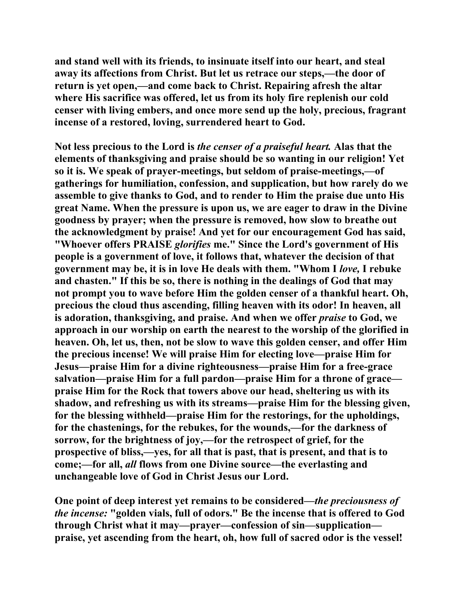**and stand well with its friends, to insinuate itself into our heart, and steal away its affections from Christ. But let us retrace our steps,—the door of return is yet open,—and come back to Christ. Repairing afresh the altar where His sacrifice was offered, let us from its holy fire replenish our cold censer with living embers, and once more send up the holy, precious, fragrant incense of a restored, loving, surrendered heart to God.** 

**Not less precious to the Lord is** *the censer of a praiseful heart.* **Alas that the elements of thanksgiving and praise should be so wanting in our religion! Yet so it is. We speak of prayer-meetings, but seldom of praise-meetings,—of gatherings for humiliation, confession, and supplication, but how rarely do we assemble to give thanks to God, and to render to Him the praise due unto His great Name. When the pressure is upon us, we are eager to draw in the Divine goodness by prayer; when the pressure is removed, how slow to breathe out the acknowledgment by praise! And yet for our encouragement God has said, "Whoever offers PRAISE** *glorifies* **me." Since the Lord's government of His people is a government of love, it follows that, whatever the decision of that government may be, it is in love He deals with them. "Whom I** *love,* **I rebuke and chasten." If this be so, there is nothing in the dealings of God that may not prompt you to wave before Him the golden censer of a thankful heart. Oh, precious the cloud thus ascending, filling heaven with its odor! In heaven, all is adoration, thanksgiving, and praise. And when we offer** *praise* **to God, we approach in our worship on earth the nearest to the worship of the glorified in heaven. Oh, let us, then, not be slow to wave this golden censer, and offer Him the precious incense! We will praise Him for electing love—praise Him for Jesus—praise Him for a divine righteousness—praise Him for a free-grace salvation—praise Him for a full pardon—praise Him for a throne of grace praise Him for the Rock that towers above our head, sheltering us with its shadow, and refreshing us with its streams—praise Him for the blessing given, for the blessing withheld—praise Him for the restorings, for the upholdings, for the chastenings, for the rebukes, for the wounds,—for the darkness of sorrow, for the brightness of joy,—for the retrospect of grief, for the prospective of bliss,—yes, for all that is past, that is present, and that is to come;—for all,** *all* **flows from one Divine source—the everlasting and unchangeable love of God in Christ Jesus our Lord.** 

**One point of deep interest yet remains to be considered—***the preciousness of the incense:* **"golden vials, full of odors." Be the incense that is offered to God through Christ what it may—prayer—confession of sin—supplication praise, yet ascending from the heart, oh, how full of sacred odor is the vessel!**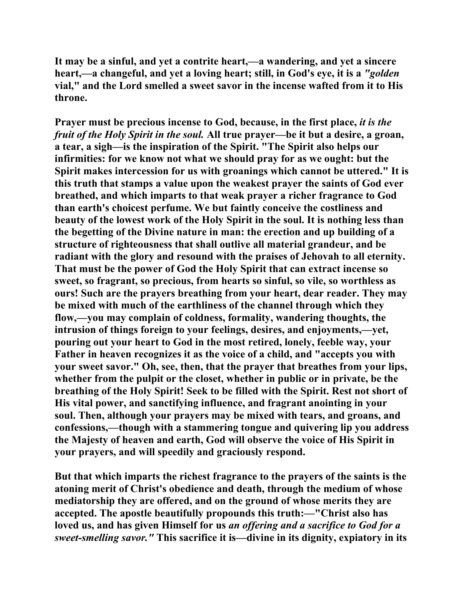**It may be a sinful, and yet a contrite heart,—a wandering, and yet a sincere heart,—a changeful, and yet a loving heart; still, in God's eye, it is a** *"golden*  **vial," and the Lord smelled a sweet savor in the incense wafted from it to His throne.** 

**Prayer must be precious incense to God, because, in the first place,** *it is the fruit of the Holy Spirit in the soul.* **All true prayer—be it but a desire, a groan, a tear, a sigh—is the inspiration of the Spirit. "The Spirit also helps our infirmities: for we know not what we should pray for as we ought: but the Spirit makes intercession for us with groanings which cannot be uttered." It is this truth that stamps a value upon the weakest prayer the saints of God ever breathed, and which imparts to that weak prayer a richer fragrance to God than earth's choicest perfume. We but faintly conceive the costliness and beauty of the lowest work of the Holy Spirit in the soul. It is nothing less than the begetting of the Divine nature in man: the erection and up building of a structure of righteousness that shall outlive all material grandeur, and be radiant with the glory and resound with the praises of Jehovah to all eternity. That must be the power of God the Holy Spirit that can extract incense so sweet, so fragrant, so precious, from hearts so sinful, so vile, so worthless as ours! Such are the prayers breathing from your heart, dear reader. They may be mixed with much of the earthliness of the channel through which they flow,—you may complain of coldness, formality, wandering thoughts, the intrusion of things foreign to your feelings, desires, and enjoyments,—yet, pouring out your heart to God in the most retired, lonely, feeble way, your Father in heaven recognizes it as the voice of a child, and "accepts you with your sweet savor." Oh, see, then, that the prayer that breathes from your lips, whether from the pulpit or the closet, whether in public or in private, be the breathing of the Holy Spirit! Seek to be filled with the Spirit. Rest not short of His vital power, and sanctifying influence, and fragrant anointing in your soul. Then, although your prayers may be mixed with tears, and groans, and confessions,—though with a stammering tongue and quivering lip you address the Majesty of heaven and earth, God will observe the voice of His Spirit in your prayers, and will speedily and graciously respond.** 

**But that which imparts the richest fragrance to the prayers of the saints is the atoning merit of Christ's obedience and death, through the medium of whose mediatorship they are offered, and on the ground of whose merits they are accepted. The apostle beautifully propounds this truth:—"Christ also has loved us, and has given Himself for us** *an offering and a sacrifice to God for a sweet-smelling savor."* **This sacrifice it is—divine in its dignity, expiatory in its**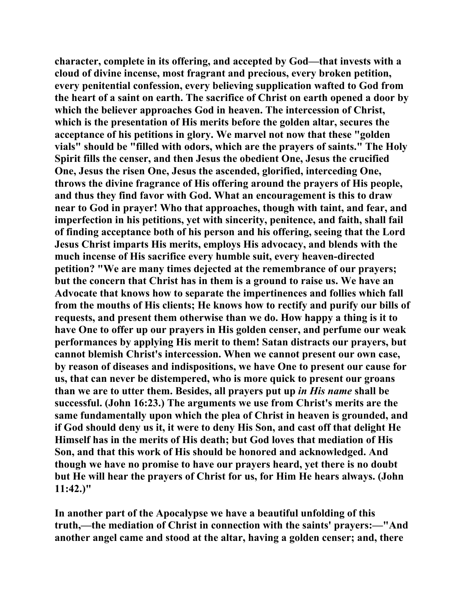**character, complete in its offering, and accepted by God—that invests with a cloud of divine incense, most fragrant and precious, every broken petition, every penitential confession, every believing supplication wafted to God from the heart of a saint on earth. The sacrifice of Christ on earth opened a door by which the believer approaches God in heaven. The intercession of Christ, which is the presentation of His merits before the golden altar, secures the acceptance of his petitions in glory. We marvel not now that these "golden vials" should be "filled with odors, which are the prayers of saints." The Holy Spirit fills the censer, and then Jesus the obedient One, Jesus the crucified One, Jesus the risen One, Jesus the ascended, glorified, interceding One, throws the divine fragrance of His offering around the prayers of His people, and thus they find favor with God. What an encouragement is this to draw near to God in prayer! Who that approaches, though with taint, and fear, and imperfection in his petitions, yet with sincerity, penitence, and faith, shall fail of finding acceptance both of his person and his offering, seeing that the Lord Jesus Christ imparts His merits, employs His advocacy, and blends with the much incense of His sacrifice every humble suit, every heaven-directed petition? "We are many times dejected at the remembrance of our prayers; but the concern that Christ has in them is a ground to raise us. We have an Advocate that knows how to separate the impertinences and follies which fall from the mouths of His clients; He knows how to rectify and purify our bills of requests, and present them otherwise than we do. How happy a thing is it to have One to offer up our prayers in His golden censer, and perfume our weak performances by applying His merit to them! Satan distracts our prayers, but cannot blemish Christ's intercession. When we cannot present our own case, by reason of diseases and indispositions, we have One to present our cause for us, that can never be distempered, who is more quick to present our groans than we are to utter them. Besides, all prayers put up** *in His name* **shall be successful. (John 16:23.) The arguments we use from Christ's merits are the same fundamentally upon which the plea of Christ in heaven is grounded, and if God should deny us it, it were to deny His Son, and cast off that delight He Himself has in the merits of His death; but God loves that mediation of His Son, and that this work of His should be honored and acknowledged. And though we have no promise to have our prayers heard, yet there is no doubt but He will hear the prayers of Christ for us, for Him He hears always. (John 11:42.)"** 

**In another part of the Apocalypse we have a beautiful unfolding of this truth,—the mediation of Christ in connection with the saints' prayers:—"And another angel came and stood at the altar, having a golden censer; and, there**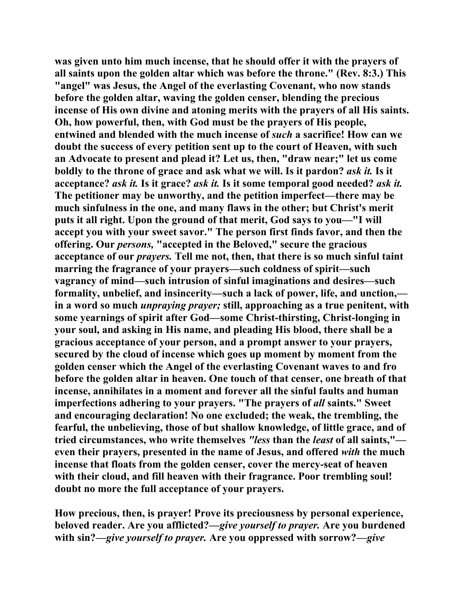**was given unto him much incense, that he should offer it with the prayers of all saints upon the golden altar which was before the throne." (Rev. 8:3.) This "angel" was Jesus, the Angel of the everlasting Covenant, who now stands before the golden altar, waving the golden censer, blending the precious incense of His own divine and atoning merits with the prayers of all His saints. Oh, how powerful, then, with God must be the prayers of His people, entwined and blended with the much incense of** *such* **a sacrifice! How can we doubt the success of every petition sent up to the court of Heaven, with such an Advocate to present and plead it? Let us, then, "draw near;" let us come boldly to the throne of grace and ask what we will. Is it pardon?** *ask it.* **Is it acceptance?** *ask it.* **Is it grace?** *ask it.* **Is it some temporal good needed?** *ask it.*  **The petitioner may be unworthy, and the petition imperfect—there may be much sinfulness in the one, and many flaws in the other; but Christ's merit puts it all right. Upon the ground of that merit, God says to you—"I will accept you with your sweet savor." The person first finds favor, and then the offering. Our** *persons,* **"accepted in the Beloved," secure the gracious acceptance of our** *prayers.* **Tell me not, then, that there is so much sinful taint marring the fragrance of your prayers—such coldness of spirit—such vagrancy of mind—such intrusion of sinful imaginations and desires—such formality, unbelief, and insincerity—such a lack of power, life, and unction, in a word so much** *unpraying prayer;* **still, approaching as a true penitent, with some yearnings of spirit after God—some Christ-thirsting, Christ-longing in your soul, and asking in His name, and pleading His blood, there shall be a gracious acceptance of your person, and a prompt answer to your prayers, secured by the cloud of incense which goes up moment by moment from the golden censer which the Angel of the everlasting Covenant waves to and fro before the golden altar in heaven. One touch of that censer, one breath of that incense, annihilates in a moment and forever all the sinful faults and human imperfections adhering to your prayers. "The prayers of** *all* **saints." Sweet and encouraging declaration! No one excluded; the weak, the trembling, the fearful, the unbelieving, those of but shallow knowledge, of little grace, and of tried circumstances, who write themselves** *"less* **than the** *least* **of all saints," even their prayers, presented in the name of Jesus, and offered** *with* **the much incense that floats from the golden censer, cover the mercy-seat of heaven with their cloud, and fill heaven with their fragrance. Poor trembling soul! doubt no more the full acceptance of your prayers.** 

**How precious, then, is prayer! Prove its preciousness by personal experience, beloved reader. Are you afflicted?—***give yourself to prayer.* **Are you burdened with sin?—***give yourself to prayer.* **Are you oppressed with sorrow?—***give*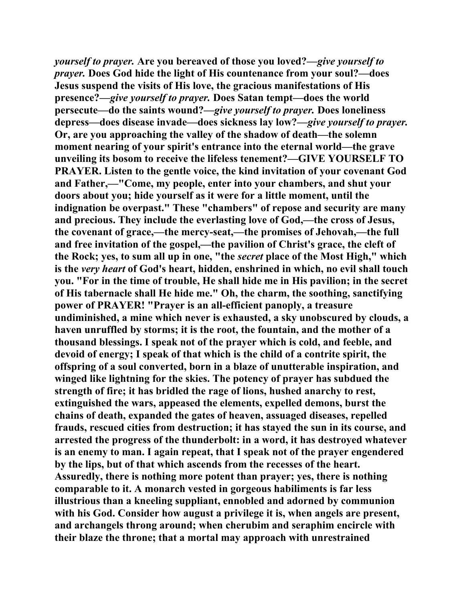*yourself to prayer.* **Are you bereaved of those you loved?—***give yourself to prayer.* **Does God hide the light of His countenance from your soul?—does Jesus suspend the visits of His love, the gracious manifestations of His presence?—***give yourself to prayer.* **Does Satan tempt—does the world persecute—do the saints wound?—***give yourself to prayer.* **Does loneliness depress—does disease invade—does sickness lay low?—***give yourself to prayer.*  **Or, are you approaching the valley of the shadow of death—the solemn moment nearing of your spirit's entrance into the eternal world—the grave unveiling its bosom to receive the lifeless tenement?—GIVE YOURSELF TO PRAYER. Listen to the gentle voice, the kind invitation of your covenant God and Father,—"Come, my people, enter into your chambers, and shut your doors about you; hide yourself as it were for a little moment, until the indignation be overpast." These "chambers" of repose and security are many and precious. They include the everlasting love of God,—the cross of Jesus, the covenant of grace,—the mercy-seat,—the promises of Jehovah,—the full and free invitation of the gospel,—the pavilion of Christ's grace, the cleft of the Rock; yes, to sum all up in one, "the** *secret* **place of the Most High," which is the** *very heart* **of God's heart, hidden, enshrined in which, no evil shall touch you. "For in the time of trouble, He shall hide me in His pavilion; in the secret of His tabernacle shall He hide me." Oh, the charm, the soothing, sanctifying power of PRAYER! "Prayer is an all-efficient panoply, a treasure undiminished, a mine which never is exhausted, a sky unobscured by clouds, a haven unruffled by storms; it is the root, the fountain, and the mother of a thousand blessings. I speak not of the prayer which is cold, and feeble, and devoid of energy; I speak of that which is the child of a contrite spirit, the offspring of a soul converted, born in a blaze of unutterable inspiration, and winged like lightning for the skies. The potency of prayer has subdued the strength of fire; it has bridled the rage of lions, hushed anarchy to rest, extinguished the wars, appeased the elements, expelled demons, burst the chains of death, expanded the gates of heaven, assuaged diseases, repelled frauds, rescued cities from destruction; it has stayed the sun in its course, and arrested the progress of the thunderbolt: in a word, it has destroyed whatever is an enemy to man. I again repeat, that I speak not of the prayer engendered by the lips, but of that which ascends from the recesses of the heart. Assuredly, there is nothing more potent than prayer; yes, there is nothing comparable to it. A monarch vested in gorgeous habiliments is far less illustrious than a kneeling suppliant, ennobled and adorned by communion with his God. Consider how august a privilege it is, when angels are present, and archangels throng around; when cherubim and seraphim encircle with their blaze the throne; that a mortal may approach with unrestrained**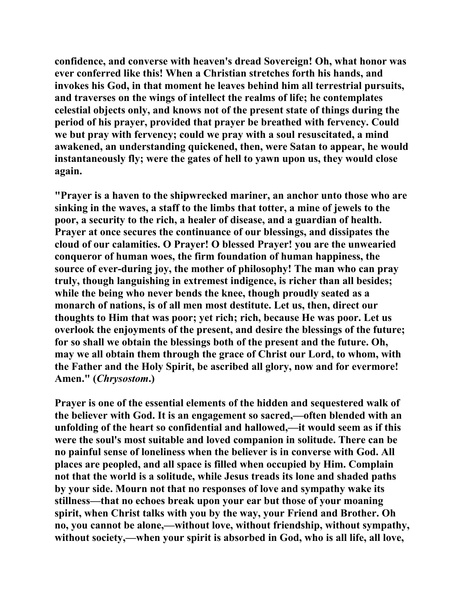**confidence, and converse with heaven's dread Sovereign! Oh, what honor was ever conferred like this! When a Christian stretches forth his hands, and invokes his God, in that moment he leaves behind him all terrestrial pursuits, and traverses on the wings of intellect the realms of life; he contemplates celestial objects only, and knows not of the present state of things during the period of his prayer, provided that prayer be breathed with fervency. Could we but pray with fervency; could we pray with a soul resuscitated, a mind awakened, an understanding quickened, then, were Satan to appear, he would instantaneously fly; were the gates of hell to yawn upon us, they would close again.** 

**"Prayer is a haven to the shipwrecked mariner, an anchor unto those who are sinking in the waves, a staff to the limbs that totter, a mine of jewels to the poor, a security to the rich, a healer of disease, and a guardian of health. Prayer at once secures the continuance of our blessings, and dissipates the cloud of our calamities. O Prayer! O blessed Prayer! you are the unwearied conqueror of human woes, the firm foundation of human happiness, the source of ever-during joy, the mother of philosophy! The man who can pray truly, though languishing in extremest indigence, is richer than all besides; while the being who never bends the knee, though proudly seated as a monarch of nations, is of all men most destitute. Let us, then, direct our thoughts to Him that was poor; yet rich; rich, because He was poor. Let us overlook the enjoyments of the present, and desire the blessings of the future; for so shall we obtain the blessings both of the present and the future. Oh, may we all obtain them through the grace of Christ our Lord, to whom, with the Father and the Holy Spirit, be ascribed all glory, now and for evermore! Amen." (***Chrysostom***.)** 

**Prayer is one of the essential elements of the hidden and sequestered walk of the believer with God. It is an engagement so sacred,—often blended with an unfolding of the heart so confidential and hallowed,—it would seem as if this were the soul's most suitable and loved companion in solitude. There can be no painful sense of loneliness when the believer is in converse with God. All places are peopled, and all space is filled when occupied by Him. Complain not that the world is a solitude, while Jesus treads its lone and shaded paths by your side. Mourn not that no responses of love and sympathy wake its stillness—that no echoes break upon your ear but those of your moaning spirit, when Christ talks with you by the way, your Friend and Brother. Oh no, you cannot be alone,—without love, without friendship, without sympathy, without society,—when your spirit is absorbed in God, who is all life, all love,**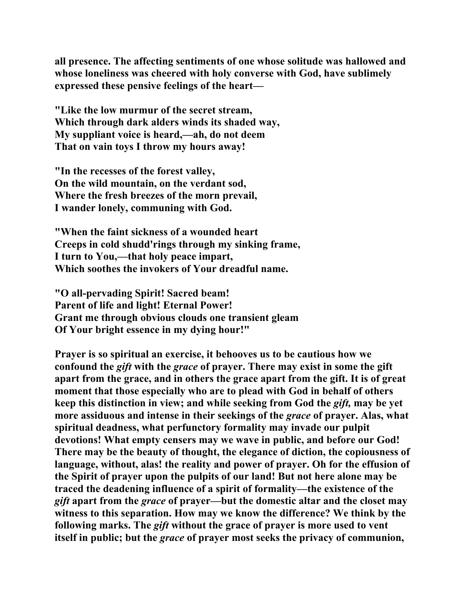**all presence. The affecting sentiments of one whose solitude was hallowed and whose loneliness was cheered with holy converse with God, have sublimely expressed these pensive feelings of the heart—** 

**"Like the low murmur of the secret stream, Which through dark alders winds its shaded way, My suppliant voice is heard,—ah, do not deem That on vain toys I throw my hours away!** 

**"In the recesses of the forest valley, On the wild mountain, on the verdant sod, Where the fresh breezes of the morn prevail, I wander lonely, communing with God.** 

**"When the faint sickness of a wounded heart Creeps in cold shudd'rings through my sinking frame, I turn to You,—that holy peace impart, Which soothes the invokers of Your dreadful name.** 

**"O all-pervading Spirit! Sacred beam! Parent of life and light! Eternal Power! Grant me through obvious clouds one transient gleam Of Your bright essence in my dying hour!"** 

**Prayer is so spiritual an exercise, it behooves us to be cautious how we confound the** *gift* **with the** *grace* **of prayer. There may exist in some the gift apart from the grace, and in others the grace apart from the gift. It is of great moment that those especially who are to plead with God in behalf of others keep this distinction in view; and while seeking from God the** *gift,* **may be yet more assiduous and intense in their seekings of the** *grace* **of prayer. Alas, what spiritual deadness, what perfunctory formality may invade our pulpit devotions! What empty censers may we wave in public, and before our God! There may be the beauty of thought, the elegance of diction, the copiousness of language, without, alas! the reality and power of prayer. Oh for the effusion of the Spirit of prayer upon the pulpits of our land! But not here alone may be traced the deadening influence of a spirit of formality—the existence of the**  *gift* **apart from the** *grace* **of prayer—but the domestic altar and the closet may witness to this separation. How may we know the difference? We think by the following marks. The** *gift* **without the grace of prayer is more used to vent itself in public; but the** *grace* **of prayer most seeks the privacy of communion,**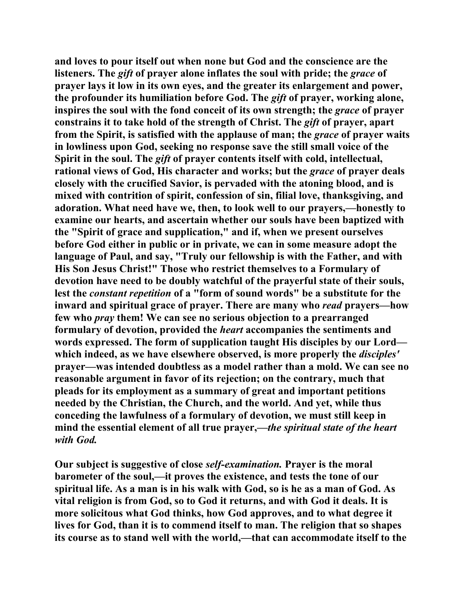**and loves to pour itself out when none but God and the conscience are the listeners. The** *gift* **of prayer alone inflates the soul with pride; the** *grace* **of prayer lays it low in its own eyes, and the greater its enlargement and power, the profounder its humiliation before God. The** *gift* **of prayer, working alone, inspires the soul with the fond conceit of its own strength; the** *grace* **of prayer constrains it to take hold of the strength of Christ. The** *gift* **of prayer, apart from the Spirit, is satisfied with the applause of man; the** *grace* **of prayer waits in lowliness upon God, seeking no response save the still small voice of the Spirit in the soul. The** *gift* **of prayer contents itself with cold, intellectual, rational views of God, His character and works; but the** *grace* **of prayer deals closely with the crucified Savior, is pervaded with the atoning blood, and is mixed with contrition of spirit, confession of sin, filial love, thanksgiving, and adoration. What need have we, then, to look well to our prayers,—honestly to examine our hearts, and ascertain whether our souls have been baptized with the "Spirit of grace and supplication," and if, when we present ourselves before God either in public or in private, we can in some measure adopt the language of Paul, and say, "Truly our fellowship is with the Father, and with His Son Jesus Christ!" Those who restrict themselves to a Formulary of devotion have need to be doubly watchful of the prayerful state of their souls, lest the** *constant repetition* **of a "form of sound words" be a substitute for the inward and spiritual grace of prayer. There are many who** *read* **prayers—how few who** *pray* **them! We can see no serious objection to a prearranged formulary of devotion, provided the** *heart* **accompanies the sentiments and words expressed. The form of supplication taught His disciples by our Lord which indeed, as we have elsewhere observed, is more properly the** *disciples'*  **prayer—was intended doubtless as a model rather than a mold. We can see no reasonable argument in favor of its rejection; on the contrary, much that pleads for its employment as a summary of great and important petitions needed by the Christian, the Church, and the world. And yet, while thus conceding the lawfulness of a formulary of devotion, we must still keep in mind the essential element of all true prayer,—***the spiritual state of the heart with God.* 

**Our subject is suggestive of close** *self-examination.* **Prayer is the moral barometer of the soul,—it proves the existence, and tests the tone of our spiritual life. As a man is in his walk with God, so is he as a man of God. As vital religion is from God, so to God it returns, and with God it deals. It is more solicitous what God thinks, how God approves, and to what degree it lives for God, than it is to commend itself to man. The religion that so shapes its course as to stand well with the world,—that can accommodate itself to the**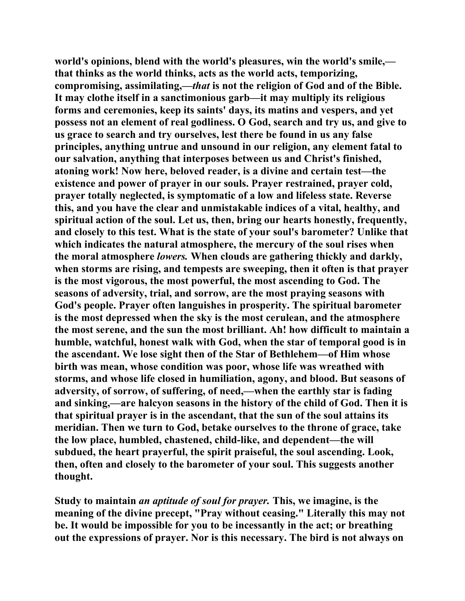**world's opinions, blend with the world's pleasures, win the world's smile, that thinks as the world thinks, acts as the world acts, temporizing, compromising, assimilating,—***that* **is not the religion of God and of the Bible. It may clothe itself in a sanctimonious garb—it may multiply its religious forms and ceremonies, keep its saints' days, its matins and vespers, and yet possess not an element of real godliness. O God, search and try us, and give to us grace to search and try ourselves, lest there be found in us any false principles, anything untrue and unsound in our religion, any element fatal to our salvation, anything that interposes between us and Christ's finished, atoning work! Now here, beloved reader, is a divine and certain test—the existence and power of prayer in our souls. Prayer restrained, prayer cold, prayer totally neglected, is symptomatic of a low and lifeless state. Reverse this, and you have the clear and unmistakable indices of a vital, healthy, and spiritual action of the soul. Let us, then, bring our hearts honestly, frequently, and closely to this test. What is the state of your soul's barometer? Unlike that which indicates the natural atmosphere, the mercury of the soul rises when the moral atmosphere** *lowers.* **When clouds are gathering thickly and darkly, when storms are rising, and tempests are sweeping, then it often is that prayer is the most vigorous, the most powerful, the most ascending to God. The seasons of adversity, trial, and sorrow, are the most praying seasons with God's people. Prayer often languishes in prosperity. The spiritual barometer is the most depressed when the sky is the most cerulean, and the atmosphere the most serene, and the sun the most brilliant. Ah! how difficult to maintain a humble, watchful, honest walk with God, when the star of temporal good is in the ascendant. We lose sight then of the Star of Bethlehem—of Him whose birth was mean, whose condition was poor, whose life was wreathed with storms, and whose life closed in humiliation, agony, and blood. But seasons of adversity, of sorrow, of suffering, of need,—when the earthly star is fading and sinking,—are halcyon seasons in the history of the child of God. Then it is that spiritual prayer is in the ascendant, that the sun of the soul attains its meridian. Then we turn to God, betake ourselves to the throne of grace, take the low place, humbled, chastened, child-like, and dependent—the will subdued, the heart prayerful, the spirit praiseful, the soul ascending. Look, then, often and closely to the barometer of your soul. This suggests another thought.** 

**Study to maintain** *an aptitude of soul for prayer.* **This, we imagine, is the meaning of the divine precept, "Pray without ceasing." Literally this may not be. It would be impossible for you to be incessantly in the act; or breathing out the expressions of prayer. Nor is this necessary. The bird is not always on**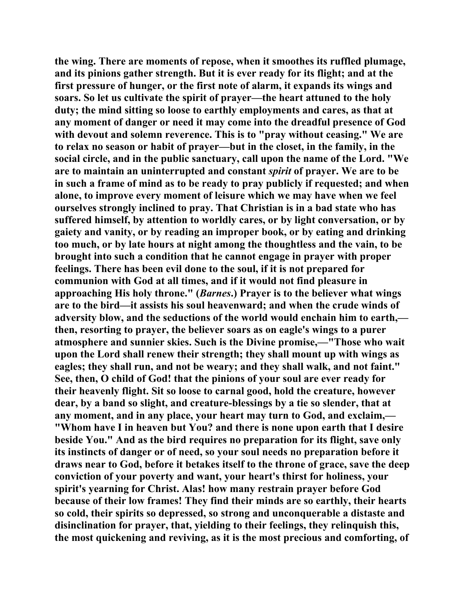**the wing. There are moments of repose, when it smoothes its ruffled plumage, and its pinions gather strength. But it is ever ready for its flight; and at the first pressure of hunger, or the first note of alarm, it expands its wings and soars. So let us cultivate the spirit of prayer—the heart attuned to the holy duty; the mind sitting so loose to earthly employments and cares, as that at any moment of danger or need it may come into the dreadful presence of God with devout and solemn reverence. This is to "pray without ceasing." We are to relax no season or habit of prayer—but in the closet, in the family, in the social circle, and in the public sanctuary, call upon the name of the Lord. "We are to maintain an uninterrupted and constant** *spirit* **of prayer. We are to be in such a frame of mind as to be ready to pray publicly if requested; and when alone, to improve every moment of leisure which we may have when we feel ourselves strongly inclined to pray. That Christian is in a bad state who has suffered himself, by attention to worldly cares, or by light conversation, or by gaiety and vanity, or by reading an improper book, or by eating and drinking too much, or by late hours at night among the thoughtless and the vain, to be brought into such a condition that he cannot engage in prayer with proper feelings. There has been evil done to the soul, if it is not prepared for communion with God at all times, and if it would not find pleasure in approaching His holy throne." (***Barnes***.) Prayer is to the believer what wings are to the bird—it assists his soul heavenward; and when the crude winds of adversity blow, and the seductions of the world would enchain him to earth, then, resorting to prayer, the believer soars as on eagle's wings to a purer atmosphere and sunnier skies. Such is the Divine promise,—"Those who wait upon the Lord shall renew their strength; they shall mount up with wings as eagles; they shall run, and not be weary; and they shall walk, and not faint." See, then, O child of God! that the pinions of your soul are ever ready for their heavenly flight. Sit so loose to carnal good, hold the creature, however dear, by a band so slight, and creature-blessings by a tie so slender, that at any moment, and in any place, your heart may turn to God, and exclaim,— "Whom have I in heaven but You? and there is none upon earth that I desire beside You." And as the bird requires no preparation for its flight, save only its instincts of danger or of need, so your soul needs no preparation before it draws near to God, before it betakes itself to the throne of grace, save the deep conviction of your poverty and want, your heart's thirst for holiness, your spirit's yearning for Christ. Alas! how many restrain prayer before God because of their low frames! They find their minds are so earthly, their hearts so cold, their spirits so depressed, so strong and unconquerable a distaste and disinclination for prayer, that, yielding to their feelings, they relinquish this, the most quickening and reviving, as it is the most precious and comforting, of**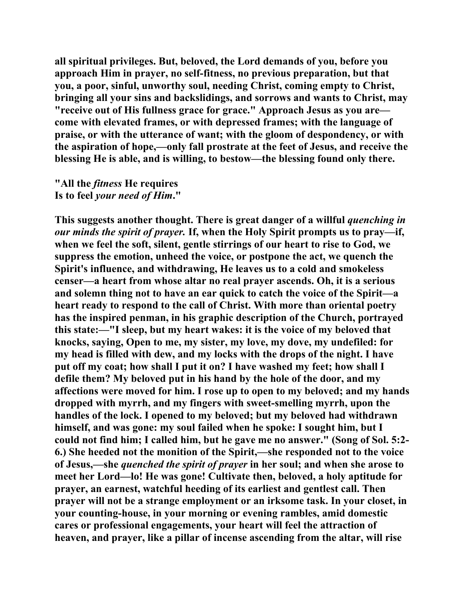**all spiritual privileges. But, beloved, the Lord demands of you, before you approach Him in prayer, no self-fitness, no previous preparation, but that you, a poor, sinful, unworthy soul, needing Christ, coming empty to Christ, bringing all your sins and backslidings, and sorrows and wants to Christ, may "receive out of His fullness grace for grace." Approach Jesus as you are come with elevated frames, or with depressed frames; with the language of praise, or with the utterance of want; with the gloom of despondency, or with the aspiration of hope,—only fall prostrate at the feet of Jesus, and receive the blessing He is able, and is willing, to bestow—the blessing found only there.** 

#### **"All the** *fitness* **He requires Is to feel** *your need of Him***."**

**This suggests another thought. There is great danger of a willful** *quenching in our minds the spirit of prayer.* **If, when the Holy Spirit prompts us to pray—if, when we feel the soft, silent, gentle stirrings of our heart to rise to God, we suppress the emotion, unheed the voice, or postpone the act, we quench the Spirit's influence, and withdrawing, He leaves us to a cold and smokeless censer—a heart from whose altar no real prayer ascends. Oh, it is a serious and solemn thing not to have an ear quick to catch the voice of the Spirit—a heart ready to respond to the call of Christ. With more than oriental poetry has the inspired penman, in his graphic description of the Church, portrayed this state:—"I sleep, but my heart wakes: it is the voice of my beloved that knocks, saying, Open to me, my sister, my love, my dove, my undefiled: for my head is filled with dew, and my locks with the drops of the night. I have put off my coat; how shall I put it on? I have washed my feet; how shall I defile them? My beloved put in his hand by the hole of the door, and my affections were moved for him. I rose up to open to my beloved; and my hands dropped with myrrh, and my fingers with sweet-smelling myrrh, upon the handles of the lock. I opened to my beloved; but my beloved had withdrawn himself, and was gone: my soul failed when he spoke: I sought him, but I could not find him; I called him, but he gave me no answer." (Song of Sol. 5:2- 6.) She heeded not the monition of the Spirit,—she responded not to the voice of Jesus,—she** *quenched the spirit of prayer* **in her soul; and when she arose to meet her Lord—lo! He was gone! Cultivate then, beloved, a holy aptitude for prayer, an earnest, watchful heeding of its earliest and gentlest call. Then prayer will not be a strange employment or an irksome task. In your closet, in your counting-house, in your morning or evening rambles, amid domestic cares or professional engagements, your heart will feel the attraction of heaven, and prayer, like a pillar of incense ascending from the altar, will rise**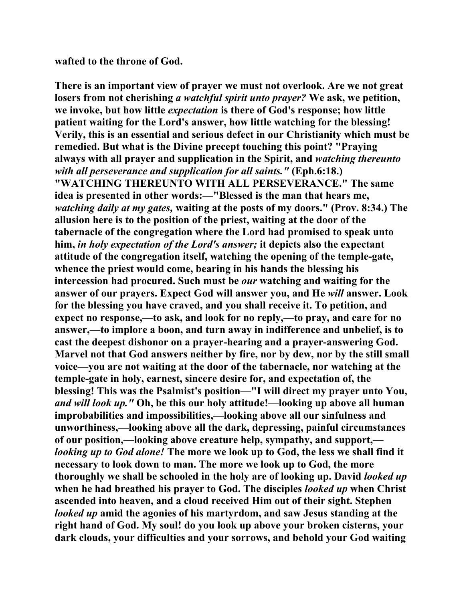**wafted to the throne of God.** 

**There is an important view of prayer we must not overlook. Are we not great losers from not cherishing** *a watchful spirit unto prayer?* **We ask, we petition, we invoke, but how little** *expectation* **is there of God's response; how little patient waiting for the Lord's answer, how little watching for the blessing! Verily, this is an essential and serious defect in our Christianity which must be remedied. But what is the Divine precept touching this point? "Praying always with all prayer and supplication in the Spirit, and** *watching thereunto with all perseverance and supplication for all saints."* **(Eph.6:18.) "WATCHING THEREUNTO WITH ALL PERSEVERANCE." The same idea is presented in other words:—"Blessed is the man that hears me,**  *watching daily at my gates,* **waiting at the posts of my doors." (Prov. 8:34.) The allusion here is to the position of the priest, waiting at the door of the tabernacle of the congregation where the Lord had promised to speak unto him,** *in holy expectation of the Lord's answer;* **it depicts also the expectant attitude of the congregation itself, watching the opening of the temple-gate, whence the priest would come, bearing in his hands the blessing his intercession had procured. Such must be** *our* **watching and waiting for the answer of our prayers. Expect God will answer you, and He** *will* **answer. Look for the blessing you have craved, and you shall receive it. To petition, and expect no response,—to ask, and look for no reply,—to pray, and care for no answer,—to implore a boon, and turn away in indifference and unbelief, is to cast the deepest dishonor on a prayer-hearing and a prayer-answering God. Marvel not that God answers neither by fire, nor by dew, nor by the still small voice—you are not waiting at the door of the tabernacle, nor watching at the temple-gate in holy, earnest, sincere desire for, and expectation of, the blessing! This was the Psalmist's position—"I will direct my prayer unto You,**  *and will look up."* **Oh, be this our holy attitude!—looking up above all human improbabilities and impossibilities,—looking above all our sinfulness and unworthiness,—looking above all the dark, depressing, painful circumstances of our position,—looking above creature help, sympathy, and support,** *looking up to God alone!* **The more we look up to God, the less we shall find it necessary to look down to man. The more we look up to God, the more thoroughly we shall be schooled in the holy are of looking up. David** *looked up*  **when he had breathed his prayer to God. The disciples** *looked up* **when Christ ascended into heaven, and a cloud received Him out of their sight. Stephen**  *looked up* **amid the agonies of his martyrdom, and saw Jesus standing at the right hand of God. My soul! do you look up above your broken cisterns, your dark clouds, your difficulties and your sorrows, and behold your God waiting**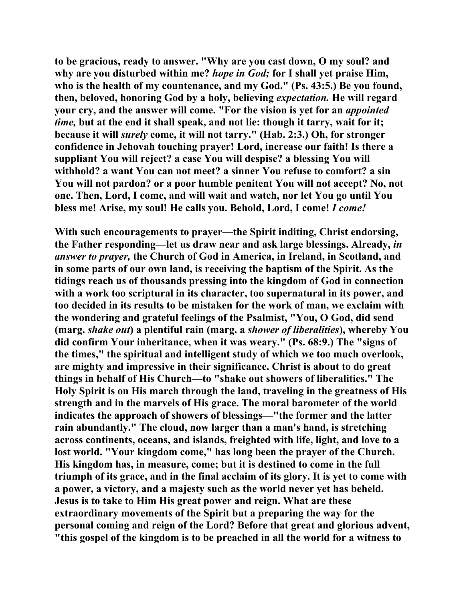**to be gracious, ready to answer. "Why are you cast down, O my soul? and why are you disturbed within me?** *hope in God;* **for I shall yet praise Him, who is the health of my countenance, and my God." (Ps. 43:5.) Be you found, then, beloved, honoring God by a holy, believing** *expectation.* **He will regard your cry, and the answer will come. "For the vision is yet for an** *appointed time,* **but at the end it shall speak, and not lie: though it tarry, wait for it; because it will** *surely* **come, it will not tarry." (Hab. 2:3.) Oh, for stronger confidence in Jehovah touching prayer! Lord, increase our faith! Is there a suppliant You will reject? a case You will despise? a blessing You will withhold? a want You can not meet? a sinner You refuse to comfort? a sin You will not pardon? or a poor humble penitent You will not accept? No, not one. Then, Lord, I come, and will wait and watch, nor let You go until You bless me! Arise, my soul! He calls you. Behold, Lord, I come!** *I come!* 

**With such encouragements to prayer—the Spirit inditing, Christ endorsing, the Father responding—let us draw near and ask large blessings. Already,** *in answer to prayer,* **the Church of God in America, in Ireland, in Scotland, and in some parts of our own land, is receiving the baptism of the Spirit. As the tidings reach us of thousands pressing into the kingdom of God in connection with a work too scriptural in its character, too supernatural in its power, and too decided in its results to be mistaken for the work of man, we exclaim with the wondering and grateful feelings of the Psalmist, "You, O God, did send (marg.** *shake out***) a plentiful rain (marg. a** *shower of liberalities***), whereby You did confirm Your inheritance, when it was weary." (Ps. 68:9.) The "signs of the times," the spiritual and intelligent study of which we too much overlook, are mighty and impressive in their significance. Christ is about to do great things in behalf of His Church—to "shake out showers of liberalities." The Holy Spirit is on His march through the land, traveling in the greatness of His strength and in the marvels of His grace. The moral barometer of the world indicates the approach of showers of blessings—"the former and the latter rain abundantly." The cloud, now larger than a man's hand, is stretching across continents, oceans, and islands, freighted with life, light, and love to a lost world. "Your kingdom come," has long been the prayer of the Church. His kingdom has, in measure, come; but it is destined to come in the full triumph of its grace, and in the final acclaim of its glory. It is yet to come with a power, a victory, and a majesty such as the world never yet has beheld. Jesus is to take to Him His great power and reign. What are these extraordinary movements of the Spirit but a preparing the way for the personal coming and reign of the Lord? Before that great and glorious advent, "this gospel of the kingdom is to be preached in all the world for a witness to**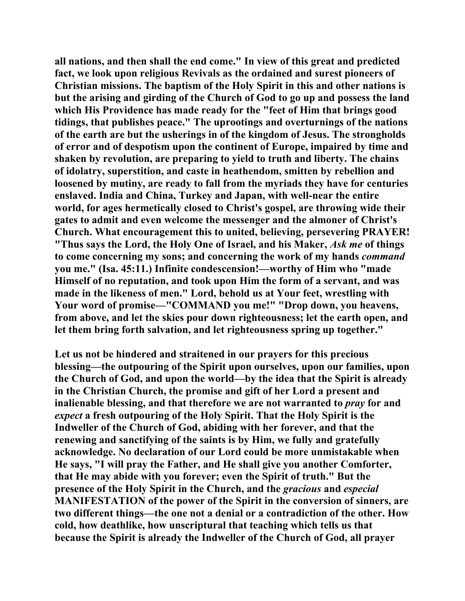**all nations, and then shall the end come." In view of this great and predicted fact, we look upon religious Revivals as the ordained and surest pioneers of Christian missions. The baptism of the Holy Spirit in this and other nations is but the arising and girding of the Church of God to go up and possess the land which His Providence has made ready for the "feet of Him that brings good tidings, that publishes peace." The uprootings and overturnings of the nations of the earth are but the usherings in of the kingdom of Jesus. The strongholds of error and of despotism upon the continent of Europe, impaired by time and shaken by revolution, are preparing to yield to truth and liberty. The chains of idolatry, superstition, and caste in heathendom, smitten by rebellion and loosened by mutiny, are ready to fall from the myriads they have for centuries enslaved. India and China, Turkey and Japan, with well-near the entire world, for ages hermetically closed to Christ's gospel, are throwing wide their gates to admit and even welcome the messenger and the almoner of Christ's Church. What encouragement this to united, believing, persevering PRAYER! "Thus says the Lord, the Holy One of Israel, and his Maker,** *Ask me* **of things to come concerning my sons; and concerning the work of my hands** *command*  **you me." (Isa. 45:11.) Infinite condescension!—worthy of Him who "made Himself of no reputation, and took upon Him the form of a servant, and was made in the likeness of men." Lord, behold us at Your feet, wrestling with Your word of promise—"COMMAND you me!" "Drop down, you heavens, from above, and let the skies pour down righteousness; let the earth open, and let them bring forth salvation, and let righteousness spring up together."** 

**Let us not be hindered and straitened in our prayers for this precious blessing—the outpouring of the Spirit upon ourselves, upon our families, upon the Church of God, and upon the world—by the idea that the Spirit is already in the Christian Church, the promise and gift of her Lord a present and inalienable blessing, and that therefore we are not warranted to** *pray* **for and**  *expect* **a fresh outpouring of the Holy Spirit. That the Holy Spirit is the Indweller of the Church of God, abiding with her forever, and that the renewing and sanctifying of the saints is by Him, we fully and gratefully acknowledge. No declaration of our Lord could be more unmistakable when He says, "I will pray the Father, and He shall give you another Comforter, that He may abide with you forever; even the Spirit of truth." But the presence of the Holy Spirit in the Church, and the** *gracious* **and** *especial*  **MANIFESTATION of the power of the Spirit in the conversion of sinners, are two different things—the one not a denial or a contradiction of the other. How cold, how deathlike, how unscriptural that teaching which tells us that because the Spirit is already the Indweller of the Church of God, all prayer**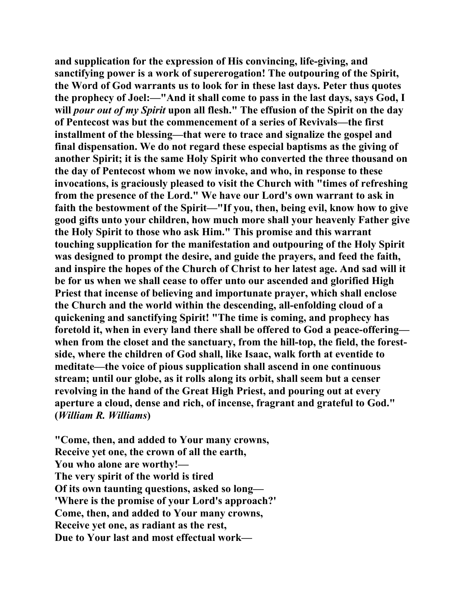**and supplication for the expression of His convincing, life-giving, and sanctifying power is a work of supererogation! The outpouring of the Spirit, the Word of God warrants us to look for in these last days. Peter thus quotes the prophecy of Joel:—"And it shall come to pass in the last days, says God, I will** *pour out of my Spirit* **upon all flesh." The effusion of the Spirit on the day of Pentecost was but the commencement of a series of Revivals—the first installment of the blessing—that were to trace and signalize the gospel and final dispensation. We do not regard these especial baptisms as the giving of another Spirit; it is the same Holy Spirit who converted the three thousand on the day of Pentecost whom we now invoke, and who, in response to these invocations, is graciously pleased to visit the Church with "times of refreshing from the presence of the Lord." We have our Lord's own warrant to ask in faith the bestowment of the Spirit—"If you, then, being evil, know how to give good gifts unto your children, how much more shall your heavenly Father give the Holy Spirit to those who ask Him." This promise and this warrant touching supplication for the manifestation and outpouring of the Holy Spirit was designed to prompt the desire, and guide the prayers, and feed the faith, and inspire the hopes of the Church of Christ to her latest age. And sad will it be for us when we shall cease to offer unto our ascended and glorified High Priest that incense of believing and importunate prayer, which shall enclose the Church and the world within the descending, all-enfolding cloud of a quickening and sanctifying Spirit! "The time is coming, and prophecy has foretold it, when in every land there shall be offered to God a peace-offering when from the closet and the sanctuary, from the hill-top, the field, the forestside, where the children of God shall, like Isaac, walk forth at eventide to meditate—the voice of pious supplication shall ascend in one continuous stream; until our globe, as it rolls along its orbit, shall seem but a censer revolving in the hand of the Great High Priest, and pouring out at every aperture a cloud, dense and rich, of incense, fragrant and grateful to God." (***William R. Williams***)** 

**"Come, then, and added to Your many crowns, Receive yet one, the crown of all the earth, You who alone are worthy!— The very spirit of the world is tired Of its own taunting questions, asked so long— 'Where is the promise of your Lord's approach?' Come, then, and added to Your many crowns, Receive yet one, as radiant as the rest, Due to Your last and most effectual work—**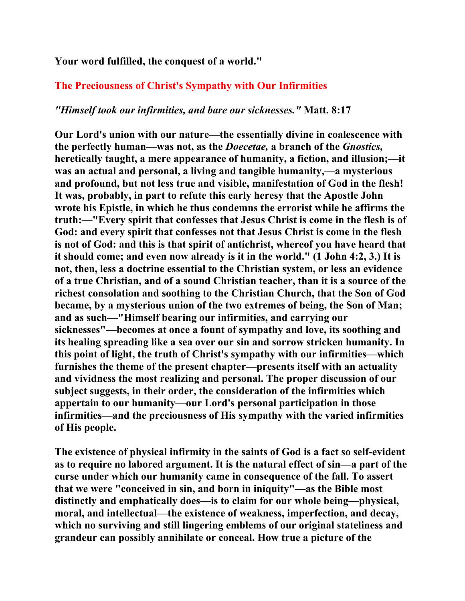# **Your word fulfilled, the conquest of a world."**

# **The Preciousness of Christ's Sympathy with Our Infirmities**

# *"Himself took our infirmities, and bare our sicknesses."* **Matt. 8:17**

**Our Lord's union with our nature—the essentially divine in coalescence with the perfectly human—was not, as the** *Doecetae,* **a branch of the** *Gnostics,*  **heretically taught, a mere appearance of humanity, a fiction, and illusion;—it was an actual and personal, a living and tangible humanity,—a mysterious and profound, but not less true and visible, manifestation of God in the flesh! It was, probably, in part to refute this early heresy that the Apostle John wrote his Epistle, in which he thus condemns the errorist while he affirms the truth:—"Every spirit that confesses that Jesus Christ is come in the flesh is of God: and every spirit that confesses not that Jesus Christ is come in the flesh is not of God: and this is that spirit of antichrist, whereof you have heard that it should come; and even now already is it in the world." (1 John 4:2, 3.) It is not, then, less a doctrine essential to the Christian system, or less an evidence of a true Christian, and of a sound Christian teacher, than it is a source of the richest consolation and soothing to the Christian Church, that the Son of God became, by a mysterious union of the two extremes of being, the Son of Man; and as such—"Himself bearing our infirmities, and carrying our sicknesses"—becomes at once a fount of sympathy and love, its soothing and its healing spreading like a sea over our sin and sorrow stricken humanity. In this point of light, the truth of Christ's sympathy with our infirmities—which furnishes the theme of the present chapter—presents itself with an actuality and vividness the most realizing and personal. The proper discussion of our subject suggests, in their order, the consideration of the infirmities which appertain to our humanity—our Lord's personal participation in those infirmities—and the preciousness of His sympathy with the varied infirmities of His people.** 

**The existence of physical infirmity in the saints of God is a fact so self-evident as to require no labored argument. It is the natural effect of sin—a part of the curse under which our humanity came in consequence of the fall. To assert that we were "conceived in sin, and born in iniquity"—as the Bible most distinctly and emphatically does—is to claim for our whole being—physical, moral, and intellectual—the existence of weakness, imperfection, and decay, which no surviving and still lingering emblems of our original stateliness and grandeur can possibly annihilate or conceal. How true a picture of the**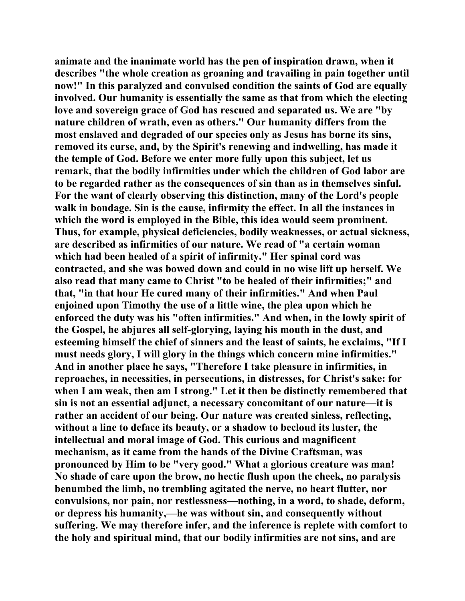**animate and the inanimate world has the pen of inspiration drawn, when it describes "the whole creation as groaning and travailing in pain together until now!" In this paralyzed and convulsed condition the saints of God are equally involved. Our humanity is essentially the same as that from which the electing love and sovereign grace of God has rescued and separated us. We are "by nature children of wrath, even as others." Our humanity differs from the most enslaved and degraded of our species only as Jesus has borne its sins, removed its curse, and, by the Spirit's renewing and indwelling, has made it the temple of God. Before we enter more fully upon this subject, let us remark, that the bodily infirmities under which the children of God labor are to be regarded rather as the consequences of sin than as in themselves sinful. For the want of clearly observing this distinction, many of the Lord's people walk in bondage. Sin is the cause, infirmity the effect. In all the instances in which the word is employed in the Bible, this idea would seem prominent. Thus, for example, physical deficiencies, bodily weaknesses, or actual sickness, are described as infirmities of our nature. We read of "a certain woman which had been healed of a spirit of infirmity." Her spinal cord was contracted, and she was bowed down and could in no wise lift up herself. We also read that many came to Christ "to be healed of their infirmities;" and that, "in that hour He cured many of their infirmities." And when Paul enjoined upon Timothy the use of a little wine, the plea upon which he enforced the duty was his "often infirmities." And when, in the lowly spirit of the Gospel, he abjures all self-glorying, laying his mouth in the dust, and esteeming himself the chief of sinners and the least of saints, he exclaims, "If I must needs glory, I will glory in the things which concern mine infirmities." And in another place he says, "Therefore I take pleasure in infirmities, in reproaches, in necessities, in persecutions, in distresses, for Christ's sake: for when I am weak, then am I strong." Let it then be distinctly remembered that sin is not an essential adjunct, a necessary concomitant of our nature—it is rather an accident of our being. Our nature was created sinless, reflecting, without a line to deface its beauty, or a shadow to becloud its luster, the intellectual and moral image of God. This curious and magnificent mechanism, as it came from the hands of the Divine Craftsman, was pronounced by Him to be "very good." What a glorious creature was man! No shade of care upon the brow, no hectic flush upon the cheek, no paralysis benumbed the limb, no trembling agitated the nerve, no heart flutter, nor convulsions, nor pain, nor restlessness—nothing, in a word, to shade, deform, or depress his humanity,—he was without sin, and consequently without suffering. We may therefore infer, and the inference is replete with comfort to the holy and spiritual mind, that our bodily infirmities are not sins, and are**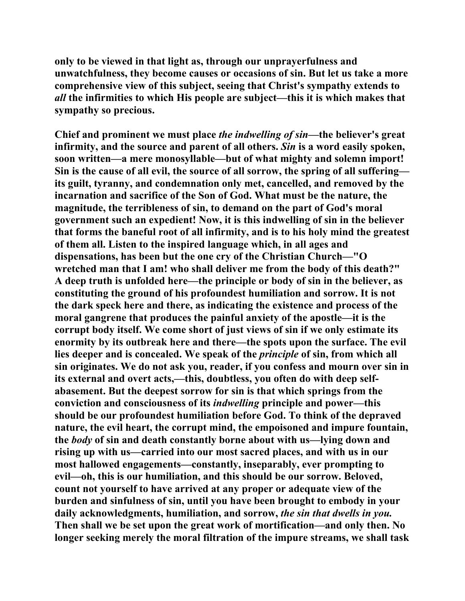**only to be viewed in that light as, through our unprayerfulness and unwatchfulness, they become causes or occasions of sin. But let us take a more comprehensive view of this subject, seeing that Christ's sympathy extends to**  *all* **the infirmities to which His people are subject—this it is which makes that sympathy so precious.** 

**Chief and prominent we must place** *the indwelling of sin***—the believer's great infirmity, and the source and parent of all others.** *Sin* **is a word easily spoken, soon written—a mere monosyllable—but of what mighty and solemn import! Sin is the cause of all evil, the source of all sorrow, the spring of all suffering its guilt, tyranny, and condemnation only met, cancelled, and removed by the incarnation and sacrifice of the Son of God. What must be the nature, the magnitude, the terribleness of sin, to demand on the part of God's moral government such an expedient! Now, it is this indwelling of sin in the believer that forms the baneful root of all infirmity, and is to his holy mind the greatest of them all. Listen to the inspired language which, in all ages and dispensations, has been but the one cry of the Christian Church—"O wretched man that I am! who shall deliver me from the body of this death?" A deep truth is unfolded here—the principle or body of sin in the believer, as constituting the ground of his profoundest humiliation and sorrow. It is not the dark speck here and there, as indicating the existence and process of the moral gangrene that produces the painful anxiety of the apostle—it is the corrupt body itself. We come short of just views of sin if we only estimate its enormity by its outbreak here and there—the spots upon the surface. The evil lies deeper and is concealed. We speak of the** *principle* **of sin, from which all sin originates. We do not ask you, reader, if you confess and mourn over sin in its external and overt acts,—this, doubtless, you often do with deep selfabasement. But the deepest sorrow for sin is that which springs from the conviction and consciousness of its** *indwelling* **principle and power—this should be our profoundest humiliation before God. To think of the depraved nature, the evil heart, the corrupt mind, the empoisoned and impure fountain, the** *body* **of sin and death constantly borne about with us—lying down and rising up with us—carried into our most sacred places, and with us in our most hallowed engagements—constantly, inseparably, ever prompting to evil—oh, this is our humiliation, and this should be our sorrow. Beloved, count not yourself to have arrived at any proper or adequate view of the burden and sinfulness of sin, until you have been brought to embody in your daily acknowledgments, humiliation, and sorrow,** *the sin that dwells in you.*  **Then shall we be set upon the great work of mortification—and only then. No longer seeking merely the moral filtration of the impure streams, we shall task**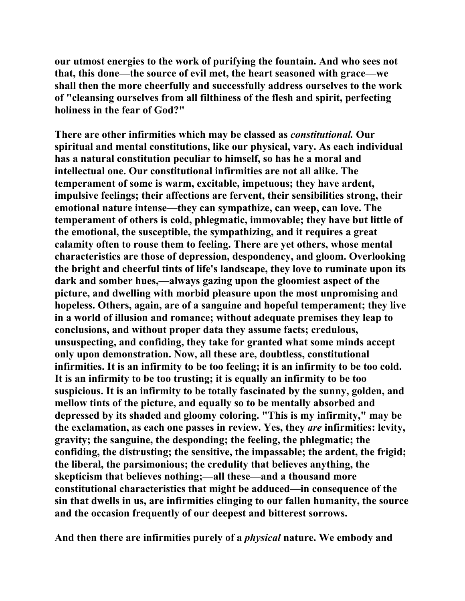**our utmost energies to the work of purifying the fountain. And who sees not that, this done—the source of evil met, the heart seasoned with grace—we shall then the more cheerfully and successfully address ourselves to the work of "cleansing ourselves from all filthiness of the flesh and spirit, perfecting holiness in the fear of God?"** 

**There are other infirmities which may be classed as** *constitutional.* **Our spiritual and mental constitutions, like our physical, vary. As each individual has a natural constitution peculiar to himself, so has he a moral and intellectual one. Our constitutional infirmities are not all alike. The temperament of some is warm, excitable, impetuous; they have ardent, impulsive feelings; their affections are fervent, their sensibilities strong, their emotional nature intense—they can sympathize, can weep, can love. The temperament of others is cold, phlegmatic, immovable; they have but little of the emotional, the susceptible, the sympathizing, and it requires a great calamity often to rouse them to feeling. There are yet others, whose mental characteristics are those of depression, despondency, and gloom. Overlooking the bright and cheerful tints of life's landscape, they love to ruminate upon its dark and somber hues,—always gazing upon the gloomiest aspect of the picture, and dwelling with morbid pleasure upon the most unpromising and hopeless. Others, again, are of a sanguine and hopeful temperament; they live in a world of illusion and romance; without adequate premises they leap to conclusions, and without proper data they assume facts; credulous, unsuspecting, and confiding, they take for granted what some minds accept only upon demonstration. Now, all these are, doubtless, constitutional infirmities. It is an infirmity to be too feeling; it is an infirmity to be too cold. It is an infirmity to be too trusting; it is equally an infirmity to be too suspicious. It is an infirmity to be totally fascinated by the sunny, golden, and mellow tints of the picture, and equally so to be mentally absorbed and depressed by its shaded and gloomy coloring. "This is my infirmity," may be the exclamation, as each one passes in review. Yes, they** *are* **infirmities: levity, gravity; the sanguine, the desponding; the feeling, the phlegmatic; the confiding, the distrusting; the sensitive, the impassable; the ardent, the frigid; the liberal, the parsimonious; the credulity that believes anything, the skepticism that believes nothing;—all these—and a thousand more constitutional characteristics that might be adduced—in consequence of the sin that dwells in us, are infirmities clinging to our fallen humanity, the source and the occasion frequently of our deepest and bitterest sorrows.** 

**And then there are infirmities purely of a** *physical* **nature. We embody and**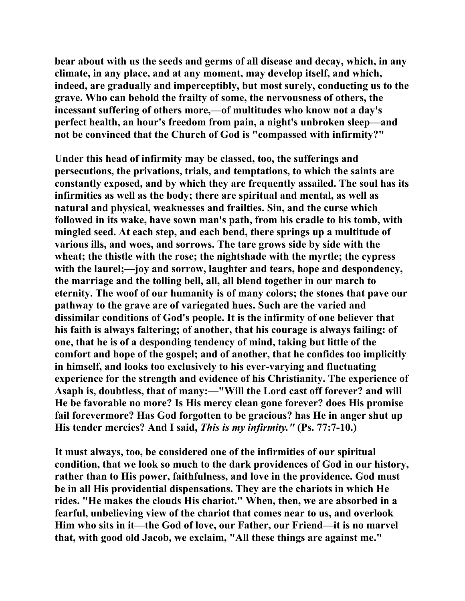**bear about with us the seeds and germs of all disease and decay, which, in any climate, in any place, and at any moment, may develop itself, and which, indeed, are gradually and imperceptibly, but most surely, conducting us to the grave. Who can behold the frailty of some, the nervousness of others, the incessant suffering of others more,—of multitudes who know not a day's perfect health, an hour's freedom from pain, a night's unbroken sleep—and not be convinced that the Church of God is "compassed with infirmity?"** 

**Under this head of infirmity may be classed, too, the sufferings and persecutions, the privations, trials, and temptations, to which the saints are constantly exposed, and by which they are frequently assailed. The soul has its infirmities as well as the body; there are spiritual and mental, as well as natural and physical, weaknesses and frailties. Sin, and the curse which followed in its wake, have sown man's path, from his cradle to his tomb, with mingled seed. At each step, and each bend, there springs up a multitude of various ills, and woes, and sorrows. The tare grows side by side with the wheat; the thistle with the rose; the nightshade with the myrtle; the cypress**  with the laurel;—joy and sorrow, laughter and tears, hope and despondency, **the marriage and the tolling bell, all, all blend together in our march to eternity. The woof of our humanity is of many colors; the stones that pave our pathway to the grave are of variegated hues. Such are the varied and dissimilar conditions of God's people. It is the infirmity of one believer that his faith is always faltering; of another, that his courage is always failing: of one, that he is of a desponding tendency of mind, taking but little of the comfort and hope of the gospel; and of another, that he confides too implicitly in himself, and looks too exclusively to his ever-varying and fluctuating experience for the strength and evidence of his Christianity. The experience of Asaph is, doubtless, that of many:—"Will the Lord cast off forever? and will He be favorable no more? Is His mercy clean gone forever? does His promise fail forevermore? Has God forgotten to be gracious? has He in anger shut up His tender mercies? And I said,** *This is my infirmity."* **(Ps. 77:7-10.)** 

**It must always, too, be considered one of the infirmities of our spiritual condition, that we look so much to the dark providences of God in our history, rather than to His power, faithfulness, and love in the providence. God must be in all His providential dispensations. They are the chariots in which He rides. "He makes the clouds His chariot." When, then, we are absorbed in a fearful, unbelieving view of the chariot that comes near to us, and overlook Him who sits in it—the God of love, our Father, our Friend—it is no marvel that, with good old Jacob, we exclaim, "All these things are against me."**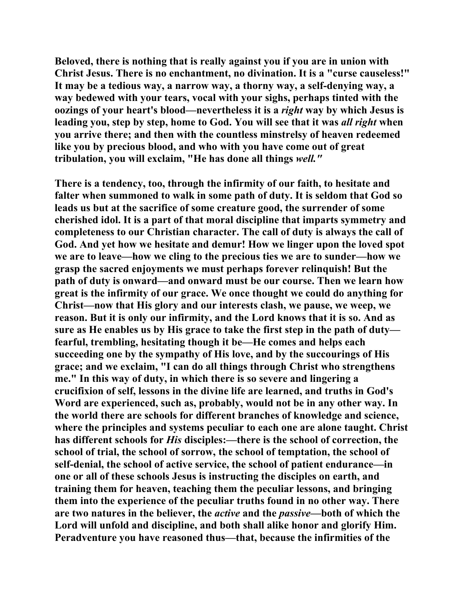**Beloved, there is nothing that is really against you if you are in union with Christ Jesus. There is no enchantment, no divination. It is a "curse causeless!" It may be a tedious way, a narrow way, a thorny way, a self-denying way, a way bedewed with your tears, vocal with your sighs, perhaps tinted with the oozings of your heart's blood—nevertheless it is a** *right* **way by which Jesus is leading you, step by step, home to God. You will see that it was** *all right* **when you arrive there; and then with the countless minstrelsy of heaven redeemed like you by precious blood, and who with you have come out of great tribulation, you will exclaim, "He has done all things** *well."* 

**There is a tendency, too, through the infirmity of our faith, to hesitate and falter when summoned to walk in some path of duty. It is seldom that God so leads us but at the sacrifice of some creature good, the surrender of some cherished idol. It is a part of that moral discipline that imparts symmetry and completeness to our Christian character. The call of duty is always the call of God. And yet how we hesitate and demur! How we linger upon the loved spot we are to leave—how we cling to the precious ties we are to sunder—how we grasp the sacred enjoyments we must perhaps forever relinquish! But the path of duty is onward—and onward must be our course. Then we learn how great is the infirmity of our grace. We once thought we could do anything for Christ—now that His glory and our interests clash, we pause, we weep, we reason. But it is only our infirmity, and the Lord knows that it is so. And as sure as He enables us by His grace to take the first step in the path of duty fearful, trembling, hesitating though it be—He comes and helps each succeeding one by the sympathy of His love, and by the succourings of His grace; and we exclaim, "I can do all things through Christ who strengthens me." In this way of duty, in which there is so severe and lingering a crucifixion of self, lessons in the divine life are learned, and truths in God's Word are experienced, such as, probably, would not be in any other way. In the world there are schools for different branches of knowledge and science, where the principles and systems peculiar to each one are alone taught. Christ has different schools for** *His* **disciples:—there is the school of correction, the school of trial, the school of sorrow, the school of temptation, the school of self-denial, the school of active service, the school of patient endurance—in one or all of these schools Jesus is instructing the disciples on earth, and training them for heaven, teaching them the peculiar lessons, and bringing them into the experience of the peculiar truths found in no other way. There are two natures in the believer, the** *active* **and the** *passive***—both of which the Lord will unfold and discipline, and both shall alike honor and glorify Him. Peradventure you have reasoned thus—that, because the infirmities of the**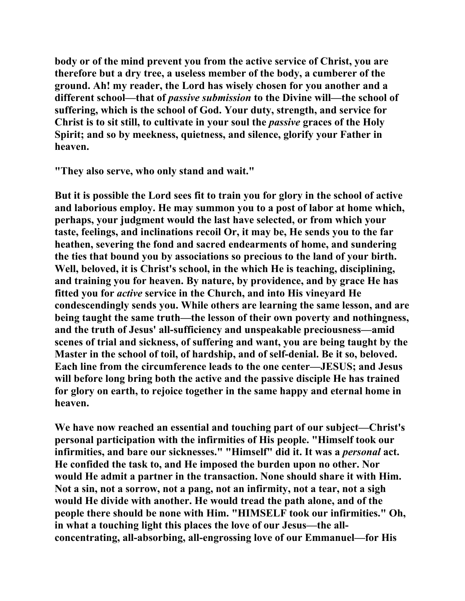**body or of the mind prevent you from the active service of Christ, you are therefore but a dry tree, a useless member of the body, a cumberer of the ground. Ah! my reader, the Lord has wisely chosen for you another and a different school—that of** *passive submission* **to the Divine will—the school of suffering, which is the school of God. Your duty, strength, and service for Christ is to sit still, to cultivate in your soul the** *passive* **graces of the Holy Spirit; and so by meekness, quietness, and silence, glorify your Father in heaven.** 

**"They also serve, who only stand and wait."** 

**But it is possible the Lord sees fit to train you for glory in the school of active and laborious employ. He may summon you to a post of labor at home which, perhaps, your judgment would the last have selected, or from which your taste, feelings, and inclinations recoil Or, it may be, He sends you to the far heathen, severing the fond and sacred endearments of home, and sundering the ties that bound you by associations so precious to the land of your birth. Well, beloved, it is Christ's school, in the which He is teaching, disciplining, and training you for heaven. By nature, by providence, and by grace He has fitted you for** *active* **service in the Church, and into His vineyard He condescendingly sends you. While others are learning the same lesson, and are being taught the same truth—the lesson of their own poverty and nothingness, and the truth of Jesus' all-sufficiency and unspeakable preciousness—amid scenes of trial and sickness, of suffering and want, you are being taught by the Master in the school of toil, of hardship, and of self-denial. Be it so, beloved. Each line from the circumference leads to the one center—JESUS; and Jesus will before long bring both the active and the passive disciple He has trained for glory on earth, to rejoice together in the same happy and eternal home in heaven.** 

**We have now reached an essential and touching part of our subject—Christ's personal participation with the infirmities of His people. "Himself took our infirmities, and bare our sicknesses." "Himself" did it. It was a** *personal* **act. He confided the task to, and He imposed the burden upon no other. Nor would He admit a partner in the transaction. None should share it with Him. Not a sin, not a sorrow, not a pang, not an infirmity, not a tear, not a sigh would He divide with another. He would tread the path alone, and of the people there should be none with Him. "HIMSELF took our infirmities." Oh, in what a touching light this places the love of our Jesus—the allconcentrating, all-absorbing, all-engrossing love of our Emmanuel—for His**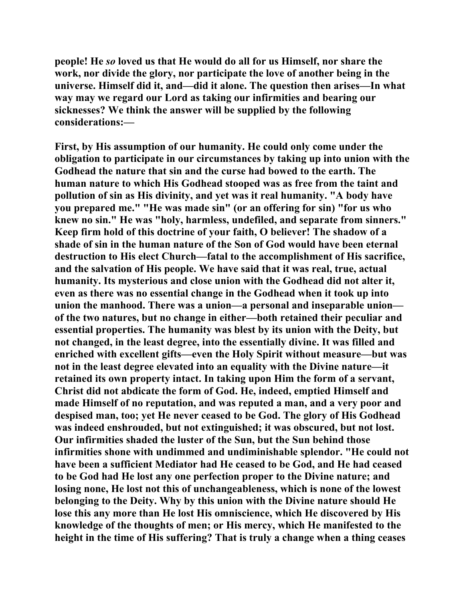**people! He** *so* **loved us that He would do all for us Himself, nor share the work, nor divide the glory, nor participate the love of another being in the universe. Himself did it, and—did it alone. The question then arises—In what way may we regard our Lord as taking our infirmities and bearing our sicknesses? We think the answer will be supplied by the following considerations:—** 

**First, by His assumption of our humanity. He could only come under the obligation to participate in our circumstances by taking up into union with the Godhead the nature that sin and the curse had bowed to the earth. The human nature to which His Godhead stooped was as free from the taint and pollution of sin as His divinity, and yet was it real humanity. "A body have you prepared me." "He was made sin" (or an offering for sin) "for us who knew no sin." He was "holy, harmless, undefiled, and separate from sinners." Keep firm hold of this doctrine of your faith, O believer! The shadow of a shade of sin in the human nature of the Son of God would have been eternal destruction to His elect Church—fatal to the accomplishment of His sacrifice, and the salvation of His people. We have said that it was real, true, actual humanity. Its mysterious and close union with the Godhead did not alter it, even as there was no essential change in the Godhead when it took up into union the manhood. There was a union—a personal and inseparable union of the two natures, but no change in either—both retained their peculiar and essential properties. The humanity was blest by its union with the Deity, but not changed, in the least degree, into the essentially divine. It was filled and enriched with excellent gifts—even the Holy Spirit without measure—but was not in the least degree elevated into an equality with the Divine nature—it retained its own property intact. In taking upon Him the form of a servant, Christ did not abdicate the form of God. He, indeed, emptied Himself and made Himself of no reputation, and was reputed a man, and a very poor and despised man, too; yet He never ceased to be God. The glory of His Godhead was indeed enshrouded, but not extinguished; it was obscured, but not lost. Our infirmities shaded the luster of the Sun, but the Sun behind those infirmities shone with undimmed and undiminishable splendor. "He could not have been a sufficient Mediator had He ceased to be God, and He had ceased to be God had He lost any one perfection proper to the Divine nature; and losing none, He lost not this of unchangeableness, which is none of the lowest belonging to the Deity. Why by this union with the Divine nature should He lose this any more than He lost His omniscience, which He discovered by His knowledge of the thoughts of men; or His mercy, which He manifested to the height in the time of His suffering? That is truly a change when a thing ceases**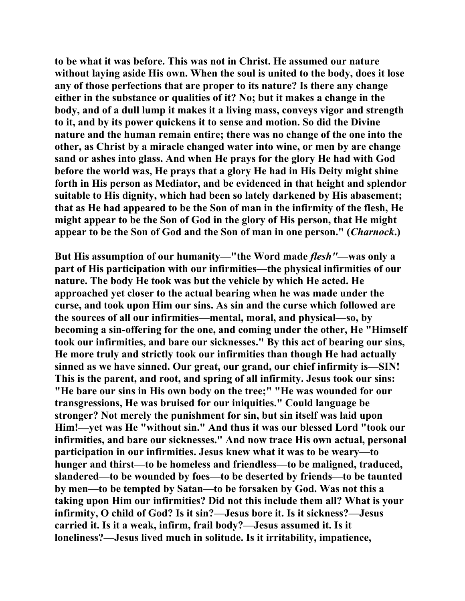**to be what it was before. This was not in Christ. He assumed our nature without laying aside His own. When the soul is united to the body, does it lose any of those perfections that are proper to its nature? Is there any change either in the substance or qualities of it? No; but it makes a change in the body, and of a dull lump it makes it a living mass, conveys vigor and strength to it, and by its power quickens it to sense and motion. So did the Divine nature and the human remain entire; there was no change of the one into the other, as Christ by a miracle changed water into wine, or men by are change sand or ashes into glass. And when He prays for the glory He had with God before the world was, He prays that a glory He had in His Deity might shine forth in His person as Mediator, and be evidenced in that height and splendor suitable to His dignity, which had been so lately darkened by His abasement; that as He had appeared to be the Son of man in the infirmity of the flesh, He might appear to be the Son of God in the glory of His person, that He might appear to be the Son of God and the Son of man in one person." (***Charnock***.)** 

**But His assumption of our humanity—"the Word made** *flesh"***—was only a part of His participation with our infirmities—the physical infirmities of our nature. The body He took was but the vehicle by which He acted. He approached yet closer to the actual bearing when he was made under the curse, and took upon Him our sins. As sin and the curse which followed are the sources of all our infirmities—mental, moral, and physical—so, by becoming a sin-offering for the one, and coming under the other, He "Himself took our infirmities, and bare our sicknesses." By this act of bearing our sins, He more truly and strictly took our infirmities than though He had actually sinned as we have sinned. Our great, our grand, our chief infirmity is—SIN! This is the parent, and root, and spring of all infirmity. Jesus took our sins: "He bare our sins in His own body on the tree;" "He was wounded for our transgressions, He was bruised for our iniquities." Could language be stronger? Not merely the punishment for sin, but sin itself was laid upon Him!—yet was He "without sin." And thus it was our blessed Lord "took our infirmities, and bare our sicknesses." And now trace His own actual, personal participation in our infirmities. Jesus knew what it was to be weary—to hunger and thirst—to be homeless and friendless—to be maligned, traduced, slandered—to be wounded by foes—to be deserted by friends—to be taunted by men—to be tempted by Satan—to be forsaken by God. Was not this a taking upon Him our infirmities? Did not this include them all? What is your infirmity, O child of God? Is it sin?—Jesus bore it. Is it sickness?—Jesus carried it. Is it a weak, infirm, frail body?—Jesus assumed it. Is it loneliness?—Jesus lived much in solitude. Is it irritability, impatience,**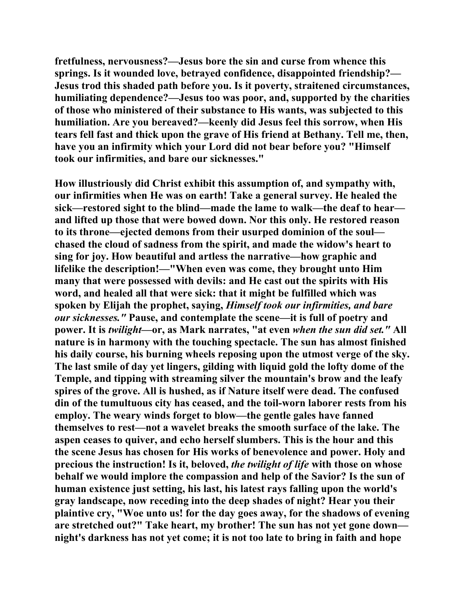**fretfulness, nervousness?—Jesus bore the sin and curse from whence this springs. Is it wounded love, betrayed confidence, disappointed friendship?— Jesus trod this shaded path before you. Is it poverty, straitened circumstances, humiliating dependence?—Jesus too was poor, and, supported by the charities of those who ministered of their substance to His wants, was subjected to this humiliation. Are you bereaved?—keenly did Jesus feel this sorrow, when His tears fell fast and thick upon the grave of His friend at Bethany. Tell me, then, have you an infirmity which your Lord did not bear before you? "Himself took our infirmities, and bare our sicknesses."** 

**How illustriously did Christ exhibit this assumption of, and sympathy with, our infirmities when He was on earth! Take a general survey. He healed the sick—restored sight to the blind—made the lame to walk—the deaf to hear and lifted up those that were bowed down. Nor this only. He restored reason to its throne—ejected demons from their usurped dominion of the soul chased the cloud of sadness from the spirit, and made the widow's heart to sing for joy. How beautiful and artless the narrative—how graphic and lifelike the description!—"When even was come, they brought unto Him many that were possessed with devils: and He cast out the spirits with His word, and healed all that were sick: that it might be fulfilled which was spoken by Elijah the prophet, saying,** *Himself took our infirmities, and bare our sicknesses."* **Pause, and contemplate the scene—it is full of poetry and power. It is** *twilight***—or, as Mark narrates, "at even** *when the sun did set."* **All nature is in harmony with the touching spectacle. The sun has almost finished his daily course, his burning wheels reposing upon the utmost verge of the sky. The last smile of day yet lingers, gilding with liquid gold the lofty dome of the Temple, and tipping with streaming silver the mountain's brow and the leafy spires of the grove. All is hushed, as if Nature itself were dead. The confused din of the tumultuous city has ceased, and the toil-worn laborer rests from his employ. The weary winds forget to blow—the gentle gales have fanned themselves to rest—not a wavelet breaks the smooth surface of the lake. The aspen ceases to quiver, and echo herself slumbers. This is the hour and this the scene Jesus has chosen for His works of benevolence and power. Holy and precious the instruction! Is it, beloved,** *the twilight of life* **with those on whose behalf we would implore the compassion and help of the Savior? Is the sun of human existence just setting, his last, his latest rays falling upon the world's gray landscape, now receding into the deep shades of night? Hear you their plaintive cry, "Woe unto us! for the day goes away, for the shadows of evening are stretched out?" Take heart, my brother! The sun has not yet gone down night's darkness has not yet come; it is not too late to bring in faith and hope**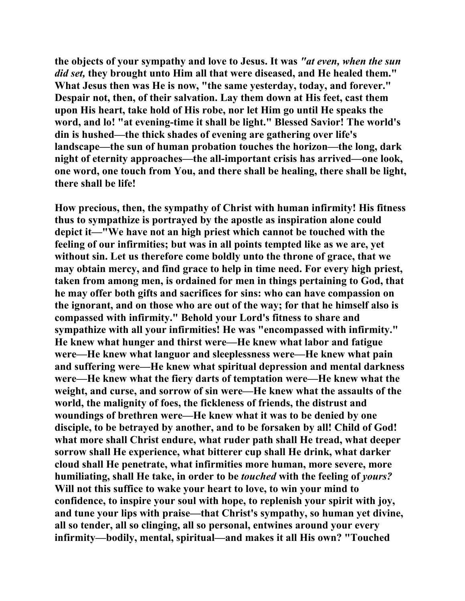**the objects of your sympathy and love to Jesus. It was** *"at even, when the sun did set,* **they brought unto Him all that were diseased, and He healed them." What Jesus then was He is now, "the same yesterday, today, and forever." Despair not, then, of their salvation. Lay them down at His feet, cast them upon His heart, take hold of His robe, nor let Him go until He speaks the word, and lo! "at evening-time it shall be light." Blessed Savior! The world's din is hushed—the thick shades of evening are gathering over life's landscape—the sun of human probation touches the horizon—the long, dark night of eternity approaches—the all-important crisis has arrived—one look, one word, one touch from You, and there shall be healing, there shall be light, there shall be life!** 

**How precious, then, the sympathy of Christ with human infirmity! His fitness thus to sympathize is portrayed by the apostle as inspiration alone could depict it—"We have not an high priest which cannot be touched with the feeling of our infirmities; but was in all points tempted like as we are, yet without sin. Let us therefore come boldly unto the throne of grace, that we may obtain mercy, and find grace to help in time need. For every high priest, taken from among men, is ordained for men in things pertaining to God, that he may offer both gifts and sacrifices for sins: who can have compassion on the ignorant, and on those who are out of the way; for that he himself also is compassed with infirmity." Behold your Lord's fitness to share and sympathize with all your infirmities! He was "encompassed with infirmity." He knew what hunger and thirst were—He knew what labor and fatigue were—He knew what languor and sleeplessness were—He knew what pain and suffering were—He knew what spiritual depression and mental darkness were—He knew what the fiery darts of temptation were—He knew what the weight, and curse, and sorrow of sin were—He knew what the assaults of the world, the malignity of foes, the fickleness of friends, the distrust and woundings of brethren were—He knew what it was to be denied by one disciple, to be betrayed by another, and to be forsaken by all! Child of God! what more shall Christ endure, what ruder path shall He tread, what deeper sorrow shall He experience, what bitterer cup shall He drink, what darker cloud shall He penetrate, what infirmities more human, more severe, more humiliating, shall He take, in order to be** *touched* **with the feeling of** *yours?* **Will not this suffice to wake your heart to love, to win your mind to confidence, to inspire your soul with hope, to replenish your spirit with joy, and tune your lips with praise—that Christ's sympathy, so human yet divine, all so tender, all so clinging, all so personal, entwines around your every infirmity—bodily, mental, spiritual—and makes it all His own? "Touched**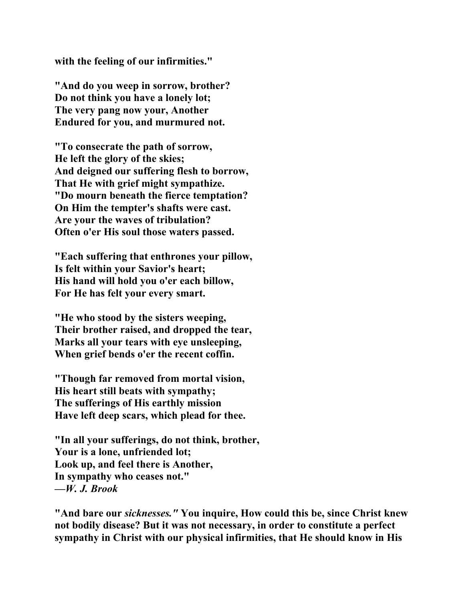**with the feeling of our infirmities."** 

**"And do you weep in sorrow, brother? Do not think you have a lonely lot; The very pang now your, Another Endured for you, and murmured not.** 

**"To consecrate the path of sorrow, He left the glory of the skies; And deigned our suffering flesh to borrow, That He with grief might sympathize. "Do mourn beneath the fierce temptation? On Him the tempter's shafts were cast. Are your the waves of tribulation? Often o'er His soul those waters passed.** 

**"Each suffering that enthrones your pillow, Is felt within your Savior's heart; His hand will hold you o'er each billow, For He has felt your every smart.** 

**"He who stood by the sisters weeping, Their brother raised, and dropped the tear, Marks all your tears with eye unsleeping, When grief bends o'er the recent coffin.** 

**"Though far removed from mortal vision, His heart still beats with sympathy; The sufferings of His earthly mission Have left deep scars, which plead for thee.** 

**"In all your sufferings, do not think, brother, Your is a lone, unfriended lot; Look up, and feel there is Another, In sympathy who ceases not." —***W. J. Brook* 

**"And bare our** *sicknesses."* **You inquire, How could this be, since Christ knew not bodily disease? But it was not necessary, in order to constitute a perfect sympathy in Christ with our physical infirmities, that He should know in His**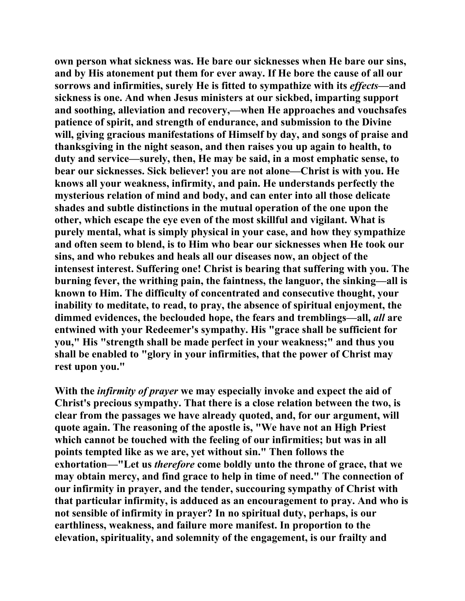**own person what sickness was. He bare our sicknesses when He bare our sins, and by His atonement put them for ever away. If He bore the cause of all our sorrows and infirmities, surely He is fitted to sympathize with its** *effects***—and sickness is one. And when Jesus ministers at our sickbed, imparting support and soothing, alleviation and recovery,—when He approaches and vouchsafes patience of spirit, and strength of endurance, and submission to the Divine will, giving gracious manifestations of Himself by day, and songs of praise and thanksgiving in the night season, and then raises you up again to health, to duty and service—surely, then, He may be said, in a most emphatic sense, to bear our sicknesses. Sick believer! you are not alone—Christ is with you. He knows all your weakness, infirmity, and pain. He understands perfectly the mysterious relation of mind and body, and can enter into all those delicate shades and subtle distinctions in the mutual operation of the one upon the other, which escape the eye even of the most skillful and vigilant. What is purely mental, what is simply physical in your case, and how they sympathize and often seem to blend, is to Him who bear our sicknesses when He took our sins, and who rebukes and heals all our diseases now, an object of the intensest interest. Suffering one! Christ is bearing that suffering with you. The burning fever, the writhing pain, the faintness, the languor, the sinking—all is known to Him. The difficulty of concentrated and consecutive thought, your inability to meditate, to read, to pray, the absence of spiritual enjoyment, the dimmed evidences, the beclouded hope, the fears and tremblings—all,** *all* **are entwined with your Redeemer's sympathy. His "grace shall be sufficient for you," His "strength shall be made perfect in your weakness;" and thus you shall be enabled to "glory in your infirmities, that the power of Christ may rest upon you."** 

**With the** *infirmity of prayer* **we may especially invoke and expect the aid of Christ's precious sympathy. That there is a close relation between the two, is clear from the passages we have already quoted, and, for our argument, will quote again. The reasoning of the apostle is, "We have not an High Priest which cannot be touched with the feeling of our infirmities; but was in all points tempted like as we are, yet without sin." Then follows the exhortation—"Let us** *therefore* **come boldly unto the throne of grace, that we may obtain mercy, and find grace to help in time of need." The connection of our infirmity in prayer, and the tender, succouring sympathy of Christ with that particular infirmity, is adduced as an encouragement to pray. And who is not sensible of infirmity in prayer? In no spiritual duty, perhaps, is our earthliness, weakness, and failure more manifest. In proportion to the elevation, spirituality, and solemnity of the engagement, is our frailty and**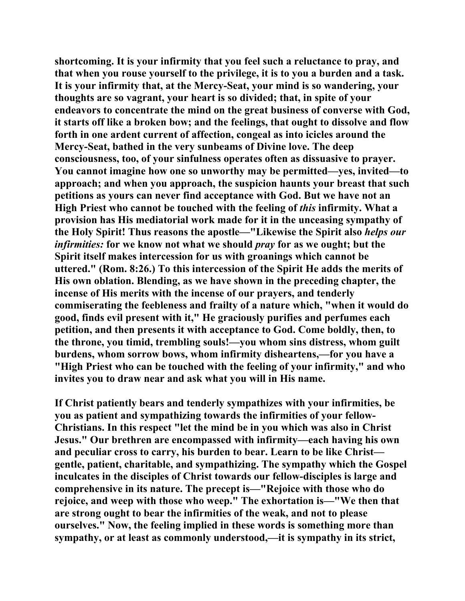**shortcoming. It is your infirmity that you feel such a reluctance to pray, and that when you rouse yourself to the privilege, it is to you a burden and a task. It is your infirmity that, at the Mercy-Seat, your mind is so wandering, your thoughts are so vagrant, your heart is so divided; that, in spite of your endeavors to concentrate the mind on the great business of converse with God, it starts off like a broken bow; and the feelings, that ought to dissolve and flow forth in one ardent current of affection, congeal as into icicles around the Mercy-Seat, bathed in the very sunbeams of Divine love. The deep consciousness, too, of your sinfulness operates often as dissuasive to prayer. You cannot imagine how one so unworthy may be permitted—yes, invited—to approach; and when you approach, the suspicion haunts your breast that such petitions as yours can never find acceptance with God. But we have not an High Priest who cannot be touched with the feeling of** *this* **infirmity. What a provision has His mediatorial work made for it in the unceasing sympathy of the Holy Spirit! Thus reasons the apostle—"Likewise the Spirit also** *helps our infirmities:* **for we know not what we should** *pray* **for as we ought; but the Spirit itself makes intercession for us with groanings which cannot be uttered." (Rom. 8:26.) To this intercession of the Spirit He adds the merits of His own oblation. Blending, as we have shown in the preceding chapter, the incense of His merits with the incense of our prayers, and tenderly commiserating the feebleness and frailty of a nature which, "when it would do good, finds evil present with it," He graciously purifies and perfumes each petition, and then presents it with acceptance to God. Come boldly, then, to the throne, you timid, trembling souls!—you whom sins distress, whom guilt burdens, whom sorrow bows, whom infirmity disheartens,—for you have a "High Priest who can be touched with the feeling of your infirmity," and who invites you to draw near and ask what you will in His name.** 

**If Christ patiently bears and tenderly sympathizes with your infirmities, be you as patient and sympathizing towards the infirmities of your fellow-Christians. In this respect "let the mind be in you which was also in Christ Jesus." Our brethren are encompassed with infirmity—each having his own and peculiar cross to carry, his burden to bear. Learn to be like Christ gentle, patient, charitable, and sympathizing. The sympathy which the Gospel inculcates in the disciples of Christ towards our fellow-disciples is large and comprehensive in its nature. The precept is—"Rejoice with those who do rejoice, and weep with those who weep." The exhortation is—"We then that are strong ought to bear the infirmities of the weak, and not to please ourselves." Now, the feeling implied in these words is something more than sympathy, or at least as commonly understood,—it is sympathy in its strict,**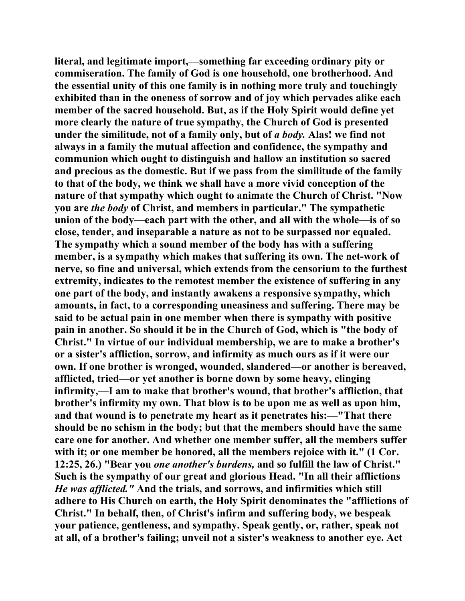**literal, and legitimate import,—something far exceeding ordinary pity or commiseration. The family of God is one household, one brotherhood. And the essential unity of this one family is in nothing more truly and touchingly exhibited than in the oneness of sorrow and of joy which pervades alike each member of the sacred household. But, as if the Holy Spirit would define yet more clearly the nature of true sympathy, the Church of God is presented under the similitude, not of a family only, but of** *a body.* **Alas! we find not always in a family the mutual affection and confidence, the sympathy and communion which ought to distinguish and hallow an institution so sacred and precious as the domestic. But if we pass from the similitude of the family to that of the body, we think we shall have a more vivid conception of the nature of that sympathy which ought to animate the Church of Christ. "Now you are** *the body* **of Christ, and members in particular." The sympathetic union of the body—each part with the other, and all with the whole—is of so close, tender, and inseparable a nature as not to be surpassed nor equaled. The sympathy which a sound member of the body has with a suffering member, is a sympathy which makes that suffering its own. The net-work of nerve, so fine and universal, which extends from the censorium to the furthest extremity, indicates to the remotest member the existence of suffering in any one part of the body, and instantly awakens a responsive sympathy, which amounts, in fact, to a corresponding uneasiness and suffering. There may be said to be actual pain in one member when there is sympathy with positive pain in another. So should it be in the Church of God, which is "the body of Christ." In virtue of our individual membership, we are to make a brother's or a sister's affliction, sorrow, and infirmity as much ours as if it were our own. If one brother is wronged, wounded, slandered—or another is bereaved, afflicted, tried—or yet another is borne down by some heavy, clinging infirmity,—I am to make that brother's wound, that brother's affliction, that brother's infirmity my own. That blow is to be upon me as well as upon him, and that wound is to penetrate my heart as it penetrates his:—"That there should be no schism in the body; but that the members should have the same care one for another. And whether one member suffer, all the members suffer with it; or one member be honored, all the members rejoice with it." (1 Cor. 12:25, 26.) "Bear you** *one another's burdens,* **and so fulfill the law of Christ." Such is the sympathy of our great and glorious Head. "In all their afflictions**  *He was afflicted."* **And the trials, and sorrows, and infirmities which still adhere to His Church on earth, the Holy Spirit denominates the "afflictions of Christ." In behalf, then, of Christ's infirm and suffering body, we bespeak your patience, gentleness, and sympathy. Speak gently, or, rather, speak not at all, of a brother's failing; unveil not a sister's weakness to another eye. Act**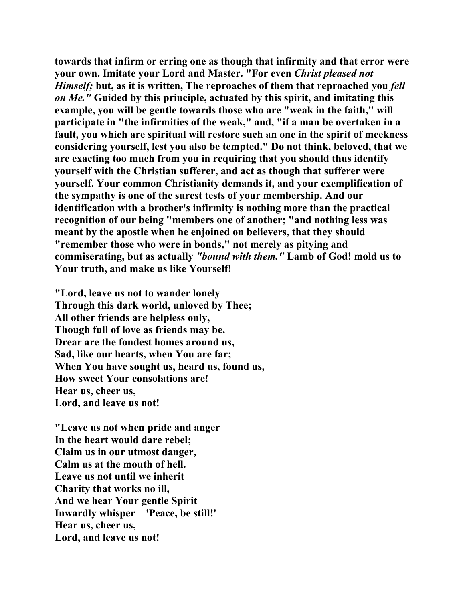**towards that infirm or erring one as though that infirmity and that error were your own. Imitate your Lord and Master. "For even** *Christ pleased not Himself;* **but, as it is written, The reproaches of them that reproached you** *fell on Me."* **Guided by this principle, actuated by this spirit, and imitating this example, you will be gentle towards those who are "weak in the faith," will participate in "the infirmities of the weak," and, "if a man be overtaken in a fault, you which are spiritual will restore such an one in the spirit of meekness considering yourself, lest you also be tempted." Do not think, beloved, that we are exacting too much from you in requiring that you should thus identify yourself with the Christian sufferer, and act as though that sufferer were yourself. Your common Christianity demands it, and your exemplification of the sympathy is one of the surest tests of your membership. And our identification with a brother's infirmity is nothing more than the practical recognition of our being "members one of another; "and nothing less was meant by the apostle when he enjoined on believers, that they should "remember those who were in bonds," not merely as pitying and commiserating, but as actually** *"bound with them."* **Lamb of God! mold us to Your truth, and make us like Yourself!** 

**"Lord, leave us not to wander lonely Through this dark world, unloved by Thee; All other friends are helpless only, Though full of love as friends may be. Drear are the fondest homes around us, Sad, like our hearts, when You are far; When You have sought us, heard us, found us, How sweet Your consolations are! Hear us, cheer us, Lord, and leave us not!** 

**"Leave us not when pride and anger In the heart would dare rebel; Claim us in our utmost danger, Calm us at the mouth of hell. Leave us not until we inherit Charity that works no ill, And we hear Your gentle Spirit Inwardly whisper—'Peace, be still!' Hear us, cheer us, Lord, and leave us not!**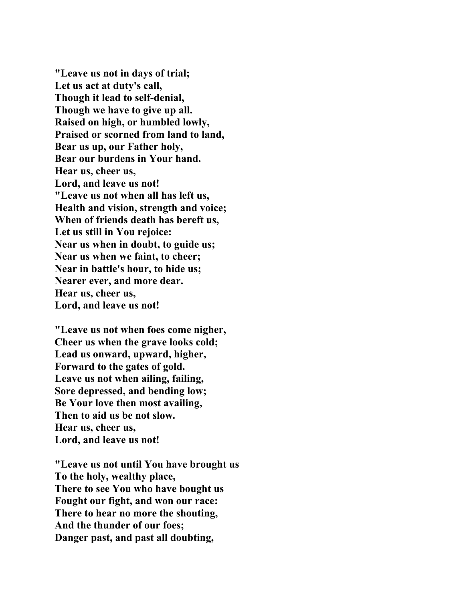**"Leave us not in days of trial; Let us act at duty's call, Though it lead to self-denial, Though we have to give up all. Raised on high, or humbled lowly, Praised or scorned from land to land, Bear us up, our Father holy, Bear our burdens in Your hand. Hear us, cheer us, Lord, and leave us not! "Leave us not when all has left us, Health and vision, strength and voice; When of friends death has bereft us, Let us still in You rejoice: Near us when in doubt, to guide us; Near us when we faint, to cheer; Near in battle's hour, to hide us; Nearer ever, and more dear. Hear us, cheer us, Lord, and leave us not!** 

**"Leave us not when foes come nigher, Cheer us when the grave looks cold; Lead us onward, upward, higher, Forward to the gates of gold. Leave us not when ailing, failing, Sore depressed, and bending low; Be Your love then most availing, Then to aid us be not slow. Hear us, cheer us, Lord, and leave us not!** 

**"Leave us not until You have brought us To the holy, wealthy place, There to see You who have bought us Fought our fight, and won our race: There to hear no more the shouting, And the thunder of our foes; Danger past, and past all doubting,**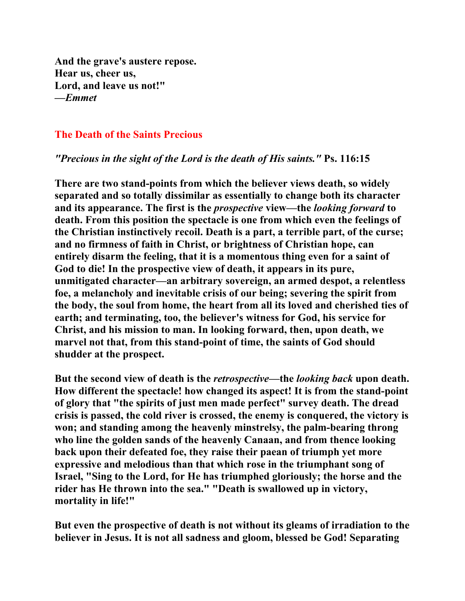**And the grave's austere repose. Hear us, cheer us, Lord, and leave us not!" —***Emmet* 

# **The Death of the Saints Precious**

#### *"Precious in the sight of the Lord is the death of His saints."* **Ps. 116:15**

**There are two stand-points from which the believer views death, so widely separated and so totally dissimilar as essentially to change both its character and its appearance. The first is the** *prospective* **view—the** *looking forward* **to death. From this position the spectacle is one from which even the feelings of the Christian instinctively recoil. Death is a part, a terrible part, of the curse; and no firmness of faith in Christ, or brightness of Christian hope, can entirely disarm the feeling, that it is a momentous thing even for a saint of God to die! In the prospective view of death, it appears in its pure, unmitigated character—an arbitrary sovereign, an armed despot, a relentless foe, a melancholy and inevitable crisis of our being; severing the spirit from the body, the soul from home, the heart from all its loved and cherished ties of earth; and terminating, too, the believer's witness for God, his service for Christ, and his mission to man. In looking forward, then, upon death, we marvel not that, from this stand-point of time, the saints of God should shudder at the prospect.** 

**But the second view of death is the** *retrospective***—the** *looking back* **upon death. How different the spectacle! how changed its aspect! It is from the stand-point of glory that "the spirits of just men made perfect" survey death. The dread crisis is passed, the cold river is crossed, the enemy is conquered, the victory is won; and standing among the heavenly minstrelsy, the palm-bearing throng who line the golden sands of the heavenly Canaan, and from thence looking back upon their defeated foe, they raise their paean of triumph yet more expressive and melodious than that which rose in the triumphant song of Israel, "Sing to the Lord, for He has triumphed gloriously; the horse and the rider has He thrown into the sea." "Death is swallowed up in victory, mortality in life!"** 

**But even the prospective of death is not without its gleams of irradiation to the believer in Jesus. It is not all sadness and gloom, blessed be God! Separating**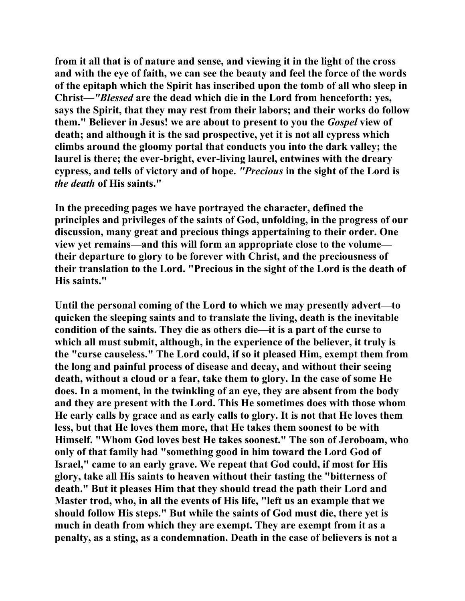**from it all that is of nature and sense, and viewing it in the light of the cross and with the eye of faith, we can see the beauty and feel the force of the words of the epitaph which the Spirit has inscribed upon the tomb of all who sleep in Christ—***"Blessed* **are the dead which die in the Lord from henceforth: yes, says the Spirit, that they may rest from their labors; and their works do follow them." Believer in Jesus! we are about to present to you the** *Gospel* **view of death; and although it is the sad prospective, yet it is not all cypress which climbs around the gloomy portal that conducts you into the dark valley; the laurel is there; the ever-bright, ever-living laurel, entwines with the dreary cypress, and tells of victory and of hope.** *"Precious* **in the sight of the Lord is**  *the death* **of His saints."** 

**In the preceding pages we have portrayed the character, defined the principles and privileges of the saints of God, unfolding, in the progress of our discussion, many great and precious things appertaining to their order. One view yet remains—and this will form an appropriate close to the volume their departure to glory to be forever with Christ, and the preciousness of their translation to the Lord. "Precious in the sight of the Lord is the death of His saints."** 

**Until the personal coming of the Lord to which we may presently advert—to quicken the sleeping saints and to translate the living, death is the inevitable condition of the saints. They die as others die—it is a part of the curse to which all must submit, although, in the experience of the believer, it truly is the "curse causeless." The Lord could, if so it pleased Him, exempt them from the long and painful process of disease and decay, and without their seeing death, without a cloud or a fear, take them to glory. In the case of some He does. In a moment, in the twinkling of an eye, they are absent from the body and they are present with the Lord. This He sometimes does with those whom He early calls by grace and as early calls to glory. It is not that He loves them less, but that He loves them more, that He takes them soonest to be with Himself. "Whom God loves best He takes soonest." The son of Jeroboam, who only of that family had "something good in him toward the Lord God of Israel," came to an early grave. We repeat that God could, if most for His glory, take all His saints to heaven without their tasting the "bitterness of death." But it pleases Him that they should tread the path their Lord and Master trod, who, in all the events of His life, "left us an example that we should follow His steps." But while the saints of God must die, there yet is much in death from which they are exempt. They are exempt from it as a penalty, as a sting, as a condemnation. Death in the case of believers is not a**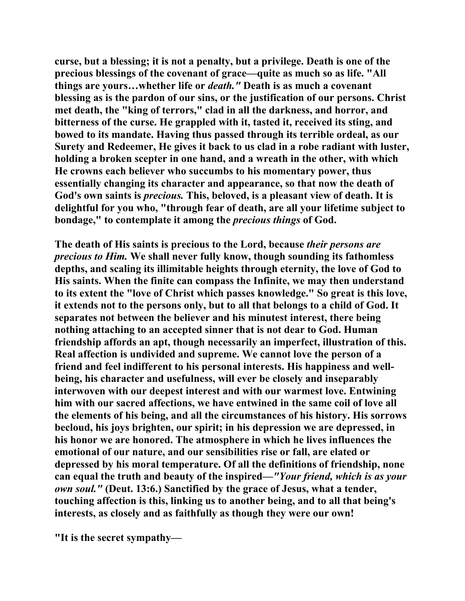**curse, but a blessing; it is not a penalty, but a privilege. Death is one of the precious blessings of the covenant of grace—quite as much so as life. "All things are yours…whether life or** *death."* **Death is as much a covenant blessing as is the pardon of our sins, or the justification of our persons. Christ met death, the "king of terrors," clad in all the darkness, and horror, and bitterness of the curse. He grappled with it, tasted it, received its sting, and bowed to its mandate. Having thus passed through its terrible ordeal, as our Surety and Redeemer, He gives it back to us clad in a robe radiant with luster, holding a broken scepter in one hand, and a wreath in the other, with which He crowns each believer who succumbs to his momentary power, thus essentially changing its character and appearance, so that now the death of God's own saints is** *precious.* **This, beloved, is a pleasant view of death. It is delightful for you who, "through fear of death, are all your lifetime subject to bondage," to contemplate it among the** *precious things* **of God.** 

**The death of His saints is precious to the Lord, because** *their persons are precious to Him.* **We shall never fully know, though sounding its fathomless depths, and scaling its illimitable heights through eternity, the love of God to His saints. When the finite can compass the Infinite, we may then understand to its extent the "love of Christ which passes knowledge." So great is this love, it extends not to the persons only, but to all that belongs to a child of God. It separates not between the believer and his minutest interest, there being nothing attaching to an accepted sinner that is not dear to God. Human friendship affords an apt, though necessarily an imperfect, illustration of this. Real affection is undivided and supreme. We cannot love the person of a friend and feel indifferent to his personal interests. His happiness and wellbeing, his character and usefulness, will ever be closely and inseparably interwoven with our deepest interest and with our warmest love. Entwining him with our sacred affections, we have entwined in the same coil of love all the elements of his being, and all the circumstances of his history. His sorrows becloud, his joys brighten, our spirit; in his depression we are depressed, in his honor we are honored. The atmosphere in which he lives influences the emotional of our nature, and our sensibilities rise or fall, are elated or depressed by his moral temperature. Of all the definitions of friendship, none can equal the truth and beauty of the inspired—***"Your friend, which is as your own soul."* **(Deut. 13:6.) Sanctified by the grace of Jesus, what a tender, touching affection is this, linking us to another being, and to all that being's interests, as closely and as faithfully as though they were our own!** 

**"It is the secret sympathy—**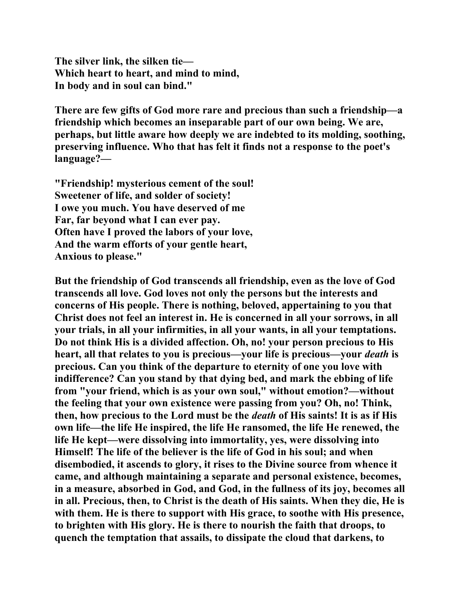**The silver link, the silken tie— Which heart to heart, and mind to mind, In body and in soul can bind."** 

**There are few gifts of God more rare and precious than such a friendship—a friendship which becomes an inseparable part of our own being. We are, perhaps, but little aware how deeply we are indebted to its molding, soothing, preserving influence. Who that has felt it finds not a response to the poet's language?—** 

**"Friendship! mysterious cement of the soul! Sweetener of life, and solder of society! I owe you much. You have deserved of me Far, far beyond what I can ever pay. Often have I proved the labors of your love, And the warm efforts of your gentle heart, Anxious to please."** 

**But the friendship of God transcends all friendship, even as the love of God transcends all love. God loves not only the persons but the interests and concerns of His people. There is nothing, beloved, appertaining to you that Christ does not feel an interest in. He is concerned in all your sorrows, in all your trials, in all your infirmities, in all your wants, in all your temptations. Do not think His is a divided affection. Oh, no! your person precious to His heart, all that relates to you is precious—your life is precious—your** *death* **is precious. Can you think of the departure to eternity of one you love with indifference? Can you stand by that dying bed, and mark the ebbing of life from "your friend, which is as your own soul," without emotion?—without the feeling that your own existence were passing from you? Oh, no! Think, then, how precious to the Lord must be the** *death* **of His saints! It is as if His own life—the life He inspired, the life He ransomed, the life He renewed, the life He kept—were dissolving into immortality, yes, were dissolving into Himself! The life of the believer is the life of God in his soul; and when disembodied, it ascends to glory, it rises to the Divine source from whence it came, and although maintaining a separate and personal existence, becomes, in a measure, absorbed in God, and God, in the fullness of its joy, becomes all in all. Precious, then, to Christ is the death of His saints. When they die, He is with them. He is there to support with His grace, to soothe with His presence, to brighten with His glory. He is there to nourish the faith that droops, to quench the temptation that assails, to dissipate the cloud that darkens, to**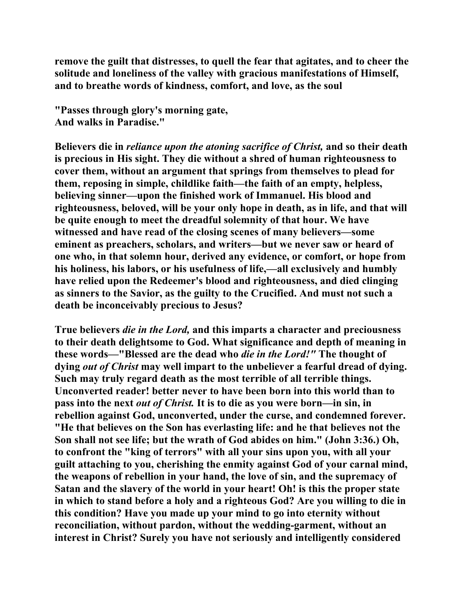**remove the guilt that distresses, to quell the fear that agitates, and to cheer the solitude and loneliness of the valley with gracious manifestations of Himself, and to breathe words of kindness, comfort, and love, as the soul** 

**"Passes through glory's morning gate, And walks in Paradise."** 

**Believers die in** *reliance upon the atoning sacrifice of Christ,* **and so their death is precious in His sight. They die without a shred of human righteousness to cover them, without an argument that springs from themselves to plead for them, reposing in simple, childlike faith—the faith of an empty, helpless, believing sinner—upon the finished work of Immanuel. His blood and righteousness, beloved, will be your only hope in death, as in life, and that will be quite enough to meet the dreadful solemnity of that hour. We have witnessed and have read of the closing scenes of many believers—some eminent as preachers, scholars, and writers—but we never saw or heard of one who, in that solemn hour, derived any evidence, or comfort, or hope from his holiness, his labors, or his usefulness of life,—all exclusively and humbly have relied upon the Redeemer's blood and righteousness, and died clinging as sinners to the Savior, as the guilty to the Crucified. And must not such a death be inconceivably precious to Jesus?** 

**True believers** *die in the Lord,* **and this imparts a character and preciousness to their death delightsome to God. What significance and depth of meaning in these words—"Blessed are the dead who** *die in the Lord!"* **The thought of dying** *out of Christ* **may well impart to the unbeliever a fearful dread of dying. Such may truly regard death as the most terrible of all terrible things. Unconverted reader! better never to have been born into this world than to pass into the next** *out of Christ.* **It is to die as you were born—in sin, in rebellion against God, unconverted, under the curse, and condemned forever. "He that believes on the Son has everlasting life: and he that believes not the Son shall not see life; but the wrath of God abides on him." (John 3:36.) Oh, to confront the "king of terrors" with all your sins upon you, with all your guilt attaching to you, cherishing the enmity against God of your carnal mind, the weapons of rebellion in your hand, the love of sin, and the supremacy of Satan and the slavery of the world in your heart! Oh! is this the proper state in which to stand before a holy and a righteous God? Are you willing to die in this condition? Have you made up your mind to go into eternity without reconciliation, without pardon, without the wedding-garment, without an interest in Christ? Surely you have not seriously and intelligently considered**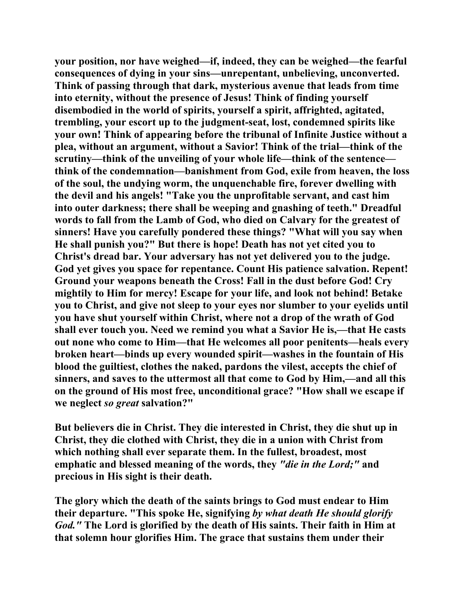**your position, nor have weighed—if, indeed, they can be weighed—the fearful consequences of dying in your sins—unrepentant, unbelieving, unconverted. Think of passing through that dark, mysterious avenue that leads from time into eternity, without the presence of Jesus! Think of finding yourself disembodied in the world of spirits, yourself a spirit, affrighted, agitated, trembling, your escort up to the judgment-seat, lost, condemned spirits like your own! Think of appearing before the tribunal of Infinite Justice without a plea, without an argument, without a Savior! Think of the trial—think of the scrutiny—think of the unveiling of your whole life—think of the sentence think of the condemnation—banishment from God, exile from heaven, the loss of the soul, the undying worm, the unquenchable fire, forever dwelling with the devil and his angels! "Take you the unprofitable servant, and cast him into outer darkness; there shall be weeping and gnashing of teeth." Dreadful words to fall from the Lamb of God, who died on Calvary for the greatest of sinners! Have you carefully pondered these things? "What will you say when He shall punish you?" But there is hope! Death has not yet cited you to Christ's dread bar. Your adversary has not yet delivered you to the judge. God yet gives you space for repentance. Count His patience salvation. Repent! Ground your weapons beneath the Cross! Fall in the dust before God! Cry mightily to Him for mercy! Escape for your life, and look not behind! Betake you to Christ, and give not sleep to your eyes nor slumber to your eyelids until you have shut yourself within Christ, where not a drop of the wrath of God shall ever touch you. Need we remind you what a Savior He is,—that He casts out none who come to Him—that He welcomes all poor penitents—heals every broken heart—binds up every wounded spirit—washes in the fountain of His blood the guiltiest, clothes the naked, pardons the vilest, accepts the chief of sinners, and saves to the uttermost all that come to God by Him,—and all this on the ground of His most free, unconditional grace? "How shall we escape if we neglect** *so great* **salvation?"** 

**But believers die in Christ. They die interested in Christ, they die shut up in Christ, they die clothed with Christ, they die in a union with Christ from which nothing shall ever separate them. In the fullest, broadest, most emphatic and blessed meaning of the words, they** *"die in the Lord;"* **and precious in His sight is their death.** 

**The glory which the death of the saints brings to God must endear to Him their departure. "This spoke He, signifying** *by what death He should glorify God."* **The Lord is glorified by the death of His saints. Their faith in Him at that solemn hour glorifies Him. The grace that sustains them under their**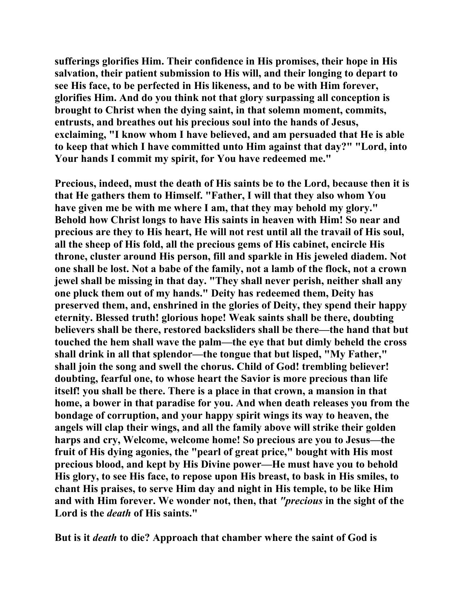**sufferings glorifies Him. Their confidence in His promises, their hope in His salvation, their patient submission to His will, and their longing to depart to see His face, to be perfected in His likeness, and to be with Him forever, glorifies Him. And do you think not that glory surpassing all conception is brought to Christ when the dying saint, in that solemn moment, commits, entrusts, and breathes out his precious soul into the hands of Jesus, exclaiming, "I know whom I have believed, and am persuaded that He is able to keep that which I have committed unto Him against that day?" "Lord, into Your hands I commit my spirit, for You have redeemed me."** 

**Precious, indeed, must the death of His saints be to the Lord, because then it is that He gathers them to Himself. "Father, I will that they also whom You have given me be with me where I am, that they may behold my glory." Behold how Christ longs to have His saints in heaven with Him! So near and precious are they to His heart, He will not rest until all the travail of His soul, all the sheep of His fold, all the precious gems of His cabinet, encircle His throne, cluster around His person, fill and sparkle in His jeweled diadem. Not one shall be lost. Not a babe of the family, not a lamb of the flock, not a crown jewel shall be missing in that day. "They shall never perish, neither shall any one pluck them out of my hands." Deity has redeemed them, Deity has preserved them, and, enshrined in the glories of Deity, they spend their happy eternity. Blessed truth! glorious hope! Weak saints shall be there, doubting believers shall be there, restored backsliders shall be there—the hand that but touched the hem shall wave the palm—the eye that but dimly beheld the cross shall drink in all that splendor—the tongue that but lisped, "My Father," shall join the song and swell the chorus. Child of God! trembling believer! doubting, fearful one, to whose heart the Savior is more precious than life itself! you shall be there. There is a place in that crown, a mansion in that home, a bower in that paradise for you. And when death releases you from the bondage of corruption, and your happy spirit wings its way to heaven, the angels will clap their wings, and all the family above will strike their golden harps and cry, Welcome, welcome home! So precious are you to Jesus—the fruit of His dying agonies, the "pearl of great price," bought with His most precious blood, and kept by His Divine power—He must have you to behold His glory, to see His face, to repose upon His breast, to bask in His smiles, to chant His praises, to serve Him day and night in His temple, to be like Him and with Him forever. We wonder not, then, that** *"precious* **in the sight of the Lord is the** *death* **of His saints."** 

**But is it** *death* **to die? Approach that chamber where the saint of God is**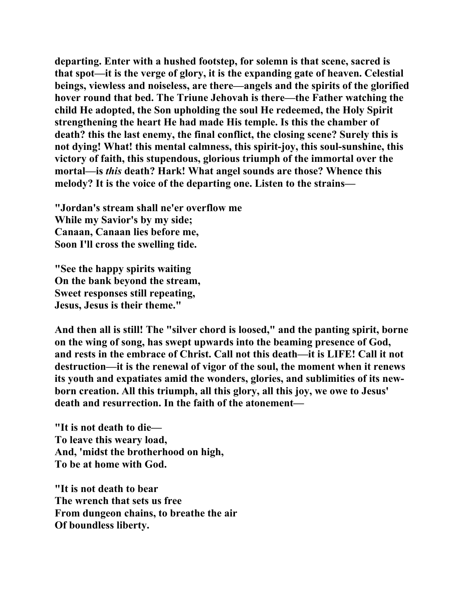**departing. Enter with a hushed footstep, for solemn is that scene, sacred is that spot—it is the verge of glory, it is the expanding gate of heaven. Celestial beings, viewless and noiseless, are there—angels and the spirits of the glorified hover round that bed. The Triune Jehovah is there—the Father watching the child He adopted, the Son upholding the soul He redeemed, the Holy Spirit strengthening the heart He had made His temple. Is this the chamber of death? this the last enemy, the final conflict, the closing scene? Surely this is not dying! What! this mental calmness, this spirit-joy, this soul-sunshine, this victory of faith, this stupendous, glorious triumph of the immortal over the mortal—is** *this* **death? Hark! What angel sounds are those? Whence this melody? It is the voice of the departing one. Listen to the strains—** 

**"Jordan's stream shall ne'er overflow me While my Savior's by my side; Canaan, Canaan lies before me, Soon I'll cross the swelling tide.** 

**"See the happy spirits waiting On the bank beyond the stream, Sweet responses still repeating, Jesus, Jesus is their theme."** 

**And then all is still! The "silver chord is loosed," and the panting spirit, borne on the wing of song, has swept upwards into the beaming presence of God, and rests in the embrace of Christ. Call not this death—it is LIFE! Call it not destruction—it is the renewal of vigor of the soul, the moment when it renews its youth and expatiates amid the wonders, glories, and sublimities of its newborn creation. All this triumph, all this glory, all this joy, we owe to Jesus' death and resurrection. In the faith of the atonement—** 

**"It is not death to die— To leave this weary load, And, 'midst the brotherhood on high, To be at home with God.** 

**"It is not death to bear The wrench that sets us free From dungeon chains, to breathe the air Of boundless liberty.**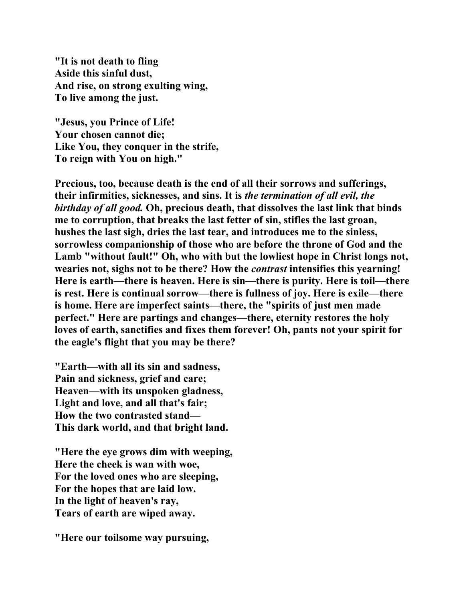**"It is not death to fling Aside this sinful dust, And rise, on strong exulting wing, To live among the just.** 

**"Jesus, you Prince of Life! Your chosen cannot die; Like You, they conquer in the strife, To reign with You on high."** 

**Precious, too, because death is the end of all their sorrows and sufferings, their infirmities, sicknesses, and sins. It is** *the termination of all evil, the birthday of all good.* **Oh, precious death, that dissolves the last link that binds me to corruption, that breaks the last fetter of sin, stifles the last groan, hushes the last sigh, dries the last tear, and introduces me to the sinless, sorrowless companionship of those who are before the throne of God and the Lamb "without fault!" Oh, who with but the lowliest hope in Christ longs not, wearies not, sighs not to be there? How the** *contrast* **intensifies this yearning! Here is earth—there is heaven. Here is sin—there is purity. Here is toil—there is rest. Here is continual sorrow—there is fullness of joy. Here is exile—there is home. Here are imperfect saints—there, the "spirits of just men made perfect." Here are partings and changes—there, eternity restores the holy loves of earth, sanctifies and fixes them forever! Oh, pants not your spirit for the eagle's flight that you may be there?** 

**"Earth—with all its sin and sadness, Pain and sickness, grief and care; Heaven—with its unspoken gladness, Light and love, and all that's fair; How the two contrasted stand— This dark world, and that bright land.** 

**"Here the eye grows dim with weeping, Here the cheek is wan with woe, For the loved ones who are sleeping, For the hopes that are laid low. In the light of heaven's ray, Tears of earth are wiped away.** 

**"Here our toilsome way pursuing,**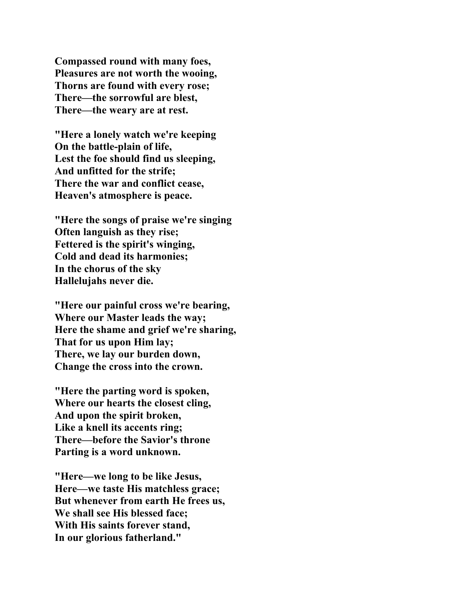**Compassed round with many foes, Pleasures are not worth the wooing, Thorns are found with every rose; There—the sorrowful are blest, There—the weary are at rest.** 

**"Here a lonely watch we're keeping On the battle-plain of life, Lest the foe should find us sleeping, And unfitted for the strife; There the war and conflict cease, Heaven's atmosphere is peace.** 

**"Here the songs of praise we're singing Often languish as they rise; Fettered is the spirit's winging, Cold and dead its harmonies; In the chorus of the sky Hallelujahs never die.** 

**"Here our painful cross we're bearing, Where our Master leads the way; Here the shame and grief we're sharing, That for us upon Him lay; There, we lay our burden down, Change the cross into the crown.** 

**"Here the parting word is spoken, Where our hearts the closest cling, And upon the spirit broken, Like a knell its accents ring; There—before the Savior's throne Parting is a word unknown.** 

**"Here—we long to be like Jesus, Here—we taste His matchless grace; But whenever from earth He frees us, We shall see His blessed face; With His saints forever stand, In our glorious fatherland."**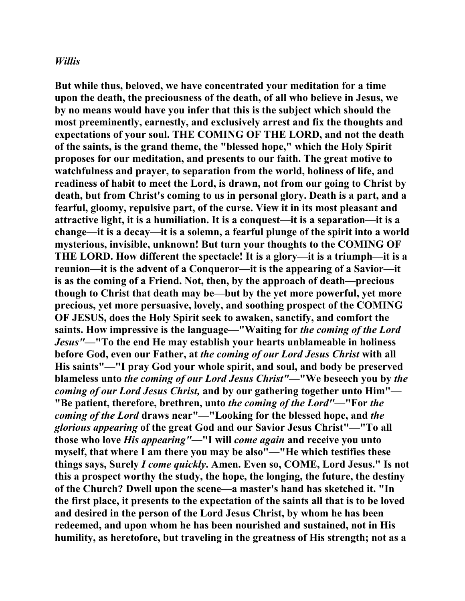#### *Willis*

**But while thus, beloved, we have concentrated your meditation for a time upon the death, the preciousness of the death, of all who believe in Jesus, we by no means would have you infer that this is the subject which should the most preeminently, earnestly, and exclusively arrest and fix the thoughts and expectations of your soul. THE COMING OF THE LORD, and not the death of the saints, is the grand theme, the "blessed hope," which the Holy Spirit proposes for our meditation, and presents to our faith. The great motive to watchfulness and prayer, to separation from the world, holiness of life, and readiness of habit to meet the Lord, is drawn, not from our going to Christ by death, but from Christ's coming to us in personal glory. Death is a part, and a fearful, gloomy, repulsive part, of the curse. View it in its most pleasant and attractive light, it is a humiliation. It is a conquest—it is a separation—it is a change—it is a decay—it is a solemn, a fearful plunge of the spirit into a world mysterious, invisible, unknown! But turn your thoughts to the COMING OF THE LORD. How different the spectacle! It is a glory—it is a triumph—it is a reunion—it is the advent of a Conqueror—it is the appearing of a Savior—it is as the coming of a Friend. Not, then, by the approach of death—precious though to Christ that death may be—but by the yet more powerful, yet more precious, yet more persuasive, lovely, and soothing prospect of the COMING OF JESUS, does the Holy Spirit seek to awaken, sanctify, and comfort the saints. How impressive is the language—"Waiting for** *the coming of the Lord Jesus"***—"To the end He may establish your hearts unblameable in holiness before God, even our Father, at** *the coming of our Lord Jesus Christ* **with all His saints"—"I pray God your whole spirit, and soul, and body be preserved blameless unto** *the coming of our Lord Jesus Christ"***—"We beseech you by** *the coming of our Lord Jesus Christ,* **and by our gathering together unto Him"— "Be patient, therefore, brethren, unto** *the coming of the Lord"***—"For** *the coming of the Lord* **draws near"—"Looking for the blessed hope, and** *the glorious appearing* **of the great God and our Savior Jesus Christ"—"To all those who love** *His appearing"***—"I will** *come again* **and receive you unto myself, that where I am there you may be also"—"He which testifies these things says, Surely** *I come quickly***. Amen. Even so, COME, Lord Jesus." Is not this a prospect worthy the study, the hope, the longing, the future, the destiny of the Church? Dwell upon the scene—a master's hand has sketched it. "In the first place, it presents to the expectation of the saints all that is to be loved and desired in the person of the Lord Jesus Christ, by whom he has been redeemed, and upon whom he has been nourished and sustained, not in His humility, as heretofore, but traveling in the greatness of His strength; not as a**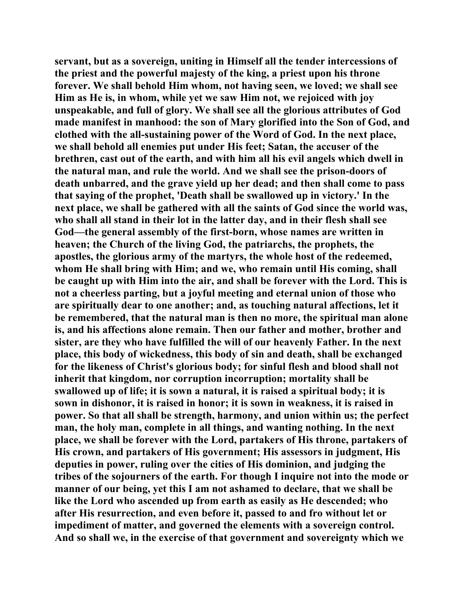**servant, but as a sovereign, uniting in Himself all the tender intercessions of the priest and the powerful majesty of the king, a priest upon his throne forever. We shall behold Him whom, not having seen, we loved; we shall see Him as He is, in whom, while yet we saw Him not, we rejoiced with joy unspeakable, and full of glory. We shall see all the glorious attributes of God made manifest in manhood: the son of Mary glorified into the Son of God, and clothed with the all-sustaining power of the Word of God. In the next place, we shall behold all enemies put under His feet; Satan, the accuser of the brethren, cast out of the earth, and with him all his evil angels which dwell in the natural man, and rule the world. And we shall see the prison-doors of death unbarred, and the grave yield up her dead; and then shall come to pass that saying of the prophet, 'Death shall be swallowed up in victory.' In the next place, we shall be gathered with all the saints of God since the world was, who shall all stand in their lot in the latter day, and in their flesh shall see God—the general assembly of the first-born, whose names are written in heaven; the Church of the living God, the patriarchs, the prophets, the apostles, the glorious army of the martyrs, the whole host of the redeemed, whom He shall bring with Him; and we, who remain until His coming, shall be caught up with Him into the air, and shall be forever with the Lord. This is not a cheerless parting, but a joyful meeting and eternal union of those who are spiritually dear to one another; and, as touching natural affections, let it be remembered, that the natural man is then no more, the spiritual man alone is, and his affections alone remain. Then our father and mother, brother and sister, are they who have fulfilled the will of our heavenly Father. In the next place, this body of wickedness, this body of sin and death, shall be exchanged for the likeness of Christ's glorious body; for sinful flesh and blood shall not inherit that kingdom, nor corruption incorruption; mortality shall be swallowed up of life; it is sown a natural, it is raised a spiritual body; it is sown in dishonor, it is raised in honor; it is sown in weakness, it is raised in power. So that all shall be strength, harmony, and union within us; the perfect man, the holy man, complete in all things, and wanting nothing. In the next place, we shall be forever with the Lord, partakers of His throne, partakers of His crown, and partakers of His government; His assessors in judgment, His deputies in power, ruling over the cities of His dominion, and judging the tribes of the sojourners of the earth. For though I inquire not into the mode or manner of our being, yet this I am not ashamed to declare, that we shall be like the Lord who ascended up from earth as easily as He descended; who after His resurrection, and even before it, passed to and fro without let or impediment of matter, and governed the elements with a sovereign control. And so shall we, in the exercise of that government and sovereignty which we**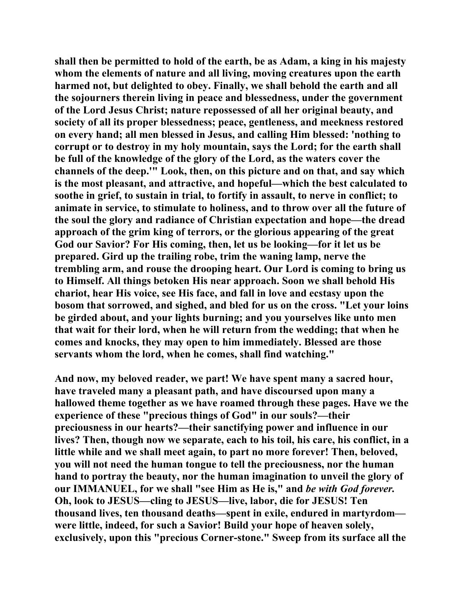**shall then be permitted to hold of the earth, be as Adam, a king in his majesty whom the elements of nature and all living, moving creatures upon the earth harmed not, but delighted to obey. Finally, we shall behold the earth and all the sojourners therein living in peace and blessedness, under the government of the Lord Jesus Christ; nature repossessed of all her original beauty, and society of all its proper blessedness; peace, gentleness, and meekness restored on every hand; all men blessed in Jesus, and calling Him blessed: 'nothing to corrupt or to destroy in my holy mountain, says the Lord; for the earth shall be full of the knowledge of the glory of the Lord, as the waters cover the channels of the deep.'" Look, then, on this picture and on that, and say which is the most pleasant, and attractive, and hopeful—which the best calculated to soothe in grief, to sustain in trial, to fortify in assault, to nerve in conflict; to animate in service, to stimulate to holiness, and to throw over all the future of the soul the glory and radiance of Christian expectation and hope—the dread approach of the grim king of terrors, or the glorious appearing of the great God our Savior? For His coming, then, let us be looking—for it let us be prepared. Gird up the trailing robe, trim the waning lamp, nerve the trembling arm, and rouse the drooping heart. Our Lord is coming to bring us to Himself. All things betoken His near approach. Soon we shall behold His chariot, hear His voice, see His face, and fall in love and ecstasy upon the bosom that sorrowed, and sighed, and bled for us on the cross. "Let your loins be girded about, and your lights burning; and you yourselves like unto men that wait for their lord, when he will return from the wedding; that when he comes and knocks, they may open to him immediately. Blessed are those servants whom the lord, when he comes, shall find watching."** 

**And now, my beloved reader, we part! We have spent many a sacred hour, have traveled many a pleasant path, and have discoursed upon many a hallowed theme together as we have roamed through these pages. Have we the experience of these "precious things of God" in our souls?—their preciousness in our hearts?—their sanctifying power and influence in our lives? Then, though now we separate, each to his toil, his care, his conflict, in a little while and we shall meet again, to part no more forever! Then, beloved, you will not need the human tongue to tell the preciousness, nor the human hand to portray the beauty, nor the human imagination to unveil the glory of our IMMANUEL, for we shall "see Him as He is," and** *be with God forever.*  **Oh, look to JESUS—cling to JESUS—live, labor, die for JESUS! Ten thousand lives, ten thousand deaths—spent in exile, endured in martyrdom were little, indeed, for such a Savior! Build your hope of heaven solely, exclusively, upon this "precious Corner-stone." Sweep from its surface all the**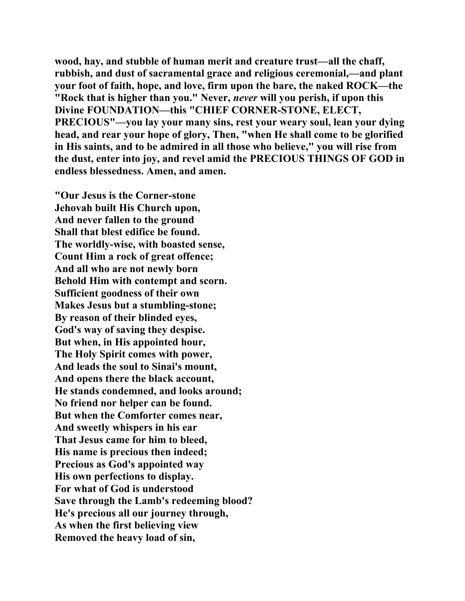**wood, hay, and stubble of human merit and creature trust—all the chaff, rubbish, and dust of sacramental grace and religious ceremonial,—and plant your foot of faith, hope, and love, firm upon the bare, the naked ROCK—the "Rock that is higher than you." Never,** *never* **will you perish, if upon this Divine FOUNDATION—this "CHIEF CORNER-STONE, ELECT, PRECIOUS"—you lay your many sins, rest your weary soul, lean your dying head, and rear your hope of glory, Then, "when He shall come to be glorified in His saints, and to be admired in all those who believe," you will rise from the dust, enter into joy, and revel amid the PRECIOUS THINGS OF GOD in endless blessedness. Amen, and amen.** 

**"Our Jesus is the Corner-stone Jehovah built His Church upon, And never fallen to the ground Shall that blest edifice be found. The worldly-wise, with boasted sense, Count Him a rock of great offence; And all who are not newly born Behold Him with contempt and scorn. Sufficient goodness of their own Makes Jesus but a stumbling-stone; By reason of their blinded eyes, God's way of saving they despise. But when, in His appointed hour, The Holy Spirit comes with power, And leads the soul to Sinai's mount, And opens there the black account, He stands condemned, and looks around; No friend nor helper can be found. But when the Comforter comes near, And sweetly whispers in his ear That Jesus came for him to bleed, His name is precious then indeed; Precious as God's appointed way His own perfections to display. For what of God is understood Save through the Lamb's redeeming blood? He's precious all our journey through, As when the first believing view Removed the heavy load of sin,**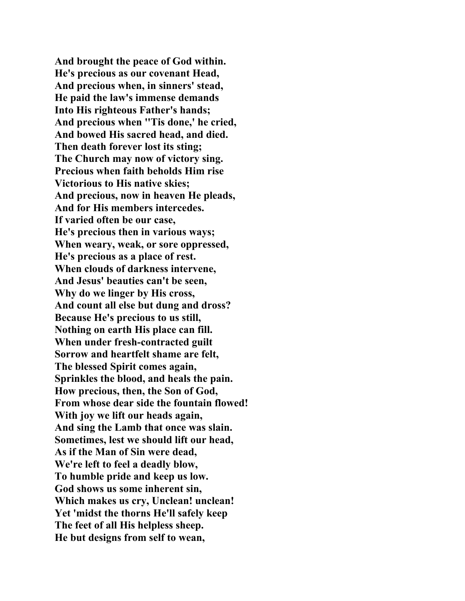**And brought the peace of God within. He's precious as our covenant Head, And precious when, in sinners' stead, He paid the law's immense demands Into His righteous Father's hands; And precious when ''Tis done,' he cried, And bowed His sacred head, and died. Then death forever lost its sting; The Church may now of victory sing. Precious when faith beholds Him rise Victorious to His native skies; And precious, now in heaven He pleads, And for His members intercedes. If varied often be our case, He's precious then in various ways; When weary, weak, or sore oppressed, He's precious as a place of rest. When clouds of darkness intervene, And Jesus' beauties can't be seen, Why do we linger by His cross, And count all else but dung and dross? Because He's precious to us still, Nothing on earth His place can fill. When under fresh-contracted guilt Sorrow and heartfelt shame are felt, The blessed Spirit comes again, Sprinkles the blood, and heals the pain. How precious, then, the Son of God, From whose dear side the fountain flowed! With joy we lift our heads again, And sing the Lamb that once was slain. Sometimes, lest we should lift our head, As if the Man of Sin were dead, We're left to feel a deadly blow, To humble pride and keep us low. God shows us some inherent sin, Which makes us cry, Unclean! unclean! Yet 'midst the thorns He'll safely keep The feet of all His helpless sheep. He but designs from self to wean,**